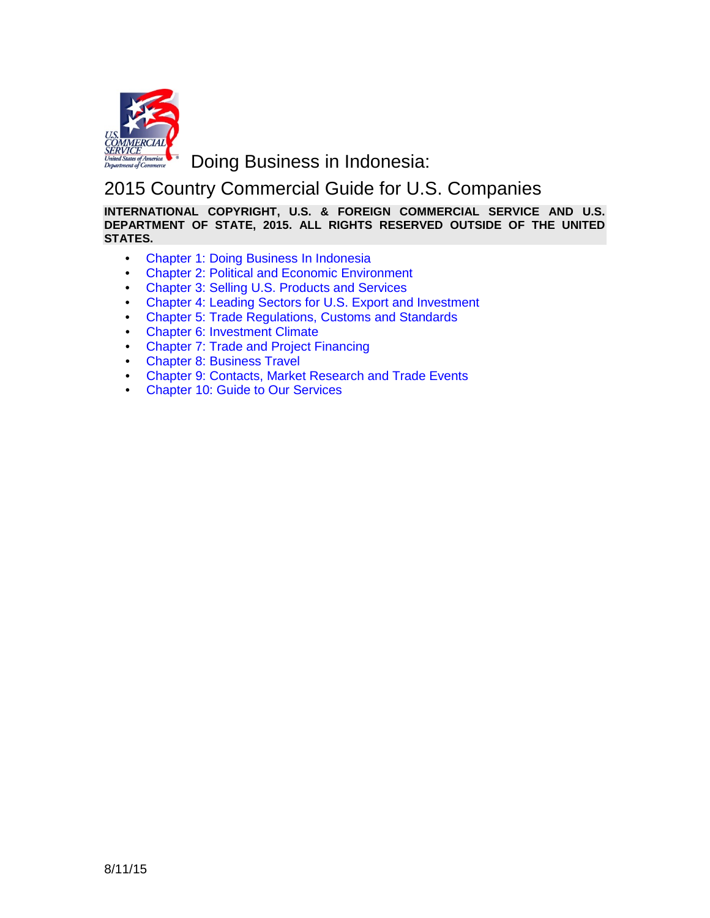

**Doing Business in Indonesia:** 

# 2015 Country Commercial Guide for U.S. Companies

**INTERNATIONAL COPYRIGHT, U.S. & FOREIGN COMMERCIAL SERVICE AND U.S. DEPARTMENT OF STATE, 2015. ALL RIGHTS RESERVED OUTSIDE OF THE UNITED STATES.**

- Chapter 1: Doing Business In Indonesia
- Chapter 2: Political and Economic Environment
- Chapter 3: Selling U.S. Products and Services
- Chapter 4: Leading Sectors for U.S. Export and Investment
- Chapter 5: Trade Regulations, Customs and Standards
- Chapter 6: Investment Climate
- Chapter 7: Trade and Project Financing
- Chapter 8: Business Travel
- Chapter 9: Contacts, Market Research and Trade Events
- Chapter 10: Guide to Our Services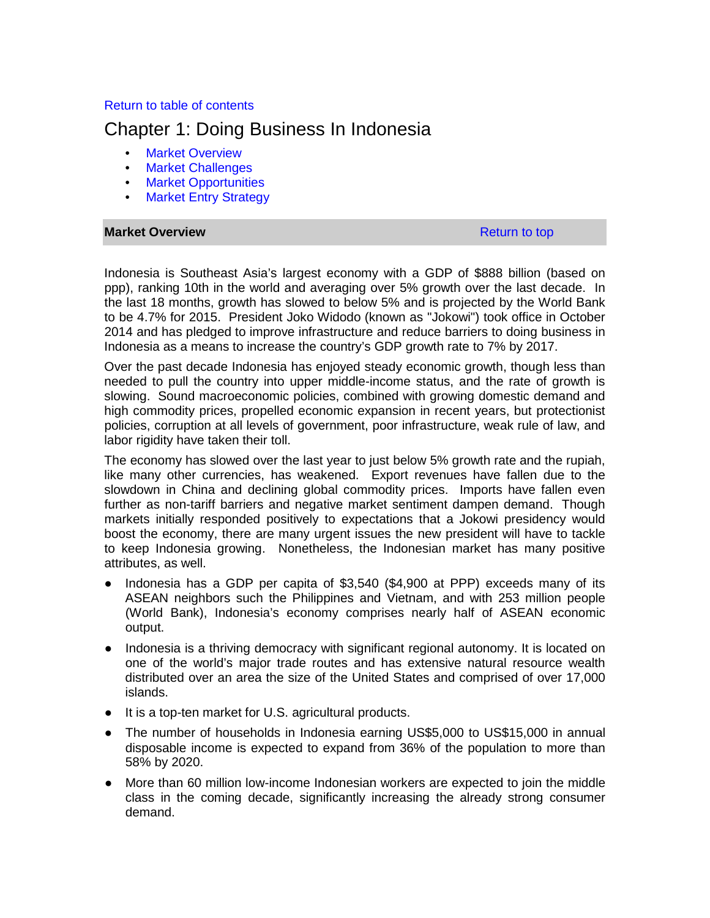# Return to table of contents

# Chapter 1: Doing Business In Indonesia

- Market Overview
- Market Challenges
- Market Opportunities
- Market Entry Strategy

## **Market Overview Return to top Return to top Return to top Return to top**

Indonesia is Southeast Asia's largest economy with a GDP of \$888 billion (based on ppp), ranking 10th in the world and averaging over 5% growth over the last decade. In the last 18 months, growth has slowed to below 5% and is projected by the World Bank to be 4.7% for 2015. President Joko Widodo (known as "Jokowi") took office in October 2014 and has pledged to improve infrastructure and reduce barriers to doing business in Indonesia as a means to increase the country's GDP growth rate to 7% by 2017.

Over the past decade Indonesia has enjoyed steady economic growth, though less than needed to pull the country into upper middle-income status, and the rate of growth is slowing. Sound macroeconomic policies, combined with growing domestic demand and high commodity prices, propelled economic expansion in recent years, but protectionist policies, corruption at all levels of government, poor infrastructure, weak rule of law, and labor rigidity have taken their toll.

The economy has slowed over the last year to just below 5% growth rate and the rupiah, like many other currencies, has weakened. Export revenues have fallen due to the slowdown in China and declining global commodity prices. Imports have fallen even further as non-tariff barriers and negative market sentiment dampen demand. Though markets initially responded positively to expectations that a Jokowi presidency would boost the economy, there are many urgent issues the new president will have to tackle to keep Indonesia growing. Nonetheless, the Indonesian market has many positive attributes, as well.

- Indonesia has a GDP per capita of \$3,540 (\$4,900 at PPP) exceeds many of its ASEAN neighbors such the Philippines and Vietnam, and with 253 million people (World Bank), Indonesia's economy comprises nearly half of ASEAN economic output.
- Indonesia is a thriving democracy with significant regional autonomy. It is located on one of the world's major trade routes and has extensive natural resource wealth distributed over an area the size of the United States and comprised of over 17,000 islands.
- It is a top-ten market for U.S. agricultural products.
- The number of households in Indonesia earning US\$5,000 to US\$15,000 in annual disposable income is expected to expand from 36% of the population to more than 58% by 2020.
- More than 60 million low-income Indonesian workers are expected to join the middle class in the coming decade, significantly increasing the already strong consumer demand.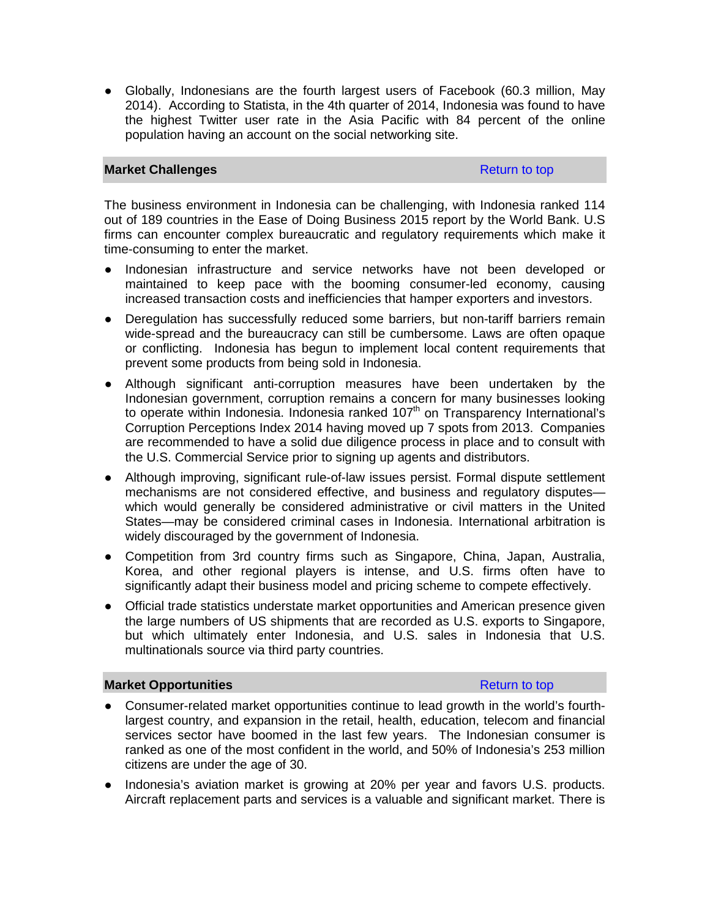● Globally, Indonesians are the fourth largest users of Facebook (60.3 million, May 2014). According to Statista, in the 4th quarter of 2014, Indonesia was found to have the highest Twitter user rate in the Asia Pacific with 84 percent of the online population having an account on the social networking site.

# **Market Challenges Return to top Return to top Return to top Return to top**

The business environment in Indonesia can be challenging, with Indonesia ranked 114 out of 189 countries in the Ease of Doing Business 2015 report by the World Bank. U.S firms can encounter complex bureaucratic and regulatory requirements which make it time-consuming to enter the market.

- Indonesian infrastructure and service networks have not been developed or maintained to keep pace with the booming consumer-led economy, causing increased transaction costs and inefficiencies that hamper exporters and investors.
- Deregulation has successfully reduced some barriers, but non-tariff barriers remain wide-spread and the bureaucracy can still be cumbersome. Laws are often opaque or conflicting. Indonesia has begun to implement local content requirements that prevent some products from being sold in Indonesia.
- Although significant anti-corruption measures have been undertaken by the Indonesian government, corruption remains a concern for many businesses looking to operate within Indonesia. Indonesia ranked  $107<sup>th</sup>$  on Transparency International's Corruption Perceptions Index 2014 having moved up 7 spots from 2013. Companies are recommended to have a solid due diligence process in place and to consult with the U.S. Commercial Service prior to signing up agents and distributors.
- Although improving, significant rule-of-law issues persist. Formal dispute settlement mechanisms are not considered effective, and business and regulatory disputes which would generally be considered administrative or civil matters in the United States—may be considered criminal cases in Indonesia. International arbitration is widely discouraged by the government of Indonesia.
- Competition from 3rd country firms such as Singapore, China, Japan, Australia, Korea, and other regional players is intense, and U.S. firms often have to significantly adapt their business model and pricing scheme to compete effectively.
- Official trade statistics understate market opportunities and American presence given the large numbers of US shipments that are recorded as U.S. exports to Singapore, but which ultimately enter Indonesia, and U.S. sales in Indonesia that U.S. multinationals source via third party countries.

## **Market Opportunities Return to top Return to top Return to top Return to top**

- Consumer-related market opportunities continue to lead growth in the world's fourthlargest country, and expansion in the retail, health, education, telecom and financial services sector have boomed in the last few years. The Indonesian consumer is ranked as one of the most confident in the world, and 50% of Indonesia's 253 million citizens are under the age of 30.
- Indonesia's aviation market is growing at 20% per year and favors U.S. products. Aircraft replacement parts and services is a valuable and significant market. There is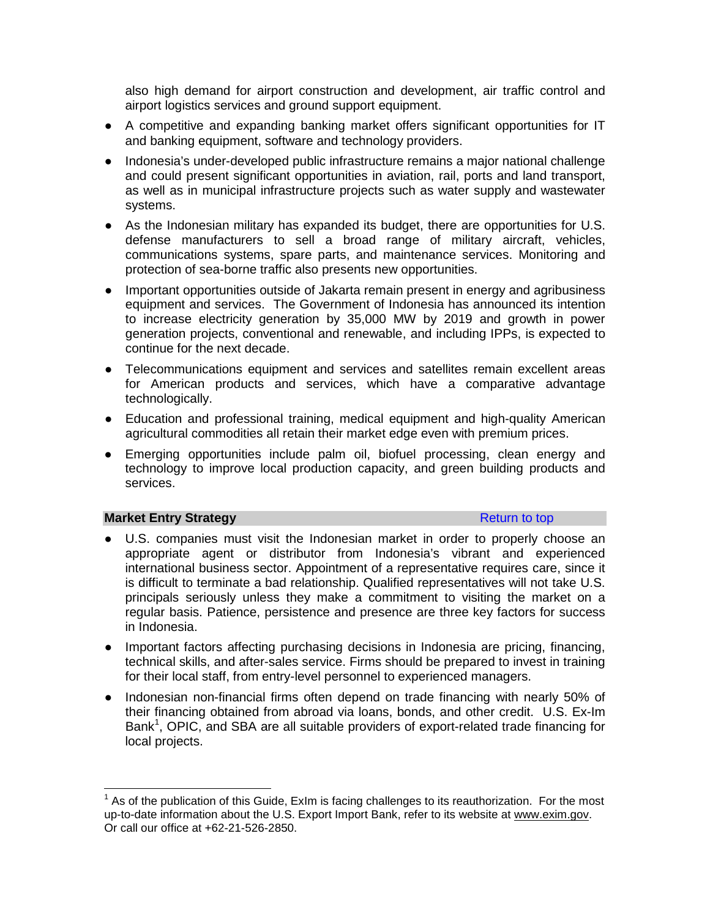also high demand for airport construction and development, air traffic control and airport logistics services and ground support equipment.

- A competitive and expanding banking market offers significant opportunities for IT and banking equipment, software and technology providers.
- Indonesia's under-developed public infrastructure remains a major national challenge and could present significant opportunities in aviation, rail, ports and land transport, as well as in municipal infrastructure projects such as water supply and wastewater systems.
- As the Indonesian military has expanded its budget, there are opportunities for U.S. defense manufacturers to sell a broad range of military aircraft, vehicles, communications systems, spare parts, and maintenance services. Monitoring and protection of sea-borne traffic also presents new opportunities.
- Important opportunities outside of Jakarta remain present in energy and agribusiness equipment and services. The Government of Indonesia has announced its intention to increase electricity generation by 35,000 MW by 2019 and growth in power generation projects, conventional and renewable, and including IPPs, is expected to continue for the next decade.
- Telecommunications equipment and services and satellites remain excellent areas for American products and services, which have a comparative advantage technologically.
- Education and professional training, medical equipment and high-quality American agricultural commodities all retain their market edge even with premium prices.
- Emerging opportunities include palm oil, biofuel processing, clean energy and technology to improve local production capacity, and green building products and services.

# **Market Entry Strategy Return to top Return to top**

- U.S. companies must visit the Indonesian market in order to properly choose an appropriate agent or distributor from Indonesia's vibrant and experienced international business sector. Appointment of a representative requires care, since it is difficult to terminate a bad relationship. Qualified representatives will not take U.S. principals seriously unless they make a commitment to visiting the market on a regular basis. Patience, persistence and presence are three key factors for success in Indonesia.
- Important factors affecting purchasing decisions in Indonesia are pricing, financing, technical skills, and after-sales service. Firms should be prepared to invest in training for their local staff, from entry-level personnel to experienced managers.
- Indonesian non-financial firms often depend on trade financing with nearly 50% of their financing obtained from abroad via loans, bonds, and other credit. U.S. Ex-Im Bank<sup>[1](#page-3-0)</sup>, OPIC, and SBA are all suitable providers of export-related trade financing for local projects.

<span id="page-3-0"></span> $1$  As of the publication of this Guide, ExIm is facing challenges to its reauthorization. For the most up-to-date information about the U.S. Export Import Bank, refer to its website at [www.exim.gov.](http://www.exim.gov/) Or call our office at +62-21-526-2850.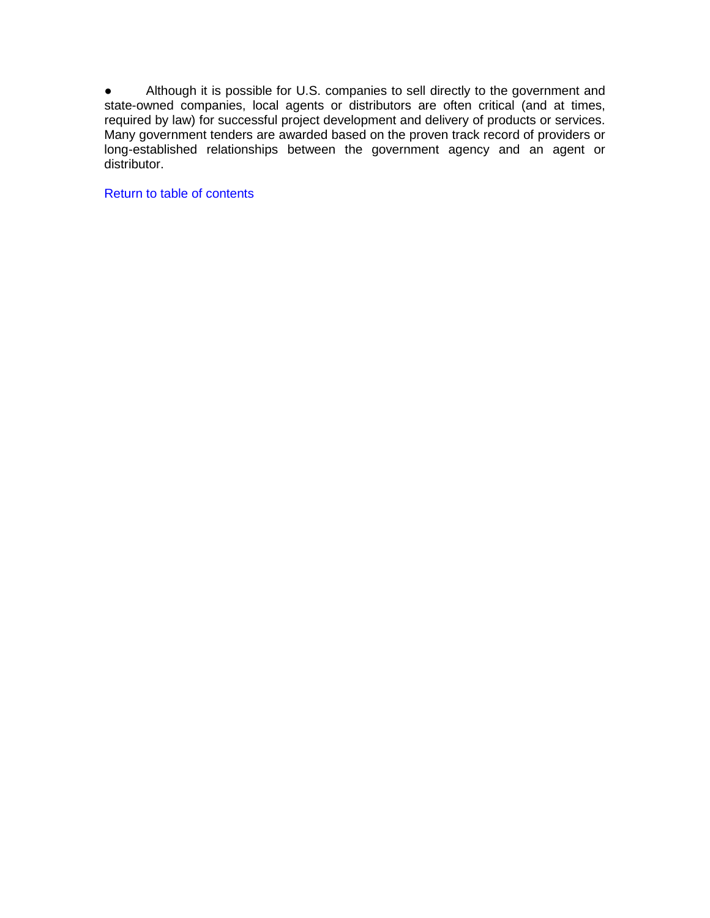● Although it is possible for U.S. companies to sell directly to the government and state-owned companies, local agents or distributors are often critical (and at times, required by law) for successful project development and delivery of products or services. Many government tenders are awarded based on the proven track record of providers or long-established relationships between the government agency and an agent or distributor.

Return to table of contents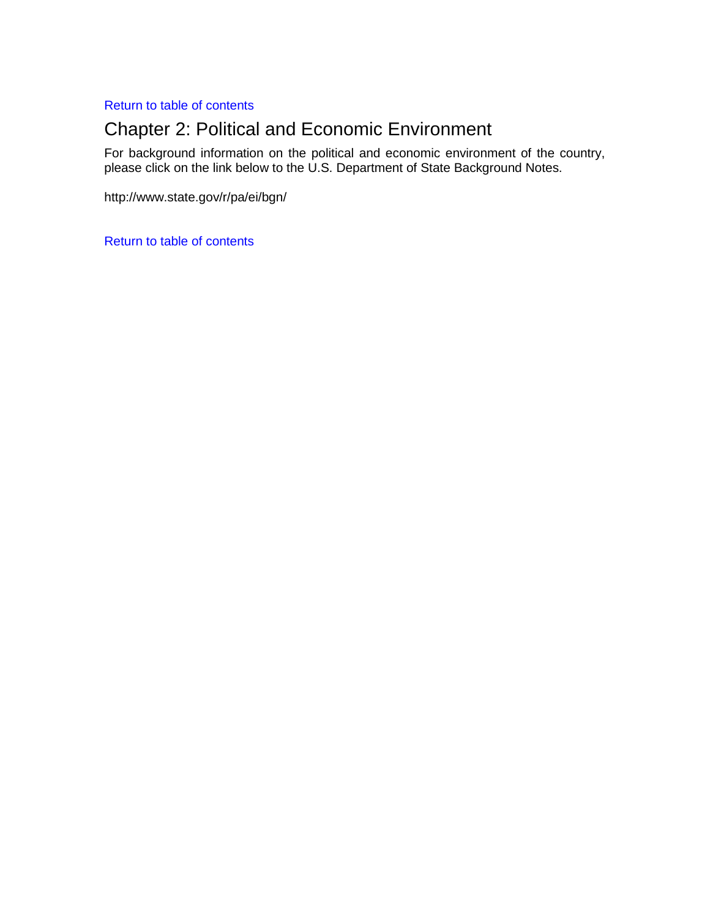Return to table of contents

# Chapter 2: Political and Economic Environment

For background information on the political and economic environment of the country, please click on the link below to the U.S. Department of State Background Notes.

http://www.state.gov/r/pa/ei/bgn/

Return to table of contents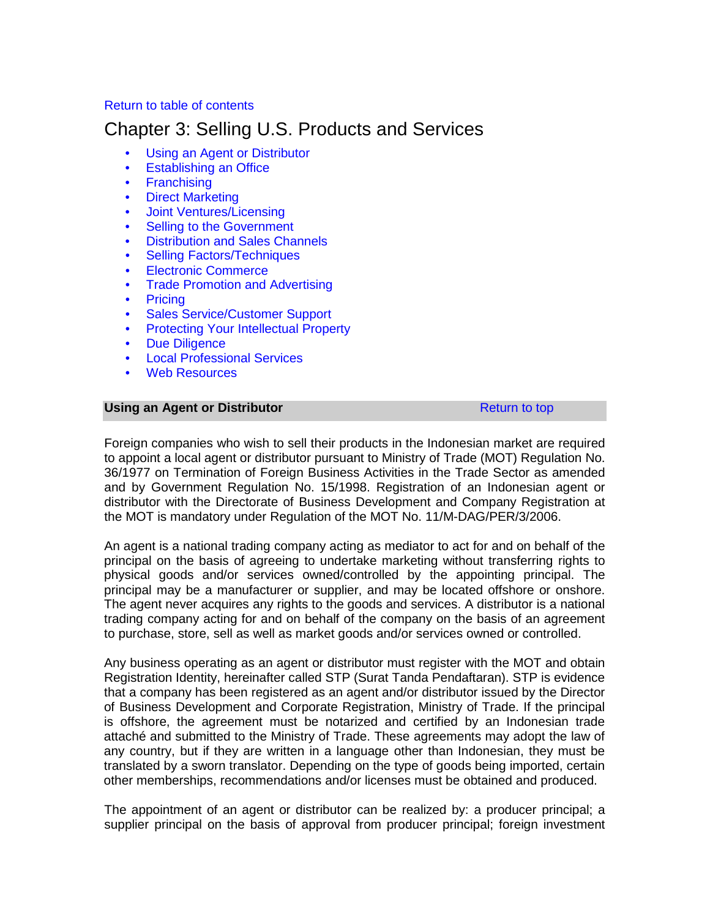# Return to table of contents

# Chapter 3: Selling U.S. Products and Services

- Using an Agent or Distributor
- Establishing an Office
- Franchising
- Direct Marketing
- Joint Ventures/Licensing
- **Selling to the Government**
- Distribution and Sales Channels
- Selling Factors/Techniques
- Electronic Commerce
- Trade Promotion and Advertising
- Pricing
- Sales Service/Customer Support
- Protecting Your Intellectual Property
- Due Diligence
- Local Professional Services
- Web Resources

## **Using an Agent or Distributor Construction Agent Return to top Return to top**

Foreign companies who wish to sell their products in the Indonesian market are required to appoint a local agent or distributor pursuant to Ministry of Trade (MOT) Regulation No. 36/1977 on Termination of Foreign Business Activities in the Trade Sector as amended and by Government Regulation No. 15/1998. Registration of an Indonesian agent or distributor with the Directorate of Business Development and Company Registration at the MOT is mandatory under Regulation of the MOT No. 11/M-DAG/PER/3/2006.

An agent is a national trading company acting as mediator to act for and on behalf of the principal on the basis of agreeing to undertake marketing without transferring rights to physical goods and/or services owned/controlled by the appointing principal. The principal may be a manufacturer or supplier, and may be located offshore or onshore. The agent never acquires any rights to the goods and services. A distributor is a national trading company acting for and on behalf of the company on the basis of an agreement to purchase, store, sell as well as market goods and/or services owned or controlled.

Any business operating as an agent or distributor must register with the MOT and obtain Registration Identity, hereinafter called STP (Surat Tanda Pendaftaran). STP is evidence that a company has been registered as an agent and/or distributor issued by the Director of Business Development and Corporate Registration, Ministry of Trade. If the principal is offshore, the agreement must be notarized and certified by an Indonesian trade attaché and submitted to the Ministry of Trade. These agreements may adopt the law of any country, but if they are written in a language other than Indonesian, they must be translated by a sworn translator. Depending on the type of goods being imported, certain other memberships, recommendations and/or licenses must be obtained and produced.

The appointment of an agent or distributor can be realized by: a producer principal; a supplier principal on the basis of approval from producer principal; foreign investment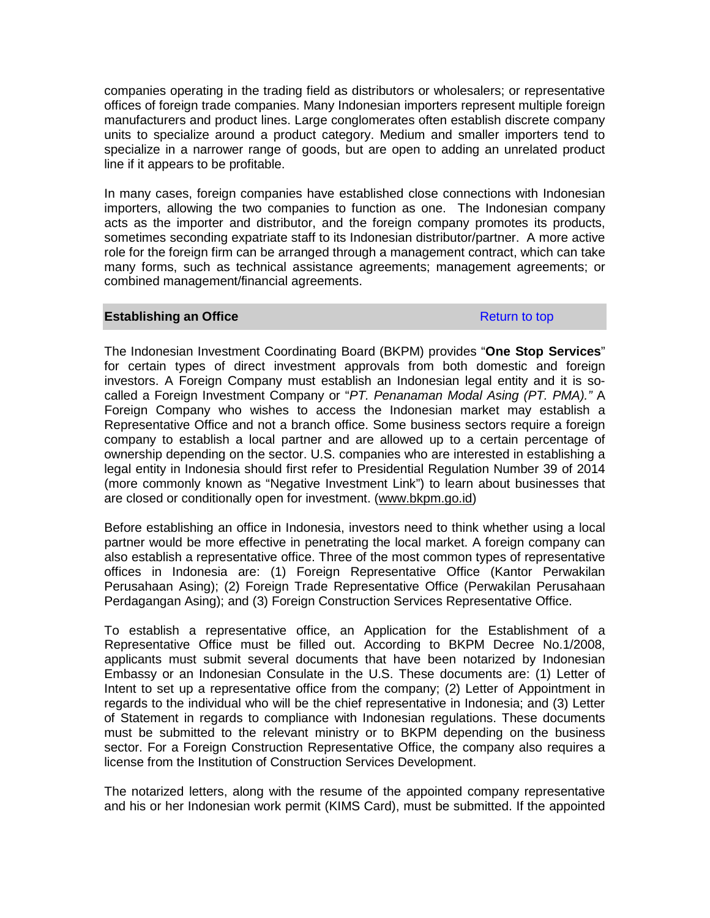companies operating in the trading field as distributors or wholesalers; or representative offices of foreign trade companies. Many Indonesian importers represent multiple foreign manufacturers and product lines. Large conglomerates often establish discrete company units to specialize around a product category. Medium and smaller importers tend to specialize in a narrower range of goods, but are open to adding an unrelated product line if it appears to be profitable.

In many cases, foreign companies have established close connections with Indonesian importers, allowing the two companies to function as one. The Indonesian company acts as the importer and distributor, and the foreign company promotes its products, sometimes seconding expatriate staff to its Indonesian distributor/partner. A more active role for the foreign firm can be arranged through a management contract, which can take many forms, such as technical assistance agreements; management agreements; or combined management/financial agreements.

## **Establishing an Office** Return to top

The Indonesian Investment Coordinating Board (BKPM) provides "**One Stop Services**" for certain types of direct investment approvals from both domestic and foreign investors. A Foreign Company must establish an Indonesian legal entity and it is socalled a Foreign Investment Company or "*PT. Penanaman Modal Asing (PT. PMA)."* A Foreign Company who wishes to access the Indonesian market may establish a Representative Office and not a branch office. Some business sectors require a foreign company to establish a local partner and are allowed up to a certain percentage of ownership depending on the sector. U.S. companies who are interested in establishing a legal entity in Indonesia should first refer to Presidential Regulation Number 39 of 2014 (more commonly known as "Negative Investment Link") to learn about businesses that are closed or conditionally open for investment. [\(www.bkpm.go.id\)](http://www.bkpm.go.id/)

Before establishing an office in Indonesia, investors need to think whether using a local partner would be more effective in penetrating the local market. A foreign company can also establish a representative office. Three of the most common types of representative offices in Indonesia are: (1) Foreign Representative Office (Kantor Perwakilan Perusahaan Asing); (2) Foreign Trade Representative Office (Perwakilan Perusahaan Perdagangan Asing); and (3) Foreign Construction Services Representative Office.

To establish a representative office, an Application for the Establishment of a Representative Office must be filled out. According to BKPM Decree No.1/2008, applicants must submit several documents that have been notarized by Indonesian Embassy or an Indonesian Consulate in the U.S. These documents are: (1) Letter of Intent to set up a representative office from the company; (2) Letter of Appointment in regards to the individual who will be the chief representative in Indonesia; and (3) Letter of Statement in regards to compliance with Indonesian regulations. These documents must be submitted to the relevant ministry or to BKPM depending on the business sector. For a Foreign Construction Representative Office, the company also requires a license from the Institution of Construction Services Development.

The notarized letters, along with the resume of the appointed company representative and his or her Indonesian work permit (KIMS Card), must be submitted. If the appointed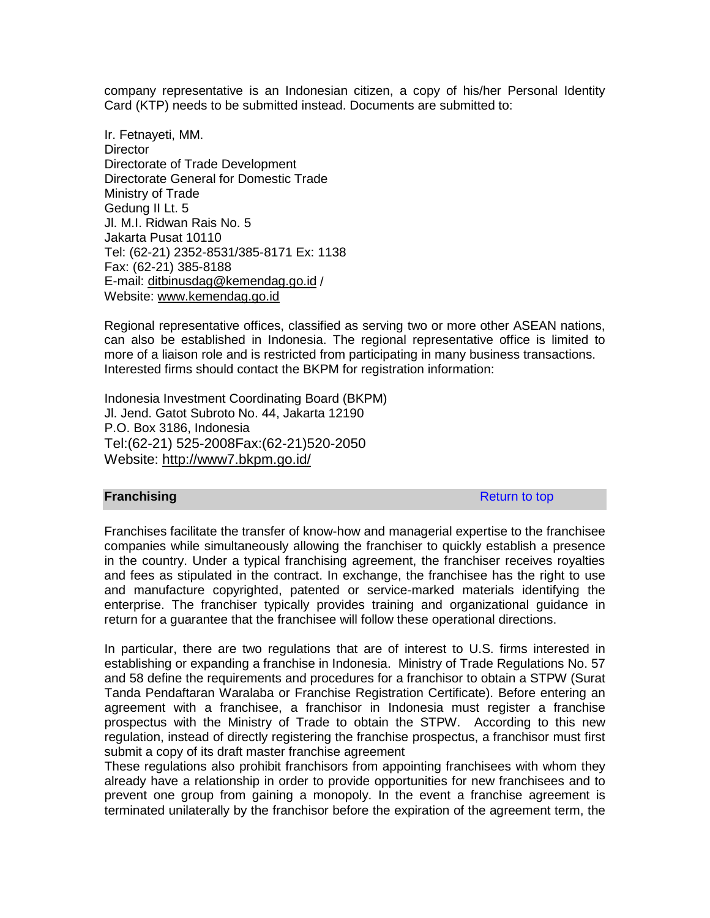company representative is an Indonesian citizen, a copy of his/her Personal Identity Card (KTP) needs to be submitted instead. Documents are submitted to:

Ir. Fetnayeti, MM. **Director** Directorate of Trade Development Directorate General for Domestic Trade Ministry of Trade Gedung II Lt. 5 Jl. M.I. Ridwan Rais No. 5 Jakarta Pusat 10110 Tel: (62-21) 2352-8531/385-8171 Ex: 1138 Fax: (62-21) 385-8188 E-mail: [ditbinusdag@kemendag.go.id](mailto:ditbinusdag@kemendag.go.id) / Website: [www.kemendag.go.id](http://www.kemendag.go.id/) 

Regional representative offices, classified as serving two or more other ASEAN nations, can also be established in Indonesia. The regional representative office is limited to more of a liaison role and is restricted from participating in many business transactions. Interested firms should contact the BKPM for registration information:

Indonesia Investment Coordinating Board (BKPM) Jl. Jend. Gatot Subroto No. 44, Jakarta 12190 P.O. Box 3186, Indonesia Tel:(62-21) 525-2008Fax:(62-21)520-2050 Website:<http://www7.bkpm.go.id/>

## **Franchising** Return to top **Return to top**

Franchises facilitate the transfer of know-how and managerial expertise to the franchisee companies while simultaneously allowing the franchiser to quickly establish a presence in the country. Under a typical franchising agreement, the franchiser receives royalties and fees as stipulated in the contract. In exchange, the franchisee has the right to use and manufacture copyrighted, patented or service-marked materials identifying the enterprise. The franchiser typically provides training and organizational guidance in return for a guarantee that the franchisee will follow these operational directions.

In particular, there are two regulations that are of interest to U.S. firms interested in establishing or expanding a franchise in Indonesia. Ministry of Trade Regulations No. 57 and 58 define the requirements and procedures for a franchisor to obtain a STPW (Surat Tanda Pendaftaran Waralaba or Franchise Registration Certificate). Before entering an agreement with a franchisee, a franchisor in Indonesia must register a franchise prospectus with the Ministry of Trade to obtain the STPW. According to this new regulation, instead of directly registering the franchise prospectus, a franchisor must first submit a copy of its draft master franchise agreement

These regulations also prohibit franchisors from appointing franchisees with whom they already have a relationship in order to provide opportunities for new franchisees and to prevent one group from gaining a monopoly. In the event a franchise agreement is terminated unilaterally by the franchisor before the expiration of the agreement term, the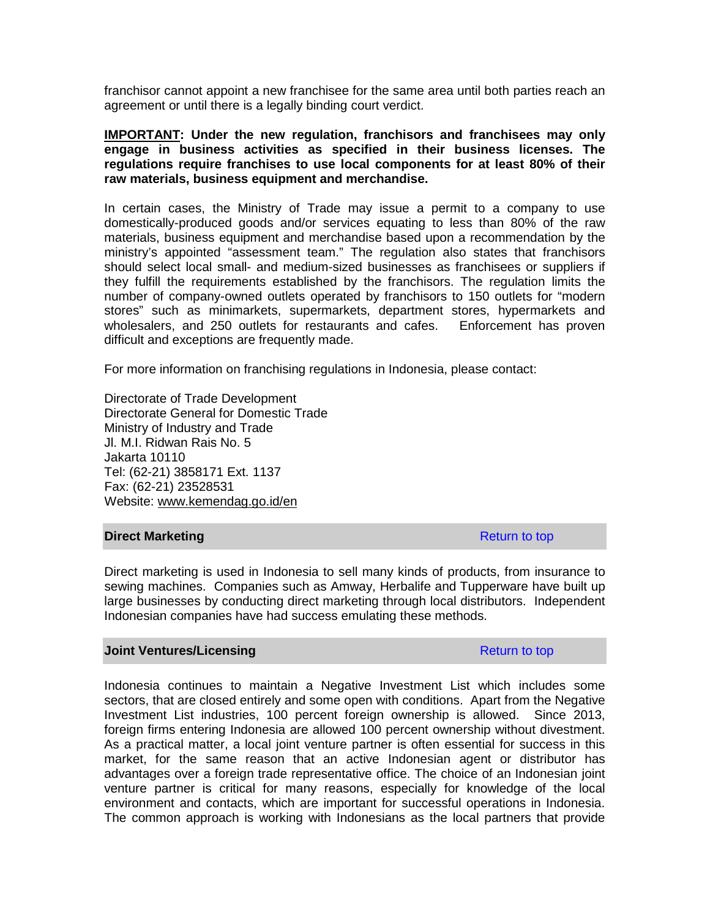franchisor cannot appoint a new franchisee for the same area until both parties reach an agreement or until there is a legally binding court verdict.

**IMPORTANT: Under the new regulation, franchisors and franchisees may only engage in business activities as specified in their business licenses. The regulations require franchises to use local components for at least 80% of their raw materials, business equipment and merchandise.**

In certain cases, the Ministry of Trade may issue a permit to a company to use domestically-produced goods and/or services equating to less than 80% of the raw materials, business equipment and merchandise based upon a recommendation by the ministry's appointed "assessment team." The regulation also states that franchisors should select local small- and medium-sized businesses as franchisees or suppliers if they fulfill the requirements established by the franchisors. The regulation limits the number of company-owned outlets operated by franchisors to 150 outlets for "modern stores" such as minimarkets, supermarkets, department stores, hypermarkets and<br>wholesalers, and 250 outlets for restaurants and cafes. Enforcement has proven wholesalers, and 250 outlets for restaurants and cafes. difficult and exceptions are frequently made.

For more information on franchising regulations in Indonesia, please contact:

Directorate of Trade Development Directorate General for Domestic Trade Ministry of Industry and Trade Jl. M.I. Ridwan Rais No. 5 Jakarta 10110 Tel: (62-21) 3858171 Ext. 1137 Fax: (62-21) 23528531 Website: www.kemendag.go.id/en

## **Direct Marketing Return to top Return to top**

Direct marketing is used in Indonesia to sell many kinds of products, from insurance to sewing machines. Companies such as Amway, Herbalife and Tupperware have built up large businesses by conducting direct marketing through local distributors. Independent Indonesian companies have had success emulating these methods.

## **Joint Ventures/Licensing Return to top Return to top**

Indonesia continues to maintain a Negative Investment List which includes some sectors, that are closed entirely and some open with conditions. Apart from the Negative Investment List industries, 100 percent foreign ownership is allowed. Since 2013, foreign firms entering Indonesia are allowed 100 percent ownership without divestment. As a practical matter, a local joint venture partner is often essential for success in this market, for the same reason that an active Indonesian agent or distributor has advantages over a foreign trade representative office. The choice of an Indonesian joint venture partner is critical for many reasons, especially for knowledge of the local environment and contacts, which are important for successful operations in Indonesia. The common approach is working with Indonesians as the local partners that provide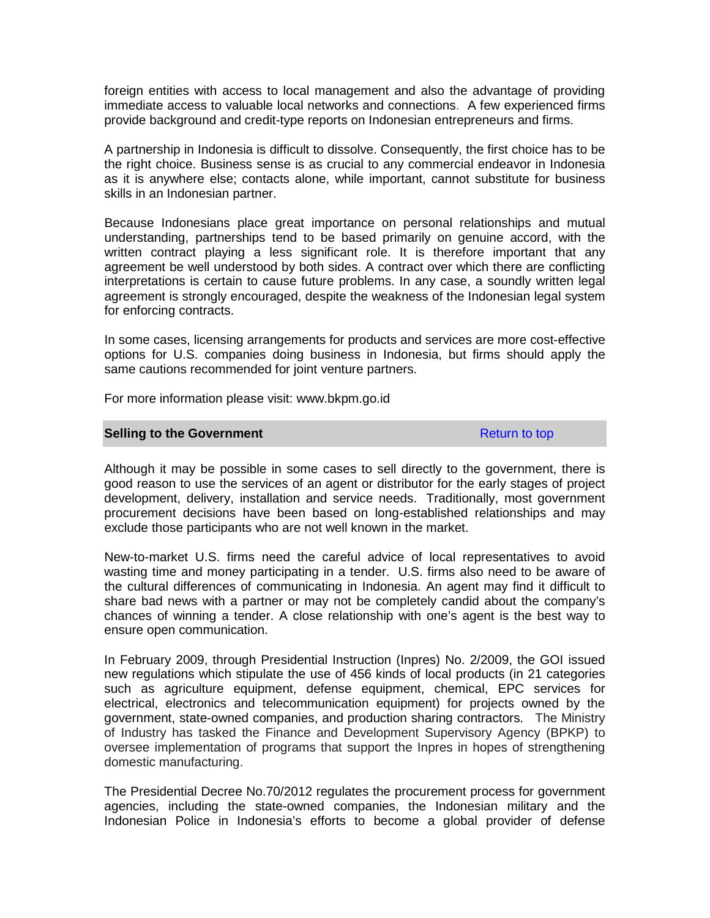foreign entities with access to local management and also the advantage of providing immediate access to valuable local networks and connections. A few experienced firms provide background and credit-type reports on Indonesian entrepreneurs and firms.

A partnership in Indonesia is difficult to dissolve. Consequently, the first choice has to be the right choice. Business sense is as crucial to any commercial endeavor in Indonesia as it is anywhere else; contacts alone, while important, cannot substitute for business skills in an Indonesian partner.

Because Indonesians place great importance on personal relationships and mutual understanding, partnerships tend to be based primarily on genuine accord, with the written contract playing a less significant role. It is therefore important that any agreement be well understood by both sides. A contract over which there are conflicting interpretations is certain to cause future problems. In any case, a soundly written legal agreement is strongly encouraged, despite the weakness of the Indonesian legal system for enforcing contracts.

In some cases, licensing arrangements for products and services are more cost-effective options for U.S. companies doing business in Indonesia, but firms should apply the same cautions recommended for joint venture partners.

For more information please visit: www.bkpm.go.id

### **Selling to the Government Return to top**

Although it may be possible in some cases to sell directly to the government, there is good reason to use the services of an agent or distributor for the early stages of project development, delivery, installation and service needs. Traditionally, most government procurement decisions have been based on long-established relationships and may exclude those participants who are not well known in the market.

New-to-market U.S. firms need the careful advice of local representatives to avoid wasting time and money participating in a tender. U.S. firms also need to be aware of the cultural differences of communicating in Indonesia. An agent may find it difficult to share bad news with a partner or may not be completely candid about the company's chances of winning a tender. A close relationship with one's agent is the best way to ensure open communication.

In February 2009, through Presidential Instruction (Inpres) No. 2/2009, the GOI issued new regulations which stipulate the use of 456 kinds of local products (in 21 categories such as agriculture equipment, defense equipment, chemical, EPC services for electrical, electronics and telecommunication equipment) for projects owned by the government, state-owned companies, and production sharing contractors. The Ministry of Industry has tasked the Finance and Development Supervisory Agency (BPKP) to oversee implementation of programs that support the Inpres in hopes of strengthening domestic manufacturing.

The Presidential Decree No.70/2012 regulates the procurement process for government agencies, including the state-owned companies, the Indonesian military and the Indonesian Police in Indonesia's efforts to become a global provider of defense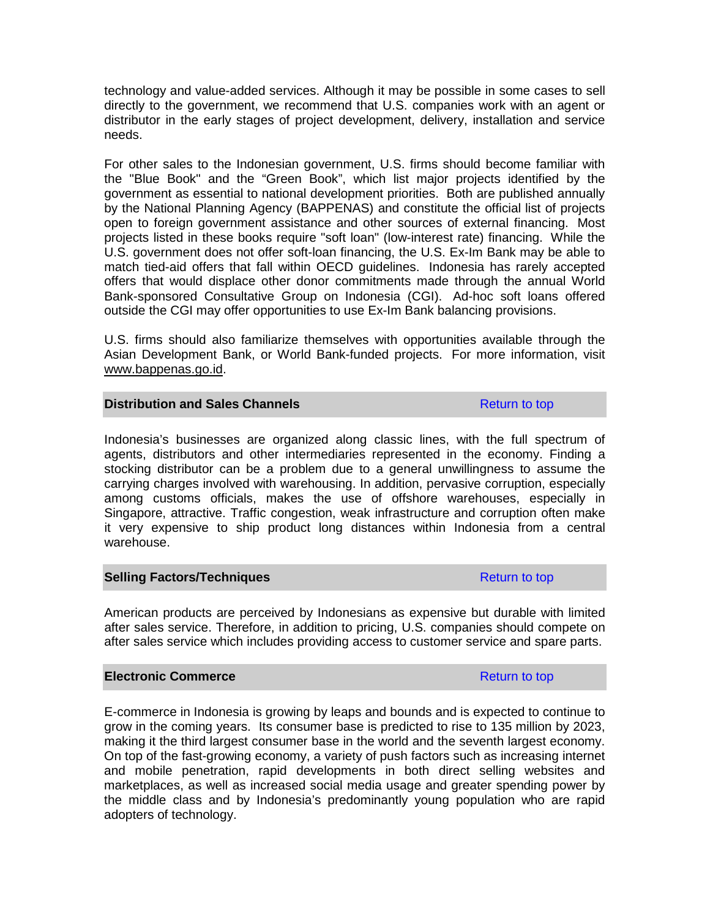technology and value-added services. Although it may be possible in some cases to sell directly to the government, we recommend that U.S. companies work with an agent or distributor in the early stages of project development, delivery, installation and service needs.

For other sales to the Indonesian government, U.S. firms should become familiar with the "Blue Book" and the "Green Book", which list major projects identified by the government as essential to national development priorities. Both are published annually by the National Planning Agency (BAPPENAS) and constitute the official list of projects open to foreign government assistance and other sources of external financing. Most projects listed in these books require "soft loan" (low-interest rate) financing. While the U.S. government does not offer soft-loan financing, the U.S. Ex-Im Bank may be able to match tied-aid offers that fall within OECD guidelines. Indonesia has rarely accepted offers that would displace other donor commitments made through the annual World Bank-sponsored Consultative Group on Indonesia (CGI). Ad-hoc soft loans offered outside the CGI may offer opportunities to use Ex-Im Bank balancing provisions.

U.S. firms should also familiarize themselves with opportunities available through the Asian Development Bank, or World Bank-funded projects. For more information, visit [www.bappenas.go.id.](http://www.bappenas.go.id/)

# **Distribution and Sales Channels Return to top Return to top**

Indonesia's businesses are organized along classic lines, with the full spectrum of agents, distributors and other intermediaries represented in the economy. Finding a stocking distributor can be a problem due to a general unwillingness to assume the carrying charges involved with warehousing. In addition, pervasive corruption, especially among customs officials, makes the use of offshore warehouses, especially in Singapore, attractive. Traffic congestion, weak infrastructure and corruption often make it very expensive to ship product long distances within Indonesia from a central warehouse.

## **Selling Factors/Techniques Return to top Return to top**

American products are perceived by Indonesians as expensive but durable with limited after sales service. Therefore, in addition to pricing, U.S. companies should compete on after sales service which includes providing access to customer service and spare parts.

## **Electronic Commerce Return to top Return to top**

E-commerce in Indonesia is growing by leaps and bounds and is expected to continue to grow in the coming years. Its consumer base is predicted to rise to 135 million by 2023, making it the third largest consumer base in the world and the seventh largest economy. On top of the fast-growing economy, a variety of push factors such as increasing internet and mobile penetration, rapid developments in both direct selling websites and marketplaces, as well as increased social media usage and greater spending power by the middle class and by Indonesia's predominantly young population who are rapid adopters of technology.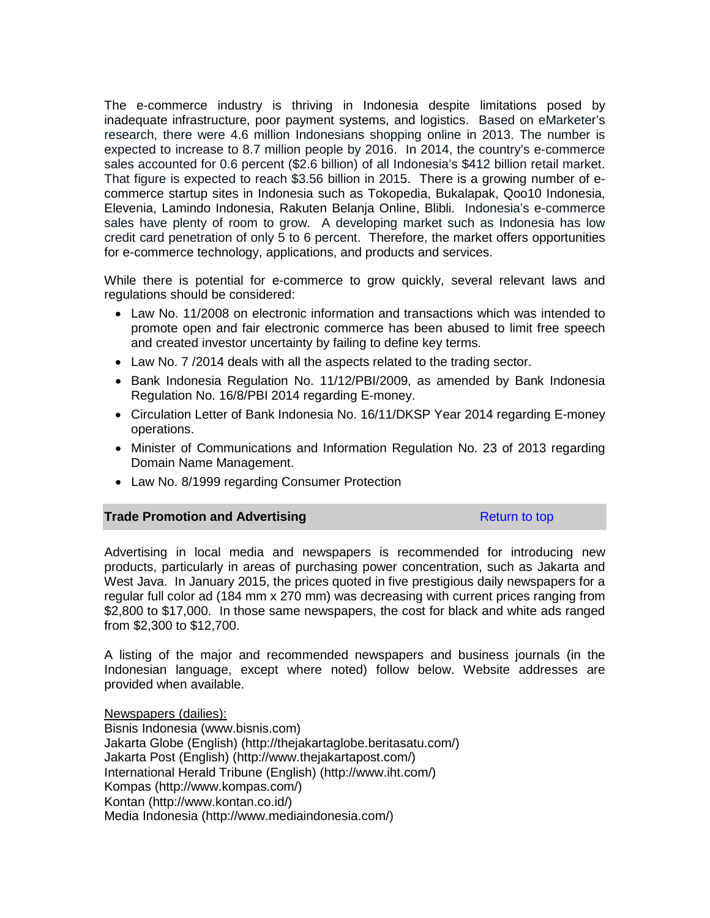The e-commerce industry is thriving in Indonesia despite limitations posed by inadequate infrastructure, poor payment systems, and logistics. Based on eMarketer's research, there were 4.6 million Indonesians shopping online in 2013. The number is expected to increase to 8.7 million people by 2016. In 2014, the country's e-commerce sales accounted for 0.6 percent (\$2.6 billion) of all Indonesia's \$412 billion retail market. That figure is expected to reach \$3.56 billion in 2015. There is a growing number of ecommerce startup sites in Indonesia such as Tokopedia, Bukalapak, Qoo10 Indonesia, Elevenia, Lamindo Indonesia, Rakuten Belanja Online, Blibli. Indonesia's e-commerce sales have plenty of room to grow. A developing market such as Indonesia has low credit card penetration of only 5 to 6 percent. Therefore, the market offers opportunities for e-commerce technology, applications, and products and services.

While there is potential for e-commerce to grow quickly, several relevant laws and regulations should be considered:

- Law No. 11/2008 on electronic information and transactions which was intended to promote open and fair electronic commerce has been abused to limit free speech and created investor uncertainty by failing to define key terms.
- Law No. 7 /2014 deals with all the aspects related to the trading sector.
- Bank Indonesia Regulation No. 11/12/PBI/2009, as amended by Bank Indonesia Regulation No. 16/8/PBI 2014 regarding E-money.
- Circulation Letter of Bank Indonesia No. 16/11/DKSP Year 2014 regarding E-money operations.
- Minister of Communications and Information Regulation No. 23 of 2013 regarding Domain Name Management.
- Law No. 8/1999 regarding Consumer Protection

## **Trade Promotion and Advertising Report Adventure Return to top**

Advertising in local media and newspapers is recommended for introducing new products, particularly in areas of purchasing power concentration, such as Jakarta and West Java. In January 2015, the prices quoted in five prestigious daily newspapers for a regular full color ad (184 mm x 270 mm) was decreasing with current prices ranging from \$2,800 to \$17,000. In those same newspapers, the cost for black and white ads ranged from \$2,300 to \$12,700.

A listing of the major and recommended newspapers and business journals (in the Indonesian language, except where noted) follow below. Website addresses are provided when available.

Newspapers (dailies):

Bisnis Indonesia (www.bisnis.com) Jakarta Globe (English) (http://thejakartaglobe.beritasatu.com/) Jakarta Post (English) (http://www.thejakartapost.com/) International Herald Tribune (English) (http://www.iht.com/) Kompas (http://www.kompas.com/) Kontan (http://www.kontan.co.id/) Media Indonesia (http://www.mediaindonesia.com/)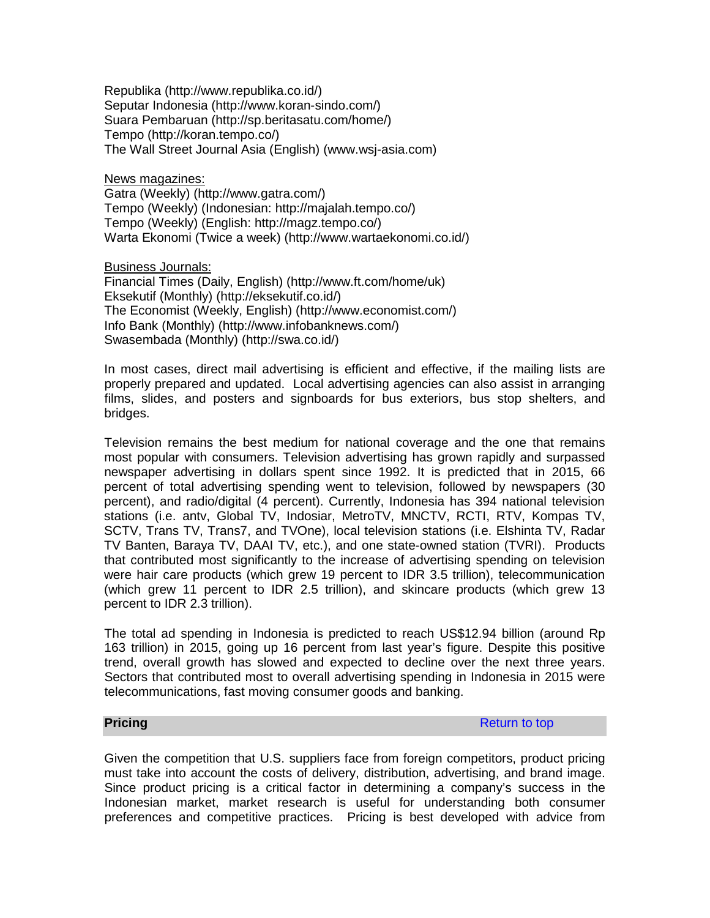Republika (http://www.republika.co.id/) Seputar Indonesia (http://www.koran-sindo.com/) Suara Pembaruan (http://sp.beritasatu.com/home/) Tempo (http://koran.tempo.co/) The Wall Street Journal Asia (English) (www.wsj-asia.com)

News magazines:

Gatra (Weekly) (http://www.gatra.com/) Tempo (Weekly) (Indonesian: http://majalah.tempo.co/) Tempo (Weekly) (English: http://magz.tempo.co/) Warta Ekonomi (Twice a week) (http://www.wartaekonomi.co.id/)

Business Journals:

Financial Times (Daily, English) (http://www.ft.com/home/uk) Eksekutif (Monthly) (http://eksekutif.co.id/) The Economist (Weekly, English) (http://www.economist.com/) Info Bank (Monthly) (http://www.infobanknews.com/) Swasembada (Monthly) (http://swa.co.id/)

In most cases, direct mail advertising is efficient and effective, if the mailing lists are properly prepared and updated. Local advertising agencies can also assist in arranging films, slides, and posters and signboards for bus exteriors, bus stop shelters, and bridges.

Television remains the best medium for national coverage and the one that remains most popular with consumers. Television advertising has grown rapidly and surpassed newspaper advertising in dollars spent since 1992. It is predicted that in 2015, 66 percent of total advertising spending went to television, followed by newspapers (30 percent), and radio/digital (4 percent). Currently, Indonesia has 394 national television stations (i.e. antv, Global TV, Indosiar, MetroTV, MNCTV, RCTI, RTV, Kompas TV, SCTV, Trans TV, Trans7, and TVOne), local television stations (i.e. Elshinta TV, Radar TV Banten, Baraya TV, DAAI TV, etc.), and one state-owned station (TVRI). Products that contributed most significantly to the increase of advertising spending on television were hair care products (which grew 19 percent to IDR 3.5 trillion), telecommunication (which grew 11 percent to IDR 2.5 trillion), and skincare products (which grew 13 percent to IDR 2.3 trillion).

The total ad spending in Indonesia is predicted to reach US\$12.94 billion (around Rp 163 trillion) in 2015, going up 16 percent from last year's figure. Despite this positive trend, overall growth has slowed and expected to decline over the next three years. Sectors that contributed most to overall advertising spending in Indonesia in 2015 were telecommunications, fast moving consumer goods and banking.

**Pricing** Return to top **Return to top** Return to top **Return to top** 

Given the competition that U.S. suppliers face from foreign competitors, product pricing must take into account the costs of delivery, distribution, advertising, and brand image. Since product pricing is a critical factor in determining a company's success in the Indonesian market, market research is useful for understanding both consumer preferences and competitive practices. Pricing is best developed with advice from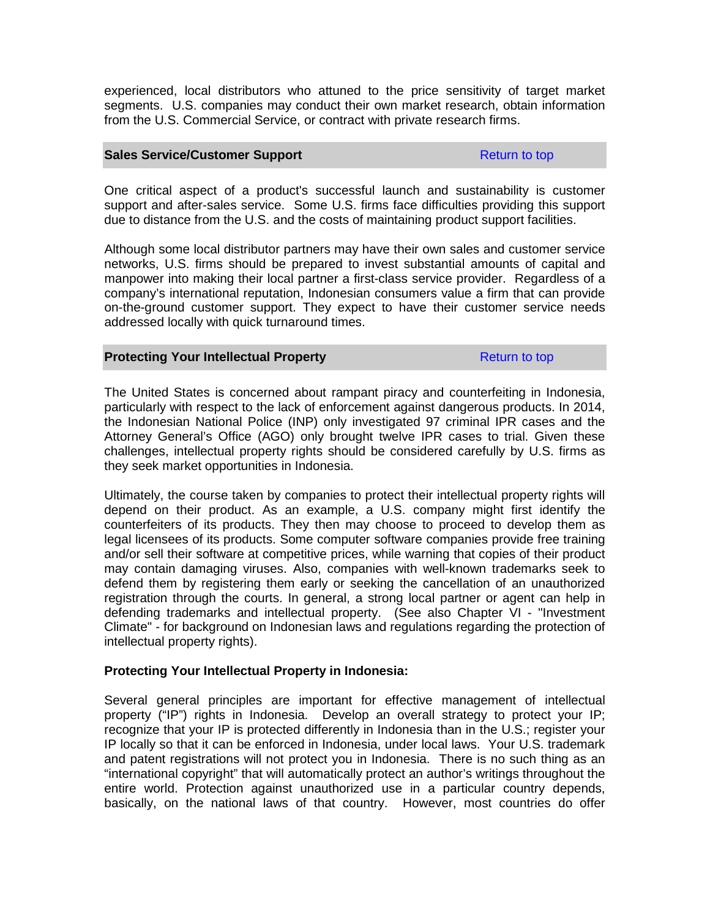experienced, local distributors who attuned to the price sensitivity of target market segments. U.S. companies may conduct their own market research, obtain information from the U.S. Commercial Service, or contract with private research firms.

### **Sales Service/Customer Support** Return to top Return to top

One critical aspect of a product's successful launch and sustainability is customer support and after-sales service. Some U.S. firms face difficulties providing this support due to distance from the U.S. and the costs of maintaining product support facilities.

Although some local distributor partners may have their own sales and customer service networks, U.S. firms should be prepared to invest substantial amounts of capital and manpower into making their local partner a first-class service provider. Regardless of a company's international reputation, Indonesian consumers value a firm that can provide on-the-ground customer support. They expect to have their customer service needs addressed locally with quick turnaround times.

## **Protecting Your Intellectual Property Return to top Return to top**

The United States is concerned about rampant piracy and counterfeiting in Indonesia, particularly with respect to the lack of enforcement against dangerous products. In 2014, the Indonesian National Police (INP) only investigated 97 criminal IPR cases and the Attorney General's Office (AGO) only brought twelve IPR cases to trial. Given these challenges, intellectual property rights should be considered carefully by U.S. firms as they seek market opportunities in Indonesia.

Ultimately, the course taken by companies to protect their intellectual property rights will depend on their product. As an example, a U.S. company might first identify the counterfeiters of its products. They then may choose to proceed to develop them as legal licensees of its products. Some computer software companies provide free training and/or sell their software at competitive prices, while warning that copies of their product may contain damaging viruses. Also, companies with well-known trademarks seek to defend them by registering them early or seeking the cancellation of an unauthorized registration through the courts. In general, a strong local partner or agent can help in defending trademarks and intellectual property. (See also Chapter VI - "Investment Climate" - for background on Indonesian laws and regulations regarding the protection of intellectual property rights).

## **Protecting Your Intellectual Property in Indonesia:**

Several general principles are important for effective management of intellectual property ("IP") rights in Indonesia. Develop an overall strategy to protect your IP; recognize that your IP is protected differently in Indonesia than in the U.S.; register your IP locally so that it can be enforced in Indonesia, under local laws. Your U.S. trademark and patent registrations will not protect you in Indonesia. There is no such thing as an "international copyright" that will automatically protect an author's writings throughout the entire world. Protection against unauthorized use in a particular country depends, basically, on the national laws of that country. However, most countries do offer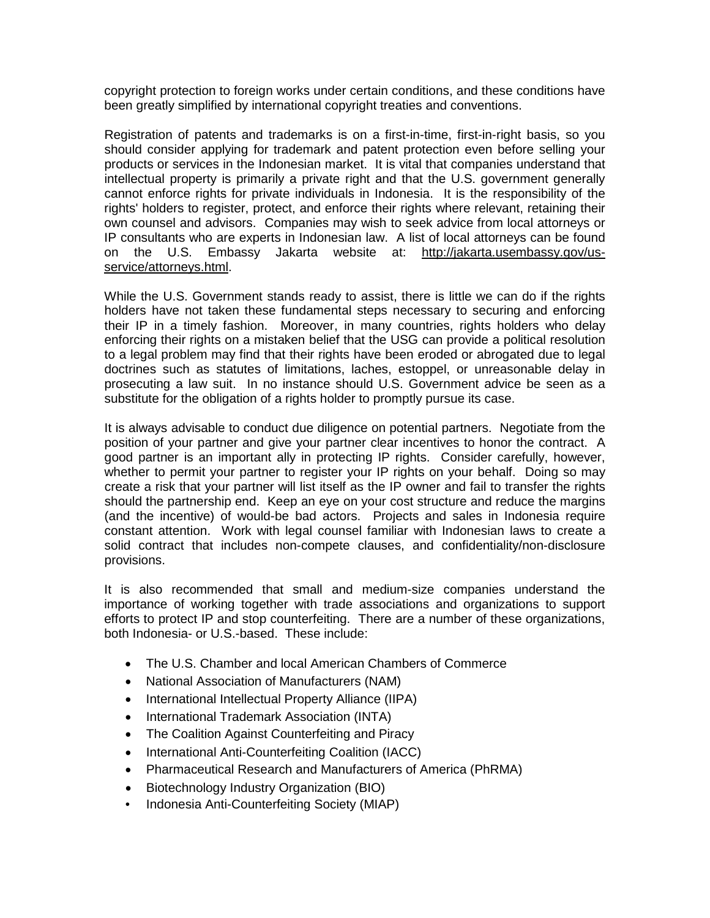copyright protection to foreign works under certain conditions, and these conditions have been greatly simplified by international copyright treaties and conventions.

Registration of patents and trademarks is on a first-in-time, first-in-right basis, so you should consider applying for trademark and patent protection even before selling your products or services in the Indonesian market. It is vital that companies understand that intellectual property is primarily a private right and that the U.S. government generally cannot enforce rights for private individuals in Indonesia. It is the responsibility of the rights' holders to register, protect, and enforce their rights where relevant, retaining their own counsel and advisors. Companies may wish to seek advice from local attorneys or IP consultants who are experts in Indonesian law. A list of local attorneys can be found on the U.S. Embassy Jakarta website at: [http://jakarta.usembassy.gov/us](http://jakarta.usembassy.gov/us-service/attorneys.html)[service/attorneys.html.](http://jakarta.usembassy.gov/us-service/attorneys.html)

While the U.S. Government stands ready to assist, there is little we can do if the rights holders have not taken these fundamental steps necessary to securing and enforcing their IP in a timely fashion. Moreover, in many countries, rights holders who delay enforcing their rights on a mistaken belief that the USG can provide a political resolution to a legal problem may find that their rights have been eroded or abrogated due to legal doctrines such as statutes of limitations, laches, estoppel, or unreasonable delay in prosecuting a law suit. In no instance should U.S. Government advice be seen as a substitute for the obligation of a rights holder to promptly pursue its case.

It is always advisable to conduct due diligence on potential partners. Negotiate from the position of your partner and give your partner clear incentives to honor the contract. A good partner is an important ally in protecting IP rights. Consider carefully, however, whether to permit your partner to register your IP rights on your behalf. Doing so may create a risk that your partner will list itself as the IP owner and fail to transfer the rights should the partnership end. Keep an eye on your cost structure and reduce the margins (and the incentive) of would-be bad actors. Projects and sales in Indonesia require constant attention. Work with legal counsel familiar with Indonesian laws to create a solid contract that includes non-compete clauses, and confidentiality/non-disclosure provisions.

It is also recommended that small and medium-size companies understand the importance of working together with trade associations and organizations to support efforts to protect IP and stop counterfeiting. There are a number of these organizations, both Indonesia- or U.S.-based. These include:

- The U.S. Chamber and local American Chambers of Commerce
- National Association of Manufacturers (NAM)
- International Intellectual Property Alliance (IIPA)
- International Trademark Association (INTA)
- The Coalition Against Counterfeiting and Piracy
- International Anti-Counterfeiting Coalition (IACC)
- Pharmaceutical Research and Manufacturers of America (PhRMA)
- Biotechnology Industry Organization (BIO)
- Indonesia Anti-Counterfeiting Society (MIAP)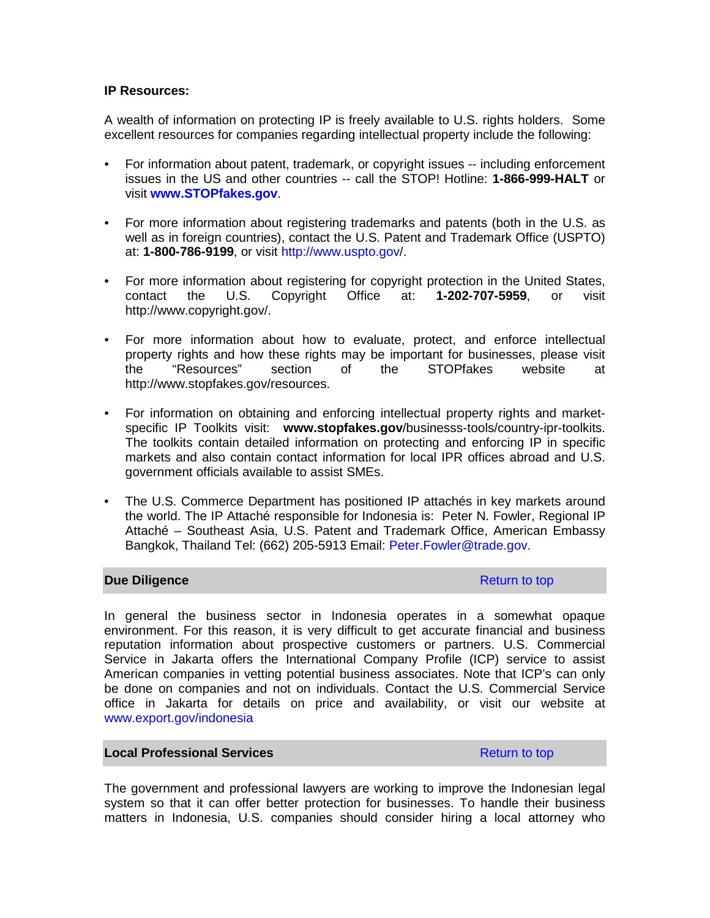# **IP Resources:**

A wealth of information on protecting IP is freely available to U.S. rights holders. Some excellent resources for companies regarding intellectual property include the following:

- For information about patent, trademark, or copyright issues -- including enforcement issues in the US and other countries -- call the STOP! Hotline: **1-866-999-HALT** or visit **[www.STOPfakes.gov](http://www.stopfakes.gov/)**.
- For more information about registering trademarks and patents (both in the U.S. as well as in foreign countries), contact the U.S. Patent and Trademark Office (USPTO) at: **1-800-786-9199**, or visit <http://www.uspto.gov/>.
- For more information about registering for copyright protection in the United States, contact the U.S. Copyright Office at: **1-202-707-5959**, or visit http://www.copyright.gov/.
- For more information about how to evaluate, protect, and enforce intellectual property rights and how these rights may be important for businesses, please visit<br>the "Resources" section of the STOPfakes website at the "Resources" section of the STOPfakes website at http://www.stopfakes.gov/resources.
- For information on obtaining and enforcing intellectual property rights and marketspecific IP Toolkits visit: **[www.stopfakes.gov](http://www.stopfakes.gov/)**/businesss-tools/country-ipr-toolkits. The toolkits contain detailed information on protecting and enforcing IP in specific markets and also contain contact information for local IPR offices abroad and U.S. government officials available to assist SMEs.
- The U.S. Commerce Department has positioned IP attachés in key markets around the world. The IP Attaché responsible for Indonesia is: Peter N. Fowler, Regional IP Attaché – Southeast Asia, U.S. Patent and Trademark Office, American Embassy Bangkok, Thailand Tel: (662) 205-5913 Email: [Peter.Fowler@trade.gov.](mailto:peter.fowler@trade.gov)

## **Due Diligence** Return to top **Return to top**

In general the business sector in Indonesia operates in a somewhat opaque environment. For this reason, it is very difficult to get accurate financial and business reputation information about prospective customers or partners. U.S. Commercial Service in Jakarta offers the International Company Profile (ICP) service to assist American companies in vetting potential business associates. Note that ICP's can only be done on companies and not on individuals. Contact the U.S. Commercial Service office in Jakarta for details on price and availability, or visit our website at [www.export.gov/indonesia](http://www.export.gov/indonesia)

# **Local Professional Services Return to top Return to top**

The government and professional lawyers are working to improve the Indonesian legal system so that it can offer better protection for businesses. To handle their business matters in Indonesia, U.S. companies should consider hiring a local attorney who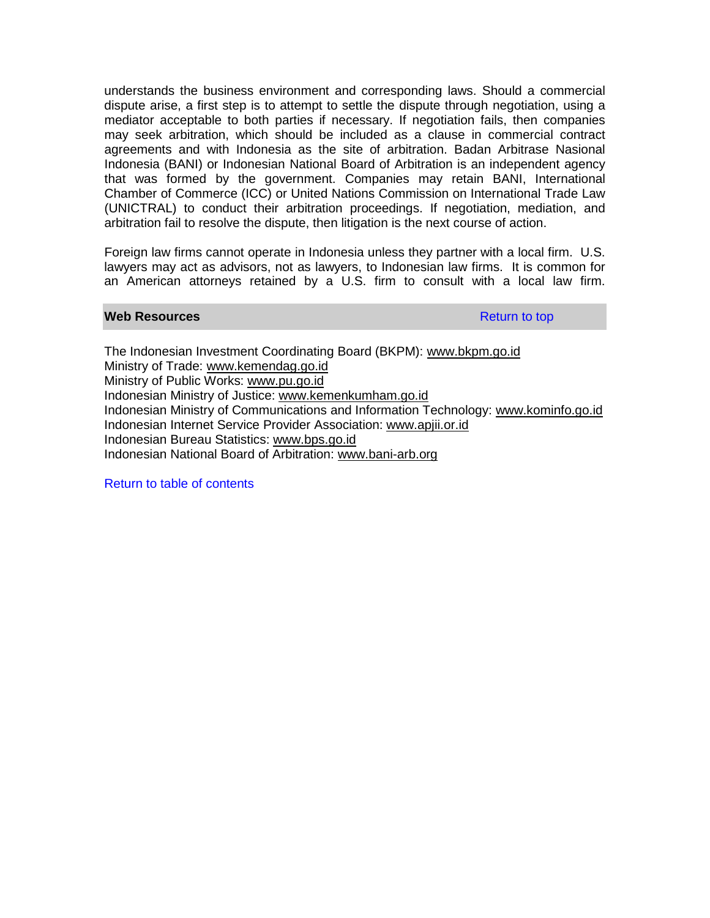understands the business environment and corresponding laws. Should a commercial dispute arise, a first step is to attempt to settle the dispute through negotiation, using a mediator acceptable to both parties if necessary. If negotiation fails, then companies may seek arbitration, which should be included as a clause in commercial contract agreements and with Indonesia as the site of arbitration. Badan Arbitrase Nasional Indonesia (BANI) or Indonesian National Board of Arbitration is an independent agency that was formed by the government. Companies may retain BANI, International Chamber of Commerce (ICC) or United Nations Commission on International Trade Law (UNICTRAL) to conduct their arbitration proceedings. If negotiation, mediation, and arbitration fail to resolve the dispute, then litigation is the next course of action.

Foreign law firms cannot operate in Indonesia unless they partner with a local firm. U.S. lawyers may act as advisors, not as lawyers, to Indonesian law firms. It is common for an American attorneys retained by a U.S. firm to consult with a local law firm.

### **Web Resources Resources Resources Return to top**

The Indonesian Investment Coordinating Board (BKPM): www.bkpm.go.id Ministry of Trade: www.kemendag.go.id Ministry of Public Works: www.pu.go.id Indonesian Ministry of Justice: www.kemenkumham.go.id Indonesian Ministry of Communications and Information Technology: www.kominfo.go.id Indonesian Internet Service Provider Association: www.apjii.or.id Indonesian Bureau Statistics: www.bps.go.id Indonesian National Board of Arbitration: [www.bani-arb.org](http://www.bani-arb.org/)

Return to table of contents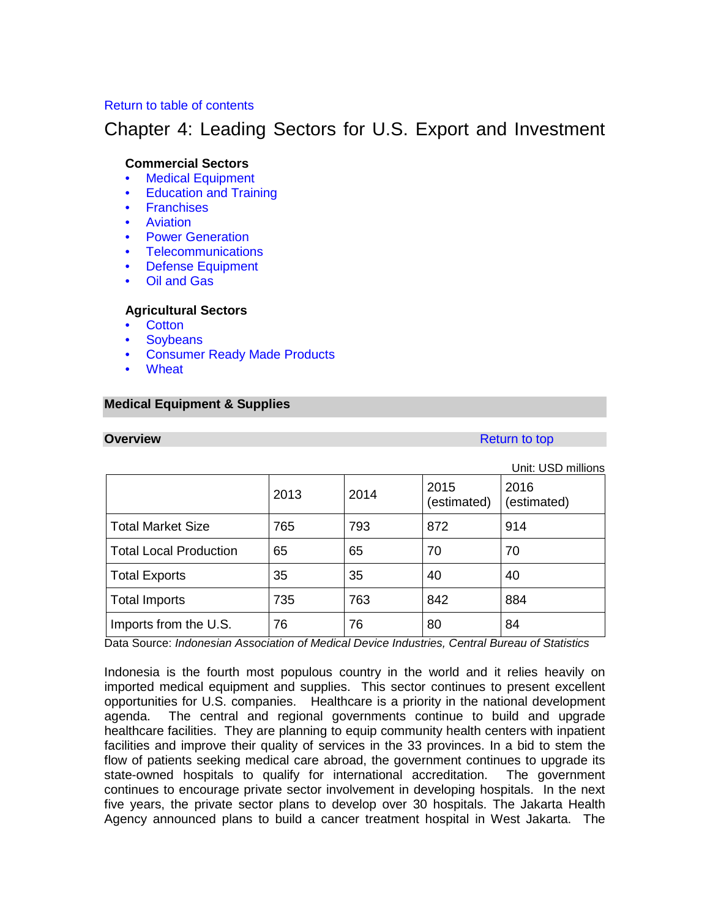# Return to table of contents

# Chapter 4: Leading Sectors for U.S. Export and Investment

# **Commercial Sectors**

- Medical Equipment
- Education and Training
- Franchises
- Aviation
- **Power Generation**
- Telecommunications
- Defense Equipment
- Oil and Gas

## **Agricultural Sectors**

- Cotton
- **Soybeans**
- Consumer Ready Made Products
- **Wheat**

# **Medical Equipment & Supplies**

**Overview Return to top** 

|                               |      |      |                     | Unit: USD millions  |
|-------------------------------|------|------|---------------------|---------------------|
|                               | 2013 | 2014 | 2015<br>(estimated) | 2016<br>(estimated) |
| <b>Total Market Size</b>      | 765  | 793  | 872                 | 914                 |
| <b>Total Local Production</b> | 65   | 65   | 70                  | 70                  |
| <b>Total Exports</b>          | 35   | 35   | 40                  | 40                  |
| <b>Total Imports</b>          | 735  | 763  | 842                 | 884                 |
| Imports from the U.S.         | 76   | 76   | 80                  | 84                  |

Data Source: *Indonesian Association of Medical Device Industries, Central Bureau of Statistics*

Indonesia is the fourth most populous country in the world and it relies heavily on imported medical equipment and supplies. This sector continues to present excellent opportunities for U.S. companies. Healthcare is a priority in the national development agenda. The central and regional governments continue to build and upgrade healthcare facilities. They are planning to equip community health centers with inpatient facilities and improve their quality of services in the 33 provinces. In a bid to stem the flow of patients seeking medical care abroad, the government continues to upgrade its state-owned hospitals to qualify for international accreditation. The government continues to encourage private sector involvement in developing hospitals. In the next five years, the private sector plans to develop over 30 hospitals. The Jakarta Health Agency announced plans to build a cancer treatment hospital in West Jakarta. The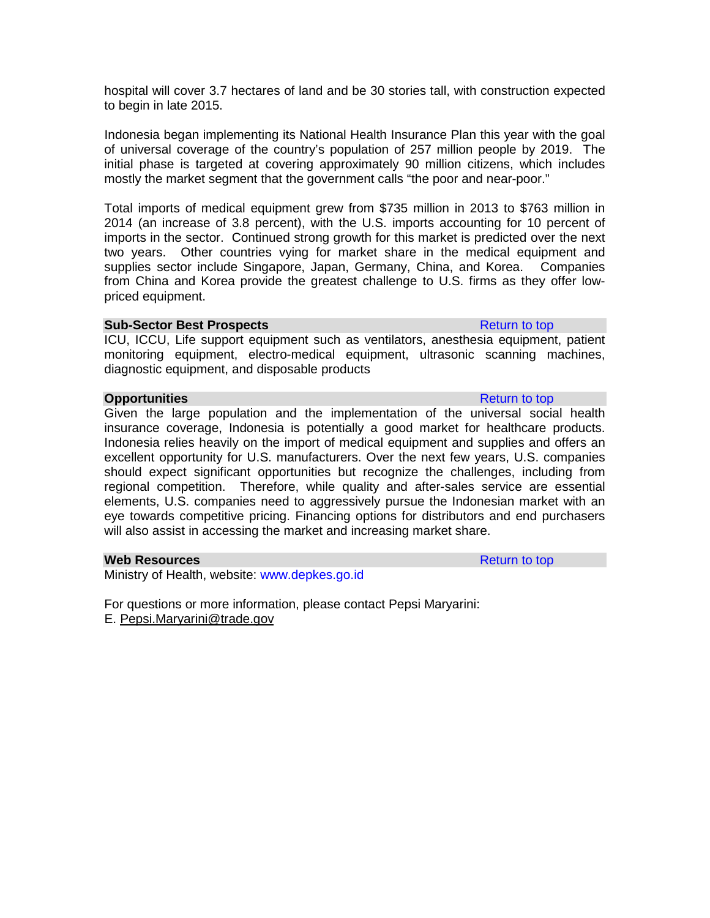hospital will cover 3.7 hectares of land and be 30 stories tall, with construction expected to begin in late 2015.

Indonesia began implementing its National Health Insurance Plan this year with the goal of universal coverage of the country's population of 257 million people by 2019. The initial phase is targeted at covering approximately 90 million citizens, which includes mostly the market segment that the government calls "the poor and near-poor."

Total imports of medical equipment grew from \$735 million in 2013 to \$763 million in 2014 (an increase of 3.8 percent), with the U.S. imports accounting for 10 percent of imports in the sector. Continued strong growth for this market is predicted over the next two years. Other countries vying for market share in the medical equipment and supplies sector include Singapore, Japan, Germany, China, and Korea. Companies from China and Korea provide the greatest challenge to U.S. firms as they offer lowpriced equipment.

## **Sub-Sector Best Prospects Return to top Return to top**

ICU, ICCU, Life support equipment such as ventilators, anesthesia equipment, patient monitoring equipment, electro-medical equipment, ultrasonic scanning machines, diagnostic equipment, and disposable products

# **Opportunities** Return to top Return to top Return to top Return to top Return to top Return to top Return to top Return to top Return to top Return to top Return to top Return to top Return to top Return to top Return to

Given the large population and the implementation of the universal social health insurance coverage, Indonesia is potentially a good market for healthcare products. Indonesia relies heavily on the import of medical equipment and supplies and offers an excellent opportunity for U.S. manufacturers. Over the next few years, U.S. companies should expect significant opportunities but recognize the challenges, including from regional competition. Therefore, while quality and after-sales service are essential elements, U.S. companies need to aggressively pursue the Indonesian market with an eye towards competitive pricing. Financing options for distributors and end purchasers will also assist in accessing the market and increasing market share.

### **Web Resources Resources Return to top**

Ministry of Health, website: [www.depkes.go.id](http://www.depkes.go.id/) 

For questions or more information, please contact Pepsi Maryarini: E. [Pepsi.Maryarini@trade.gov](mailto:Pepsi.Maryarini@trade.gov)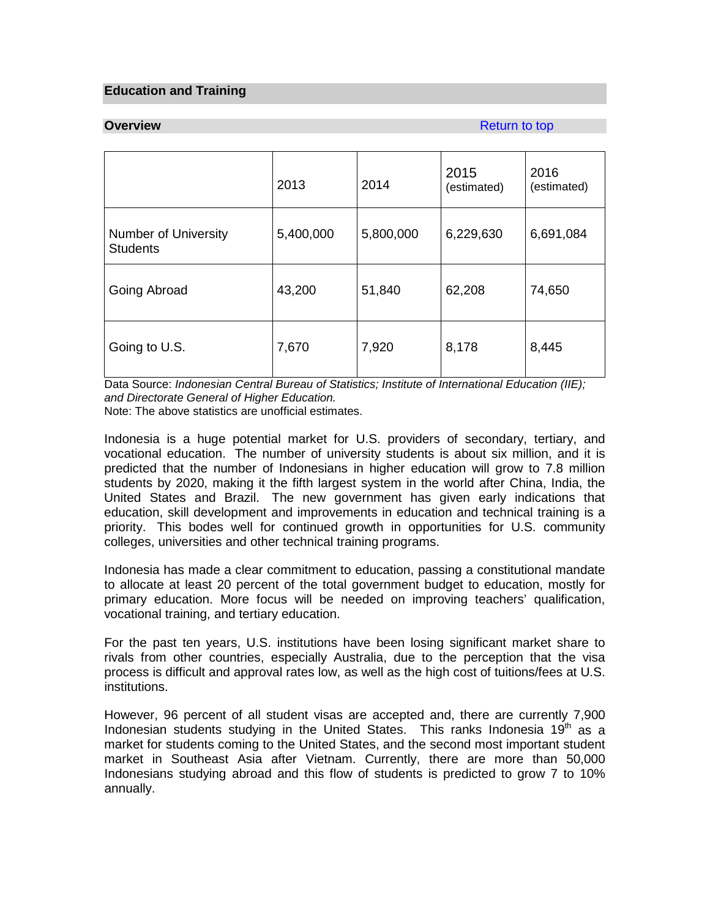# **Education and Training**

**Overview Return to top Accounts and Accounts and Accounts and Accounts and Accounts and Accounts and Accounts and Accounts and Accounts and Accounts and Accounts and Accounts and Accounts and Accounts and Accounts and A** 

|                                                | 2013      | 2014      | 2015<br>(estimated) | 2016<br>(estimated) |
|------------------------------------------------|-----------|-----------|---------------------|---------------------|
| <b>Number of University</b><br><b>Students</b> | 5,400,000 | 5,800,000 | 6,229,630           | 6,691,084           |
| Going Abroad                                   | 43,200    | 51,840    | 62,208              | 74,650              |
| Going to U.S.                                  | 7,670     | 7,920     | 8,178               | 8,445               |

Data Source: *Indonesian Central Bureau of Statistics; Institute of International Education (IIE); and Directorate General of Higher Education.*

Note: The above statistics are unofficial estimates.

Indonesia is a huge potential market for U.S. providers of secondary, tertiary, and vocational education. The number of university students is about six million, and it is predicted that the number of Indonesians in higher education will grow to 7.8 million students by 2020, making it the fifth largest system in the world after China, India, the United States and Brazil. The new government has given early indications that education, skill development and improvements in education and technical training is a priority. This bodes well for continued growth in opportunities for U.S. community colleges, universities and other technical training programs.

Indonesia has made a clear commitment to education, passing a constitutional mandate to allocate at least 20 percent of the total government budget to education, mostly for primary education. More focus will be needed on improving teachers' qualification, vocational training, and tertiary education.

For the past ten years, U.S. institutions have been losing significant market share to rivals from other countries, especially Australia, due to the perception that the visa process is difficult and approval rates low, as well as the high cost of tuitions/fees at U.S. institutions.

However, 96 percent of all student visas are accepted and, there are currently 7,900 Indonesian students studying in the United States. This ranks Indonesia  $19<sup>th</sup>$  as a market for students coming to the United States, and the second most important student market in Southeast Asia after Vietnam. Currently, there are more than 50,000 Indonesians studying abroad and this flow of students is predicted to grow 7 to 10% annually.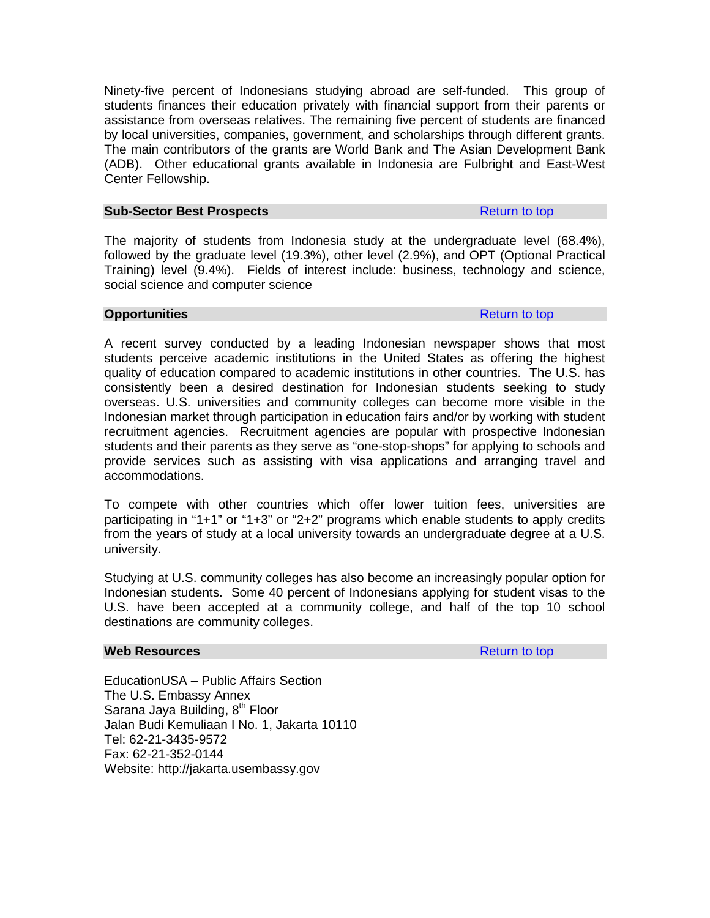Ninety-five percent of Indonesians studying abroad are self-funded. This group of students finances their education privately with financial support from their parents or assistance from overseas relatives. The remaining five percent of students are financed by local universities, companies, government, and scholarships through different grants. The main contributors of the grants are World Bank and The Asian Development Bank (ADB). Other educational grants available in Indonesia are Fulbright and East-West Center Fellowship.

### **Sub-Sector Best Prospects Return to top Return to top**

The majority of students from Indonesia study at the undergraduate level (68.4%), followed by the graduate level (19.3%), other level (2.9%), and OPT (Optional Practical Training) level (9.4%). Fields of interest include: business, technology and science, social science and computer science

### **Opportunities** Return to top Return to top Return to top Return to top Return to top Return to top Return to top Return to top Return to top Return to top Return to top Return to top Return to top Return to top Return to

A recent survey conducted by a leading Indonesian newspaper shows that most students perceive academic institutions in the United States as offering the highest quality of education compared to academic institutions in other countries. The U.S. has consistently been a desired destination for Indonesian students seeking to study overseas. U.S. universities and community colleges can become more visible in the Indonesian market through participation in education fairs and/or by working with student recruitment agencies. Recruitment agencies are popular with prospective Indonesian students and their parents as they serve as "one-stop-shops" for applying to schools and provide services such as assisting with visa applications and arranging travel and accommodations.

To compete with other countries which offer lower tuition fees, universities are participating in "1+1" or "1+3" or "2+2" programs which enable students to apply credits from the years of study at a local university towards an undergraduate degree at a U.S. university.

Studying at U.S. community colleges has also become an increasingly popular option for Indonesian students. Some 40 percent of Indonesians applying for student visas to the U.S. have been accepted at a community college, and half of the top 10 school destinations are community colleges.

## **Web Resources Resources Return to top**

EducationUSA – Public Affairs Section The U.S. Embassy Annex Sarana Jaya Building, 8<sup>th</sup> Floor Jalan Budi Kemuliaan I No. 1, Jakarta 10110 Tel: 62-21-3435-9572 Fax: 62-21-352-0144 Website: http://jakarta.usembassy.gov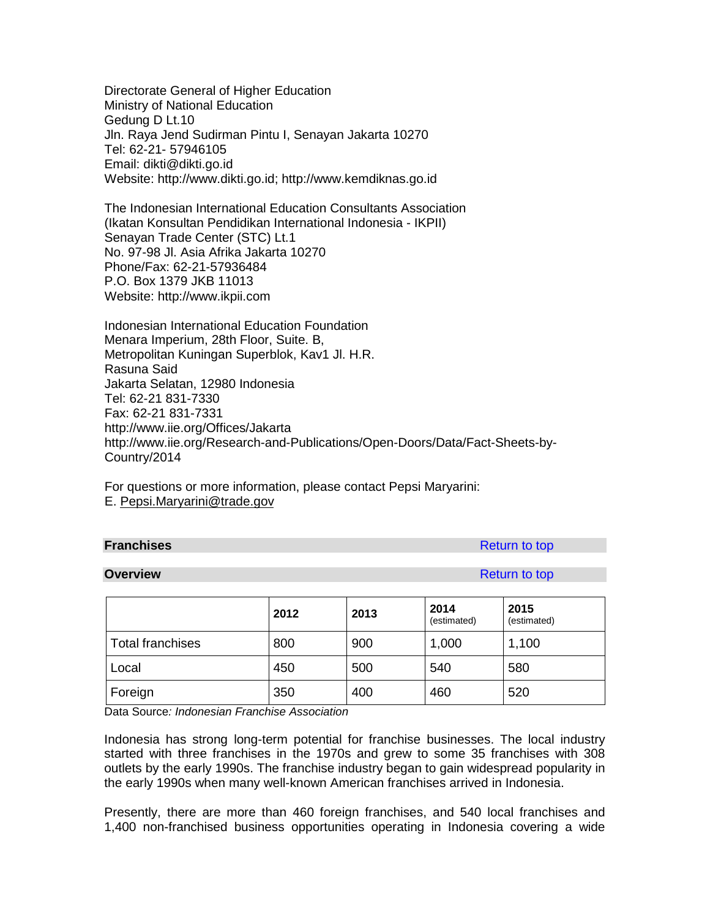Directorate General of Higher Education Ministry of National Education Gedung D Lt.10 Jln. Raya Jend Sudirman Pintu I, Senayan Jakarta 10270 Tel: 62-21- 57946105 Email: dikti@dikti.go.id Website: [http://www.dikti.go.id;](http://www.dikti.go.id/) http:/[/www.kemdiknas.go.id](http://www.kemdiknas.go.id/)

The Indonesian International Education Consultants Association (Ikatan Konsultan Pendidikan International Indonesia - IKPII) Senayan Trade Center (STC) Lt.1 No. 97-98 Jl. Asia Afrika Jakarta 10270 Phone/Fax: 62-21-57936484 P.O. Box 1379 JKB 11013 Website: [http://www.ikpii.com](http://www.ikpii.com/)

Indonesian International Education Foundation Menara Imperium, 28th Floor, Suite. B, Metropolitan Kuningan Superblok, Kav1 Jl. H.R. Rasuna Said Jakarta Selatan, 12980 Indonesia Tel: 62-21 831-7330 Fax: 62-21 831-7331 http://www.iie.org/Offices/Jakarta http://www.iie.org/Research-and-Publications/Open-Doors/Data/Fact-Sheets-by-Country/2014

For questions or more information, please contact Pepsi Maryarini: E. [Pepsi.Maryarini@trade.gov](mailto:Pepsi.Maryarini@trade.gov)

### **Franchises** Return to top **Return to top Return to top**

**Overview Return to top Accounts and Accounts and Accounts and Accounts and Accounts and Accounts and Accounts and Accounts and Accounts and Accounts and Accounts and Accounts and Accounts and Accounts and Accounts and Acc** 

|                         | 2012 | 2013 | 2014<br>(estimated) | 2015<br>(estimated) |
|-------------------------|------|------|---------------------|---------------------|
| <b>Total franchises</b> | 800  | 900  | 1,000               | 1,100               |
| Local                   | 450  | 500  | 540                 | 580                 |
| Foreign                 | 350  | 400  | 460                 | 520                 |

Data Source*: Indonesian Franchise Association* 

Indonesia has strong long-term potential for franchise businesses. The local industry started with three franchises in the 1970s and grew to some 35 franchises with 308 outlets by the early 1990s. The franchise industry began to gain widespread popularity in the early 1990s when many well-known American franchises arrived in Indonesia.

Presently, there are more than 460 foreign franchises, and 540 local franchises and 1,400 non-franchised business opportunities operating in Indonesia covering a wide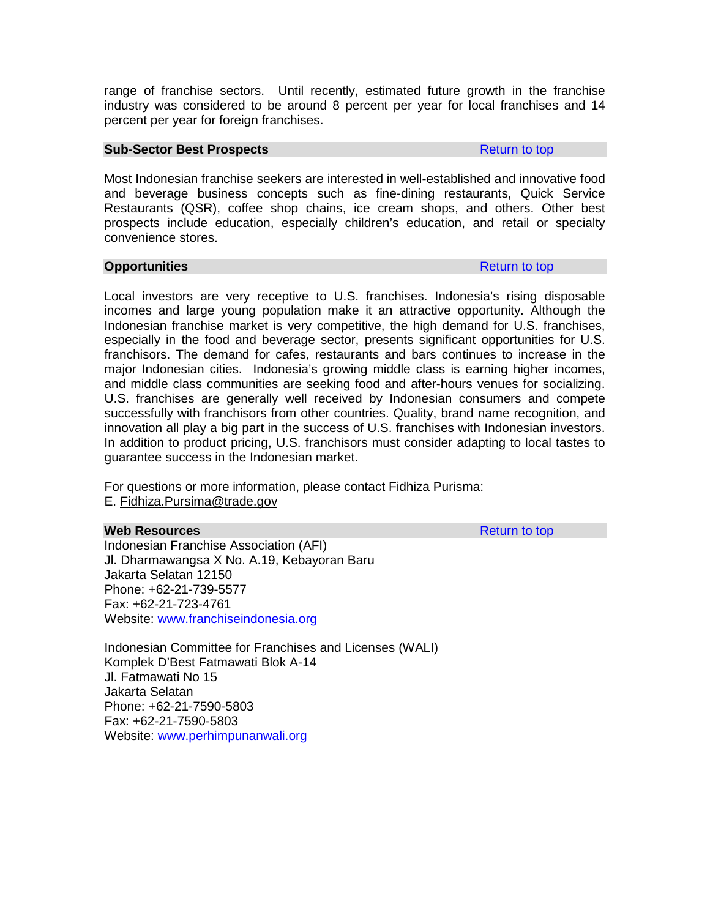range of franchise sectors. Until recently, estimated future growth in the franchise industry was considered to be around 8 percent per year for local franchises and 14 percent per year for foreign franchises.

### **Sub-Sector Best Prospects Return to top Return to top**

Most Indonesian franchise seekers are interested in well-established and innovative food and beverage business concepts such as fine-dining restaurants, Quick Service Restaurants (QSR), coffee shop chains, ice cream shops, and others. Other best prospects include education, especially children's education, and retail or specialty convenience stores.

### **Opportunities** Return to top Return to top Return to top Return to top Return to top Return to top Return to top Return to top Return to top Return to top Return to top Return to top Return to top Return to top Return to

Local investors are very receptive to U.S. franchises. Indonesia's rising disposable incomes and large young population make it an attractive opportunity. Although the Indonesian franchise market is very competitive, the high demand for U.S. franchises, especially in the food and beverage sector, presents significant opportunities for U.S. franchisors. The demand for cafes, restaurants and bars continues to increase in the major Indonesian cities. Indonesia's growing middle class is earning higher incomes, and middle class communities are seeking food and after-hours venues for socializing. U.S. franchises are generally well received by Indonesian consumers and compete successfully with franchisors from other countries. Quality, brand name recognition, and innovation all play a big part in the success of U.S. franchises with Indonesian investors. In addition to product pricing, U.S. franchisors must consider adapting to local tastes to guarantee success in the Indonesian market.

For questions or more information, please contact Fidhiza Purisma: E. [Fidhiza.Pursima@trade.gov](mailto:Fidhiza.Pursima@trade.gov)

### **Web Resources Resources Return to top**

Indonesian Franchise Association (AFI) Jl. Dharmawangsa X No. A.19, Kebayoran Baru Jakarta Selatan 12150 Phone: +62-21-739-5577 Fax: +62-21-723-4761 Website: [www.franchiseindonesia.org](http://www.franchiseindonesia.org/)

Indonesian Committee for Franchises and Licenses (WALI) Komplek D'Best Fatmawati Blok A-14 Jl. Fatmawati No 15 Jakarta Selatan Phone: +62-21-7590-5803 Fax: +62-21-7590-5803 Website: [www.perhimpunanwali.org](http://www.perhimpunanwali.org/)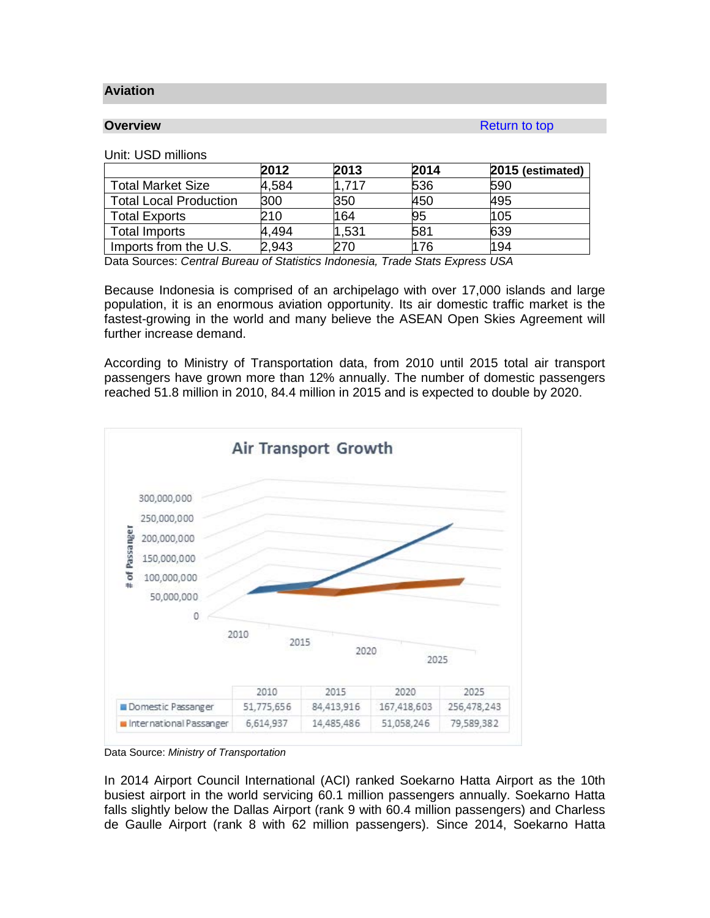### **Aviation**

**Overview Return to top** 

### Unit: USD millions

|                               | 2012  | 2013  | 2014 | 2015 (estimated) |
|-------------------------------|-------|-------|------|------------------|
| <b>Total Market Size</b>      | 4,584 | 1.717 | 536  | 590              |
| <b>Total Local Production</b> | 300   | 350   | 450  | 495              |
| <b>Total Exports</b>          | 210   | 164   | 95   | 105              |
| <b>Total Imports</b>          | 4.494 | 1,531 | 581  | 639              |
| Imports from the U.S.         | 2,943 | 270   | 176  | 194              |

Data Sources: *Central Bureau of Statistics Indonesia, Trade Stats Express USA*

Because Indonesia is comprised of an archipelago with over 17,000 islands and large population, it is an enormous aviation opportunity. Its air domestic traffic market is the fastest-growing in the world and many believe the ASEAN Open Skies Agreement will further increase demand.

According to Ministry of Transportation data, from 2010 until 2015 total air transport passengers have grown more than 12% annually. The number of domestic passengers reached 51.8 million in 2010, 84.4 million in 2015 and is expected to double by 2020.



Data Source: *Ministry of Transportation*

In 2014 Airport Council International (ACI) ranked Soekarno Hatta Airport as the 10th busiest airport in the world servicing 60.1 million passengers annually. Soekarno Hatta falls slightly below the Dallas Airport (rank 9 with 60.4 million passengers) and Charless de Gaulle Airport (rank 8 with 62 million passengers). Since 2014, Soekarno Hatta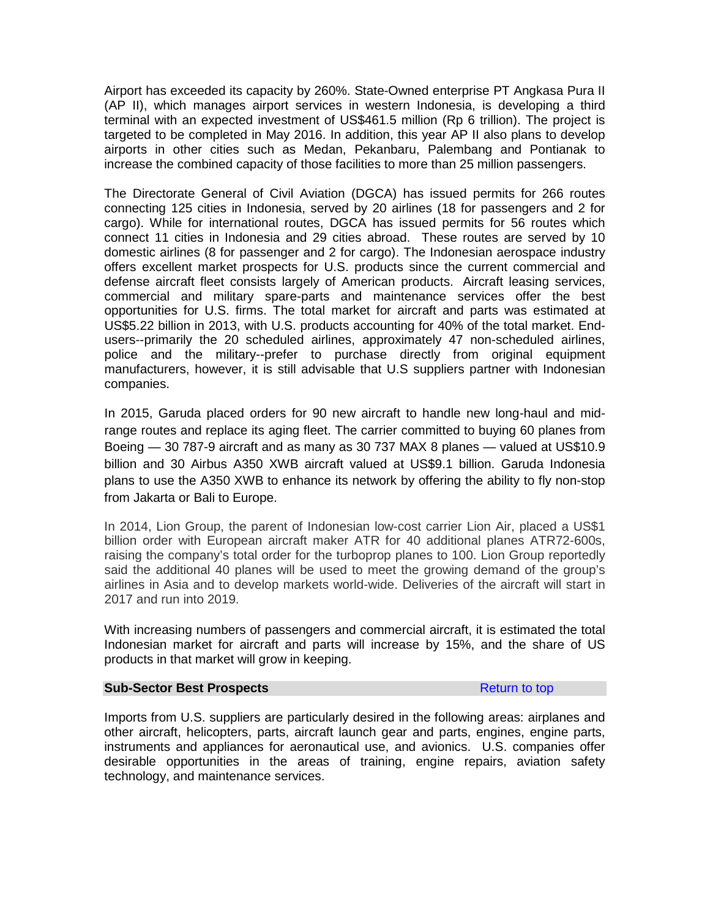Airport has exceeded its capacity by 260%. State-Owned enterprise PT Angkasa Pura II (AP II), which manages airport services in western Indonesia, is developing a third terminal with an expected investment of US\$461.5 million (Rp 6 trillion). The project is targeted to be completed in May 2016. In addition, this year AP II also plans to develop airports in other cities such as Medan, Pekanbaru, Palembang and Pontianak to increase the combined capacity of those facilities to more than 25 million passengers.

The Directorate General of Civil Aviation (DGCA) has issued permits for 266 routes connecting 125 cities in Indonesia, served by 20 airlines (18 for passengers and 2 for cargo). While for international routes, DGCA has issued permits for 56 routes which connect 11 cities in Indonesia and 29 cities abroad. These routes are served by 10 domestic airlines (8 for passenger and 2 for cargo). The Indonesian aerospace industry offers excellent market prospects for U.S. products since the current commercial and defense aircraft fleet consists largely of American products. Aircraft leasing services, commercial and military spare-parts and maintenance services offer the best opportunities for U.S. firms. The total market for aircraft and parts was estimated at US\$5.22 billion in 2013, with U.S. products accounting for 40% of the total market. Endusers--primarily the 20 scheduled airlines, approximately 47 non-scheduled airlines, police and the military--prefer to purchase directly from original equipment manufacturers, however, it is still advisable that U.S suppliers partner with Indonesian companies.

In 2015, Garuda placed orders for 90 new aircraft to handle new long-haul and midrange routes and replace its aging fleet. The carrier committed to buying 60 planes from Boeing — 30 787-9 aircraft and as many as 30 737 MAX 8 planes — valued at US\$10.9 billion and 30 Airbus A350 XWB aircraft valued at US\$9.1 billion. Garuda Indonesia plans to use the A350 XWB to enhance its network by offering the ability to fly non-stop from Jakarta or Bali to Europe.

In 2014, Lion Group, the parent of Indonesian low-cost carrier Lion Air, placed a US\$1 billion order with European aircraft maker ATR for 40 additional planes ATR72-600s, raising the company's total order for the turboprop planes to 100. Lion Group reportedly said the additional 40 planes will be used to meet the growing demand of the group's airlines in Asia and to develop markets world-wide. Deliveries of the aircraft will start in 2017 and run into 2019.

With increasing numbers of passengers and commercial aircraft, it is estimated the total Indonesian market for aircraft and parts will increase by 15%, and the share of US products in that market will grow in keeping.

### **Sub-Sector Best Prospects Return to top** Return to top

Imports from U.S. suppliers are particularly desired in the following areas: airplanes and other aircraft, helicopters, parts, aircraft launch gear and parts, engines, engine parts, instruments and appliances for aeronautical use, and avionics. U.S. companies offer desirable opportunities in the areas of training, engine repairs, aviation safety technology, and maintenance services.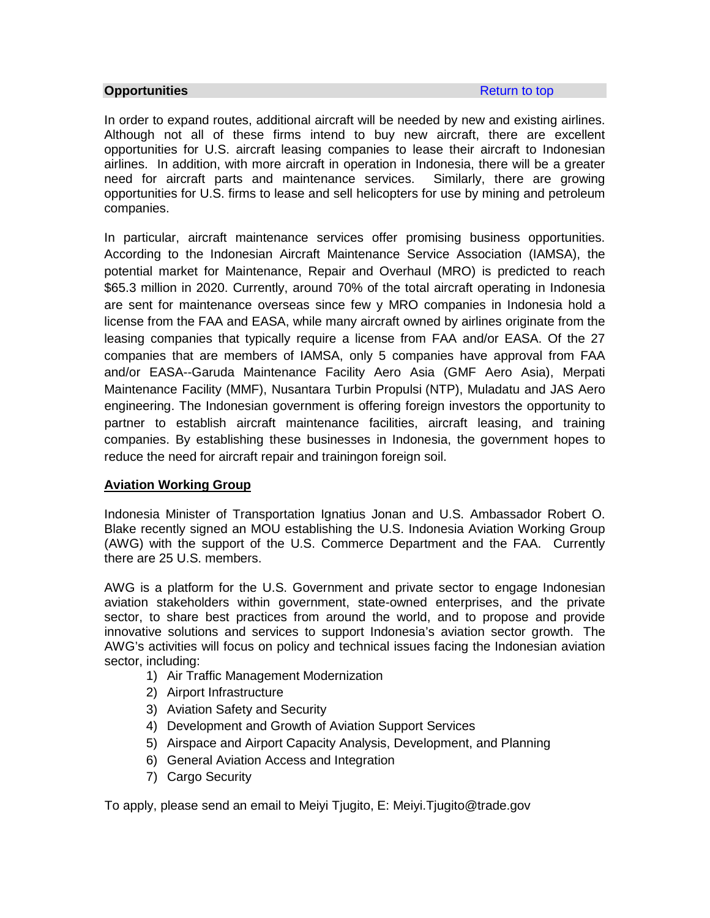### **Opportunities Constanting Constanting Constanting Constanting Constanting Constanting Constanting Constanting Constanting Constanting Constanting Constanting Constanting Constanting Constanting Constanting Constanting C**

In order to expand routes, additional aircraft will be needed by new and existing airlines. Although not all of these firms intend to buy new aircraft, there are excellent opportunities for U.S. aircraft leasing companies to lease their aircraft to Indonesian airlines. In addition, with more aircraft in operation in Indonesia, there will be a greater need for aircraft parts and maintenance services. Similarly, there are growing opportunities for U.S. firms to lease and sell helicopters for use by mining and petroleum companies.

In particular, aircraft maintenance services offer promising business opportunities. According to the Indonesian Aircraft Maintenance Service Association (IAMSA), the potential market for Maintenance, Repair and Overhaul (MRO) is predicted to reach \$65.3 million in 2020. Currently, around 70% of the total aircraft operating in Indonesia are sent for maintenance overseas since few y MRO companies in Indonesia hold a license from the FAA and EASA, while many aircraft owned by airlines originate from the leasing companies that typically require a license from FAA and/or EASA. Of the 27 companies that are members of IAMSA, only 5 companies have approval from FAA and/or EASA--Garuda Maintenance Facility Aero Asia (GMF Aero Asia), Merpati Maintenance Facility (MMF), Nusantara Turbin Propulsi (NTP), Muladatu and JAS Aero engineering. The Indonesian government is offering foreign investors the opportunity to partner to establish aircraft maintenance facilities, aircraft leasing, and training companies. By establishing these businesses in Indonesia, the government hopes to reduce the need for aircraft repair and trainingon foreign soil.

# **Aviation Working Group**

Indonesia Minister of Transportation Ignatius Jonan and U.S. Ambassador Robert O. Blake recently signed an MOU establishing the U.S. Indonesia Aviation Working Group (AWG) with the support of the U.S. Commerce Department and the FAA. Currently there are 25 U.S. members.

AWG is a platform for the U.S. Government and private sector to engage Indonesian aviation stakeholders within government, state-owned enterprises, and the private sector, to share best practices from around the world, and to propose and provide innovative solutions and services to support Indonesia's aviation sector growth. The AWG's activities will focus on policy and technical issues facing the Indonesian aviation sector, including:

- 1) Air Traffic Management Modernization
- 2) Airport Infrastructure
- 3) Aviation Safety and Security
- 4) Development and Growth of Aviation Support Services
- 5) Airspace and Airport Capacity Analysis, Development, and Planning
- 6) General Aviation Access and Integration
- 7) Cargo Security

To apply, please send an email to Meiyi Tjugito, E: Meiyi.Tjugito@trade.gov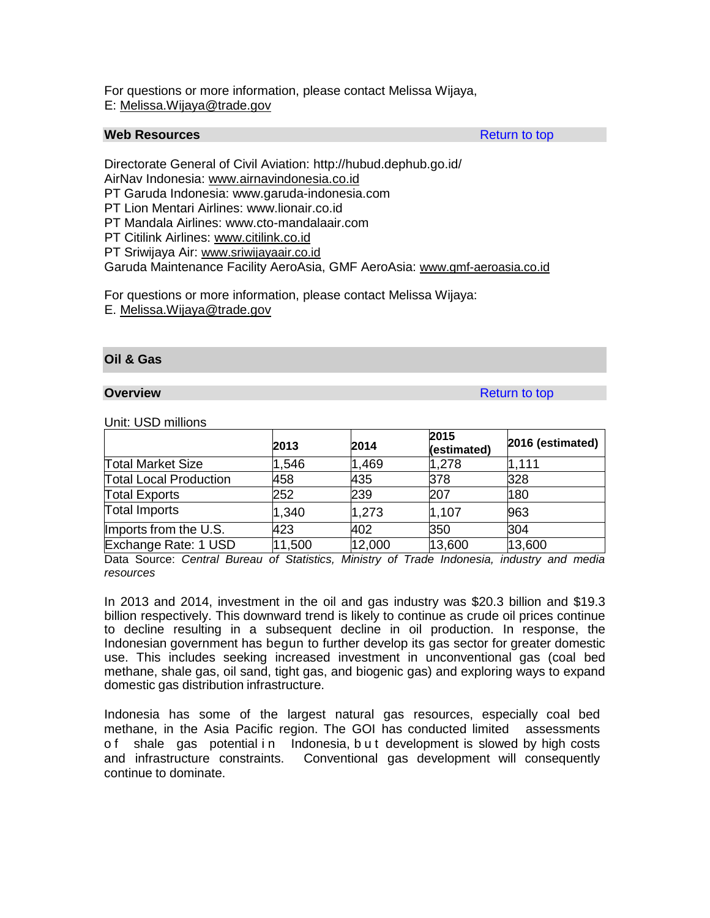For questions or more information, please contact Melissa Wijaya, E: [Melissa.Wijaya@trade.gov](mailto:Melissa.Wijaya@trade.gov)

# **Web Resources** Return to top

Directorate General of Civil Aviation: http://hubud.dephub.go.id/ AirNav Indonesia: [www.airnavindonesia.co.id](http://www.airnavindonesia.co.id/)

PT Garuda Indonesia: www.garuda-indonesia.com

PT Lion Mentari Airlines: www.lionair.co.id

PT Mandala Airlines: www.cto-mandalaair.com

PT Citilink Airlines: [www.citilink.co.id](http://www.citilink.co.id/)

PT Sriwijaya Air: [www.sriwijayaair.co.id](http://www.sriwijayaair.co.id/)

Garuda Maintenance Facility AeroAsia, GMF AeroAsia: [www.gmf-aeroasia.co.id](http://www.gmf-aeroasia.co.id/)

For questions or more information, please contact Melissa Wijaya:

E. [Melissa.Wijaya@trade.gov](mailto:Melissa.Wijaya@trade.gov)

## **Oil & Gas**

**Overview Return to top Accounts and Accounts and Accounts and Accounts and Accounts and Accounts and Accounts and Accounts and Accounts and Accounts and Accounts and Accounts and Accounts and Accounts and Accounts and Acc** 

Unit: USD millions

|                               | 2013   | 2014   | 2015<br>(estimated) | 2016 (estimated) |
|-------------------------------|--------|--------|---------------------|------------------|
| <b>Total Market Size</b>      | 1,546  | 1,469  | 1,278               | 1.111            |
| <b>Total Local Production</b> | 458    | 435    | 378                 | 328              |
| <b>Total Exports</b>          | 252    | 239    | 207                 | 180              |
| <b>Total Imports</b>          | 1,340  | 1,273  | 1,107               | 963              |
| Imports from the U.S.         | 423    | 402    | 350                 | 304              |
| Exchange Rate: 1 USD          | 11,500 | 12,000 | 13,600              | 13,600           |

Data Source: *Central Bureau of Statistics, Ministry of Trade Indonesia, industry and media resources*

In 2013 and 2014, investment in the oil and gas industry was \$20.3 billion and \$19.3 billion respectively. This downward trend is likely to continue as crude oil prices continue to decline resulting in a subsequent decline in oil production. In response, the Indonesian government has begun to further develop its gas sector for greater domestic use. This includes seeking increased investment in unconventional gas (coal bed methane, shale gas, oil sand, tight gas, and biogenic gas) and exploring ways to expand domestic gas distribution infrastructure.

Indonesia has some of the largest natural gas resources, especially coal bed methane, in the Asia Pacific region. The GOI has conducted limited assessments o f shale gas potential in Indonesia, but development is slowed by high costs and infrastructure constraints. Conventional gas development will consequently continue to dominate.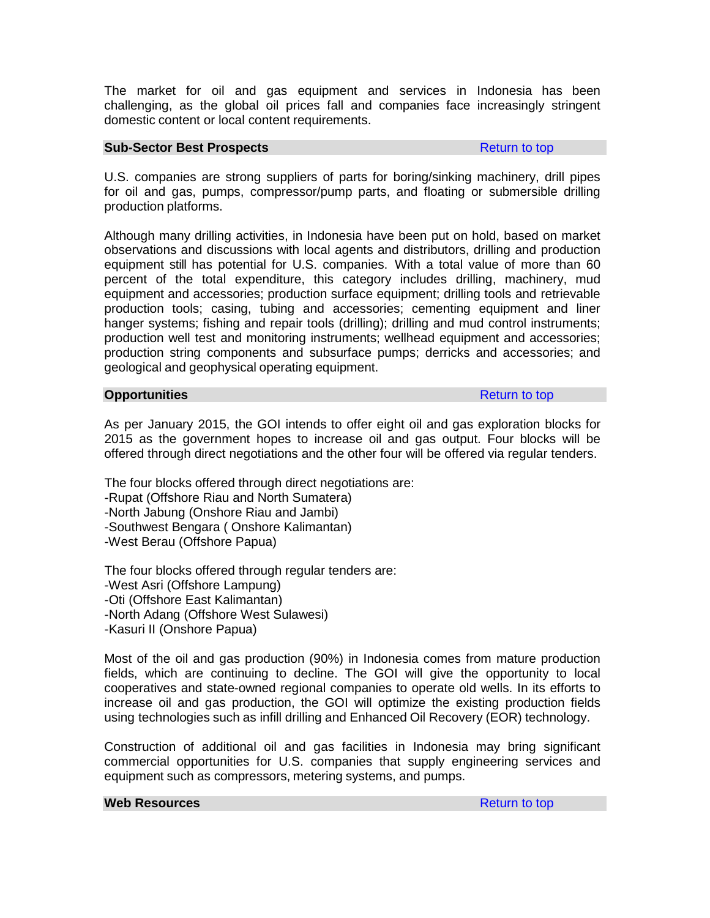The market for oil and gas equipment and services in Indonesia has been challenging, as the global oil prices fall and companies face increasingly stringent domestic content or local content requirements.

## **Sub-Sector Best Prospects Return to top**

U.S. companies are strong suppliers of parts for boring/sinking machinery, drill pipes for oil and gas, pumps, compressor/pump parts, and floating or submersible drilling production platforms.

Although many drilling activities, in Indonesia have been put on hold, based on market observations and discussions with local agents and distributors, drilling and production equipment still has potential for U.S. companies. With a total value of more than 60 percent of the total expenditure, this category includes drilling, machinery, mud equipment and accessories; production surface equipment; drilling tools and retrievable production tools; casing, tubing and accessories; cementing equipment and liner hanger systems; fishing and repair tools (drilling); drilling and mud control instruments; production well test and monitoring instruments; wellhead equipment and accessories; production string components and subsurface pumps; derricks and accessories; and geological and geophysical operating equipment.

## **Opportunities Return to top**

As per January 2015, the GOI intends to offer eight oil and gas exploration blocks for 2015 as the government hopes to increase oil and gas output. Four blocks will be offered through direct negotiations and the other four will be offered via regular tenders.

The four blocks offered through direct negotiations are:

-Rupat (Offshore Riau and North Sumatera)

-North Jabung (Onshore Riau and Jambi)

-Southwest Bengara ( Onshore Kalimantan)

-West Berau (Offshore Papua)

The four blocks offered through regular tenders are: -West Asri (Offshore Lampung) -Oti (Offshore East Kalimantan) -North Adang (Offshore West Sulawesi) -Kasuri II (Onshore Papua)

Most of the oil and gas production (90%) in Indonesia comes from mature production fields, which are continuing to decline. The GOI will give the opportunity to local cooperatives and state-owned regional companies to operate old wells. In its efforts to increase oil and gas production, the GOI will optimize the existing production fields using technologies such as infill drilling and Enhanced Oil Recovery (EOR) technology.

Construction of additional oil and gas facilities in Indonesia may bring significant commercial opportunities for U.S. companies that supply engineering services and equipment such as compressors, metering systems, and pumps.

### **Web Resources Resources Return to top**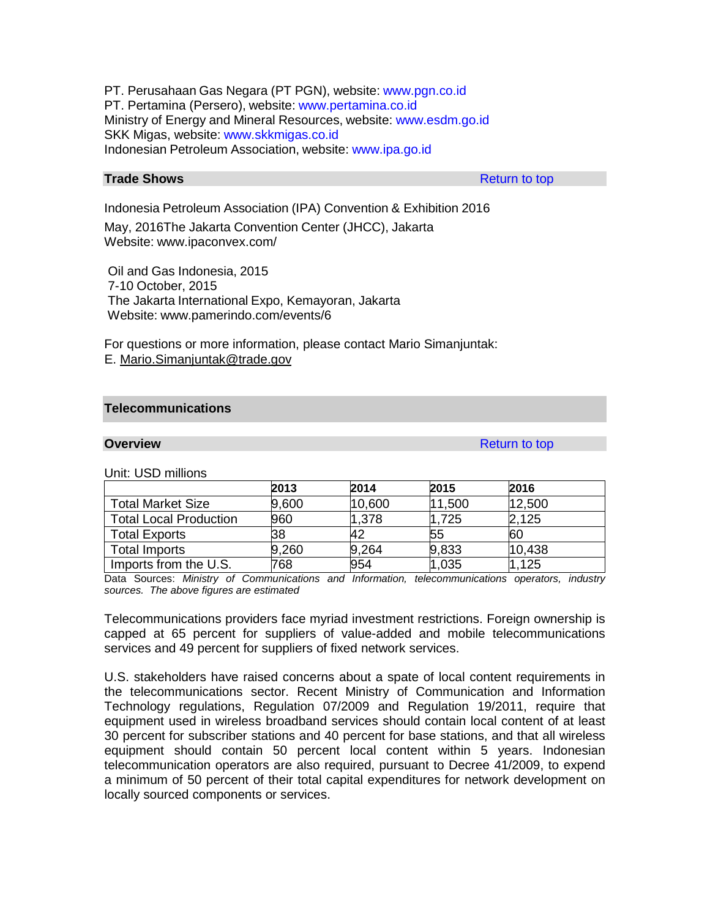PT. Perusahaan Gas Negara (PT PGN), website: [www.pgn.co.id](http://www.pgn.co.id/) PT. Pertamina (Persero), website: [www.pertamina.co.id](http://www.pertamina.co.id/) Ministry of Energy and Mineral Resources, website: [www.esdm.go.id](http://www.esdm.go.id/) SKK Migas, website: [www.skkmigas.co.id](http://www.skkmigas.co.id/) Indonesian Petroleum Association, website: [www.ipa.go.id](http://www.ipa.go.id/)

# **Trade Shows** Return to top Return to top

Indonesia Petroleum Association (IPA) Convention & Exhibition 2016

May, 2016The Jakarta Convention Center (JHCC), Jakarta Website: [www.ipaconvex.com/](http://www.ipaconvex.com/)

Oil and Gas Indonesia, 2015 7-10 October, 2015 The Jakarta International Expo, Kemayoran, Jakarta Website: [www.pamerindo.com/events/6](http://www.pamerindo.com/events/6)

For questions or more information, please contact Mario Simanjuntak: E. [Mario.Simanjuntak@trade.gov](mailto:Mario.Simanjuntak@trade.gov)

## **Telecommunications**

**Overview Return to top and the contract of the contract of the contract of the contract of the contract of the contract of the contract of the contract of the contract of the contract of the contract of the contract of** 

Unit: USD millions

|                               | 2013  | 2014   | 2015   | 2016   |
|-------------------------------|-------|--------|--------|--------|
| <b>Total Market Size</b>      | 9,600 | 10,600 | 11,500 | 12,500 |
| <b>Total Local Production</b> | 960   | 1,378  | 1,725  | 2,125  |
| <b>Total Exports</b>          | 38    | 42     | 55     | 60     |
| <b>Total Imports</b>          | 9,260 | 9,264  | 9,833  | 10,438 |
| Imports from the U.S.         | 768   | 954    | 1,035  | 1,125  |

Data Sources: *Ministry of Communications and Information, telecommunications operators, industry sources. The above figures are estimated*

Telecommunications providers face myriad investment restrictions. Foreign ownership is capped at 65 percent for suppliers of value-added and mobile telecommunications services and 49 percent for suppliers of fixed network services.

U.S. stakeholders have raised concerns about a spate of local content requirements in the telecommunications sector. Recent Ministry of Communication and Information Technology regulations, Regulation 07/2009 and Regulation 19/2011, require that equipment used in wireless broadband services should contain local content of at least 30 percent for subscriber stations and 40 percent for base stations, and that all wireless equipment should contain 50 percent local content within 5 years. Indonesian telecommunication operators are also required, pursuant to Decree 41/2009, to expend a minimum of 50 percent of their total capital expenditures for network development on locally sourced components or services.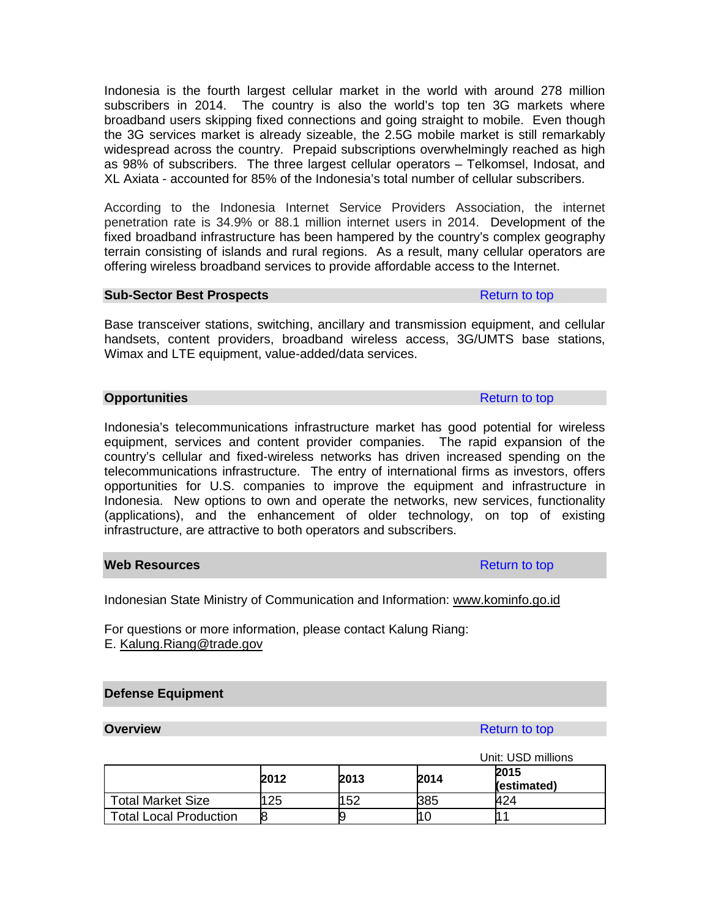Indonesia is the fourth largest cellular market in the world with around 278 million subscribers in 2014. The country is also the world's top ten 3G markets where broadband users skipping fixed connections and going straight to mobile. Even though the 3G services market is already sizeable, the 2.5G mobile market is still remarkably widespread across the country. Prepaid subscriptions overwhelmingly reached as high as 98% of subscribers. The three largest cellular operators – Telkomsel, Indosat, and XL Axiata - accounted for 85% of the Indonesia's total number of cellular subscribers.

According to the Indonesia Internet Service Providers Association, the internet penetration rate is 34.9% or 88.1 million internet users in 2014. Development of the fixed broadband infrastructure has been hampered by the country's complex geography terrain consisting of islands and rural regions. As a result, many cellular operators are offering wireless broadband services to provide affordable access to the Internet.

### **Sub-Sector Best Prospects Return to top Return to top**

Base transceiver stations, switching, ancillary and transmission equipment, and cellular handsets, content providers, broadband wireless access, 3G/UMTS base stations, Wimax and LTE equipment, value-added/data services.

## **Opportunities** Return to top Return to top Return to top Return to top Return to top Return to top Return to top Return to top Return to top Return to top Return to top Return to top Return to top Return to top Return to

Indonesia's telecommunications infrastructure market has good potential for wireless equipment, services and content provider companies. The rapid expansion of the country's cellular and fixed-wireless networks has driven increased spending on the telecommunications infrastructure. The entry of international firms as investors, offers opportunities for U.S. companies to improve the equipment and infrastructure in Indonesia. New options to own and operate the networks, new services, functionality (applications), and the enhancement of older technology, on top of existing infrastructure, are attractive to both operators and subscribers.

## **Web Resources** Return to top

Indonesian State Ministry of Communication and Information: [www.kominfo.go.id](http://www.kominfo.go.id/)

For questions or more information, please contact Kalung Riang: E. [Kalung.Riang@trade.gov](mailto:Kalung.Riang@trade.gov)

# **Defense Equipment**

# **Overview** Return to top **Return to top**

|                               |      |      |      | Unit: USD millions |
|-------------------------------|------|------|------|--------------------|
|                               | 2012 | 2013 | 2015 |                    |
|                               |      |      | 2014 | (estimated)        |
| Total Market Size             | 125  | 152  | 385  | 424                |
| <b>Total Local Production</b> | 8    |      |      |                    |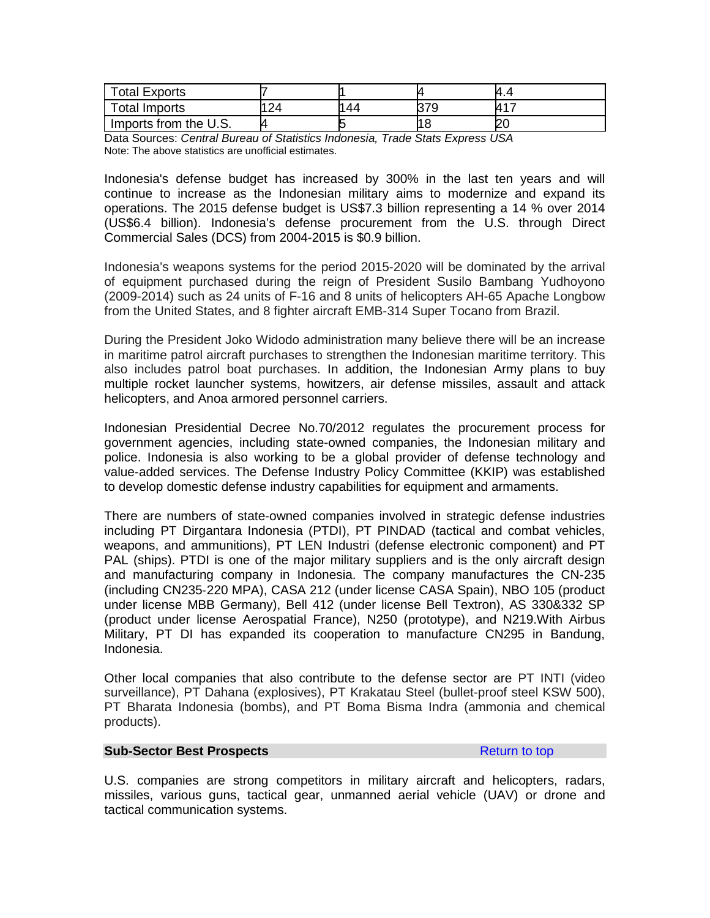| <b>Total Exports</b>  |    |     |                    | 4.4       |
|-----------------------|----|-----|--------------------|-----------|
| Total Imports         | 24 | 144 | 37Q<br>เว / ิ<br>ว | <b>LA</b> |
| Imports from the U.S. |    |     |                    |           |

Data Sources: *Central Bureau of Statistics Indonesia, Trade Stats Express USA* Note: The above statistics are unofficial estimates.

Indonesia's defense budget has increased by 300% in the last ten years and will continue to increase as the Indonesian military aims to modernize and expand its operations. The 2015 defense budget is US\$7.3 billion representing a 14 % over 2014 (US\$6.4 billion). Indonesia's defense procurement from the U.S. through Direct Commercial Sales (DCS) from 2004-2015 is \$0.9 billion.

Indonesia's weapons systems for the period 2015-2020 will be dominated by the arrival of equipment purchased during the reign of President Susilo Bambang Yudhoyono (2009-2014) such as 24 units of F-16 and 8 units of helicopters AH-65 Apache Longbow from the United States, and 8 fighter aircraft EMB-314 Super Tocano from Brazil.

During the President Joko Widodo administration many believe there will be an increase in maritime patrol aircraft purchases to strengthen the Indonesian maritime territory. This also includes patrol boat purchases. In addition, the Indonesian Army plans to buy multiple rocket launcher systems, howitzers, air defense missiles, assault and attack helicopters, and Anoa armored personnel carriers.

Indonesian Presidential Decree No.70/2012 regulates the procurement process for government agencies, including state-owned companies, the Indonesian military and police. Indonesia is also working to be a global provider of defense technology and value-added services. The Defense Industry Policy Committee (KKIP) was established to develop domestic defense industry capabilities for equipment and armaments.

There are numbers of state-owned companies involved in strategic defense industries including PT Dirgantara Indonesia (PTDI), PT PINDAD (tactical and combat vehicles, weapons, and ammunitions), PT LEN Industri (defense electronic component) and PT PAL (ships). PTDI is one of the major military suppliers and is the only aircraft design and manufacturing company in Indonesia. The company manufactures the CN‐235 (including CN235‐220 MPA), CASA 212 (under license CASA Spain), NBO 105 (product under license MBB Germany), Bell 412 (under license Bell Textron), AS 330&332 SP (product under license Aerospatial France), N250 (prototype), and N219.With Airbus Military, PT DI has expanded its cooperation to manufacture CN295 in Bandung, Indonesia.

Other local companies that also contribute to the defense sector are PT INTI (video surveillance), PT Dahana (explosives), PT Krakatau Steel (bullet-proof steel KSW 500), PT Bharata Indonesia (bombs), and PT Boma Bisma Indra (ammonia and chemical products).

## **Sub-Sector Best Prospects Return to top Return to top**

U.S. companies are strong competitors in military aircraft and helicopters, radars, missiles, various guns, tactical gear, unmanned aerial vehicle (UAV) or drone and tactical communication systems.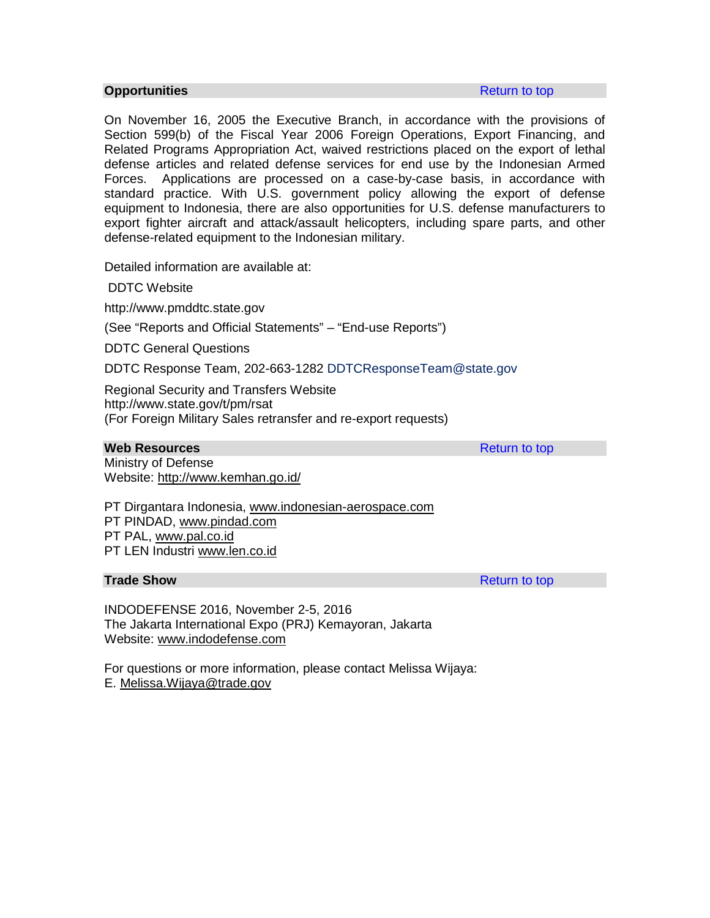### **Opportunities Return to top Apple The Contract Contract Contract Contract Contract Contract Contract Contract Contract Contract Contract Contract Contract Contract Contract Contract Contract Contract Contract Contract C**

On November 16, 2005 the Executive Branch, in accordance with the provisions of Section 599(b) of the Fiscal Year 2006 Foreign Operations, Export Financing, and Related Programs Appropriation Act, waived restrictions placed on the export of lethal defense articles and related defense services for end use by the Indonesian Armed Forces. Applications are processed on a case-by-case basis, in accordance with standard practice. With U.S. government policy allowing the export of defense equipment to Indonesia, there are also opportunities for U.S. defense manufacturers to export fighter aircraft and attack/assault helicopters, including spare parts, and other defense-related equipment to the Indonesian military.

Detailed information are available at:

DDTC Website

http://www.pmddtc.state.gov

(See "Reports and Official Statements" – "End-use Reports")

DDTC General Questions

DDTC Response Team, 202-663-1282 DDTCResponseTeam@state.gov

Regional Security and Transfers Website http://www.state.gov/t/pm/rsat (For Foreign Military Sales retransfer and re-export requests)

### **Web Resources Resources Return to top**

Ministry of Defense Website: <http://www.kemhan.go.id/>

PT Dirgantara Indonesia, [www.indonesian-aerospace.com](http://www.indonesian-aerospace.com/) PT PINDAD, [www.pindad.com](http://www.pindad.com/)

PT PAL, [www.pal.co.id](http://www.pal.co.id/)

PT LEN Industri [www.len.co.id](http://www.len.co.id/)

## **Trade Show** Return to top **Return to top**

INDODEFENSE 2016, November 2-5, 2016 The Jakarta International Expo (PRJ) Kemayoran, Jakarta Website: [www.indodefense.com](http://www.indodefense.com/)

For questions or more information, please contact Melissa Wijaya: E. [Melissa.Wijaya@trade.gov](mailto:Melissa.Wijaya@trade.gov)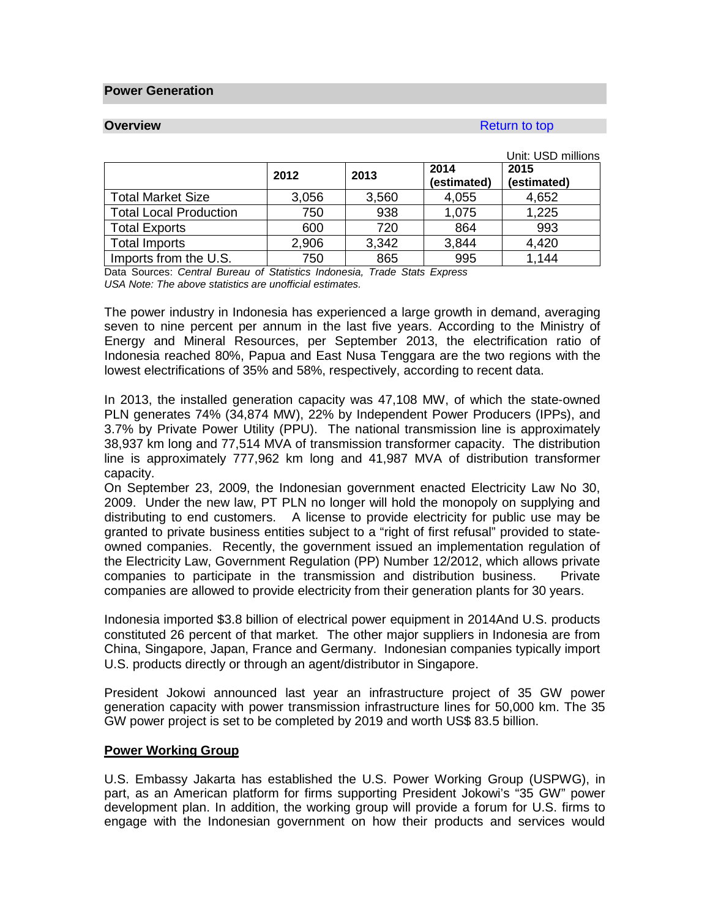### **Power Generation**

### **Overview Return to top Accounts and Accounts and Accounts and Accounts and Accounts and Accounts and Accounts and Accounts and Accounts and Accounts and Accounts and Accounts and Accounts and Accounts and Accounts and A**

|                               |       |       |                     | Unit: USD millions  |
|-------------------------------|-------|-------|---------------------|---------------------|
|                               | 2012  | 2013  | 2014<br>(estimated) | 2015<br>(estimated) |
| <b>Total Market Size</b>      | 3,056 | 3,560 | 4,055               | 4,652               |
| <b>Total Local Production</b> | 750   | 938   | 1,075               | 1,225               |
| <b>Total Exports</b>          | 600   | 720   | 864                 | 993                 |
| <b>Total Imports</b>          | 2,906 | 3,342 | 3,844               | 4,420               |
| Imports from the U.S.         | 750   | 865   | 995                 | 1,144               |

Data Sources: *Central Bureau of Statistics Indonesia, Trade Stats Express USA Note: The above statistics are unofficial estimates.*

The power industry in Indonesia has experienced a large growth in demand, averaging seven to nine percent per annum in the last five years. According to the Ministry of Energy and Mineral Resources, per September 2013, the electrification ratio of Indonesia reached 80%, Papua and East Nusa Tenggara are the two regions with the lowest electrifications of 35% and 58%, respectively, according to recent data.

In 2013, the installed generation capacity was 47,108 MW, of which the state-owned PLN generates 74% (34,874 MW), 22% by Independent Power Producers (IPPs), and 3.7% by Private Power Utility (PPU). The national transmission line is approximately 38,937 km long and 77,514 MVA of transmission transformer capacity. The distribution line is approximately 777,962 km long and 41,987 MVA of distribution transformer capacity.

On September 23, 2009, the Indonesian government enacted Electricity Law No 30, 2009. Under the new law, PT PLN no longer will hold the monopoly on supplying and distributing to end customers. A license to provide electricity for public use may be granted to private business entities subject to a "right of first refusal" provided to stateowned companies. Recently, the government issued an implementation regulation of the Electricity Law, Government Regulation (PP) Number 12/2012, which allows private companies to participate in the transmission and distribution business. Private companies are allowed to provide electricity from their generation plants for 30 years.

Indonesia imported \$3.8 billion of electrical power equipment in 2014And U.S. products constituted 26 percent of that market. The other major suppliers in Indonesia are from China, Singapore, Japan, France and Germany. Indonesian companies typically import U.S. products directly or through an agent/distributor in Singapore.

President Jokowi announced last year an infrastructure project of 35 GW power generation capacity with power transmission infrastructure lines for 50,000 km. The 35 GW power project is set to be completed by 2019 and worth US\$ 83.5 billion.

## **Power Working Group**

U.S. Embassy Jakarta has established the U.S. Power Working Group (USPWG), in part, as an American platform for firms supporting President Jokowi's "35 GW" power development plan. In addition, the working group will provide a forum for U.S. firms to engage with the Indonesian government on how their products and services would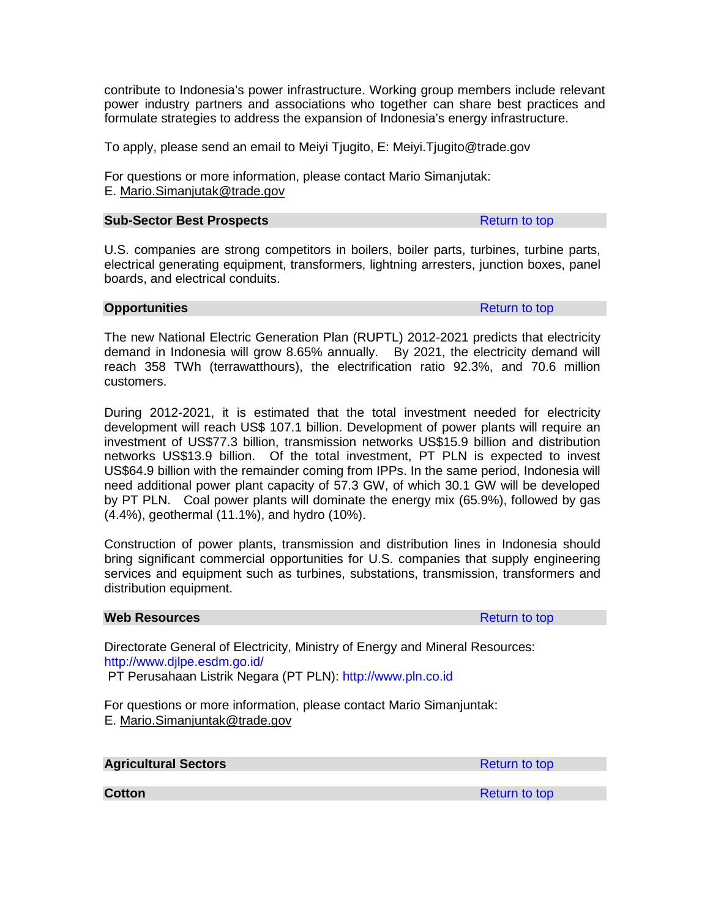contribute to Indonesia's power infrastructure. Working group members include relevant power industry partners and associations who together can share best practices and formulate strategies to address the expansion of Indonesia's energy infrastructure.

To apply, please send an email to Meiyi Tjugito, E: Meiyi.Tjugito@trade.gov

For questions or more information, please contact Mario Simanjutak: E. [Mario.Simanjutak@trade.gov](mailto:Mario.Simanjutak@trade.gov)

### **Sub-Sector Best Prospects Return to top Return to top**

U.S. companies are strong competitors in boilers, boiler parts, turbines, turbine parts, electrical generating equipment, transformers, lightning arresters, junction boxes, panel boards, and electrical conduits.

# **Opportunities Constanting Constanting Constanting Constanting Constanting Constanting Constanting Constanting Constanting Constanting Constanting Constanting Constanting Constanting Constanting Constanting Constanting C**

The new National Electric Generation Plan (RUPTL) 2012-2021 predicts that electricity demand in Indonesia will grow 8.65% annually. By 2021, the electricity demand will reach 358 TWh (terrawatthours), the electrification ratio 92.3%, and 70.6 million customers.

During 2012-2021, it is estimated that the total investment needed for electricity development will reach US\$ 107.1 billion. Development of power plants will require an investment of US\$77.3 billion, transmission networks US\$15.9 billion and distribution networks US\$13.9 billion. Of the total investment, PT PLN is expected to invest US\$64.9 billion with the remainder coming from IPPs. In the same period, Indonesia will need additional power plant capacity of 57.3 GW, of which 30.1 GW will be developed by PT PLN. Coal power plants will dominate the energy mix (65.9%), followed by gas (4.4%), geothermal (11.1%), and hydro (10%).

Construction of power plants, transmission and distribution lines in Indonesia should bring significant commercial opportunities for U.S. companies that supply engineering services and equipment such as turbines, substations, transmission, transformers and distribution equipment.

## **Web Resources Resources Resources Return to top**

Directorate General of Electricity, Ministry of Energy and Mineral Resources: <http://www.djlpe.esdm.go.id/> PT Perusahaan Listrik Negara (PT PLN): [http://www.pln.co.id](http://www.pln.co.id/)

For questions or more information, please contact Mario Simanjuntak: E. [Mario.Simanjuntak@trade.gov](mailto:Mario.Simanjuntak@trade.gov)

| <b>Agricultural Sectors</b> | Return to top |
|-----------------------------|---------------|
|                             |               |

**Cotton Cotton Return to top 2014**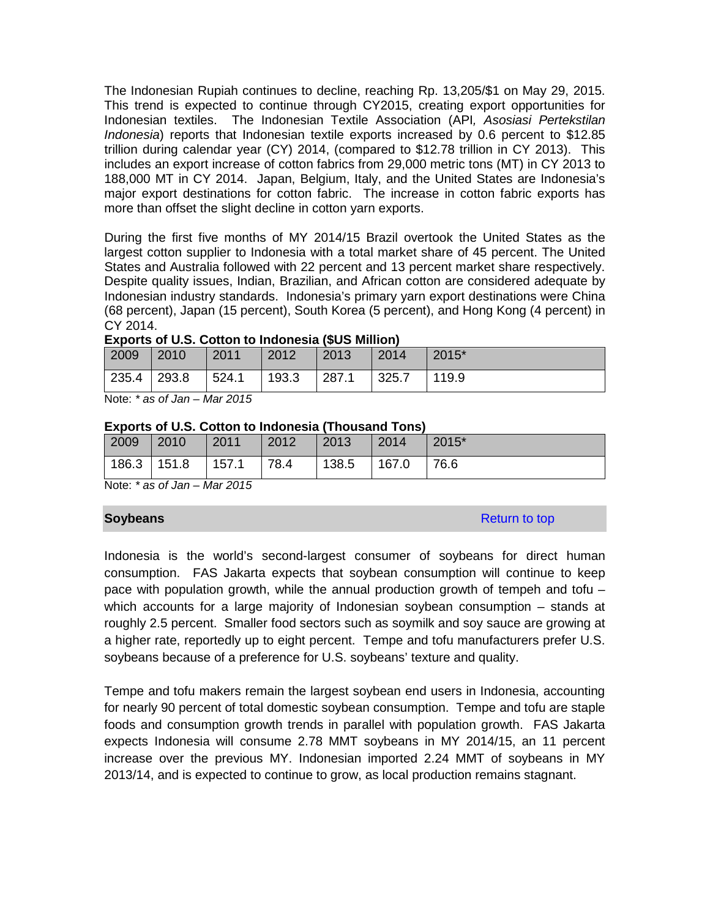The Indonesian Rupiah continues to decline, reaching Rp. 13,205/\$1 on May 29, 2015. This trend is expected to continue through CY2015, creating export opportunities for Indonesian textiles. The Indonesian Textile Association (API*, Asosiasi Pertekstilan Indonesia*) reports that Indonesian textile exports increased by 0.6 percent to \$12.85 trillion during calendar year (CY) 2014, (compared to \$12.78 trillion in CY 2013). This includes an export increase of cotton fabrics from 29,000 metric tons (MT) in CY 2013 to 188,000 MT in CY 2014. Japan, Belgium, Italy, and the United States are Indonesia's major export destinations for cotton fabric. The increase in cotton fabric exports has more than offset the slight decline in cotton yarn exports.

During the first five months of MY 2014/15 Brazil overtook the United States as the largest cotton supplier to Indonesia with a total market share of 45 percent. The United States and Australia followed with 22 percent and 13 percent market share respectively. Despite quality issues, Indian, Brazilian, and African cotton are considered adequate by Indonesian industry standards. Indonesia's primary yarn export destinations were China (68 percent), Japan (15 percent), South Korea (5 percent), and Hong Kong (4 percent) in CY 2014.

| 2009        | $ 2010\rangle$ | 2011          | $\vert$ 2012 | 2013          | 2014  | 2015* |
|-------------|----------------|---------------|--------------|---------------|-------|-------|
| 235.4 293.8 |                | 524.1   193.3 |              | $\vert$ 287.1 | 325.7 | 119.9 |

Note: *\* as of Jan – Mar 2015*

## **Exports of U.S. Cotton to Indonesia (Thousand Tons)**

| 2009        | $ 2010\rangle$ | 2011  | 2012 | $ 2013\rangle$ | $ 2014\rangle$ | 2015* |
|-------------|----------------|-------|------|----------------|----------------|-------|
| 186.3 151.8 |                | 157.1 | 78.4 | 138.5          | 167.0          | 76.6  |

Note: *\* as of Jan – Mar 2015*

**Soybeans Return to top and the set of the set of the set of the set of the set of the set of the set of the set of the set of the set of the set of the set of the set of the set of the set of the set of the set of the s** 

Indonesia is the world's second-largest consumer of soybeans for direct human consumption. FAS Jakarta expects that soybean consumption will continue to keep pace with population growth, while the annual production growth of tempeh and tofu – which accounts for a large majority of Indonesian soybean consumption – stands at roughly 2.5 percent. Smaller food sectors such as soymilk and soy sauce are growing at a higher rate, reportedly up to eight percent. Tempe and tofu manufacturers prefer U.S. soybeans because of a preference for U.S. soybeans' texture and quality.

Tempe and tofu makers remain the largest soybean end users in Indonesia, accounting for nearly 90 percent of total domestic soybean consumption. Tempe and tofu are staple foods and consumption growth trends in parallel with population growth. FAS Jakarta expects Indonesia will consume 2.78 MMT soybeans in MY 2014/15, an 11 percent increase over the previous MY. Indonesian imported 2.24 MMT of soybeans in MY 2013/14, and is expected to continue to grow, as local production remains stagnant.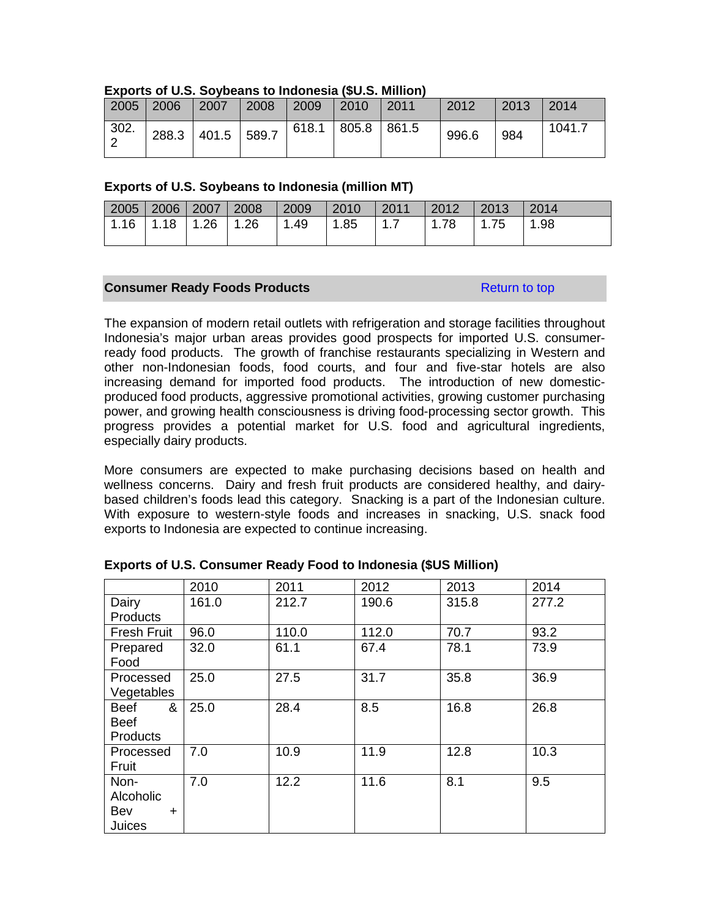|      | $2005$   2006 | 2007              | 2008 | 2009  | 2010        | $\mid$ 2011 | 2012  | 2013 | 2014   |
|------|---------------|-------------------|------|-------|-------------|-------------|-------|------|--------|
| 302. |               | 288.3 401.5 589.7 |      | 618.1 | 805.8 861.5 |             | 996.6 | 984  | 1041.7 |

#### **Exports of U.S. Soybeans to Indonesia (\$U.S. Million)**

## **Exports of U.S. Soybeans to Indonesia (million MT)**

|  |  | 2005   2006   2007   2008   2009   2010   2011   2012   2013   2014 |  |  |
|--|--|---------------------------------------------------------------------|--|--|
|  |  | 1.16   1.18   1.26   1.26   1.49   1.85   1.7   1.78   1.75   1.98  |  |  |
|  |  |                                                                     |  |  |

## **Consumer Ready Foods Products Return to top Return to top**

The expansion of modern retail outlets with refrigeration and storage facilities throughout Indonesia's major urban areas provides good prospects for imported U.S. consumerready food products. The growth of franchise restaurants specializing in Western and other non-Indonesian foods, food courts, and four and five-star hotels are also increasing demand for imported food products. The introduction of new domesticproduced food products, aggressive promotional activities, growing customer purchasing power, and growing health consciousness is driving food-processing sector growth. This progress provides a potential market for U.S. food and agricultural ingredients, especially dairy products.

More consumers are expected to make purchasing decisions based on health and wellness concerns. Dairy and fresh fruit products are considered healthy, and dairybased children's foods lead this category. Snacking is a part of the Indonesian culture. With exposure to western-style foods and increases in snacking, U.S. snack food exports to Indonesia are expected to continue increasing.

|                    | 2010  | 2011  | 2012  | 2013  | 2014  |
|--------------------|-------|-------|-------|-------|-------|
| Dairy              | 161.0 | 212.7 | 190.6 | 315.8 | 277.2 |
| <b>Products</b>    |       |       |       |       |       |
| <b>Fresh Fruit</b> | 96.0  | 110.0 | 112.0 | 70.7  | 93.2  |
| Prepared           | 32.0  | 61.1  | 67.4  | 78.1  | 73.9  |
| Food               |       |       |       |       |       |
| Processed          | 25.0  | 27.5  | 31.7  | 35.8  | 36.9  |
| Vegetables         |       |       |       |       |       |
| &<br><b>Beef</b>   | 25.0  | 28.4  | 8.5   | 16.8  | 26.8  |
| <b>Beef</b>        |       |       |       |       |       |
| <b>Products</b>    |       |       |       |       |       |
| Processed          | 7.0   | 10.9  | 11.9  | 12.8  | 10.3  |
| Fruit              |       |       |       |       |       |
| Non-               | 7.0   | 12.2  | 11.6  | 8.1   | 9.5   |
| Alcoholic          |       |       |       |       |       |
| Bev<br>$\ddot{}$   |       |       |       |       |       |
| Juices             |       |       |       |       |       |

| Exports of U.S. Consumer Ready Food to Indonesia (\$US Million) |  |  |  |  |
|-----------------------------------------------------------------|--|--|--|--|
|-----------------------------------------------------------------|--|--|--|--|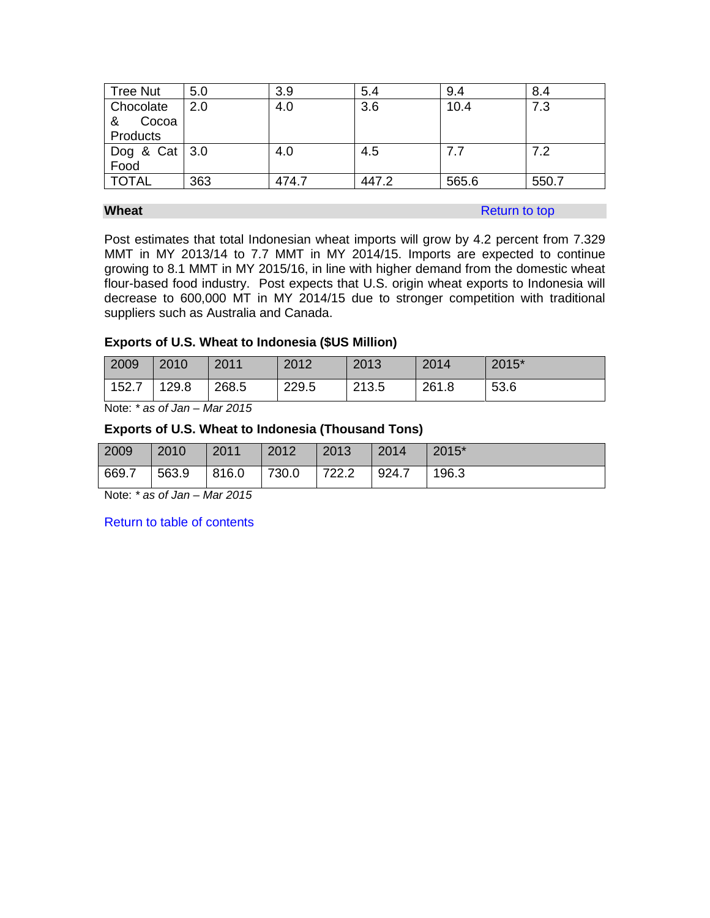| <b>Tree Nut</b>                     | 5.0 | 3.9   | 5.4   | 9.4   | 8.4   |
|-------------------------------------|-----|-------|-------|-------|-------|
| Chocolate<br>Cocoa<br>&<br>Products | 2.0 | 4.0   | 3.6   | 10.4  | 7.3   |
| Dog & Cat $3.0$<br>Food             |     | 4.0   | 4.5   | 7.7   | 7.2   |
| <b>TOTAL</b>                        | 363 | 474.7 | 447.2 | 565.6 | 550.7 |

# **Wheat Return to top Return to top**

Post estimates that total Indonesian wheat imports will grow by 4.2 percent from 7.329 MMT in MY 2013/14 to 7.7 MMT in MY 2014/15. Imports are expected to continue growing to 8.1 MMT in MY 2015/16, in line with higher demand from the domestic wheat flour-based food industry. Post expects that U.S. origin wheat exports to Indonesia will decrease to 600,000 MT in MY 2014/15 due to stronger competition with traditional suppliers such as Australia and Canada.

## **Exports of U.S. Wheat to Indonesia (\$US Million)**

| 2009  | 2010  | 2011  | 2012  | 2013  | 2014  | 2015* |
|-------|-------|-------|-------|-------|-------|-------|
| 152.7 | 129.8 | 268.5 | 229.5 | 213.5 | 261.8 | 53.6  |

Note: *\* as of Jan – Mar 2015*

# **Exports of U.S. Wheat to Indonesia (Thousand Tons)**

| 669.7<br>730.0<br>816.0<br>563.9<br>722.2<br>924.7<br>196.3 | 2009 | 2010 | 2011 | 2012 | 2013 | 2014 | 2015* |
|-------------------------------------------------------------|------|------|------|------|------|------|-------|
|                                                             |      |      |      |      |      |      |       |

Note: *\* as of Jan – Mar 2015*

Return to table of contents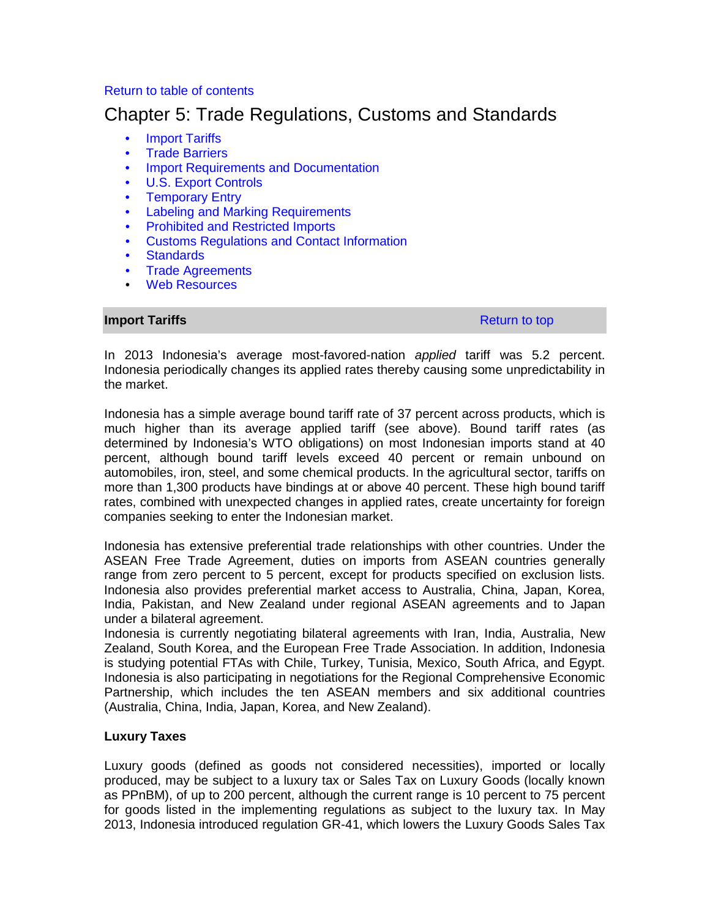# Return to table of contents

# Chapter 5: Trade Regulations, Customs and Standards

- **Import Tariffs**
- Trade Barriers
- Import Requirements and Documentation
- U.S. Export Controls
- Temporary Entry
- Labeling and Marking Requirements
- Prohibited and Restricted Imports
- Customs Regulations and Contact Information
- Standards
- Trade Agreements
- Web Resources

## **Import Tariffs Return to top Accounts** Return to top **Return to top**

In 2013 Indonesia's average most-favored-nation *applied* tariff was 5.2 percent. Indonesia periodically changes its applied rates thereby causing some unpredictability in the market.

Indonesia has a simple average bound tariff rate of 37 percent across products, which is much higher than its average applied tariff (see above). Bound tariff rates (as determined by Indonesia's WTO obligations) on most Indonesian imports stand at 40 percent, although bound tariff levels exceed 40 percent or remain unbound on automobiles, iron, steel, and some chemical products. In the agricultural sector, tariffs on more than 1,300 products have bindings at or above 40 percent. These high bound tariff rates, combined with unexpected changes in applied rates, create uncertainty for foreign companies seeking to enter the Indonesian market.

Indonesia has extensive preferential trade relationships with other countries. Under the ASEAN Free Trade Agreement, duties on imports from ASEAN countries generally range from zero percent to 5 percent, except for products specified on exclusion lists. Indonesia also provides preferential market access to Australia, China, Japan, Korea, India, Pakistan, and New Zealand under regional ASEAN agreements and to Japan under a bilateral agreement.

Indonesia is currently negotiating bilateral agreements with Iran, India, Australia, New Zealand, South Korea, and the European Free Trade Association. In addition, Indonesia is studying potential FTAs with Chile, Turkey, Tunisia, Mexico, South Africa, and Egypt. Indonesia is also participating in negotiations for the Regional Comprehensive Economic Partnership, which includes the ten ASEAN members and six additional countries (Australia, China, India, Japan, Korea, and New Zealand).

# **Luxury Taxes**

Luxury goods (defined as goods not considered necessities), imported or locally produced, may be subject to a luxury tax or Sales Tax on Luxury Goods (locally known as PPnBM), of up to 200 percent, although the current range is 10 percent to 75 percent for goods listed in the implementing regulations as subject to the luxury tax. In May 2013, Indonesia introduced regulation GR-41, which lowers the Luxury Goods Sales Tax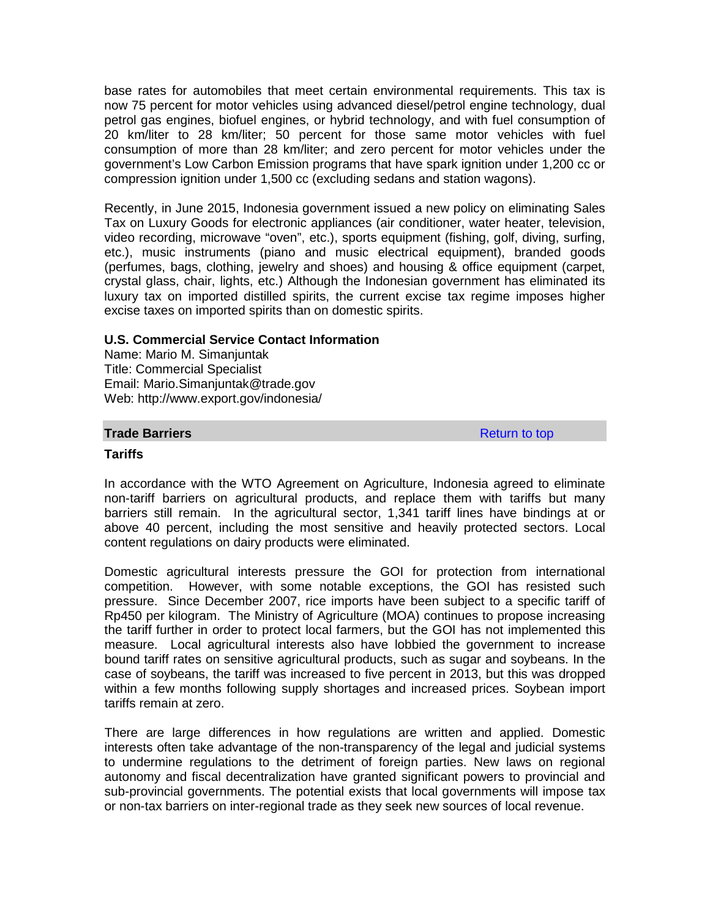base rates for automobiles that meet certain environmental requirements. This tax is now 75 percent for motor vehicles using advanced diesel/petrol engine technology, dual petrol gas engines, biofuel engines, or hybrid technology, and with fuel consumption of 20 km/liter to 28 km/liter; 50 percent for those same motor vehicles with fuel consumption of more than 28 km/liter; and zero percent for motor vehicles under the government's Low Carbon Emission programs that have spark ignition under 1,200 cc or compression ignition under 1,500 cc (excluding sedans and station wagons).

Recently, in June 2015, Indonesia government issued a new policy on eliminating Sales Tax on Luxury Goods for electronic appliances (air conditioner, water heater, television, video recording, microwave "oven", etc.), sports equipment (fishing, golf, diving, surfing, etc.), music instruments (piano and music electrical equipment), branded goods (perfumes, bags, clothing, jewelry and shoes) and housing & office equipment (carpet, crystal glass, chair, lights, etc.) Although the Indonesian government has eliminated its luxury tax on imported distilled spirits, the current excise tax regime imposes higher excise taxes on imported spirits than on domestic spirits.

## **U.S. Commercial Service Contact Information**

Name: Mario M. Simanjuntak Title: Commercial Specialist Email: Mario.Simaniuntak@trade.gov Web: http://www.export.gov/indonesia/

#### **Trade Barriers Return to top Accounts Return to top**

#### **Tariffs**

In accordance with the WTO Agreement on Agriculture, Indonesia agreed to eliminate non-tariff barriers on agricultural products, and replace them with tariffs but many barriers still remain. In the agricultural sector, 1,341 tariff lines have bindings at or above 40 percent, including the most sensitive and heavily protected sectors. Local content regulations on dairy products were eliminated.

Domestic agricultural interests pressure the GOI for protection from international competition. However, with some notable exceptions, the GOI has resisted such pressure. Since December 2007, rice imports have been subject to a specific tariff of Rp450 per kilogram. The Ministry of Agriculture (MOA) continues to propose increasing the tariff further in order to protect local farmers, but the GOI has not implemented this measure. Local agricultural interests also have lobbied the government to increase bound tariff rates on sensitive agricultural products, such as sugar and soybeans. In the case of soybeans, the tariff was increased to five percent in 2013, but this was dropped within a few months following supply shortages and increased prices. Soybean import tariffs remain at zero.

There are large differences in how regulations are written and applied. Domestic interests often take advantage of the non-transparency of the legal and judicial systems to undermine regulations to the detriment of foreign parties. New laws on regional autonomy and fiscal decentralization have granted significant powers to provincial and sub-provincial governments. The potential exists that local governments will impose tax or non-tax barriers on inter-regional trade as they seek new sources of local revenue.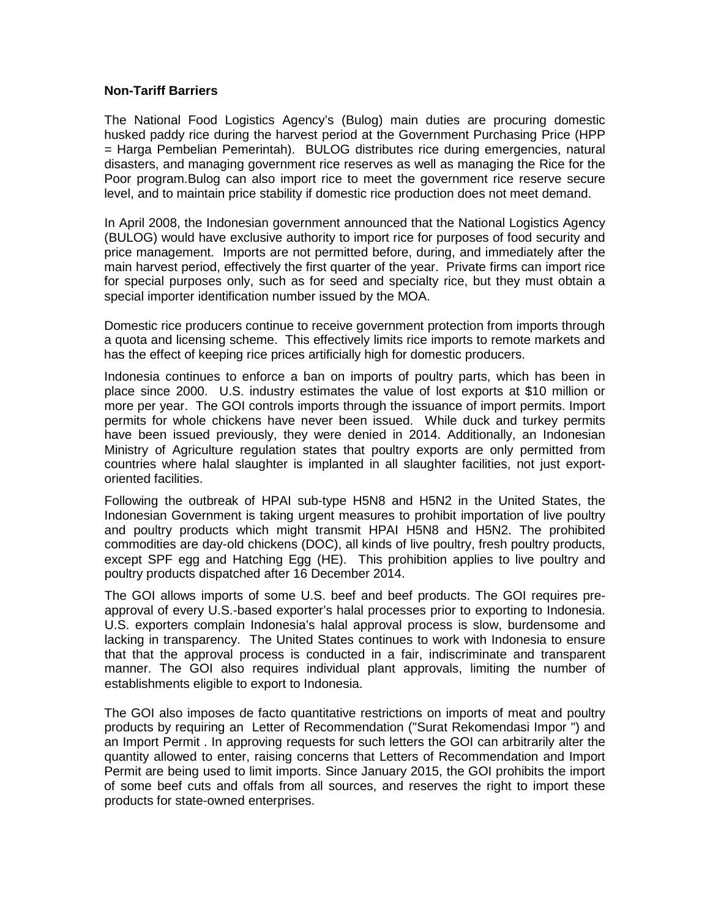#### **Non-Tariff Barriers**

The National Food Logistics Agency's (Bulog) main duties are procuring domestic husked paddy rice during the harvest period at the Government Purchasing Price (HPP = Harga Pembelian Pemerintah). BULOG distributes rice during emergencies, natural disasters, and managing government rice reserves as well as managing the Rice for the Poor program.Bulog can also import rice to meet the government rice reserve secure level, and to maintain price stability if domestic rice production does not meet demand.

In April 2008, the Indonesian government announced that the National Logistics Agency (BULOG) would have exclusive authority to import rice for purposes of food security and price management. Imports are not permitted before, during, and immediately after the main harvest period, effectively the first quarter of the year. Private firms can import rice for special purposes only, such as for seed and specialty rice, but they must obtain a special importer identification number issued by the MOA.

Domestic rice producers continue to receive government protection from imports through a quota and licensing scheme. This effectively limits rice imports to remote markets and has the effect of keeping rice prices artificially high for domestic producers.

Indonesia continues to enforce a ban on imports of poultry parts, which has been in place since 2000. U.S. industry estimates the value of lost exports at \$10 million or more per year. The GOI controls imports through the issuance of import permits. Import permits for whole chickens have never been issued. While duck and turkey permits have been issued previously, they were denied in 2014. Additionally, an Indonesian Ministry of Agriculture regulation states that poultry exports are only permitted from countries where halal slaughter is implanted in all slaughter facilities, not just exportoriented facilities.

Following the outbreak of HPAI sub-type H5N8 and H5N2 in the United States, the Indonesian Government is taking urgent measures to prohibit importation of live poultry and poultry products which might transmit HPAI H5N8 and H5N2. The prohibited commodities are day-old chickens (DOC), all kinds of live poultry, fresh poultry products, except SPF egg and Hatching Egg (HE). This prohibition applies to live poultry and poultry products dispatched after 16 December 2014.

The GOI allows imports of some U.S. beef and beef products. The GOI requires preapproval of every U.S.-based exporter's halal processes prior to exporting to Indonesia. U.S. exporters complain Indonesia's halal approval process is slow, burdensome and lacking in transparency. The United States continues to work with Indonesia to ensure that that the approval process is conducted in a fair, indiscriminate and transparent manner. The GOI also requires individual plant approvals, limiting the number of establishments eligible to export to Indonesia.

The GOI also imposes de facto quantitative restrictions on imports of meat and poultry products by requiring an Letter of Recommendation ("Surat Rekomendasi Impor ") and an Import Permit . In approving requests for such letters the GOI can arbitrarily alter the quantity allowed to enter, raising concerns that Letters of Recommendation and Import Permit are being used to limit imports. Since January 2015, the GOI prohibits the import of some beef cuts and offals from all sources, and reserves the right to import these products for state-owned enterprises.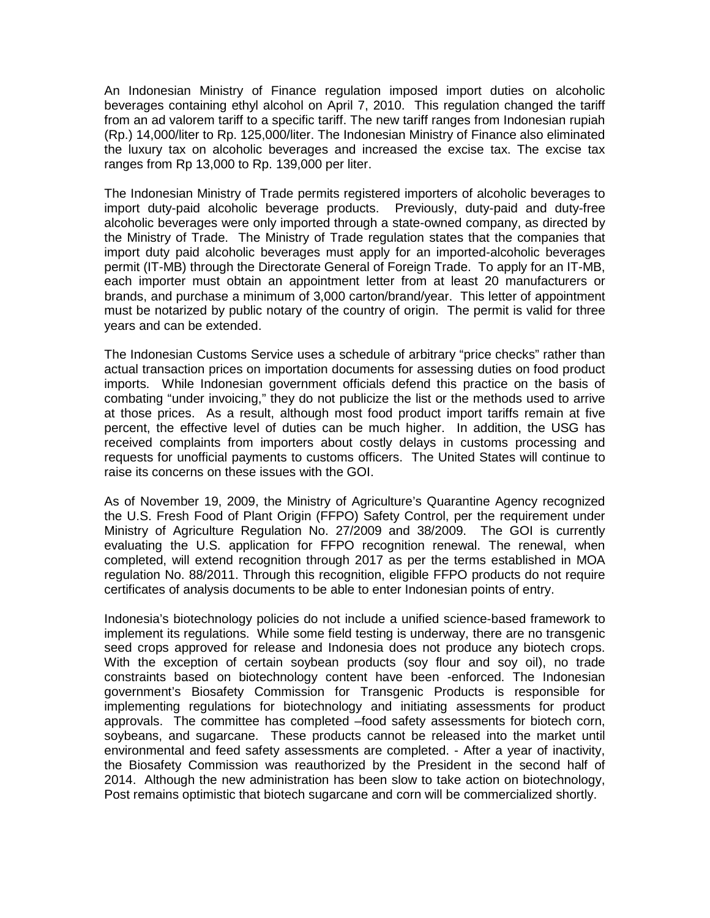An Indonesian Ministry of Finance regulation imposed import duties on alcoholic beverages containing ethyl alcohol on April 7, 2010. This regulation changed the tariff from an ad valorem tariff to a specific tariff. The new tariff ranges from Indonesian rupiah (Rp.) 14,000/liter to Rp. 125,000/liter. The Indonesian Ministry of Finance also eliminated the luxury tax on alcoholic beverages and increased the excise tax. The excise tax ranges from Rp 13,000 to Rp. 139,000 per liter.

The Indonesian Ministry of Trade permits registered importers of alcoholic beverages to import duty-paid alcoholic beverage products. Previously, duty-paid and duty-free alcoholic beverages were only imported through a state-owned company, as directed by the Ministry of Trade. The Ministry of Trade regulation states that the companies that import duty paid alcoholic beverages must apply for an imported-alcoholic beverages permit (IT-MB) through the Directorate General of Foreign Trade. To apply for an IT-MB, each importer must obtain an appointment letter from at least 20 manufacturers or brands, and purchase a minimum of 3,000 carton/brand/year. This letter of appointment must be notarized by public notary of the country of origin. The permit is valid for three years and can be extended.

The Indonesian Customs Service uses a schedule of arbitrary "price checks" rather than actual transaction prices on importation documents for assessing duties on food product imports. While Indonesian government officials defend this practice on the basis of combating "under invoicing," they do not publicize the list or the methods used to arrive at those prices. As a result, although most food product import tariffs remain at five percent, the effective level of duties can be much higher. In addition, the USG has received complaints from importers about costly delays in customs processing and requests for unofficial payments to customs officers. The United States will continue to raise its concerns on these issues with the GOI.

As of November 19, 2009, the Ministry of Agriculture's Quarantine Agency recognized the U.S. Fresh Food of Plant Origin (FFPO) Safety Control, per the requirement under Ministry of Agriculture Regulation No. 27/2009 and 38/2009. The GOI is currently evaluating the U.S. application for FFPO recognition renewal. The renewal, when completed, will extend recognition through 2017 as per the terms established in MOA regulation No. 88/2011. Through this recognition, eligible FFPO products do not require certificates of analysis documents to be able to enter Indonesian points of entry.

Indonesia's biotechnology policies do not include a unified science-based framework to implement its regulations. While some field testing is underway, there are no transgenic seed crops approved for release and Indonesia does not produce any biotech crops. With the exception of certain soybean products (soy flour and soy oil), no trade constraints based on biotechnology content have been -enforced. The Indonesian government's Biosafety Commission for Transgenic Products is responsible for implementing regulations for biotechnology and initiating assessments for product approvals. The committee has completed –food safety assessments for biotech corn, soybeans, and sugarcane. These products cannot be released into the market until environmental and feed safety assessments are completed. - After a year of inactivity, the Biosafety Commission was reauthorized by the President in the second half of 2014. Although the new administration has been slow to take action on biotechnology, Post remains optimistic that biotech sugarcane and corn will be commercialized shortly.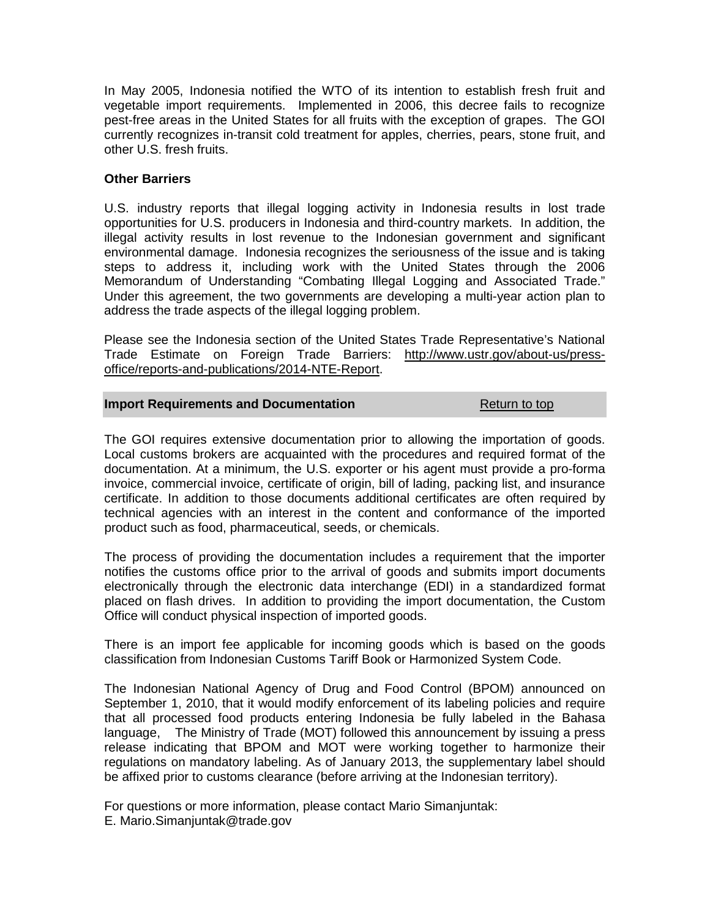In May 2005, Indonesia notified the WTO of its intention to establish fresh fruit and vegetable import requirements. Implemented in 2006, this decree fails to recognize pest-free areas in the United States for all fruits with the exception of grapes. The GOI currently recognizes in-transit cold treatment for apples, cherries, pears, stone fruit, and other U.S. fresh fruits.

# **Other Barriers**

U.S. industry reports that illegal logging activity in Indonesia results in lost trade opportunities for U.S. producers in Indonesia and third-country markets. In addition, the illegal activity results in lost revenue to the Indonesian government and significant environmental damage. Indonesia recognizes the seriousness of the issue and is taking steps to address it, including work with the United States through the 2006 Memorandum of Understanding "Combating Illegal Logging and Associated Trade." Under this agreement, the two governments are developing a multi-year action plan to address the trade aspects of the illegal logging problem.

Please see the Indonesia section of the United States Trade Representative's National Trade Estimate on Foreign Trade Barriers: [http://www.ustr.gov/about-us/press](http://www.ustr.gov/about-us/press-office/reports-and-publications/2014-NTE-Report)[office/reports-and-publications/2014-NTE-Report.](http://www.ustr.gov/about-us/press-office/reports-and-publications/2014-NTE-Report)

#### **Import Requirements and Documentation Return to top**

The GOI requires extensive documentation prior to allowing the importation of goods. Local customs brokers are acquainted with the procedures and required format of the documentation. At a minimum, the U.S. exporter or his agent must provide a pro-forma invoice, commercial invoice, certificate of origin, bill of lading, packing list, and insurance certificate. In addition to those documents additional certificates are often required by technical agencies with an interest in the content and conformance of the imported product such as food, pharmaceutical, seeds, or chemicals.

The process of providing the documentation includes a requirement that the importer notifies the customs office prior to the arrival of goods and submits import documents electronically through the electronic data interchange (EDI) in a standardized format placed on flash drives. In addition to providing the import documentation, the Custom Office will conduct physical inspection of imported goods.

There is an import fee applicable for incoming goods which is based on the goods classification from Indonesian Customs Tariff Book or Harmonized System Code.

The Indonesian National Agency of Drug and Food Control (BPOM) announced on September 1, 2010, that it would modify enforcement of its labeling policies and require that all processed food products entering Indonesia be fully labeled in the Bahasa language, The Ministry of Trade (MOT) followed this announcement by issuing a press release indicating that BPOM and MOT were working together to harmonize their regulations on mandatory labeling. As of January 2013, the supplementary label should be affixed prior to customs clearance (before arriving at the Indonesian territory).

For questions or more information, please contact Mario Simanjuntak: E. Mario.Simanjuntak@trade.gov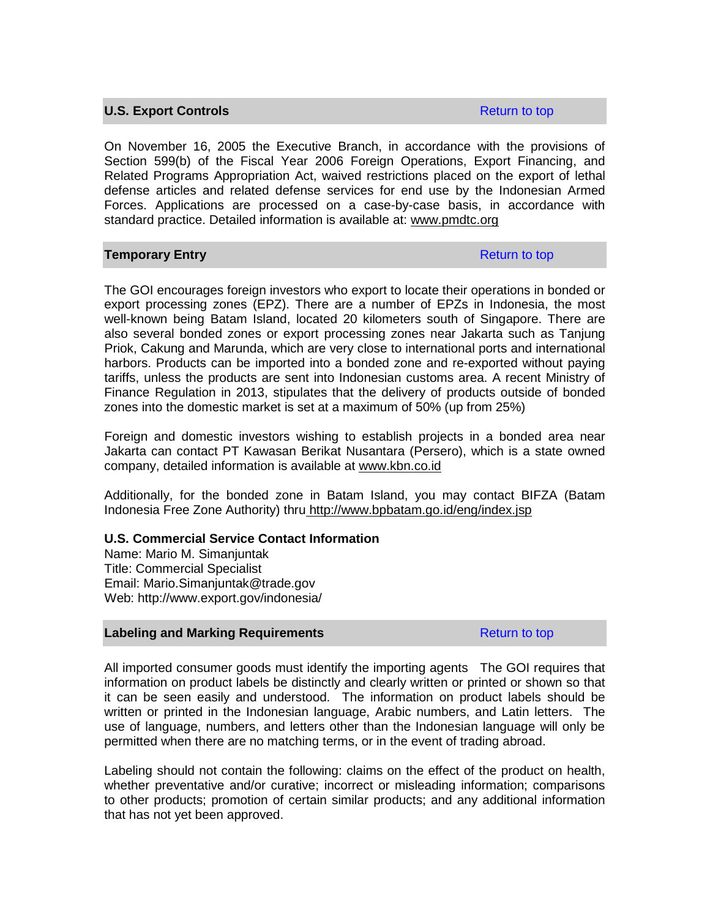### **U.S. Export Controls Return to top Return to top**

On November 16, 2005 the Executive Branch, in accordance with the provisions of Section 599(b) of the Fiscal Year 2006 Foreign Operations, Export Financing, and Related Programs Appropriation Act, waived restrictions placed on the export of lethal defense articles and related defense services for end use by the Indonesian Armed Forces. Applications are processed on a case-by-case basis, in accordance with standard practice. Detailed information is available at: [www.pmdtc.org](http://www.pmdtc.org/)

## **Temporary Entry Return to top Return to top**

The GOI encourages foreign investors who export to locate their operations in bonded or export processing zones (EPZ). There are a number of EPZs in Indonesia, the most well-known being Batam Island, located 20 kilometers south of Singapore. There are also several bonded zones or export processing zones near Jakarta such as Tanjung Priok, Cakung and Marunda, which are very close to international ports and international harbors. Products can be imported into a bonded zone and re-exported without paying tariffs, unless the products are sent into Indonesian customs area. A recent Ministry of Finance Regulation in 2013, stipulates that the delivery of products outside of bonded zones into the domestic market is set at a maximum of 50% (up from 25%)

Foreign and domestic investors wishing to establish projects in a bonded area near Jakarta can contact PT Kawasan Berikat Nusantara (Persero), which is a state owned company, detailed information is available at www.kbn.co.id

Additionally, for the bonded zone in Batam Island, you may contact BIFZA (Batam Indonesia Free Zone Authority) thru <http://www.bpbatam.go.id/eng/index.jsp>

#### **U.S. Commercial Service Contact Information**

Name: Mario M. Simanjuntak Title: Commercial Specialist Email: [Mario.Simanjuntak@trade.gov](mailto:Mario.Simanjuntak@trade.gov) Web: http://www.export.gov/indonesia/

#### **Labeling and Marking Requirements Research Return to top** Return to top

All imported consumer goods must identify the importing agents The GOI requires that information on product labels be distinctly and clearly written or printed or shown so that it can be seen easily and understood. The information on product labels should be written or printed in the Indonesian language, Arabic numbers, and Latin letters. The use of language, numbers, and letters other than the Indonesian language will only be permitted when there are no matching terms, or in the event of trading abroad.

Labeling should not contain the following: claims on the effect of the product on health, whether preventative and/or curative; incorrect or misleading information; comparisons to other products; promotion of certain similar products; and any additional information that has not yet been approved.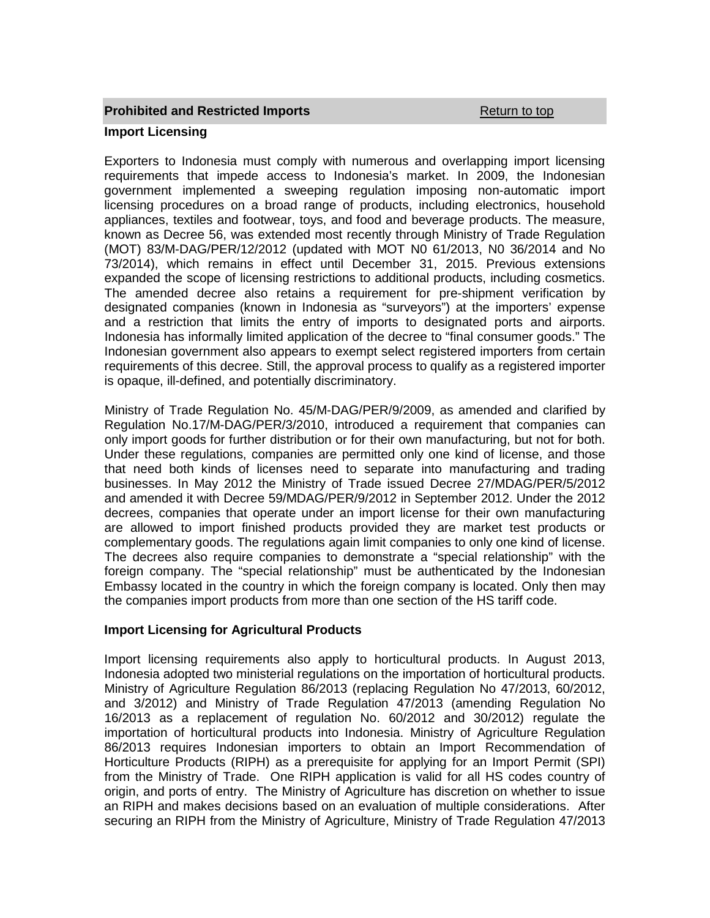# **Prohibited and Restricted Imports Construction According Return to top Import Licensing**

Exporters to Indonesia must comply with numerous and overlapping import licensing requirements that impede access to Indonesia's market. In 2009, the Indonesian government implemented a sweeping regulation imposing non-automatic import licensing procedures on a broad range of products, including electronics, household appliances, textiles and footwear, toys, and food and beverage products. The measure, known as Decree 56, was extended most recently through Ministry of Trade Regulation (MOT) 83/M-DAG/PER/12/2012 (updated with MOT N0 61/2013, N0 36/2014 and No 73/2014), which remains in effect until December 31, 2015. Previous extensions expanded the scope of licensing restrictions to additional products, including cosmetics. The amended decree also retains a requirement for pre-shipment verification by designated companies (known in Indonesia as "surveyors") at the importers' expense and a restriction that limits the entry of imports to designated ports and airports. Indonesia has informally limited application of the decree to "final consumer goods." The Indonesian government also appears to exempt select registered importers from certain requirements of this decree. Still, the approval process to qualify as a registered importer is opaque, ill-defined, and potentially discriminatory.

Ministry of Trade Regulation No. 45/M-DAG/PER/9/2009, as amended and clarified by Regulation No.17/M-DAG/PER/3/2010, introduced a requirement that companies can only import goods for further distribution or for their own manufacturing, but not for both. Under these regulations, companies are permitted only one kind of license, and those that need both kinds of licenses need to separate into manufacturing and trading businesses. In May 2012 the Ministry of Trade issued Decree 27/MDAG/PER/5/2012 and amended it with Decree 59/MDAG/PER/9/2012 in September 2012. Under the 2012 decrees, companies that operate under an import license for their own manufacturing are allowed to import finished products provided they are market test products or complementary goods. The regulations again limit companies to only one kind of license. The decrees also require companies to demonstrate a "special relationship" with the foreign company. The "special relationship" must be authenticated by the Indonesian Embassy located in the country in which the foreign company is located. Only then may the companies import products from more than one section of the HS tariff code.

# **Import Licensing for Agricultural Products**

Import licensing requirements also apply to horticultural products. In August 2013, Indonesia adopted two ministerial regulations on the importation of horticultural products. Ministry of Agriculture Regulation 86/2013 (replacing Regulation No 47/2013, 60/2012, and 3/2012) and Ministry of Trade Regulation 47/2013 (amending Regulation No 16/2013 as a replacement of regulation No. 60/2012 and 30/2012) regulate the importation of horticultural products into Indonesia. Ministry of Agriculture Regulation 86/2013 requires Indonesian importers to obtain an Import Recommendation of Horticulture Products (RIPH) as a prerequisite for applying for an Import Permit (SPI) from the Ministry of Trade. One RIPH application is valid for all HS codes country of origin, and ports of entry. The Ministry of Agriculture has discretion on whether to issue an RIPH and makes decisions based on an evaluation of multiple considerations. After securing an RIPH from the Ministry of Agriculture, Ministry of Trade Regulation 47/2013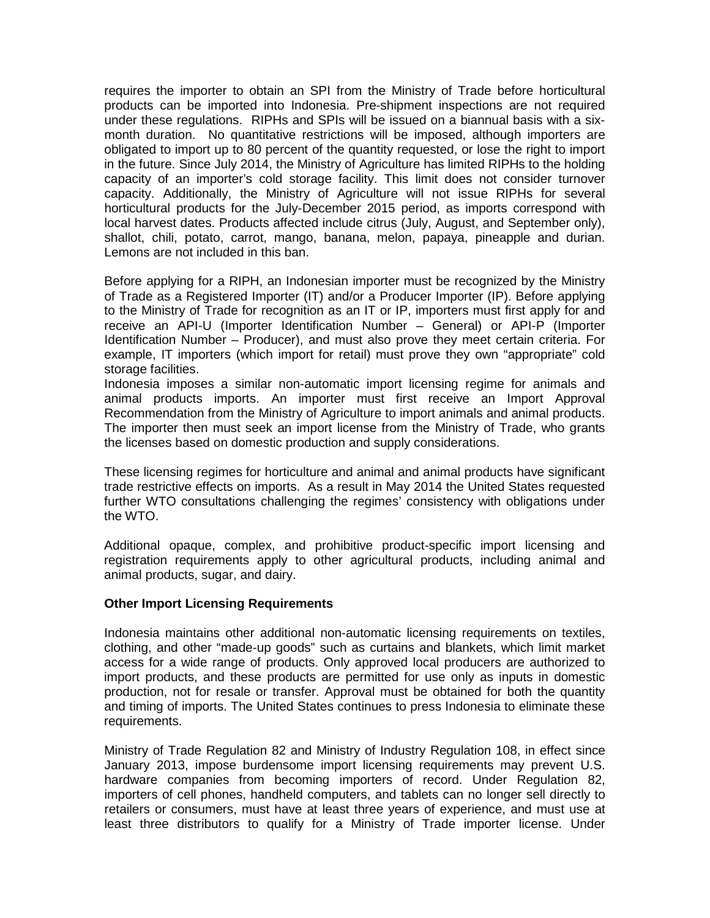requires the importer to obtain an SPI from the Ministry of Trade before horticultural products can be imported into Indonesia. Pre-shipment inspections are not required under these regulations. RIPHs and SPIs will be issued on a biannual basis with a sixmonth duration. No quantitative restrictions will be imposed, although importers are obligated to import up to 80 percent of the quantity requested, or lose the right to import in the future. Since July 2014, the Ministry of Agriculture has limited RIPHs to the holding capacity of an importer's cold storage facility. This limit does not consider turnover capacity. Additionally, the Ministry of Agriculture will not issue RIPHs for several horticultural products for the July-December 2015 period, as imports correspond with local harvest dates. Products affected include citrus (July, August, and September only), shallot, chili, potato, carrot, mango, banana, melon, papaya, pineapple and durian. Lemons are not included in this ban.

Before applying for a RIPH, an Indonesian importer must be recognized by the Ministry of Trade as a Registered Importer (IT) and/or a Producer Importer (IP). Before applying to the Ministry of Trade for recognition as an IT or IP, importers must first apply for and receive an API-U (Importer Identification Number – General) or API-P (Importer Identification Number – Producer), and must also prove they meet certain criteria. For example, IT importers (which import for retail) must prove they own "appropriate" cold storage facilities.

Indonesia imposes a similar non-automatic import licensing regime for animals and animal products imports. An importer must first receive an Import Approval Recommendation from the Ministry of Agriculture to import animals and animal products. The importer then must seek an import license from the Ministry of Trade, who grants the licenses based on domestic production and supply considerations.

These licensing regimes for horticulture and animal and animal products have significant trade restrictive effects on imports. As a result in May 2014 the United States requested further WTO consultations challenging the regimes' consistency with obligations under the WTO.

Additional opaque, complex, and prohibitive product-specific import licensing and registration requirements apply to other agricultural products, including animal and animal products, sugar, and dairy.

#### **Other Import Licensing Requirements**

Indonesia maintains other additional non-automatic licensing requirements on textiles, clothing, and other "made-up goods" such as curtains and blankets, which limit market access for a wide range of products. Only approved local producers are authorized to import products, and these products are permitted for use only as inputs in domestic production, not for resale or transfer. Approval must be obtained for both the quantity and timing of imports. The United States continues to press Indonesia to eliminate these requirements.

Ministry of Trade Regulation 82 and Ministry of Industry Regulation 108, in effect since January 2013, impose burdensome import licensing requirements may prevent U.S. hardware companies from becoming importers of record. Under Regulation 82, importers of cell phones, handheld computers, and tablets can no longer sell directly to retailers or consumers, must have at least three years of experience, and must use at least three distributors to qualify for a Ministry of Trade importer license. Under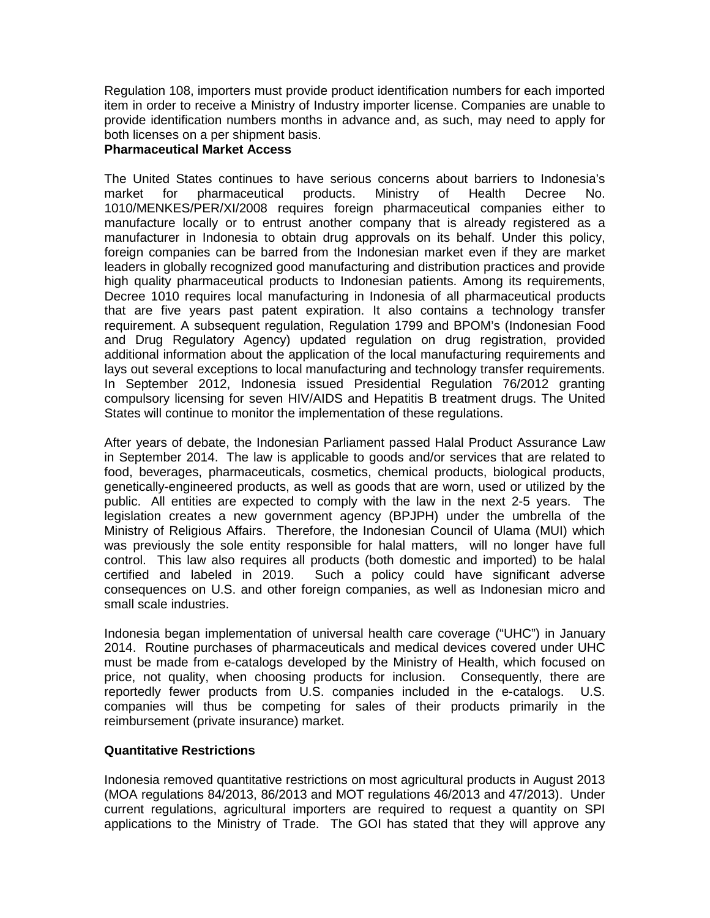Regulation 108, importers must provide product identification numbers for each imported item in order to receive a Ministry of Industry importer license. Companies are unable to provide identification numbers months in advance and, as such, may need to apply for both licenses on a per shipment basis.

# **Pharmaceutical Market Access**

The United States continues to have serious concerns about barriers to Indonesia's market for pharmaceutical products. Ministry of Health Decree No. 1010/MENKES/PER/XI/2008 requires foreign pharmaceutical companies either to manufacture locally or to entrust another company that is already registered as a manufacturer in Indonesia to obtain drug approvals on its behalf. Under this policy, foreign companies can be barred from the Indonesian market even if they are market leaders in globally recognized good manufacturing and distribution practices and provide high quality pharmaceutical products to Indonesian patients. Among its requirements, Decree 1010 requires local manufacturing in Indonesia of all pharmaceutical products that are five years past patent expiration. It also contains a technology transfer requirement. A subsequent regulation, Regulation 1799 and BPOM's (Indonesian Food and Drug Regulatory Agency) updated regulation on drug registration, provided additional information about the application of the local manufacturing requirements and lays out several exceptions to local manufacturing and technology transfer requirements. In September 2012, Indonesia issued Presidential Regulation 76/2012 granting compulsory licensing for seven HIV/AIDS and Hepatitis B treatment drugs. The United States will continue to monitor the implementation of these regulations.

After years of debate, the Indonesian Parliament passed Halal Product Assurance Law in September 2014. The law is applicable to goods and/or services that are related to food, beverages, pharmaceuticals, cosmetics, chemical products, biological products, genetically-engineered products, as well as goods that are worn, used or utilized by the public. All entities are expected to comply with the law in the next 2-5 years. The legislation creates a new government agency (BPJPH) under the umbrella of the Ministry of Religious Affairs. Therefore, the Indonesian Council of Ulama (MUI) which was previously the sole entity responsible for halal matters, will no longer have full control. This law also requires all products (both domestic and imported) to be halal certified and labeled in 2019. Such a policy could have significant adverse consequences on U.S. and other foreign companies, as well as Indonesian micro and small scale industries.

Indonesia began implementation of universal health care coverage ("UHC") in January 2014. Routine purchases of pharmaceuticals and medical devices covered under UHC must be made from e-catalogs developed by the Ministry of Health, which focused on price, not quality, when choosing products for inclusion. Consequently, there are reportedly fewer products from U.S. companies included in the e-catalogs. U.S. companies will thus be competing for sales of their products primarily in the reimbursement (private insurance) market.

#### **Quantitative Restrictions**

Indonesia removed quantitative restrictions on most agricultural products in August 2013 (MOA regulations 84/2013, 86/2013 and MOT regulations 46/2013 and 47/2013). Under current regulations, agricultural importers are required to request a quantity on SPI applications to the Ministry of Trade. The GOI has stated that they will approve any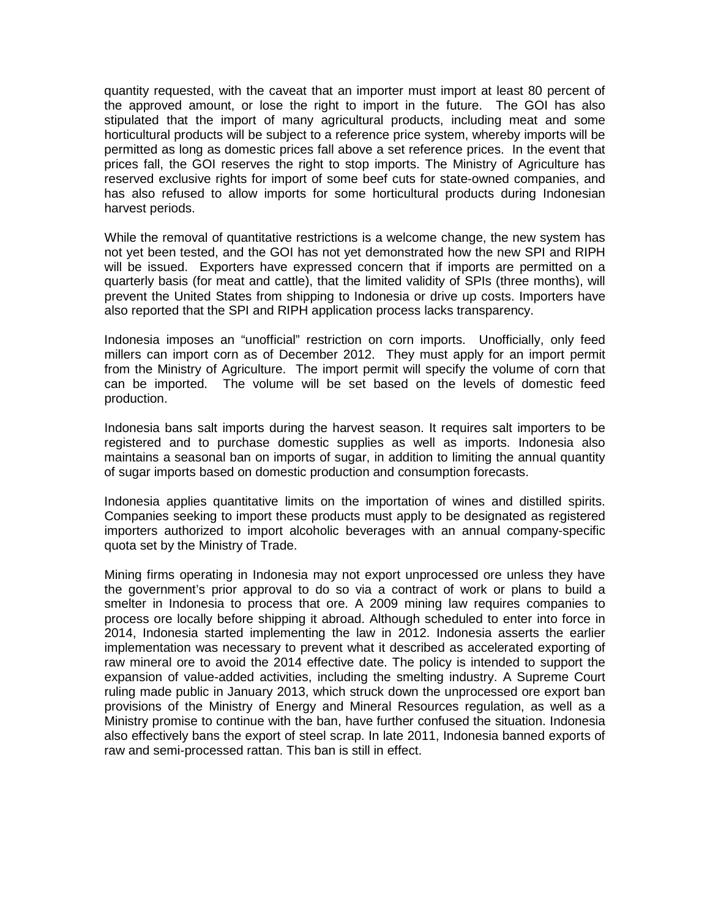quantity requested, with the caveat that an importer must import at least 80 percent of the approved amount, or lose the right to import in the future. The GOI has also stipulated that the import of many agricultural products, including meat and some horticultural products will be subject to a reference price system, whereby imports will be permitted as long as domestic prices fall above a set reference prices. In the event that prices fall, the GOI reserves the right to stop imports. The Ministry of Agriculture has reserved exclusive rights for import of some beef cuts for state-owned companies, and has also refused to allow imports for some horticultural products during Indonesian harvest periods.

While the removal of quantitative restrictions is a welcome change, the new system has not yet been tested, and the GOI has not yet demonstrated how the new SPI and RIPH will be issued. Exporters have expressed concern that if imports are permitted on a quarterly basis (for meat and cattle), that the limited validity of SPIs (three months), will prevent the United States from shipping to Indonesia or drive up costs. Importers have also reported that the SPI and RIPH application process lacks transparency.

Indonesia imposes an "unofficial" restriction on corn imports. Unofficially, only feed millers can import corn as of December 2012. They must apply for an import permit from the Ministry of Agriculture. The import permit will specify the volume of corn that can be imported. The volume will be set based on the levels of domestic feed production.

Indonesia bans salt imports during the harvest season. It requires salt importers to be registered and to purchase domestic supplies as well as imports. Indonesia also maintains a seasonal ban on imports of sugar, in addition to limiting the annual quantity of sugar imports based on domestic production and consumption forecasts.

Indonesia applies quantitative limits on the importation of wines and distilled spirits. Companies seeking to import these products must apply to be designated as registered importers authorized to import alcoholic beverages with an annual company-specific quota set by the Ministry of Trade.

Mining firms operating in Indonesia may not export unprocessed ore unless they have the government's prior approval to do so via a contract of work or plans to build a smelter in Indonesia to process that ore. A 2009 mining law requires companies to process ore locally before shipping it abroad. Although scheduled to enter into force in 2014, Indonesia started implementing the law in 2012. Indonesia asserts the earlier implementation was necessary to prevent what it described as accelerated exporting of raw mineral ore to avoid the 2014 effective date. The policy is intended to support the expansion of value-added activities, including the smelting industry. A Supreme Court ruling made public in January 2013, which struck down the unprocessed ore export ban provisions of the Ministry of Energy and Mineral Resources regulation, as well as a Ministry promise to continue with the ban, have further confused the situation. Indonesia also effectively bans the export of steel scrap. In late 2011, Indonesia banned exports of raw and semi-processed rattan. This ban is still in effect.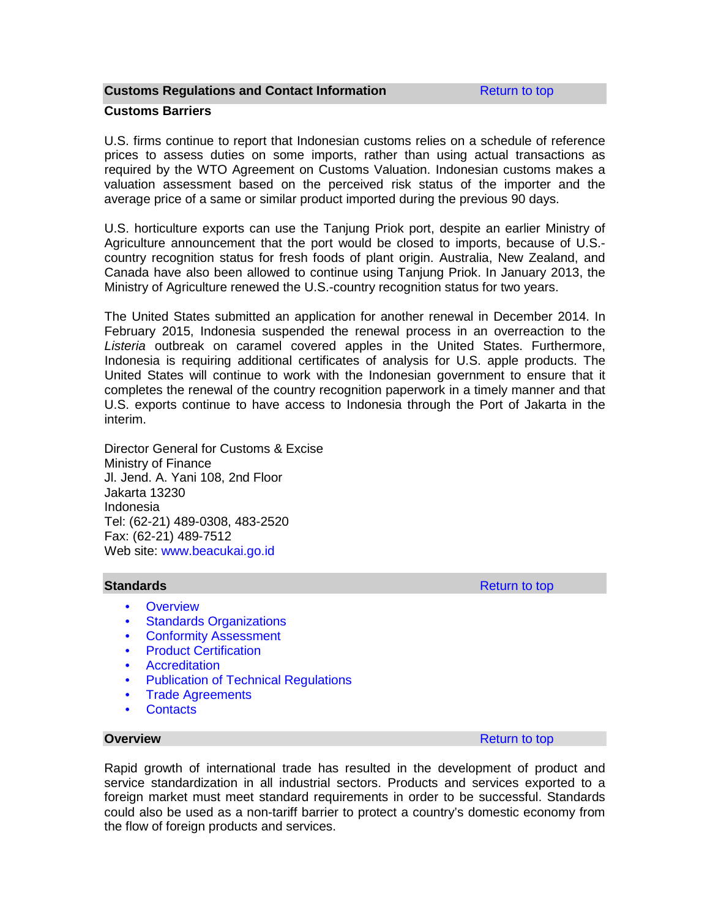#### **Customs Regulations and Contact Information Return to top**

#### **Customs Barriers**

U.S. firms continue to report that Indonesian customs relies on a schedule of reference prices to assess duties on some imports, rather than using actual transactions as required by the WTO Agreement on Customs Valuation. Indonesian customs makes a valuation assessment based on the perceived risk status of the importer and the average price of a same or similar product imported during the previous 90 days.

U.S. horticulture exports can use the Tanjung Priok port, despite an earlier Ministry of Agriculture announcement that the port would be closed to imports, because of U.S. country recognition status for fresh foods of plant origin. Australia, New Zealand, and Canada have also been allowed to continue using Tanjung Priok. In January 2013, the Ministry of Agriculture renewed the U.S.-country recognition status for two years.

The United States submitted an application for another renewal in December 2014. In February 2015, Indonesia suspended the renewal process in an overreaction to the *Listeria* outbreak on caramel covered apples in the United States. Furthermore, Indonesia is requiring additional certificates of analysis for U.S. apple products. The United States will continue to work with the Indonesian government to ensure that it completes the renewal of the country recognition paperwork in a timely manner and that U.S. exports continue to have access to Indonesia through the Port of Jakarta in the interim.

Director General for Customs & Excise Ministry of Finance Jl. Jend. A. Yani 108, 2nd Floor Jakarta 13230 Indonesia Tel: (62-21) 489-0308, 483-2520 Fax: (62-21) 489-7512 Web site: [www.beacukai.go.id](http://www.beacukai.go.id/)

- Overview
- **Standards Organizations**
- Conformity Assessment
- Product Certification
- Accreditation
- Publication of Technical Regulations
- Trade Agreements
- Contacts

**Overview** Return to top **Return to top** 

Rapid growth of international trade has resulted in the development of product and service standardization in all industrial sectors. Products and services exported to a foreign market must meet standard requirements in order to be successful. Standards could also be used as a non-tariff barrier to protect a country's domestic economy from the flow of foreign products and services.

**Standards** Return to top and the state of the state of the state of the Return to top Return to top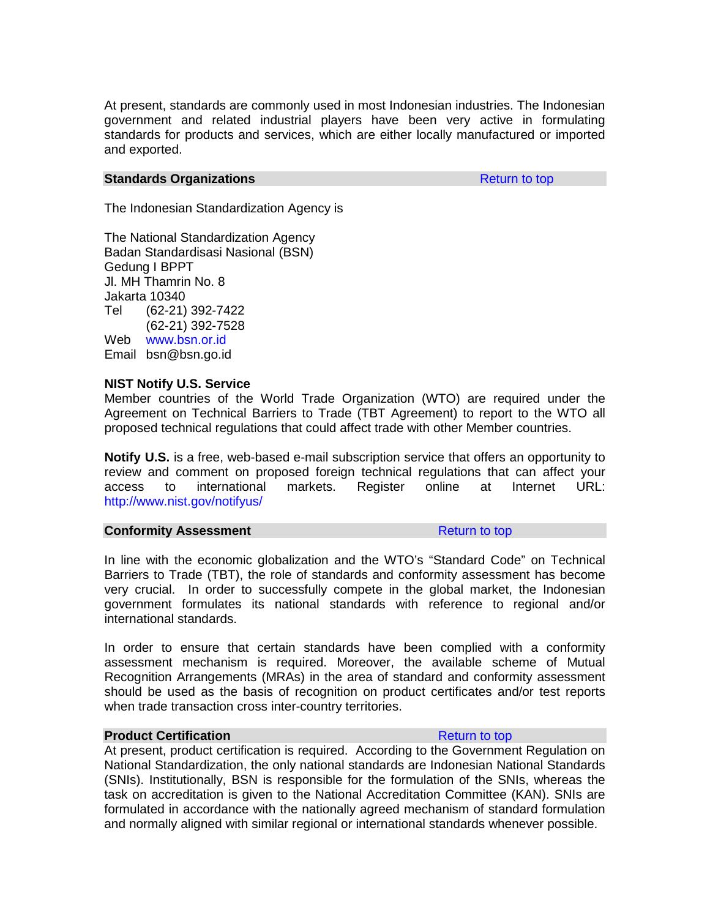At present, standards are commonly used in most Indonesian industries. The Indonesian government and related industrial players have been very active in formulating standards for products and services, which are either locally manufactured or imported and exported.

#### **Standards Organizations Return to top Return to top**

The Indonesian Standardization Agency is

The National Standardization Agency Badan Standardisasi Nasional (BSN) Gedung I BPPT Jl. MH Thamrin No. 8 Jakarta 10340 Tel (62-21) 392-7422 (62-21) 392-7528 Web [www.bsn.or.id](http://www.bsn.or.id/) Email bsn@bsn.go.id

#### **NIST Notify U.S. Service**

Member countries of the World Trade Organization (WTO) are required under the Agreement on Technical Barriers to Trade (TBT Agreement) to report to the WTO all proposed technical regulations that could affect trade with other Member countries.

**Notify U.S.** is a free, web-based e-mail subscription service that offers an opportunity to review and comment on proposed foreign technical regulations that can affect your access to international markets. Register online at Internet URL: [http://www.nist.gov/notifyus/](http://www.nist.gov/notifyus/%0D)

#### **Conformity Assessment Conformity Assessment**

In line with the economic globalization and the WTO's "Standard Code" on Technical Barriers to Trade (TBT), the role of standards and conformity assessment has become very crucial. In order to successfully compete in the global market, the Indonesian government formulates its national standards with reference to regional and/or international standards.

In order to ensure that certain standards have been complied with a conformity assessment mechanism is required. Moreover, the available scheme of Mutual Recognition Arrangements (MRAs) in the area of standard and conformity assessment should be used as the basis of recognition on product certificates and/or test reports when trade transaction cross inter-country territories.

#### **Product Certification Return to top Return to top**

At present, product certification is required. According to the Government Regulation on National Standardization, the only national standards are Indonesian National Standards (SNIs). Institutionally, BSN is responsible for the formulation of the SNIs, whereas the task on accreditation is given to the National Accreditation Committee (KAN). SNIs are formulated in accordance with the nationally agreed mechanism of standard formulation and normally aligned with similar regional or international standards whenever possible.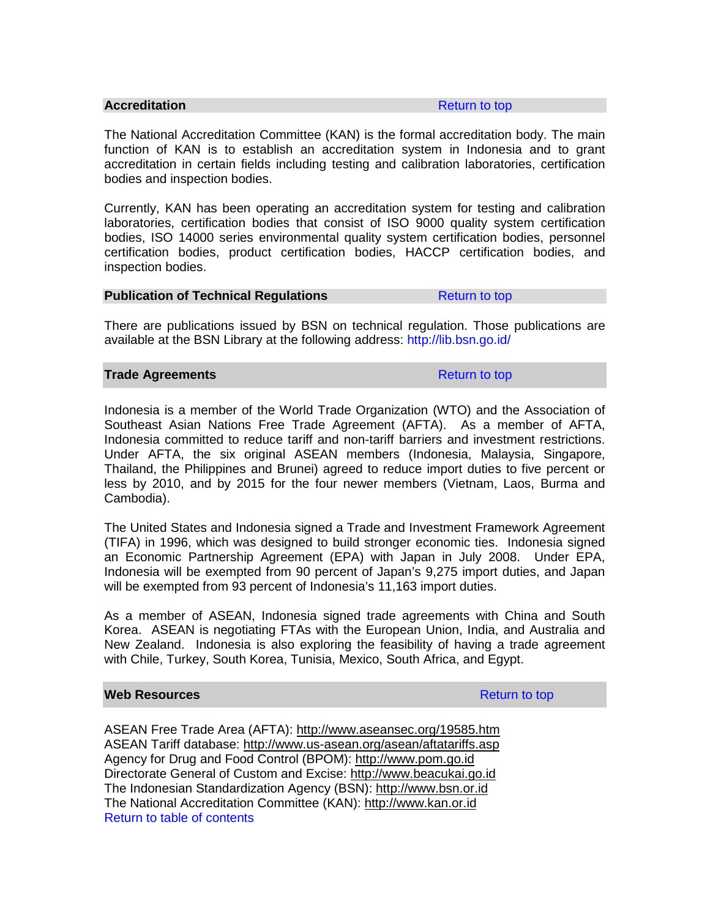#### **Accreditation** Return to top

The National Accreditation Committee (KAN) is the formal accreditation body. The main function of KAN is to establish an accreditation system in Indonesia and to grant accreditation in certain fields including testing and calibration laboratories, certification bodies and inspection bodies.

Currently, KAN has been operating an accreditation system for testing and calibration laboratories, certification bodies that consist of ISO 9000 quality system certification bodies, ISO 14000 series environmental quality system certification bodies, personnel certification bodies, product certification bodies, HACCP certification bodies, and inspection bodies.

#### **Publication of Technical Regulations** Return to top

There are publications issued by BSN on technical regulation. Those publications are available at the BSN Library at the following address: <http://lib.bsn.go.id/>

#### **Trade Agreements Return to top**

Indonesia is a member of the World Trade Organization (WTO) and the Association of Southeast Asian Nations Free Trade Agreement (AFTA). As a member of AFTA, Indonesia committed to reduce tariff and non-tariff barriers and investment restrictions. Under AFTA, the six original ASEAN members (Indonesia, Malaysia, Singapore, Thailand, the Philippines and Brunei) agreed to reduce import duties to five percent or less by 2010, and by 2015 for the four newer members (Vietnam, Laos, Burma and Cambodia).

The United States and Indonesia signed a Trade and Investment Framework Agreement (TIFA) in 1996, which was designed to build stronger economic ties. Indonesia signed an Economic Partnership Agreement (EPA) with Japan in July 2008. Under EPA, Indonesia will be exempted from 90 percent of Japan's 9,275 import duties, and Japan will be exempted from 93 percent of Indonesia's 11,163 import duties.

As a member of ASEAN, Indonesia signed trade agreements with China and South Korea. ASEAN is negotiating FTAs with the European Union, India, and Australia and New Zealand. Indonesia is also exploring the feasibility of having a trade agreement with Chile, Turkey, South Korea, Tunisia, Mexico, South Africa, and Egypt.

## **Web Resources Resources Return to top**

ASEAN Free Trade Area (AFTA): <http://www.aseansec.org/19585.htm> ASEAN Tariff database: <http://www.us-asean.org/asean/aftatariffs.asp> Agency for Drug and Food Control (BPOM): [http://www.pom.go.id](http://www.pom.go.id/) Directorate General of Custom and Excise: [http://www.beacukai.go.id](http://www.beacukai.go.id/) The Indonesian Standardization Agency (BSN): [http://www.bsn.or.id](http://www.bsn.or.id/) The National Accreditation Committee (KAN): [http://www.kan.or.id](http://www.kan.or.id/) Return to table of contents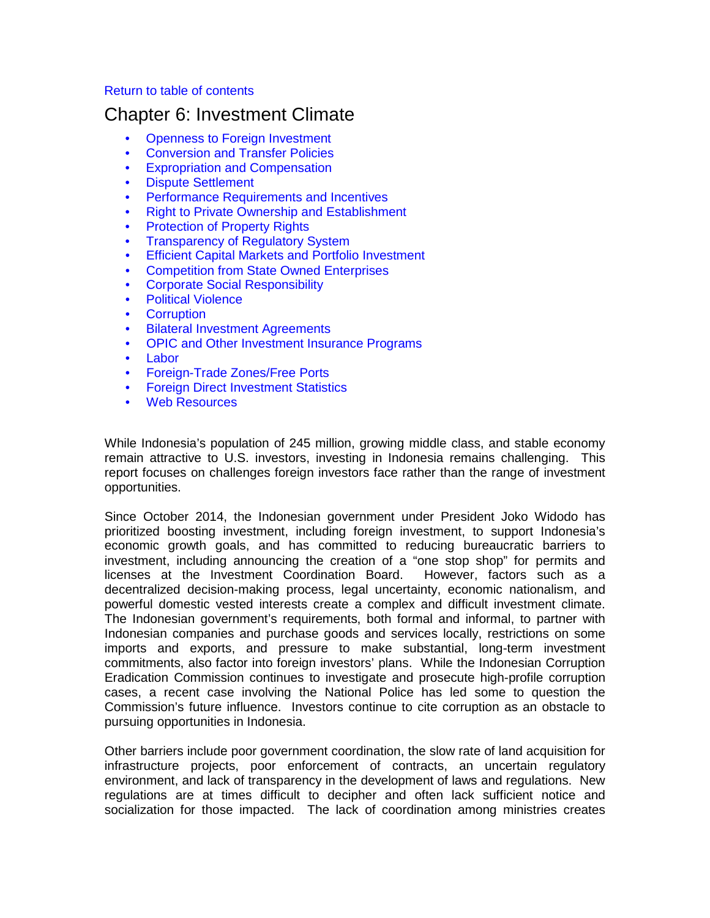#### Return to table of contents

# Chapter 6: Investment Climate

- Openness to Foreign Investment
- Conversion and Transfer Policies
- Expropriation and Compensation
- Dispute Settlement
- Performance Requirements and Incentives
- Right to Private Ownership and Establishment
- **Protection of Property Rights**
- Transparency of Regulatory System
- Efficient Capital Markets and Portfolio Investment
- Competition from State Owned Enterprises
- Corporate Social Responsibility
- Political Violence
- Corruption
- Bilateral Investment Agreements
- OPIC and Other Investment Insurance Programs
- Labor
- Foreign-Trade Zones/Free Ports
- Foreign Direct Investment Statistics
- Web Resources

While Indonesia's population of 245 million, growing middle class, and stable economy remain attractive to U.S. investors, investing in Indonesia remains challenging. This report focuses on challenges foreign investors face rather than the range of investment opportunities.

Since October 2014, the Indonesian government under President Joko Widodo has prioritized boosting investment, including foreign investment, to support Indonesia's economic growth goals, and has committed to reducing bureaucratic barriers to investment, including announcing the creation of a "one stop shop" for permits and licenses at the Investment Coordination Board. However, factors such as a decentralized decision-making process, legal uncertainty, economic nationalism, and powerful domestic vested interests create a complex and difficult investment climate. The Indonesian government's requirements, both formal and informal, to partner with Indonesian companies and purchase goods and services locally, restrictions on some imports and exports, and pressure to make substantial, long-term investment commitments, also factor into foreign investors' plans. While the Indonesian Corruption Eradication Commission continues to investigate and prosecute high-profile corruption cases, a recent case involving the National Police has led some to question the Commission's future influence. Investors continue to cite corruption as an obstacle to pursuing opportunities in Indonesia.

Other barriers include poor government coordination, the slow rate of land acquisition for infrastructure projects, poor enforcement of contracts, an uncertain regulatory environment, and lack of transparency in the development of laws and regulations. New regulations are at times difficult to decipher and often lack sufficient notice and socialization for those impacted. The lack of coordination among ministries creates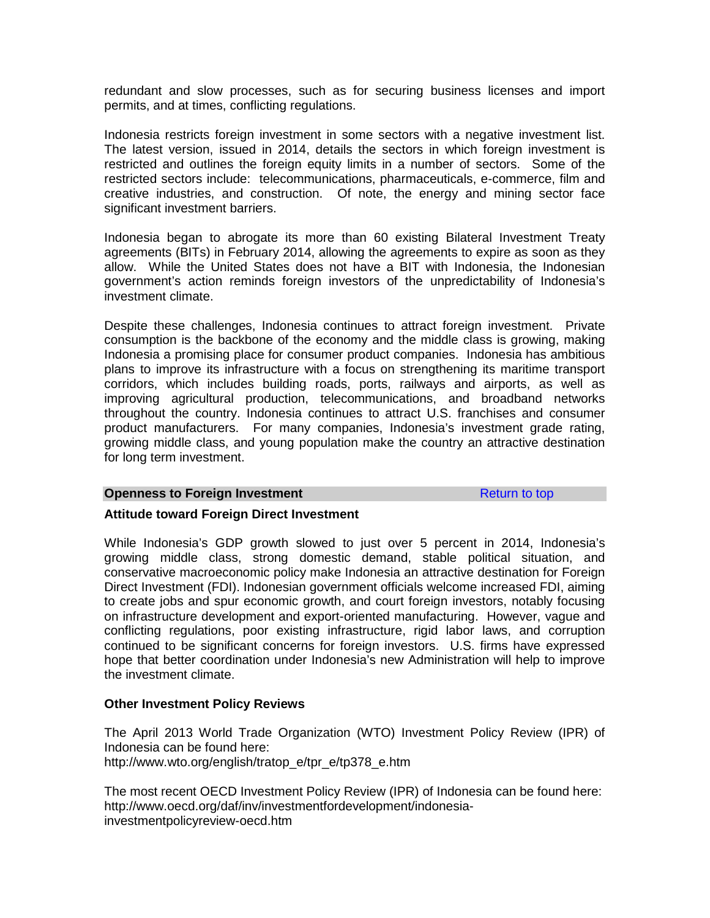redundant and slow processes, such as for securing business licenses and import permits, and at times, conflicting regulations.

Indonesia restricts foreign investment in some sectors with a negative investment list. The latest version, issued in 2014, details the sectors in which foreign investment is restricted and outlines the foreign equity limits in a number of sectors. Some of the restricted sectors include: telecommunications, pharmaceuticals, e-commerce, film and creative industries, and construction. Of note, the energy and mining sector face significant investment barriers.

Indonesia began to abrogate its more than 60 existing Bilateral Investment Treaty agreements (BITs) in February 2014, allowing the agreements to expire as soon as they allow. While the United States does not have a BIT with Indonesia, the Indonesian government's action reminds foreign investors of the unpredictability of Indonesia's investment climate.

Despite these challenges, Indonesia continues to attract foreign investment. Private consumption is the backbone of the economy and the middle class is growing, making Indonesia a promising place for consumer product companies. Indonesia has ambitious plans to improve its infrastructure with a focus on strengthening its maritime transport corridors, which includes building roads, ports, railways and airports, as well as improving agricultural production, telecommunications, and broadband networks throughout the country. Indonesia continues to attract U.S. franchises and consumer product manufacturers. For many companies, Indonesia's investment grade rating, growing middle class, and young population make the country an attractive destination for long term investment.

#### **Openness to Foreign Investment Return to top** Return to top

#### **Attitude toward Foreign Direct Investment**

While Indonesia's GDP growth slowed to just over 5 percent in 2014, Indonesia's growing middle class, strong domestic demand, stable political situation, and conservative macroeconomic policy make Indonesia an attractive destination for Foreign Direct Investment (FDI). Indonesian government officials welcome increased FDI, aiming to create jobs and spur economic growth, and court foreign investors, notably focusing on infrastructure development and export-oriented manufacturing. However, vague and conflicting regulations, poor existing infrastructure, rigid labor laws, and corruption continued to be significant concerns for foreign investors. U.S. firms have expressed hope that better coordination under Indonesia's new Administration will help to improve the investment climate.

#### **Other Investment Policy Reviews**

The April 2013 World Trade Organization (WTO) Investment Policy Review (IPR) of Indonesia can be found here: http://www.wto.org/english/tratop\_e/tpr\_e/tp378\_e.htm

The most recent OECD Investment Policy Review (IPR) of Indonesia can be found here: http://www.oecd.org/daf/inv/investmentfordevelopment/indonesiainvestmentpolicyreview-oecd.htm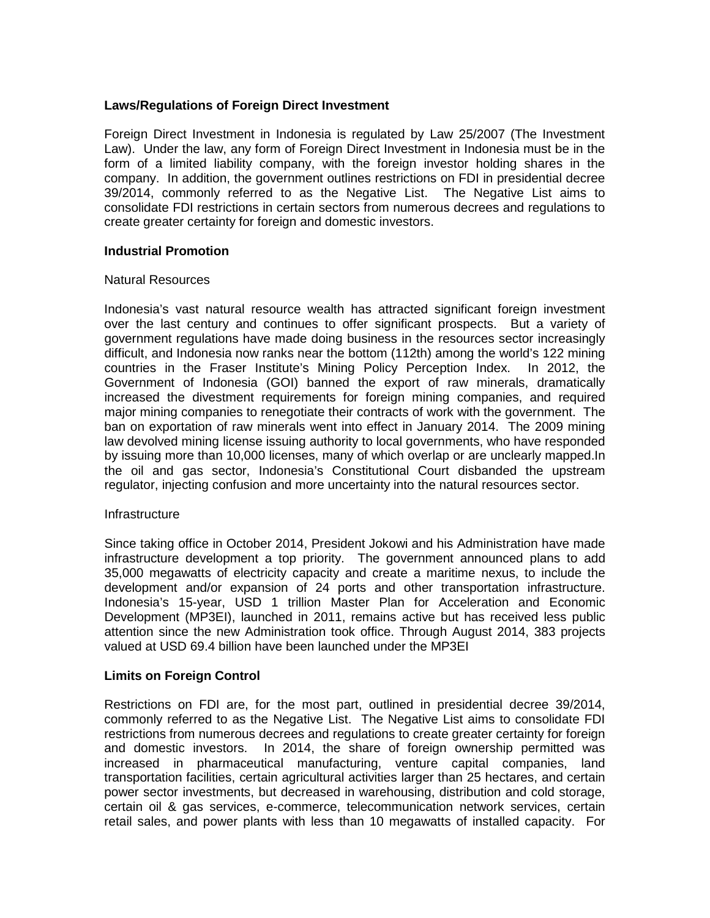## **Laws/Regulations of Foreign Direct Investment**

Foreign Direct Investment in Indonesia is regulated by Law 25/2007 (The Investment Law). Under the law, any form of Foreign Direct Investment in Indonesia must be in the form of a limited liability company, with the foreign investor holding shares in the company. In addition, the government outlines restrictions on FDI in presidential decree 39/2014, commonly referred to as the Negative List. The Negative List aims to consolidate FDI restrictions in certain sectors from numerous decrees and regulations to create greater certainty for foreign and domestic investors.

## **Industrial Promotion**

#### Natural Resources

Indonesia's vast natural resource wealth has attracted significant foreign investment over the last century and continues to offer significant prospects. But a variety of government regulations have made doing business in the resources sector increasingly difficult, and Indonesia now ranks near the bottom (112th) among the world's 122 mining countries in the Fraser Institute's Mining Policy Perception Index. In 2012, the Government of Indonesia (GOI) banned the export of raw minerals, dramatically increased the divestment requirements for foreign mining companies, and required major mining companies to renegotiate their contracts of work with the government. The ban on exportation of raw minerals went into effect in January 2014. The 2009 mining law devolved mining license issuing authority to local governments, who have responded by issuing more than 10,000 licenses, many of which overlap or are unclearly mapped.In the oil and gas sector, Indonesia's Constitutional Court disbanded the upstream regulator, injecting confusion and more uncertainty into the natural resources sector.

#### **Infrastructure**

Since taking office in October 2014, President Jokowi and his Administration have made infrastructure development a top priority. The government announced plans to add 35,000 megawatts of electricity capacity and create a maritime nexus, to include the development and/or expansion of 24 ports and other transportation infrastructure. Indonesia's 15-year, USD 1 trillion Master Plan for Acceleration and Economic Development (MP3EI), launched in 2011, remains active but has received less public attention since the new Administration took office. Through August 2014, 383 projects valued at USD 69.4 billion have been launched under the MP3EI

# **Limits on Foreign Control**

Restrictions on FDI are, for the most part, outlined in presidential decree 39/2014, commonly referred to as the Negative List. The Negative List aims to consolidate FDI restrictions from numerous decrees and regulations to create greater certainty for foreign and domestic investors. In 2014, the share of foreign ownership permitted was increased in pharmaceutical manufacturing, venture capital companies, land transportation facilities, certain agricultural activities larger than 25 hectares, and certain power sector investments, but decreased in warehousing, distribution and cold storage, certain oil & gas services, e-commerce, telecommunication network services, certain retail sales, and power plants with less than 10 megawatts of installed capacity. For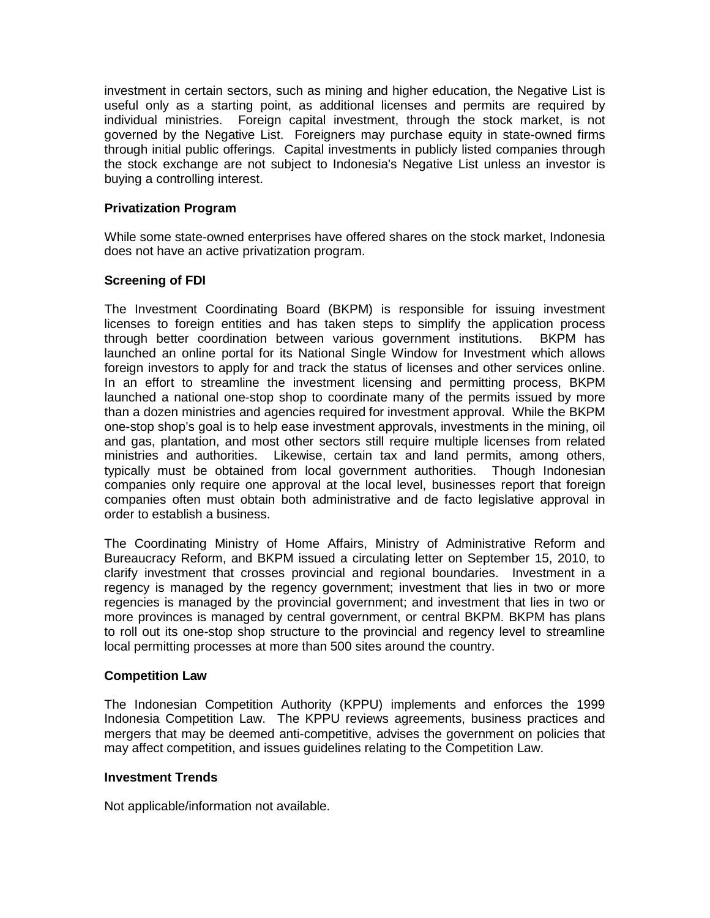investment in certain sectors, such as mining and higher education, the Negative List is useful only as a starting point, as additional licenses and permits are required by individual ministries. Foreign capital investment, through the stock market, is not governed by the Negative List. Foreigners may purchase equity in state-owned firms through initial public offerings. Capital investments in publicly listed companies through the stock exchange are not subject to Indonesia's Negative List unless an investor is buying a controlling interest.

# **Privatization Program**

While some state-owned enterprises have offered shares on the stock market, Indonesia does not have an active privatization program.

# **Screening of FDI**

The Investment Coordinating Board (BKPM) is responsible for issuing investment licenses to foreign entities and has taken steps to simplify the application process through better coordination between various government institutions. BKPM has launched an online portal for its National Single Window for Investment which allows foreign investors to apply for and track the status of licenses and other services online. In an effort to streamline the investment licensing and permitting process, BKPM launched a national one-stop shop to coordinate many of the permits issued by more than a dozen ministries and agencies required for investment approval. While the BKPM one-stop shop's goal is to help ease investment approvals, investments in the mining, oil and gas, plantation, and most other sectors still require multiple licenses from related ministries and authorities. Likewise, certain tax and land permits, among others, typically must be obtained from local government authorities. Though Indonesian companies only require one approval at the local level, businesses report that foreign companies often must obtain both administrative and de facto legislative approval in order to establish a business.

The Coordinating Ministry of Home Affairs, Ministry of Administrative Reform and Bureaucracy Reform, and BKPM issued a circulating letter on September 15, 2010, to clarify investment that crosses provincial and regional boundaries. Investment in a regency is managed by the regency government; investment that lies in two or more regencies is managed by the provincial government; and investment that lies in two or more provinces is managed by central government, or central BKPM. BKPM has plans to roll out its one-stop shop structure to the provincial and regency level to streamline local permitting processes at more than 500 sites around the country.

# **Competition Law**

The Indonesian Competition Authority (KPPU) implements and enforces the 1999 Indonesia Competition Law. The KPPU reviews agreements, business practices and mergers that may be deemed anti-competitive, advises the government on policies that may affect competition, and issues guidelines relating to the Competition Law.

# **Investment Trends**

Not applicable/information not available.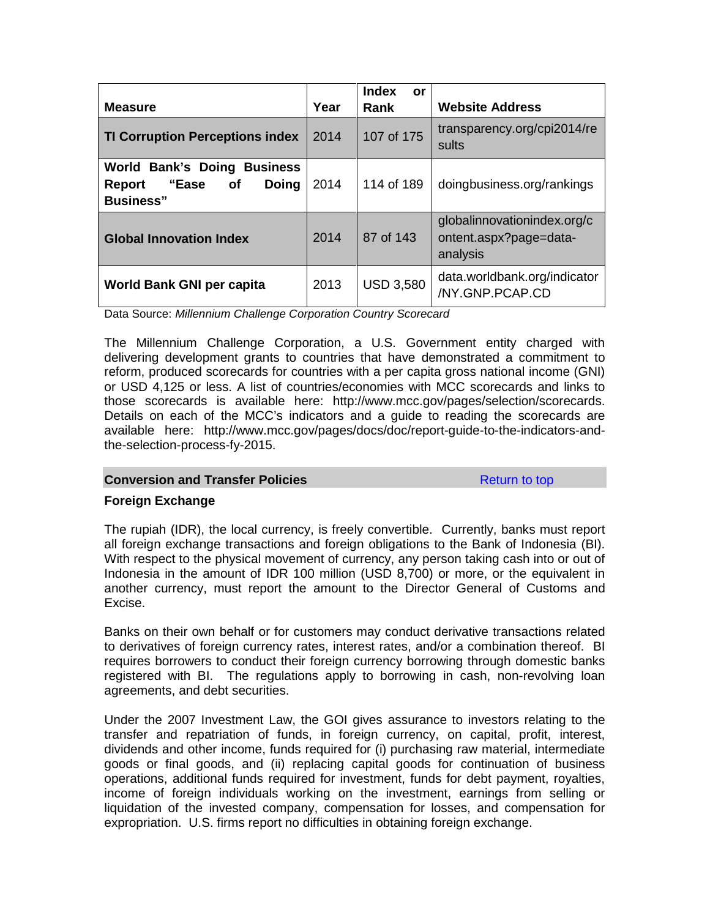| <b>Measure</b>                                                                                          | Year | <b>Index</b><br>or<br><b>Rank</b> | <b>Website Address</b>                                            |
|---------------------------------------------------------------------------------------------------------|------|-----------------------------------|-------------------------------------------------------------------|
| <b>TI Corruption Perceptions index</b>                                                                  | 2014 | 107 of 175                        | transparency.org/cpi2014/re<br>sults                              |
| <b>World Bank's Doing Business</b><br>"Ease<br>Doing<br><b>of</b><br><b>Report</b><br><b>Business</b> " | 2014 | 114 of 189                        | doingbusiness.org/rankings                                        |
| <b>Global Innovation Index</b>                                                                          | 2014 | 87 of 143                         | globalinnovationindex.org/c<br>ontent.aspx?page=data-<br>analysis |
| <b>World Bank GNI per capita</b>                                                                        | 2013 | <b>USD 3,580</b>                  | data.worldbank.org/indicator<br>/NY.GNP.PCAP.CD                   |

Data Source: *Millennium Challenge Corporation Country Scorecard*

The Millennium Challenge Corporation, a U.S. Government entity charged with delivering development grants to countries that have demonstrated a commitment to reform, produced scorecards for countries with a per capita gross national income (GNI) or USD 4,125 or less. A list of countries/economies with MCC scorecards and links to those scorecards is available here: http://www.mcc.gov/pages/selection/scorecards. Details on each of the MCC's indicators and a guide to reading the scorecards are available here: http://www.mcc.gov/pages/docs/doc/report-guide-to-the-indicators-andthe-selection-process-fy-2015.

# **Conversion and Transfer Policies** Return to top

# **Foreign Exchange**

The rupiah (IDR), the local currency, is freely convertible. Currently, banks must report all foreign exchange transactions and foreign obligations to the Bank of Indonesia (BI). With respect to the physical movement of currency, any person taking cash into or out of Indonesia in the amount of IDR 100 million (USD 8,700) or more, or the equivalent in another currency, must report the amount to the Director General of Customs and Excise.

Banks on their own behalf or for customers may conduct derivative transactions related to derivatives of foreign currency rates, interest rates, and/or a combination thereof. BI requires borrowers to conduct their foreign currency borrowing through domestic banks registered with BI. The regulations apply to borrowing in cash, non-revolving loan agreements, and debt securities.

Under the 2007 Investment Law, the GOI gives assurance to investors relating to the transfer and repatriation of funds, in foreign currency, on capital, profit, interest, dividends and other income, funds required for (i) purchasing raw material, intermediate goods or final goods, and (ii) replacing capital goods for continuation of business operations, additional funds required for investment, funds for debt payment, royalties, income of foreign individuals working on the investment, earnings from selling or liquidation of the invested company, compensation for losses, and compensation for expropriation. U.S. firms report no difficulties in obtaining foreign exchange.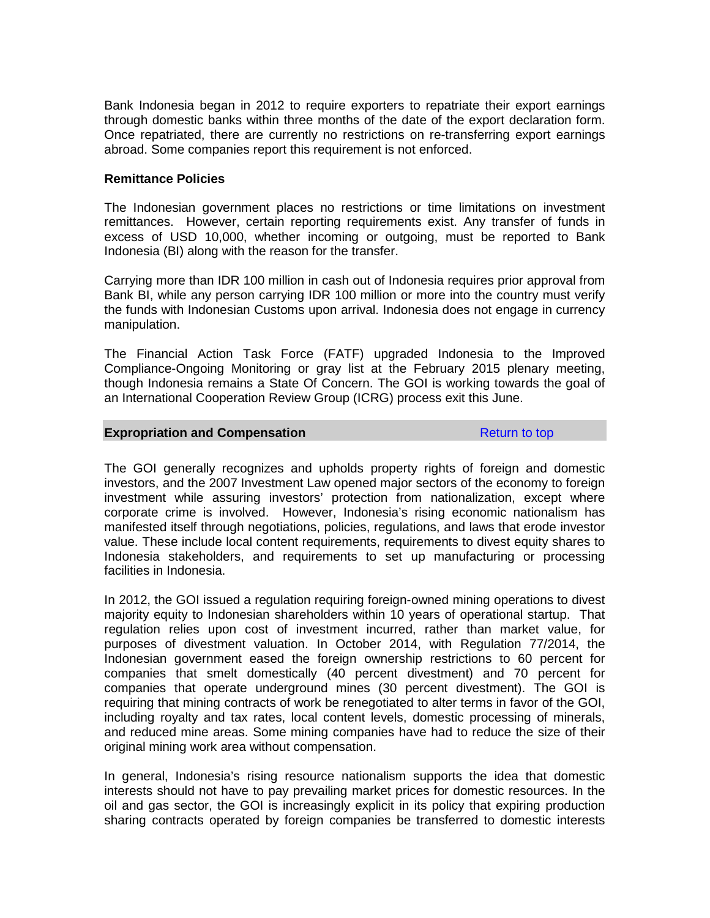Bank Indonesia began in 2012 to require exporters to repatriate their export earnings through domestic banks within three months of the date of the export declaration form. Once repatriated, there are currently no restrictions on re-transferring export earnings abroad. Some companies report this requirement is not enforced.

#### **Remittance Policies**

The Indonesian government places no restrictions or time limitations on investment remittances. However, certain reporting requirements exist. Any transfer of funds in excess of USD 10,000, whether incoming or outgoing, must be reported to Bank Indonesia (BI) along with the reason for the transfer.

Carrying more than IDR 100 million in cash out of Indonesia requires prior approval from Bank BI, while any person carrying IDR 100 million or more into the country must verify the funds with Indonesian Customs upon arrival. Indonesia does not engage in currency manipulation.

The Financial Action Task Force (FATF) upgraded Indonesia to the Improved Compliance-Ongoing Monitoring or gray list at the February 2015 plenary meeting, though Indonesia remains a State Of Concern. The GOI is working towards the goal of an International Cooperation Review Group (ICRG) process exit this June.

#### **Expropriation and Compensation Return to top** Return to top

The GOI generally recognizes and upholds property rights of foreign and domestic investors, and the 2007 Investment Law opened major sectors of the economy to foreign investment while assuring investors' protection from nationalization, except where corporate crime is involved. However, Indonesia's rising economic nationalism has manifested itself through negotiations, policies, regulations, and laws that erode investor value. These include local content requirements, requirements to divest equity shares to Indonesia stakeholders, and requirements to set up manufacturing or processing facilities in Indonesia.

In 2012, the GOI issued a regulation requiring foreign-owned mining operations to divest majority equity to Indonesian shareholders within 10 years of operational startup. That regulation relies upon cost of investment incurred, rather than market value, for purposes of divestment valuation. In October 2014, with Regulation 77/2014, the Indonesian government eased the foreign ownership restrictions to 60 percent for companies that smelt domestically (40 percent divestment) and 70 percent for companies that operate underground mines (30 percent divestment). The GOI is requiring that mining contracts of work be renegotiated to alter terms in favor of the GOI, including royalty and tax rates, local content levels, domestic processing of minerals, and reduced mine areas. Some mining companies have had to reduce the size of their original mining work area without compensation.

In general, Indonesia's rising resource nationalism supports the idea that domestic interests should not have to pay prevailing market prices for domestic resources. In the oil and gas sector, the GOI is increasingly explicit in its policy that expiring production sharing contracts operated by foreign companies be transferred to domestic interests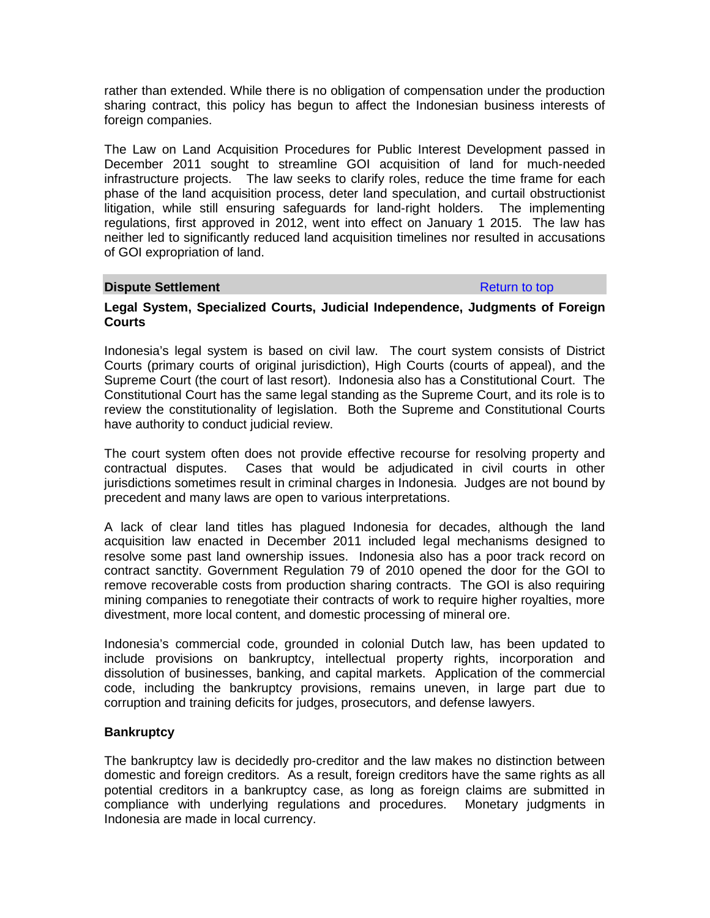rather than extended. While there is no obligation of compensation under the production sharing contract, this policy has begun to affect the Indonesian business interests of foreign companies.

The Law on Land Acquisition Procedures for Public Interest Development passed in December 2011 sought to streamline GOI acquisition of land for much-needed infrastructure projects. The law seeks to clarify roles, reduce the time frame for each phase of the land acquisition process, deter land speculation, and curtail obstructionist litigation, while still ensuring safeguards for land-right holders. The implementing regulations, first approved in 2012, went into effect on January 1 2015. The law has neither led to significantly reduced land acquisition timelines nor resulted in accusations of GOI expropriation of land.

## **Dispute Settlement Return to top**

#### **Legal System, Specialized Courts, Judicial Independence, Judgments of Foreign Courts**

Indonesia's legal system is based on civil law. The court system consists of District Courts (primary courts of original jurisdiction), High Courts (courts of appeal), and the Supreme Court (the court of last resort). Indonesia also has a Constitutional Court. The Constitutional Court has the same legal standing as the Supreme Court, and its role is to review the constitutionality of legislation. Both the Supreme and Constitutional Courts have authority to conduct judicial review.

The court system often does not provide effective recourse for resolving property and contractual disputes. Cases that would be adjudicated in civil courts in other jurisdictions sometimes result in criminal charges in Indonesia. Judges are not bound by precedent and many laws are open to various interpretations.

A lack of clear land titles has plagued Indonesia for decades, although the land acquisition law enacted in December 2011 included legal mechanisms designed to resolve some past land ownership issues. Indonesia also has a poor track record on contract sanctity. Government Regulation 79 of 2010 opened the door for the GOI to remove recoverable costs from production sharing contracts. The GOI is also requiring mining companies to renegotiate their contracts of work to require higher royalties, more divestment, more local content, and domestic processing of mineral ore.

Indonesia's commercial code, grounded in colonial Dutch law, has been updated to include provisions on bankruptcy, intellectual property rights, incorporation and dissolution of businesses, banking, and capital markets. Application of the commercial code, including the bankruptcy provisions, remains uneven, in large part due to corruption and training deficits for judges, prosecutors, and defense lawyers.

# **Bankruptcy**

The bankruptcy law is decidedly pro-creditor and the law makes no distinction between domestic and foreign creditors. As a result, foreign creditors have the same rights as all potential creditors in a bankruptcy case, as long as foreign claims are submitted in compliance with underlying regulations and procedures. Monetary judgments in Indonesia are made in local currency.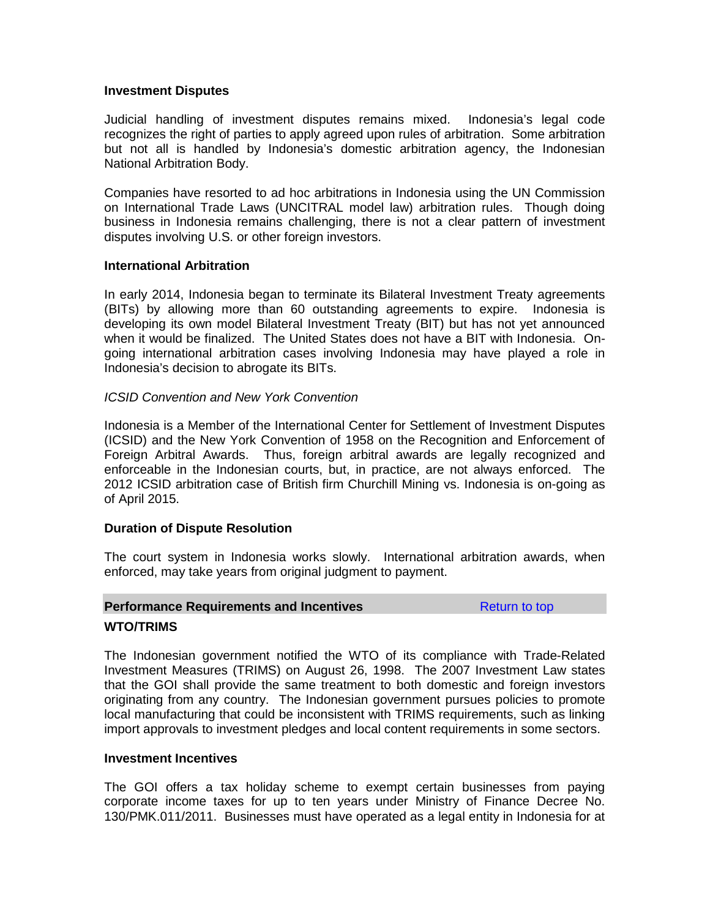#### **Investment Disputes**

Judicial handling of investment disputes remains mixed. Indonesia's legal code recognizes the right of parties to apply agreed upon rules of arbitration. Some arbitration but not all is handled by Indonesia's domestic arbitration agency, the Indonesian National Arbitration Body.

Companies have resorted to ad hoc arbitrations in Indonesia using the UN Commission on International Trade Laws (UNCITRAL model law) arbitration rules. Though doing business in Indonesia remains challenging, there is not a clear pattern of investment disputes involving U.S. or other foreign investors.

## **International Arbitration**

In early 2014, Indonesia began to terminate its Bilateral Investment Treaty agreements (BITs) by allowing more than 60 outstanding agreements to expire. Indonesia is developing its own model Bilateral Investment Treaty (BIT) but has not yet announced when it would be finalized. The United States does not have a BIT with Indonesia. Ongoing international arbitration cases involving Indonesia may have played a role in Indonesia's decision to abrogate its BITs.

# *ICSID Convention and New York Convention*

Indonesia is a Member of the International Center for Settlement of Investment Disputes (ICSID) and the New York Convention of 1958 on the Recognition and Enforcement of Foreign Arbitral Awards. Thus, foreign arbitral awards are legally recognized and enforceable in the Indonesian courts, but, in practice, are not always enforced. The 2012 ICSID arbitration case of British firm Churchill Mining vs. Indonesia is on-going as of April 2015.

# **Duration of Dispute Resolution**

The court system in Indonesia works slowly. International arbitration awards, when enforced, may take years from original judgment to payment.

#### **Performance Requirements and Incentives Return is a Return to top**

# **WTO/TRIMS**

The Indonesian government notified the WTO of its compliance with Trade-Related Investment Measures (TRIMS) on August 26, 1998. The 2007 Investment Law states that the GOI shall provide the same treatment to both domestic and foreign investors originating from any country. The Indonesian government pursues policies to promote local manufacturing that could be inconsistent with TRIMS requirements, such as linking import approvals to investment pledges and local content requirements in some sectors.

#### **Investment Incentives**

The GOI offers a tax holiday scheme to exempt certain businesses from paying corporate income taxes for up to ten years under Ministry of Finance Decree No. 130/PMK.011/2011. Businesses must have operated as a legal entity in Indonesia for at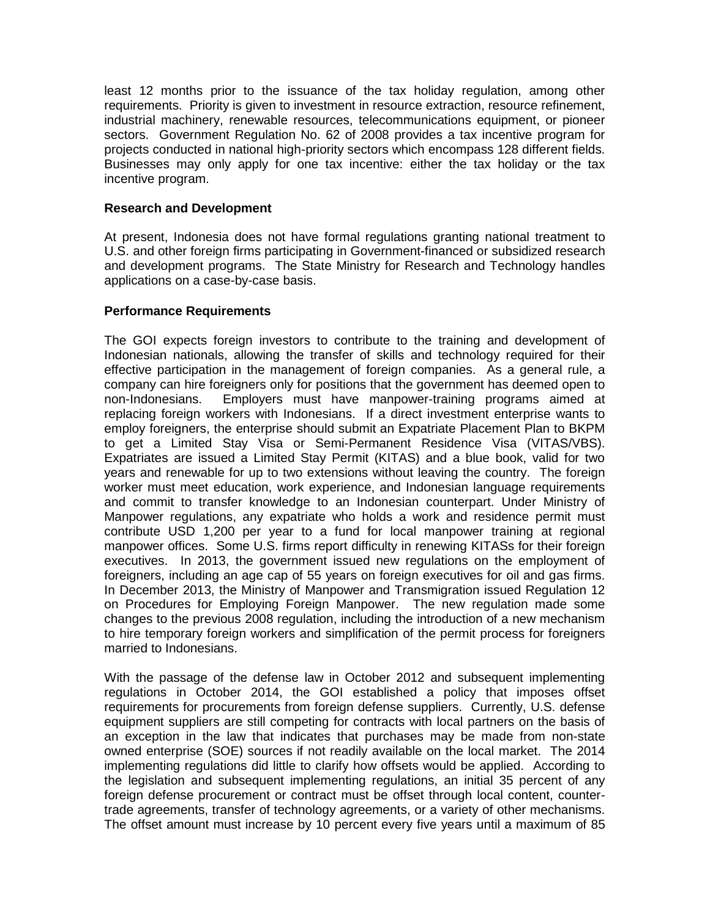least 12 months prior to the issuance of the tax holiday regulation, among other requirements. Priority is given to investment in resource extraction, resource refinement, industrial machinery, renewable resources, telecommunications equipment, or pioneer sectors. Government Regulation No. 62 of 2008 provides a tax incentive program for projects conducted in national high-priority sectors which encompass 128 different fields. Businesses may only apply for one tax incentive: either the tax holiday or the tax incentive program.

# **Research and Development**

At present, Indonesia does not have formal regulations granting national treatment to U.S. and other foreign firms participating in Government-financed or subsidized research and development programs. The State Ministry for Research and Technology handles applications on a case-by-case basis.

#### **Performance Requirements**

The GOI expects foreign investors to contribute to the training and development of Indonesian nationals, allowing the transfer of skills and technology required for their effective participation in the management of foreign companies. As a general rule, a company can hire foreigners only for positions that the government has deemed open to non-Indonesians. Employers must have manpower-training programs aimed at replacing foreign workers with Indonesians. If a direct investment enterprise wants to employ foreigners, the enterprise should submit an Expatriate Placement Plan to BKPM to get a Limited Stay Visa or Semi-Permanent Residence Visa (VITAS/VBS). Expatriates are issued a Limited Stay Permit (KITAS) and a blue book, valid for two years and renewable for up to two extensions without leaving the country. The foreign worker must meet education, work experience, and Indonesian language requirements and commit to transfer knowledge to an Indonesian counterpart. Under Ministry of Manpower regulations, any expatriate who holds a work and residence permit must contribute USD 1,200 per year to a fund for local manpower training at regional manpower offices. Some U.S. firms report difficulty in renewing KITASs for their foreign executives. In 2013, the government issued new regulations on the employment of foreigners, including an age cap of 55 years on foreign executives for oil and gas firms. In December 2013, the Ministry of Manpower and Transmigration issued Regulation 12 on Procedures for Employing Foreign Manpower. The new regulation made some changes to the previous 2008 regulation, including the introduction of a new mechanism to hire temporary foreign workers and simplification of the permit process for foreigners married to Indonesians.

With the passage of the defense law in October 2012 and subsequent implementing regulations in October 2014, the GOI established a policy that imposes offset requirements for procurements from foreign defense suppliers. Currently, U.S. defense equipment suppliers are still competing for contracts with local partners on the basis of an exception in the law that indicates that purchases may be made from non-state owned enterprise (SOE) sources if not readily available on the local market. The 2014 implementing regulations did little to clarify how offsets would be applied. According to the legislation and subsequent implementing regulations, an initial 35 percent of any foreign defense procurement or contract must be offset through local content, countertrade agreements, transfer of technology agreements, or a variety of other mechanisms. The offset amount must increase by 10 percent every five years until a maximum of 85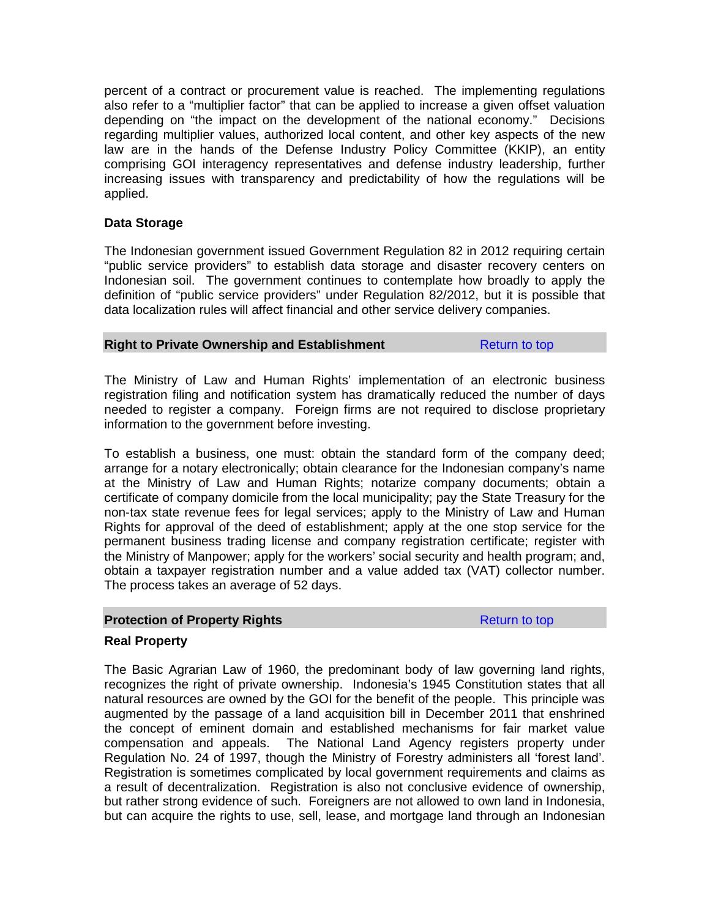percent of a contract or procurement value is reached. The implementing regulations also refer to a "multiplier factor" that can be applied to increase a given offset valuation depending on "the impact on the development of the national economy." Decisions regarding multiplier values, authorized local content, and other key aspects of the new law are in the hands of the Defense Industry Policy Committee (KKIP), an entity comprising GOI interagency representatives and defense industry leadership, further increasing issues with transparency and predictability of how the regulations will be applied.

# **Data Storage**

The Indonesian government issued Government Regulation 82 in 2012 requiring certain "public service providers" to establish data storage and disaster recovery centers on Indonesian soil. The government continues to contemplate how broadly to apply the definition of "public service providers" under Regulation 82/2012, but it is possible that data localization rules will affect financial and other service delivery companies.

# **Right to Private Ownership and Establishment** Return to top

The Ministry of Law and Human Rights' implementation of an electronic business registration filing and notification system has dramatically reduced the number of days needed to register a company. Foreign firms are not required to disclose proprietary information to the government before investing.

To establish a business, one must: obtain the standard form of the company deed; arrange for a notary electronically; obtain clearance for the Indonesian company's name at the Ministry of Law and Human Rights; notarize company documents; obtain a certificate of company domicile from the local municipality; pay the State Treasury for the non-tax state revenue fees for legal services; apply to the Ministry of Law and Human Rights for approval of the deed of establishment; apply at the one stop service for the permanent business trading license and company registration certificate; register with the Ministry of Manpower; apply for the workers' social security and health program; and, obtain a taxpayer registration number and a value added tax (VAT) collector number. The process takes an average of 52 days.

#### **Protection of Property Rights Return to top Return to top**

# **Real Property**

The Basic Agrarian Law of 1960, the predominant body of law governing land rights, recognizes the right of private ownership. Indonesia's 1945 Constitution states that all natural resources are owned by the GOI for the benefit of the people. This principle was augmented by the passage of a land acquisition bill in December 2011 that enshrined the concept of eminent domain and established mechanisms for fair market value compensation and appeals. The National Land Agency registers property under Regulation No. 24 of 1997, though the Ministry of Forestry administers all 'forest land'. Registration is sometimes complicated by local government requirements and claims as a result of decentralization. Registration is also not conclusive evidence of ownership, but rather strong evidence of such. Foreigners are not allowed to own land in Indonesia, but can acquire the rights to use, sell, lease, and mortgage land through an Indonesian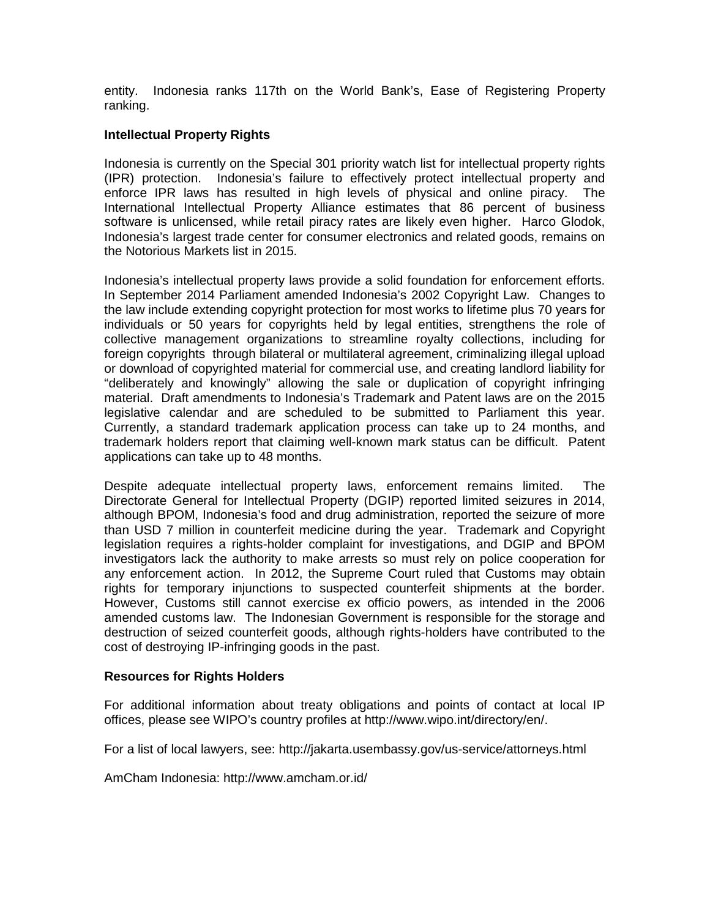entity. Indonesia ranks 117th on the World Bank's, Ease of Registering Property ranking.

# **Intellectual Property Rights**

Indonesia is currently on the Special 301 priority watch list for intellectual property rights (IPR) protection. Indonesia's failure to effectively protect intellectual property and enforce IPR laws has resulted in high levels of physical and online piracy. The International Intellectual Property Alliance estimates that 86 percent of business software is unlicensed, while retail piracy rates are likely even higher. Harco Glodok, Indonesia's largest trade center for consumer electronics and related goods, remains on the Notorious Markets list in 2015.

Indonesia's intellectual property laws provide a solid foundation for enforcement efforts. In September 2014 Parliament amended Indonesia's 2002 Copyright Law. Changes to the law include extending copyright protection for most works to lifetime plus 70 years for individuals or 50 years for copyrights held by legal entities, strengthens the role of collective management organizations to streamline royalty collections, including for foreign copyrights through bilateral or multilateral agreement, criminalizing illegal upload or download of copyrighted material for commercial use, and creating landlord liability for "deliberately and knowingly" allowing the sale or duplication of copyright infringing material. Draft amendments to Indonesia's Trademark and Patent laws are on the 2015 legislative calendar and are scheduled to be submitted to Parliament this year. Currently, a standard trademark application process can take up to 24 months, and trademark holders report that claiming well-known mark status can be difficult. Patent applications can take up to 48 months.

Despite adequate intellectual property laws, enforcement remains limited. The Directorate General for Intellectual Property (DGIP) reported limited seizures in 2014, although BPOM, Indonesia's food and drug administration, reported the seizure of more than USD 7 million in counterfeit medicine during the year. Trademark and Copyright legislation requires a rights-holder complaint for investigations, and DGIP and BPOM investigators lack the authority to make arrests so must rely on police cooperation for any enforcement action. In 2012, the Supreme Court ruled that Customs may obtain rights for temporary injunctions to suspected counterfeit shipments at the border. However, Customs still cannot exercise ex officio powers, as intended in the 2006 amended customs law. The Indonesian Government is responsible for the storage and destruction of seized counterfeit goods, although rights-holders have contributed to the cost of destroying IP-infringing goods in the past.

#### **Resources for Rights Holders**

For additional information about treaty obligations and points of contact at local IP offices, please see WIPO's country profiles at [http://www.wipo.int/directory/en/.](http://www.wipo.int/directory/en/)

For a list of local lawyers, see:<http://jakarta.usembassy.gov/us-service/attorneys.html>

AmCham Indonesia: http://www.amcham.or.id/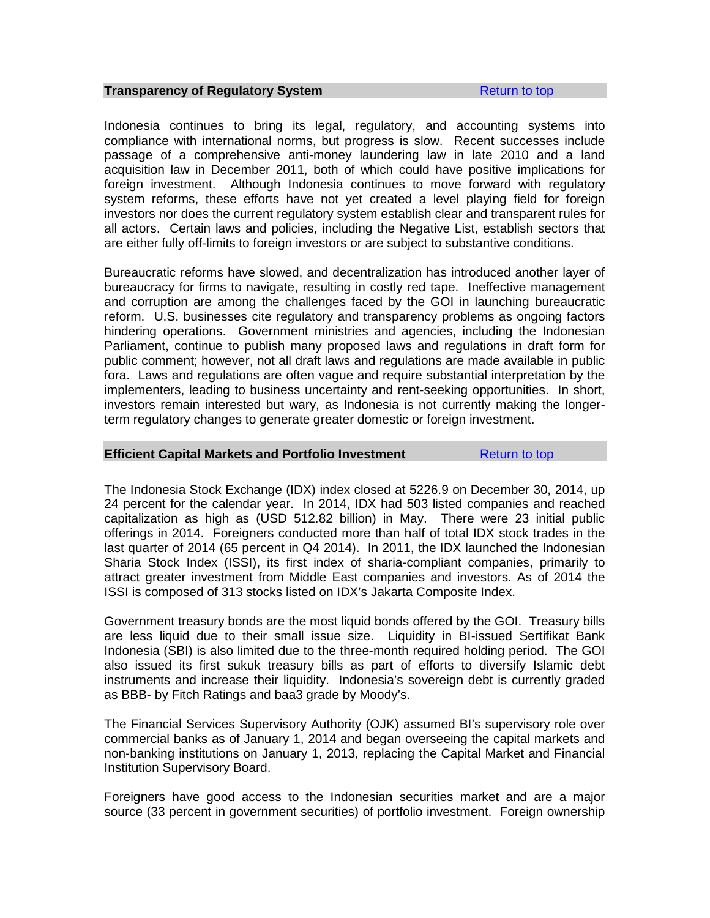#### **Transparency of Requiatory System Refull and System** Return to top

Indonesia continues to bring its legal, regulatory, and accounting systems into compliance with international norms, but progress is slow. Recent successes include passage of a comprehensive anti-money laundering law in late 2010 and a land acquisition law in December 2011, both of which could have positive implications for foreign investment. Although Indonesia continues to move forward with regulatory system reforms, these efforts have not yet created a level playing field for foreign investors nor does the current regulatory system establish clear and transparent rules for all actors. Certain laws and policies, including the Negative List, establish sectors that are either fully off-limits to foreign investors or are subject to substantive conditions.

Bureaucratic reforms have slowed, and decentralization has introduced another layer of bureaucracy for firms to navigate, resulting in costly red tape. Ineffective management and corruption are among the challenges faced by the GOI in launching bureaucratic reform. U.S. businesses cite regulatory and transparency problems as ongoing factors hindering operations. Government ministries and agencies, including the Indonesian Parliament, continue to publish many proposed laws and regulations in draft form for public comment; however, not all draft laws and regulations are made available in public fora. Laws and regulations are often vague and require substantial interpretation by the implementers, leading to business uncertainty and rent-seeking opportunities. In short, investors remain interested but wary, as Indonesia is not currently making the longerterm regulatory changes to generate greater domestic or foreign investment.

#### **Efficient Capital Markets and Portfolio Investment** Return to top

The Indonesia Stock Exchange (IDX) index closed at 5226.9 on December 30, 2014, up 24 percent for the calendar year. In 2014, IDX had 503 listed companies and reached capitalization as high as (USD 512.82 billion) in May. There were 23 initial public offerings in 2014. Foreigners conducted more than half of total IDX stock trades in the last quarter of 2014 (65 percent in Q4 2014). In 2011, the IDX launched the Indonesian Sharia Stock Index (ISSI), its first index of sharia-compliant companies, primarily to attract greater investment from Middle East companies and investors. As of 2014 the ISSI is composed of 313 stocks listed on IDX's Jakarta Composite Index.

Government treasury bonds are the most liquid bonds offered by the GOI. Treasury bills are less liquid due to their small issue size. Liquidity in BI-issued Sertifikat Bank Indonesia (SBI) is also limited due to the three-month required holding period. The GOI also issued its first sukuk treasury bills as part of efforts to diversify Islamic debt instruments and increase their liquidity. Indonesia's sovereign debt is currently graded as BBB- by Fitch Ratings and baa3 grade by Moody's.

The Financial Services Supervisory Authority (OJK) assumed BI's supervisory role over commercial banks as of January 1, 2014 and began overseeing the capital markets and non-banking institutions on January 1, 2013, replacing the Capital Market and Financial Institution Supervisory Board.

Foreigners have good access to the Indonesian securities market and are a major source (33 percent in government securities) of portfolio investment. Foreign ownership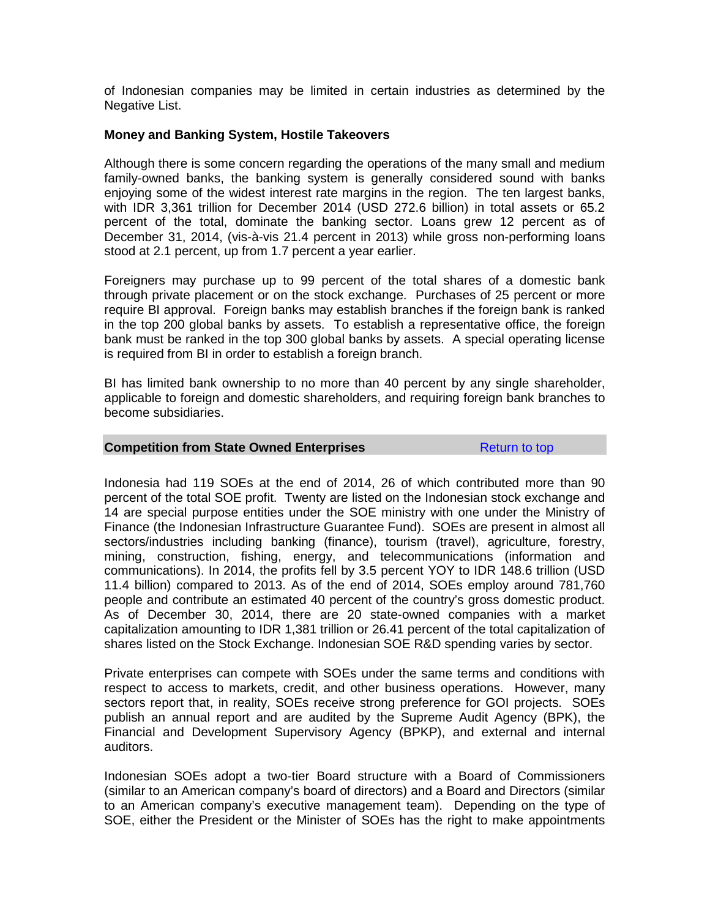of Indonesian companies may be limited in certain industries as determined by the Negative List.

#### **Money and Banking System, Hostile Takeovers**

Although there is some concern regarding the operations of the many small and medium family-owned banks, the banking system is generally considered sound with banks enjoying some of the widest interest rate margins in the region. The ten largest banks, with IDR 3,361 trillion for December 2014 (USD 272.6 billion) in total assets or 65.2 percent of the total, dominate the banking sector. Loans grew 12 percent as of December 31, 2014, (vis-à-vis 21.4 percent in 2013) while gross non-performing loans stood at 2.1 percent, up from 1.7 percent a year earlier.

Foreigners may purchase up to 99 percent of the total shares of a domestic bank through private placement or on the stock exchange. Purchases of 25 percent or more require BI approval. Foreign banks may establish branches if the foreign bank is ranked in the top 200 global banks by assets. To establish a representative office, the foreign bank must be ranked in the top 300 global banks by assets. A special operating license is required from BI in order to establish a foreign branch.

BI has limited bank ownership to no more than 40 percent by any single shareholder, applicable to foreign and domestic shareholders, and requiring foreign bank branches to become subsidiaries.

#### **Competition from State Owned Enterprises** Return to top

Indonesia had 119 SOEs at the end of 2014, 26 of which contributed more than 90 percent of the total SOE profit. Twenty are listed on the Indonesian stock exchange and 14 are special purpose entities under the SOE ministry with one under the Ministry of Finance (the Indonesian Infrastructure Guarantee Fund). SOEs are present in almost all sectors/industries including banking (finance), tourism (travel), agriculture, forestry, mining, construction, fishing, energy, and telecommunications (information and communications). In 2014, the profits fell by 3.5 percent YOY to IDR 148.6 trillion (USD 11.4 billion) compared to 2013. As of the end of 2014, SOEs employ around 781,760 people and contribute an estimated 40 percent of the country's gross domestic product. As of December 30, 2014, there are 20 state-owned companies with a market capitalization amounting to IDR 1,381 trillion or 26.41 percent of the total capitalization of shares listed on the Stock Exchange. Indonesian SOE R&D spending varies by sector.

Private enterprises can compete with SOEs under the same terms and conditions with respect to access to markets, credit, and other business operations. However, many sectors report that, in reality, SOEs receive strong preference for GOI projects. SOEs publish an annual report and are audited by the Supreme Audit Agency (BPK), the Financial and Development Supervisory Agency (BPKP), and external and internal auditors.

Indonesian SOEs adopt a two-tier Board structure with a Board of Commissioners (similar to an American company's board of directors) and a Board and Directors (similar to an American company's executive management team). Depending on the type of SOE, either the President or the Minister of SOEs has the right to make appointments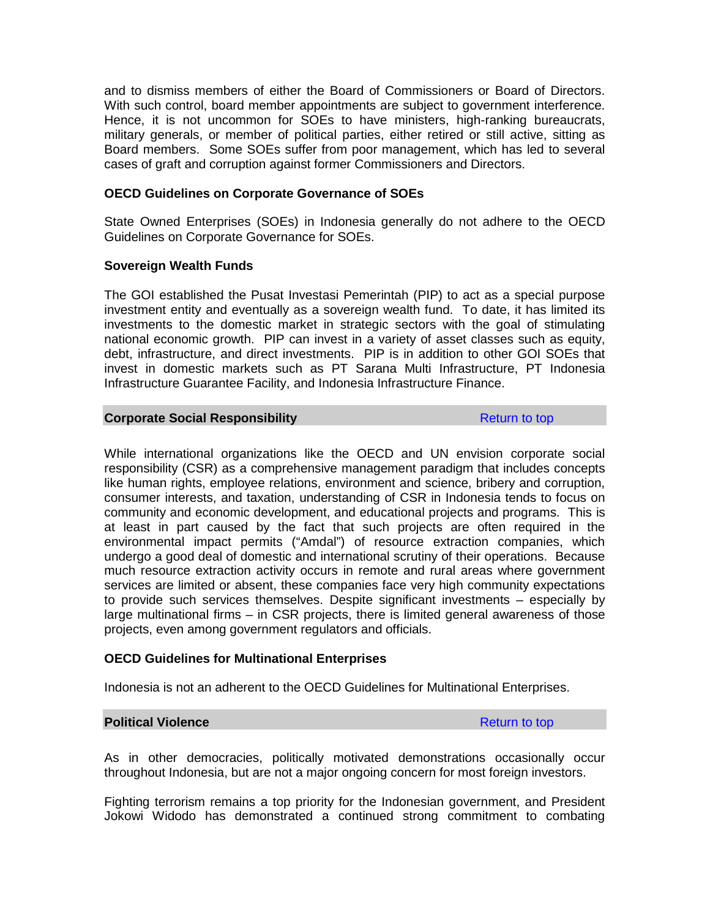and to dismiss members of either the Board of Commissioners or Board of Directors. With such control, board member appointments are subject to government interference. Hence, it is not uncommon for SOEs to have ministers, high-ranking bureaucrats, military generals, or member of political parties, either retired or still active, sitting as Board members. Some SOEs suffer from poor management, which has led to several cases of graft and corruption against former Commissioners and Directors.

#### **OECD Guidelines on Corporate Governance of SOEs**

State Owned Enterprises (SOEs) in Indonesia generally do not adhere to the OECD Guidelines on Corporate Governance for SOEs.

#### **Sovereign Wealth Funds**

The GOI established the Pusat Investasi Pemerintah (PIP) to act as a special purpose investment entity and eventually as a sovereign wealth fund. To date, it has limited its investments to the domestic market in strategic sectors with the goal of stimulating national economic growth. PIP can invest in a variety of asset classes such as equity, debt, infrastructure, and direct investments. PIP is in addition to other GOI SOEs that invest in domestic markets such as PT Sarana Multi Infrastructure, PT Indonesia Infrastructure Guarantee Facility, and Indonesia Infrastructure Finance.

## **Corporate Social Responsibility Return to top Return to top**

While international organizations like the OECD and UN envision corporate social responsibility (CSR) as a comprehensive management paradigm that includes concepts like human rights, employee relations, environment and science, bribery and corruption, consumer interests, and taxation, understanding of CSR in Indonesia tends to focus on community and economic development, and educational projects and programs. This is at least in part caused by the fact that such projects are often required in the environmental impact permits ("Amdal") of resource extraction companies, which undergo a good deal of domestic and international scrutiny of their operations. Because much resource extraction activity occurs in remote and rural areas where government services are limited or absent, these companies face very high community expectations to provide such services themselves. Despite significant investments – especially by large multinational firms – in CSR projects, there is limited general awareness of those projects, even among government regulators and officials.

# **OECD Guidelines for Multinational Enterprises**

Indonesia is not an adherent to the OECD Guidelines for Multinational Enterprises.

# **Political Violence Return to top Return to top**

As in other democracies, politically motivated demonstrations occasionally occur throughout Indonesia, but are not a major ongoing concern for most foreign investors.

Fighting terrorism remains a top priority for the Indonesian government, and President Jokowi Widodo has demonstrated a continued strong commitment to combating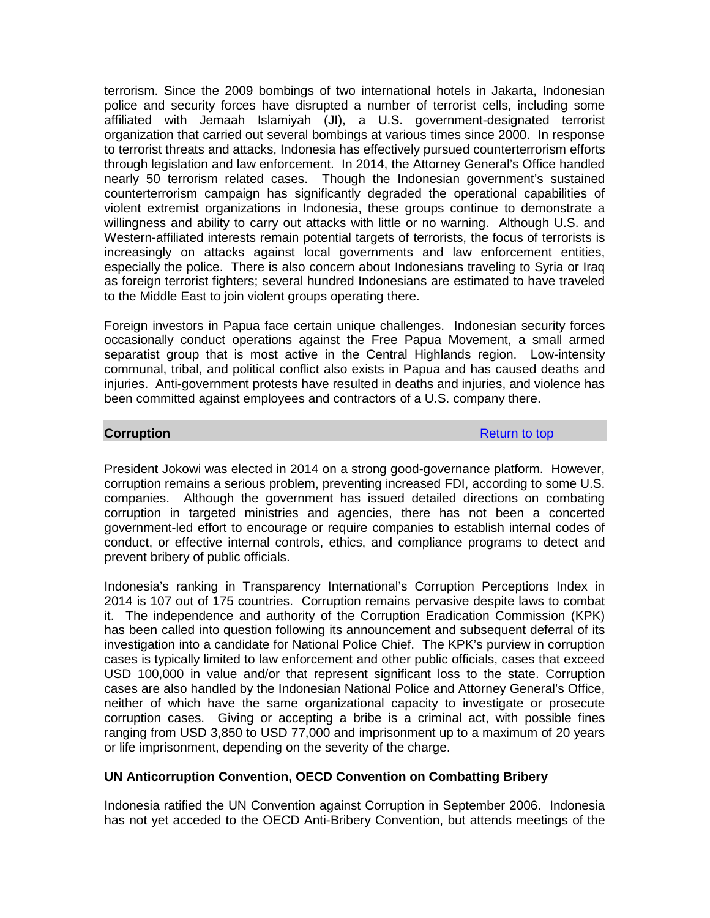terrorism. Since the 2009 bombings of two international hotels in Jakarta, Indonesian police and security forces have disrupted a number of terrorist cells, including some affiliated with Jemaah Islamiyah (JI), a U.S. government-designated terrorist organization that carried out several bombings at various times since 2000. In response to terrorist threats and attacks, Indonesia has effectively pursued counterterrorism efforts through legislation and law enforcement. In 2014, the Attorney General's Office handled nearly 50 terrorism related cases. Though the Indonesian government's sustained counterterrorism campaign has significantly degraded the operational capabilities of violent extremist organizations in Indonesia, these groups continue to demonstrate a willingness and ability to carry out attacks with little or no warning. Although U.S. and Western-affiliated interests remain potential targets of terrorists, the focus of terrorists is increasingly on attacks against local governments and law enforcement entities, especially the police. There is also concern about Indonesians traveling to Syria or Iraq as foreign terrorist fighters; several hundred Indonesians are estimated to have traveled to the Middle East to join violent groups operating there.

Foreign investors in Papua face certain unique challenges. Indonesian security forces occasionally conduct operations against the Free Papua Movement, a small armed separatist group that is most active in the Central Highlands region. Low-intensity communal, tribal, and political conflict also exists in Papua and has caused deaths and injuries. Anti-government protests have resulted in deaths and injuries, and violence has been committed against employees and contractors of a U.S. company there.

#### **Corruption** Return to top **Return to top**

President Jokowi was elected in 2014 on a strong good-governance platform. However, corruption remains a serious problem, preventing increased FDI, according to some U.S. companies. Although the government has issued detailed directions on combating corruption in targeted ministries and agencies, there has not been a concerted government-led effort to encourage or require companies to establish internal codes of conduct, or effective internal controls, ethics, and compliance programs to detect and prevent bribery of public officials.

Indonesia's ranking in Transparency International's Corruption Perceptions Index in 2014 is 107 out of 175 countries. Corruption remains pervasive despite laws to combat it. The independence and authority of the Corruption Eradication Commission (KPK) has been called into question following its announcement and subsequent deferral of its investigation into a candidate for National Police Chief. The KPK's purview in corruption cases is typically limited to law enforcement and other public officials, cases that exceed USD 100,000 in value and/or that represent significant loss to the state. Corruption cases are also handled by the Indonesian National Police and Attorney General's Office, neither of which have the same organizational capacity to investigate or prosecute corruption cases. Giving or accepting a bribe is a criminal act, with possible fines ranging from USD 3,850 to USD 77,000 and imprisonment up to a maximum of 20 years or life imprisonment, depending on the severity of the charge.

#### **UN Anticorruption Convention, OECD Convention on Combatting Bribery**

Indonesia ratified the UN Convention against Corruption in September 2006. Indonesia has not yet acceded to the OECD Anti-Bribery Convention, but attends meetings of the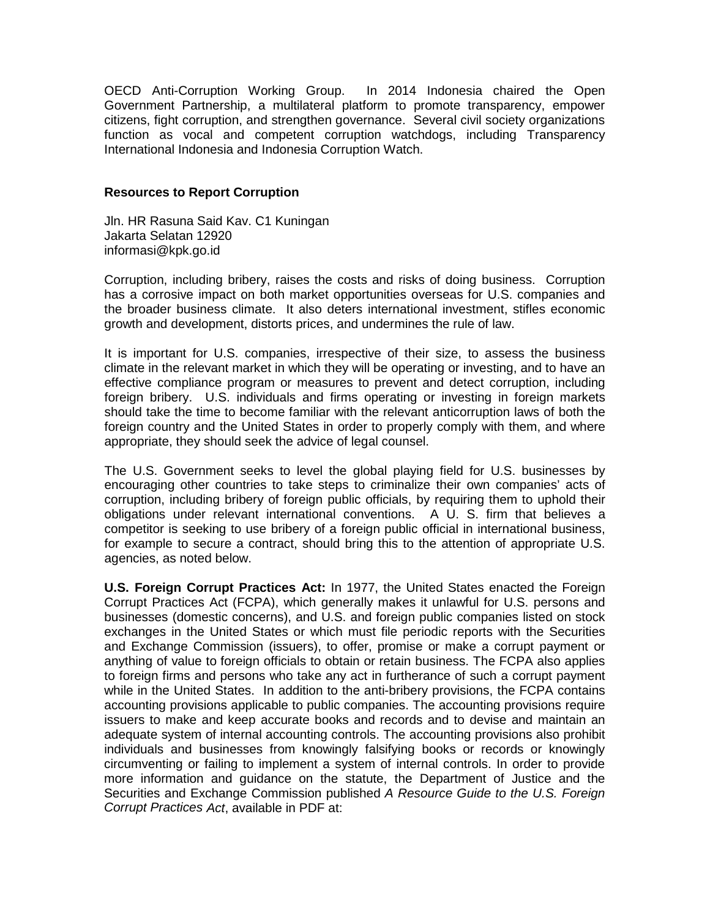OECD Anti-Corruption Working Group. In 2014 Indonesia chaired the Open Government Partnership, a multilateral platform to promote transparency, empower citizens, fight corruption, and strengthen governance. Several civil society organizations function as vocal and competent corruption watchdogs, including Transparency International Indonesia and Indonesia Corruption Watch.

#### **Resources to Report Corruption**

Jln. HR Rasuna Said Kav. C1 Kuningan Jakarta Selatan 12920 informasi@kpk.go.id

Corruption, including bribery, raises the costs and risks of doing business. Corruption has a corrosive impact on both market opportunities overseas for U.S. companies and the broader business climate. It also deters international investment, stifles economic growth and development, distorts prices, and undermines the rule of law.

It is important for U.S. companies, irrespective of their size, to assess the business climate in the relevant market in which they will be operating or investing, and to have an effective compliance program or measures to prevent and detect corruption, including foreign bribery. U.S. individuals and firms operating or investing in foreign markets should take the time to become familiar with the relevant anticorruption laws of both the foreign country and the United States in order to properly comply with them, and where appropriate, they should seek the advice of legal counsel.

The U.S. Government seeks to level the global playing field for U.S. businesses by encouraging other countries to take steps to criminalize their own companies' acts of corruption, including bribery of foreign public officials, by requiring them to uphold their obligations under relevant international conventions. A U. S. firm that believes a competitor is seeking to use bribery of a foreign public official in international business, for example to secure a contract, should bring this to the attention of appropriate U.S. agencies, as noted below.

**U.S. Foreign Corrupt Practices Act:** In 1977, the United States enacted the Foreign Corrupt Practices Act (FCPA), which generally makes it unlawful for U.S. persons and businesses (domestic concerns), and U.S. and foreign public companies listed on stock exchanges in the United States or which must file periodic reports with the Securities and Exchange Commission (issuers), to offer, promise or make a corrupt payment or anything of value to foreign officials to obtain or retain business. The FCPA also applies to foreign firms and persons who take any act in furtherance of such a corrupt payment while in the United States. In addition to the anti-bribery provisions, the FCPA contains accounting provisions applicable to public companies. The accounting provisions require issuers to make and keep accurate books and records and to devise and maintain an adequate system of internal accounting controls. The accounting provisions also prohibit individuals and businesses from knowingly falsifying books or records or knowingly circumventing or failing to implement a system of internal controls. In order to provide more information and guidance on the statute, the Department of Justice and the Securities and Exchange Commission published *A Resource Guide to the U.S. Foreign Corrupt Practices Act*, available in PDF at: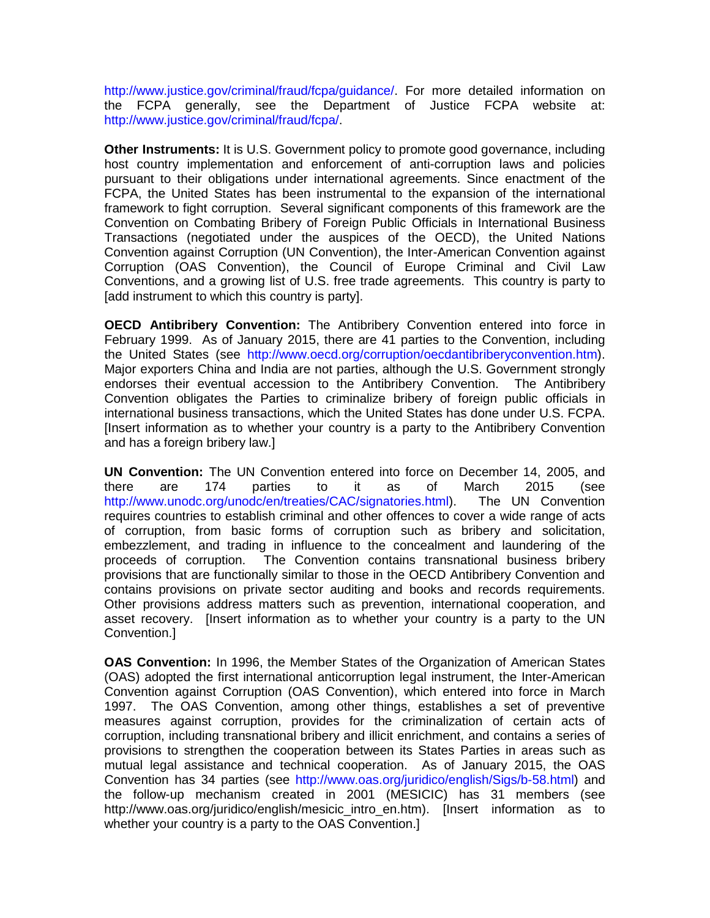[http://www.justice.gov/criminal/fraud/fcpa/guidance/.](http://www.justice.gov/criminal/fraud/fcpa/guidance/) For more detailed information on the FCPA generally, see the Department of Justice FCPA website at: [http://www.justice.gov/criminal/fraud/fcpa/.](http://www.justice.gov/criminal/fraud/fcpa/)

**Other Instruments:** It is U.S. Government policy to promote good governance, including host country implementation and enforcement of anti-corruption laws and policies pursuant to their obligations under international agreements. Since enactment of the FCPA, the United States has been instrumental to the expansion of the international framework to fight corruption. Several significant components of this framework are the Convention on Combating Bribery of Foreign Public Officials in International Business Transactions (negotiated under the auspices of the OECD), the United Nations Convention against Corruption (UN Convention), the Inter-American Convention against Corruption (OAS Convention), the Council of Europe Criminal and Civil Law Conventions, and a growing list of U.S. free trade agreements. This country is party to [add instrument to which this country is party].

**OECD Antibribery Convention:** The Antibribery Convention entered into force in February 1999. As of January 2015, there are 41 parties to the Convention, including the United States (see [http://www.oecd.org/corruption/oecdantibriberyconvention.htm\)](http://www.oecd.org/corruption/oecdantibriberyconvention.htm). Major exporters China and India are not parties, although the U.S. Government strongly endorses their eventual accession to the Antibribery Convention. The Antibribery Convention obligates the Parties to criminalize bribery of foreign public officials in international business transactions, which the United States has done under U.S. FCPA. [Insert information as to whether your country is a party to the Antibribery Convention and has a foreign bribery law.]

**UN Convention:** The UN Convention entered into force on December 14, 2005, and there are 174 parties to it as of March 2015 (see [http://www.unodc.org/unodc/en/treaties/CAC/signatories.html\)](http://www.unodc.org/unodc/en/treaties/cac/signatories.html). The UN Convention requires countries to establish criminal and other offences to cover a wide range of acts of corruption, from basic forms of corruption such as bribery and solicitation, embezzlement, and trading in influence to the concealment and laundering of the proceeds of corruption. The Convention contains transnational business bribery provisions that are functionally similar to those in the OECD Antibribery Convention and contains provisions on private sector auditing and books and records requirements. Other provisions address matters such as prevention, international cooperation, and asset recovery. [Insert information as to whether your country is a party to the UN Convention.]

**OAS Convention:** In 1996, the Member States of the Organization of American States (OAS) adopted the first international anticorruption legal instrument, the Inter-American Convention against Corruption (OAS Convention), which entered into force in March 1997. The OAS Convention, among other things, establishes a set of preventive measures against corruption, provides for the criminalization of certain acts of corruption, including transnational bribery and illicit enrichment, and contains a series of provisions to strengthen the cooperation between its States Parties in areas such as mutual legal assistance and technical cooperation. As of January 2015, the OAS Convention has 34 parties (see [http://www.oas.org/juridico/english/Sigs/b-58.html\)](http://www.oas.org/juridico/english/sigs/b-58.html) and the follow-up mechanism created in 2001 (MESICIC) has 31 members (see http://www.oas.org/juridico/english/mesicic intro\_en.htm). [Insert information as to whether your country is a party to the OAS Convention.]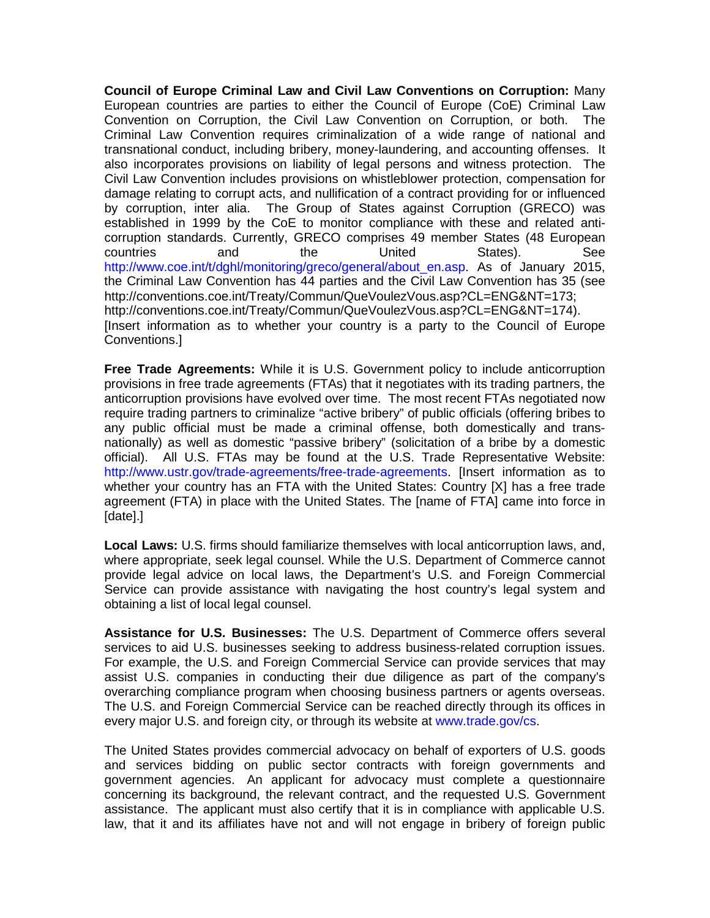**Council of Europe Criminal Law and Civil Law Conventions on Corruption:** Many European countries are parties to either the Council of Europe (CoE) Criminal Law Convention on Corruption, the Civil Law Convention on Corruption, or both. The Criminal Law Convention requires criminalization of a wide range of national and transnational conduct, including bribery, money-laundering, and accounting offenses. It also incorporates provisions on liability of legal persons and witness protection. The Civil Law Convention includes provisions on whistleblower protection, compensation for damage relating to corrupt acts, and nullification of a contract providing for or influenced by corruption, inter alia. The Group of States against Corruption (GRECO) was established in 1999 by the CoE to monitor compliance with these and related anticorruption standards. Currently, GRECO comprises 49 member States (48 European countries and the United States). See [http://www.coe.int/t/dghl/monitoring/greco/general/about\\_en.asp.](http://www.coe.int/t/dghl/monitoring/greco/general/about_en.asp) As of January 2015, the Criminal Law Convention has 44 parties and the Civil Law Convention has 35 (see http://conventions.coe.int/Treaty/Commun/QueVoulezVous.asp?CL=ENG&NT=173; http://conventions.coe.int/Treaty/Commun/QueVoulezVous.asp?CL=ENG&NT=174). [Insert information as to whether your country is a party to the Council of Europe Conventions.]

**Free Trade Agreements:** While it is U.S. Government policy to include anticorruption provisions in free trade agreements (FTAs) that it negotiates with its trading partners, the anticorruption provisions have evolved over time. The most recent FTAs negotiated now require trading partners to criminalize "active bribery" of public officials (offering bribes to any public official must be made a criminal offense, both domestically and transnationally) as well as domestic "passive bribery" (solicitation of a bribe by a domestic official). All U.S. FTAs may be found at the U.S. Trade Representative Website: [http://www.ustr.gov/trade-agreements/free-trade-agreements.](http://www.ustr.gov/trade-agreements/free-trade-agreements) [Insert information as to whether your country has an FTA with the United States: Country [X] has a free trade agreement (FTA) in place with the United States. The [name of FTA] came into force in [date].]

**Local Laws:** U.S. firms should familiarize themselves with local anticorruption laws, and, where appropriate, seek legal counsel. While the U.S. Department of Commerce cannot provide legal advice on local laws, the Department's U.S. and Foreign Commercial Service can provide assistance with navigating the host country's legal system and obtaining a list of local legal counsel.

**Assistance for U.S. Businesses:** The U.S. Department of Commerce offers several services to aid U.S. businesses seeking to address business-related corruption issues. For example, the U.S. and Foreign Commercial Service can provide services that may assist U.S. companies in conducting their due diligence as part of the company's overarching compliance program when choosing business partners or agents overseas. The U.S. and Foreign Commercial Service can be reached directly through its offices in every major U.S. and foreign city, or through its website at [www.trade.gov/cs.](http://www.trade.gov/cs)

The United States provides commercial advocacy on behalf of exporters of U.S. goods and services bidding on public sector contracts with foreign governments and government agencies. An applicant for advocacy must complete a questionnaire concerning its background, the relevant contract, and the requested U.S. Government assistance. The applicant must also certify that it is in compliance with applicable U.S. law, that it and its affiliates have not and will not engage in bribery of foreign public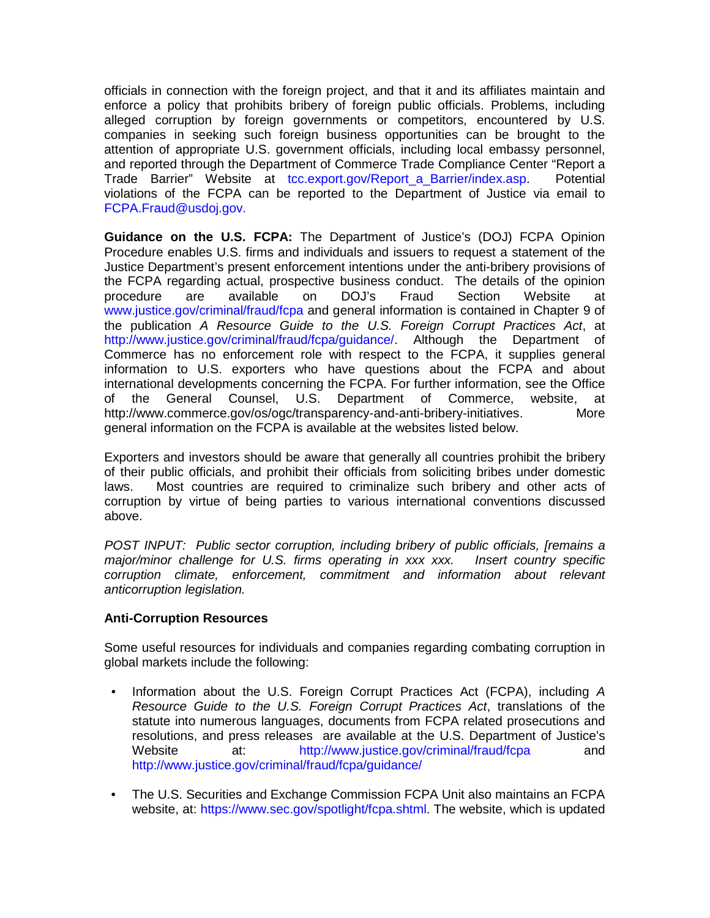officials in connection with the foreign project, and that it and its affiliates maintain and enforce a policy that prohibits bribery of foreign public officials. Problems, including alleged corruption by foreign governments or competitors, encountered by U.S. companies in seeking such foreign business opportunities can be brought to the attention of appropriate U.S. government officials, including local embassy personnel, and reported through the Department of Commerce Trade Compliance Center "Report a Trade Barrier" Website at [tcc.export.gov/Report\\_a\\_Barrier/index.asp.](http://tcc.export.gov/report_a_barrier/index.asp) Potential violations of the FCPA can be reported to the Department of Justice via email to [FCPA.Fraud@usdoj.gov.](mailto:fcpa.fraud@usdoj.gov)

**Guidance on the U.S. FCPA:** The Department of Justice's (DOJ) FCPA Opinion Procedure enables U.S. firms and individuals and issuers to request a statement of the Justice Department's present enforcement intentions under the anti-bribery provisions of the FCPA regarding actual, prospective business conduct. The details of the opinion procedure are available on DOJ's Fraud Section Website at [www.justice.gov/criminal/fraud/fcpa](http://www.justice.gov/criminal/fraud/fcpa) and general information is contained in Chapter 9 of the publication *A Resource Guide to the U.S. Foreign Corrupt Practices Act*, at [http://www.justice.gov/criminal/fraud/fcpa/guidance/.](http://www.justice.gov/criminal/fraud/fcpa/guidance/) Although the Department of Commerce has no enforcement role with respect to the FCPA, it supplies general information to U.S. exporters who have questions about the FCPA and about international developments concerning the FCPA. For further information, see the Office of the General Counsel, U.S. Department of Commerce, website, at http://www.commerce.gov/os/ogc/transparency-and-anti-bribery-initiatives. More general information on the FCPA is available at the websites listed below.

Exporters and investors should be aware that generally all countries prohibit the bribery of their public officials, and prohibit their officials from soliciting bribes under domestic laws. Most countries are required to criminalize such bribery and other acts of corruption by virtue of being parties to various international conventions discussed above.

*POST INPUT: Public sector corruption, including bribery of public officials, [remains a major/minor challenge for U.S. firms operating in xxx xxx. Insert country specific corruption climate, enforcement, commitment and information about relevant anticorruption legislation.*

# **Anti-Corruption Resources**

Some useful resources for individuals and companies regarding combating corruption in global markets include the following:

- Information about the U.S. Foreign Corrupt Practices Act (FCPA), including *A Resource Guide to the U.S. Foreign Corrupt Practices Act*, translations of the statute into numerous languages, documents from FCPA related prosecutions and resolutions, and press releases are available at the U.S. Department of Justice's Website at: <http://www.justice.gov/criminal/fraud/fcpa> and <http://www.justice.gov/criminal/fraud/fcpa/guidance/>
- The U.S. Securities and Exchange Commission FCPA Unit also maintains an FCPA website, at: [https://www.sec.gov/spotlight/fcpa.shtml.](https://www.sec.gov/spotlight/fcpa.shtml) The website, which is updated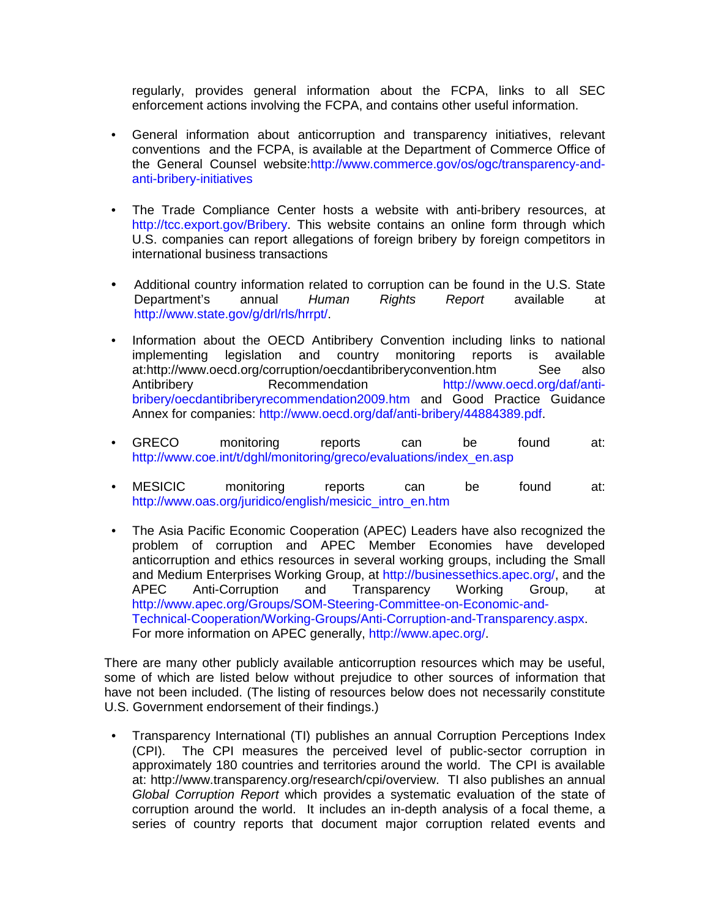regularly, provides general information about the FCPA, links to all SEC enforcement actions involving the FCPA, and contains other useful information.

- General information about anticorruption and transparency initiatives, relevant conventions and the FCPA, is available at the Department of Commerce Office of the General Counsel website[:http://www.commerce.gov/os/ogc/transparency-and](http://www.commerce.gov/os/ogc/transparency-and-anti-bribery-initiatives)[anti-bribery-initiatives](http://www.commerce.gov/os/ogc/transparency-and-anti-bribery-initiatives)
- The Trade Compliance Center hosts a website with anti-bribery resources, at [http://tcc.export.gov/Bribery.](http://tcc.export.gov/bribery) This website contains an online form through which U.S. companies can report allegations of foreign bribery by foreign competitors in international business transactions
- Additional country information related to corruption can be found in the U.S. State<br>Department's annual Human Rights Report available at Department's annual *Human Rights Report* available at [http://www.state.gov/g/drl/rls/hrrpt/.](http://www.state.gov/g/drl/rls/hrrpt/)
- Information about the OECD Antibribery Convention including links to national implementing legislation and country monitoring reports is available<br>at:http://www.oecd.org/corruption/oecdantibriberyconvention.htm See also at:http://www.oecd.org/corruption/oecdantibriberyconvention.htm Antibribery Recommendation [http://www.oecd.org/daf/anti](http://www.oecd.org/daf/anti-bribery/oecdantibriberyrecommendation2009.htm)[bribery/oecdantibriberyrecommendation2009.htm](http://www.oecd.org/daf/anti-bribery/oecdantibriberyrecommendation2009.htm) and Good Practice Guidance Annex for companies: [http://www.oecd.org/daf/anti-bribery/44884389.pdf.](http://www.oecd.org/daf/anti-bribery/44884389.pdf)
- GRECO monitoring reports can be found at: [http://www.coe.int/t/dghl/monitoring/greco/evaluations/index\\_en.asp](http://www.coe.int/t/dghl/monitoring/greco/evaluations/index_en.asp)
- MESICIC monitoring reports can be found at: [http://www.oas.org/juridico/english/mesicic\\_intro\\_en.htm](http://www.oas.org/juridico/english/mesicic_intro_en.htm)
- The Asia Pacific Economic Cooperation (APEC) Leaders have also recognized the problem of corruption and APEC Member Economies have developed anticorruption and ethics resources in several working groups, including the Small and Medium Enterprises Working Group, at [http://businessethics.apec.org/,](http://businessethics.apec.org/) and the<br>APEC Anti-Corruption and Transparency Working Group. at APEC Anti-Corruption and Transparency Working Group, at [http://www.apec.org/Groups/SOM-Steering-Committee-on-Economic-and-](http://www.apec.org/groups/som-steering-committee-on-economic-and-technical-cooperation/working-groups/anti-corruption-and-transparency.aspx)[Technical-Cooperation/Working-Groups/Anti-Corruption-and-Transparency.aspx.](http://www.apec.org/groups/som-steering-committee-on-economic-and-technical-cooperation/working-groups/anti-corruption-and-transparency.aspx) For more information on APEC generally, [http://www.apec.org/.](http://www.apec.org/)

There are many other publicly available anticorruption resources which may be useful, some of which are listed below without prejudice to other sources of information that have not been included. (The listing of resources below does not necessarily constitute U.S. Government endorsement of their findings.)

• Transparency International (TI) publishes an annual Corruption Perceptions Index (CPI). The CPI measures the perceived level of public-sector corruption in approximately 180 countries and territories around the world. The CPI is available at: http://www.transparency.org/research/cpi/overview. TI also publishes an annual *Global Corruption Report* which provides a systematic evaluation of the state of corruption around the world. It includes an in-depth analysis of a focal theme, a series of country reports that document major corruption related events and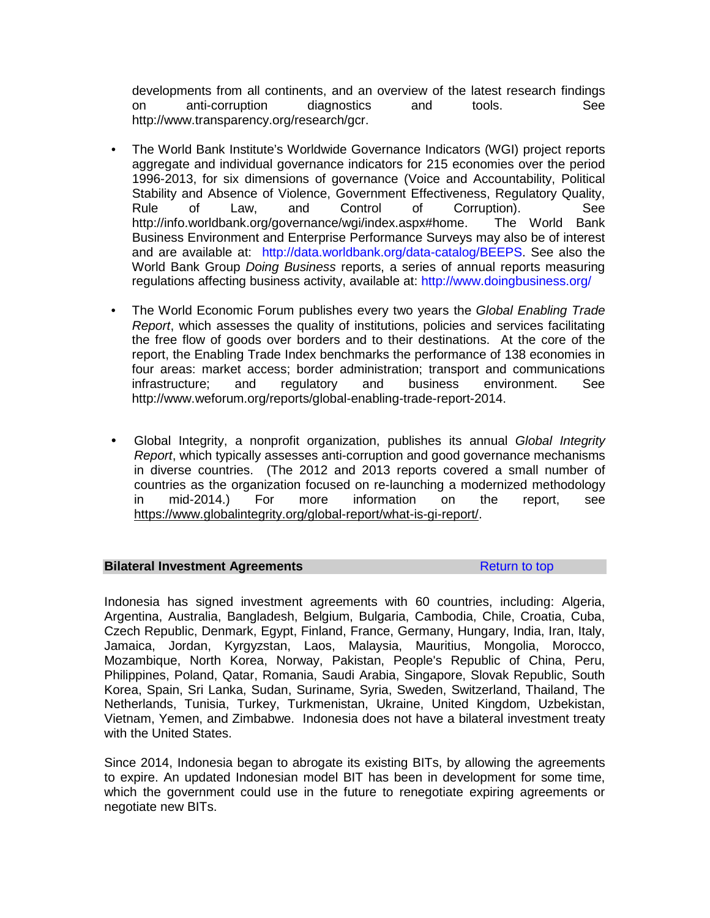developments from all continents, and an overview of the latest research findings on anti-corruption diagnostics and tools. See http://www.transparency.org/research/gcr.

- The World Bank Institute's Worldwide Governance Indicators (WGI) project reports aggregate and individual governance indicators for 215 economies over the period 1996-2013, for six dimensions of governance (Voice and Accountability, Political Stability and Absence of Violence, Government Effectiveness, Regulatory Quality, Rule of Law, and Control of Corruption). See<br>http://info.worldbank.org/governance/wgi/index.aspx#home. The World Bank http://info.worldbank.org/governance/wgi/index.aspx#home. Business Environment and Enterprise Performance Surveys may also be of interest and are available at: [http://data.worldbank.org/data-catalog/BEEPS.](http://data.worldbank.org/data-catalog/beeps) See also the World Bank Group *Doing Business* reports, a series of annual reports measuring regulations affecting business activity, available at: <http://www.doingbusiness.org/>
- The World Economic Forum publishes every two years the *Global Enabling Trade Report*, which assesses the quality of institutions, policies and services facilitating the free flow of goods over borders and to their destinations. At the core of the report, the Enabling Trade Index benchmarks the performance of 138 economies in four areas: market access; border administration; transport and communications infrastructure; and regulatory and business environment. See http://www.weforum.org/reports/global-enabling-trade-report-2014.
- Global Integrity, a nonprofit organization, publishes its annual *Global Integrity Report*, which typically assesses anti-corruption and good governance mechanisms in diverse countries. (The 2012 and 2013 reports covered a small number of countries as the organization focused on re-launching a modernized methodology in mid-2014.) For more information on the report, see [https://www.globalintegrity.org/global-report/what-is-gi-report/.](https://www.globalintegrity.org/global-report/what-is-gi-report/)

#### **Bilateral Investment Agreements Return to top**

Indonesia has signed investment agreements with 60 countries, including: Algeria, Argentina, Australia, Bangladesh, Belgium, Bulgaria, Cambodia, Chile, Croatia, Cuba, Czech Republic, Denmark, Egypt, Finland, France, Germany, Hungary, India, Iran, Italy, Jamaica, Jordan, Kyrgyzstan, Laos, Malaysia, Mauritius, Mongolia, Morocco, Mozambique, North Korea, Norway, Pakistan, People's Republic of China, Peru, Philippines, Poland, Qatar, Romania, Saudi Arabia, Singapore, Slovak Republic, South Korea, Spain, Sri Lanka, Sudan, Suriname, Syria, Sweden, Switzerland, Thailand, The Netherlands, Tunisia, Turkey, Turkmenistan, Ukraine, United Kingdom, Uzbekistan, Vietnam, Yemen, and Zimbabwe. Indonesia does not have a bilateral investment treaty with the United States.

Since 2014, Indonesia began to abrogate its existing BITs, by allowing the agreements to expire. An updated Indonesian model BIT has been in development for some time, which the government could use in the future to renegotiate expiring agreements or negotiate new BITs.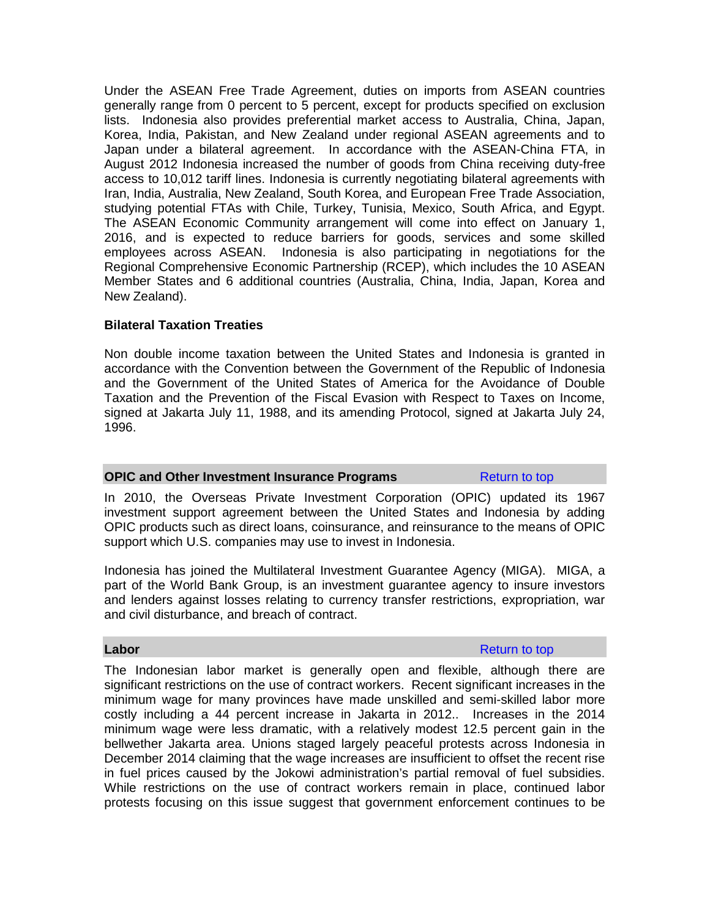Under the ASEAN Free Trade Agreement, duties on imports from ASEAN countries generally range from 0 percent to 5 percent, except for products specified on exclusion lists. Indonesia also provides preferential market access to Australia, China, Japan, Korea, India, Pakistan, and New Zealand under regional ASEAN agreements and to Japan under a bilateral agreement. In accordance with the ASEAN-China FTA, in August 2012 Indonesia increased the number of goods from China receiving duty-free access to 10,012 tariff lines. Indonesia is currently negotiating bilateral agreements with Iran, India, Australia, New Zealand, South Korea, and European Free Trade Association, studying potential FTAs with Chile, Turkey, Tunisia, Mexico, South Africa, and Egypt. The ASEAN Economic Community arrangement will come into effect on January 1, 2016, and is expected to reduce barriers for goods, services and some skilled employees across ASEAN. Indonesia is also participating in negotiations for the Regional Comprehensive Economic Partnership (RCEP), which includes the 10 ASEAN Member States and 6 additional countries (Australia, China, India, Japan, Korea and New Zealand).

# **Bilateral Taxation Treaties**

Non double income taxation between the United States and Indonesia is granted in accordance with the Convention between the Government of the Republic of Indonesia and the Government of the United States of America for the Avoidance of Double Taxation and the Prevention of the Fiscal Evasion with Respect to Taxes on Income, signed at Jakarta July 11, 1988, and its amending Protocol, signed at Jakarta July 24, 1996.

#### **OPIC** and Other Investment Insurance Programs Return to top

In 2010, the Overseas Private Investment Corporation (OPIC) updated its 1967 investment support agreement between the United States and Indonesia by adding OPIC products such as direct loans, coinsurance, and reinsurance to the means of OPIC support which U.S. companies may use to invest in Indonesia.

Indonesia has joined the Multilateral Investment Guarantee Agency (MIGA). MIGA, a part of the World Bank Group, is an investment guarantee agency to insure investors and lenders against losses relating to currency transfer restrictions, expropriation, war and civil disturbance, and breach of contract.

**Labor** Return to top and the set of the set of the set of the set of the set of the set of the set of the set of the set of the set of the set of the set of the set of the set of the set of the set of the set of the set o

The Indonesian labor market is generally open and flexible, although there are significant restrictions on the use of contract workers. Recent significant increases in the minimum wage for many provinces have made unskilled and semi-skilled labor more costly including a 44 percent increase in Jakarta in 2012.. Increases in the 2014 minimum wage were less dramatic, with a relatively modest 12.5 percent gain in the bellwether Jakarta area. Unions staged largely peaceful protests across Indonesia in December 2014 claiming that the wage increases are insufficient to offset the recent rise in fuel prices caused by the Jokowi administration's partial removal of fuel subsidies. While restrictions on the use of contract workers remain in place, continued labor protests focusing on this issue suggest that government enforcement continues to be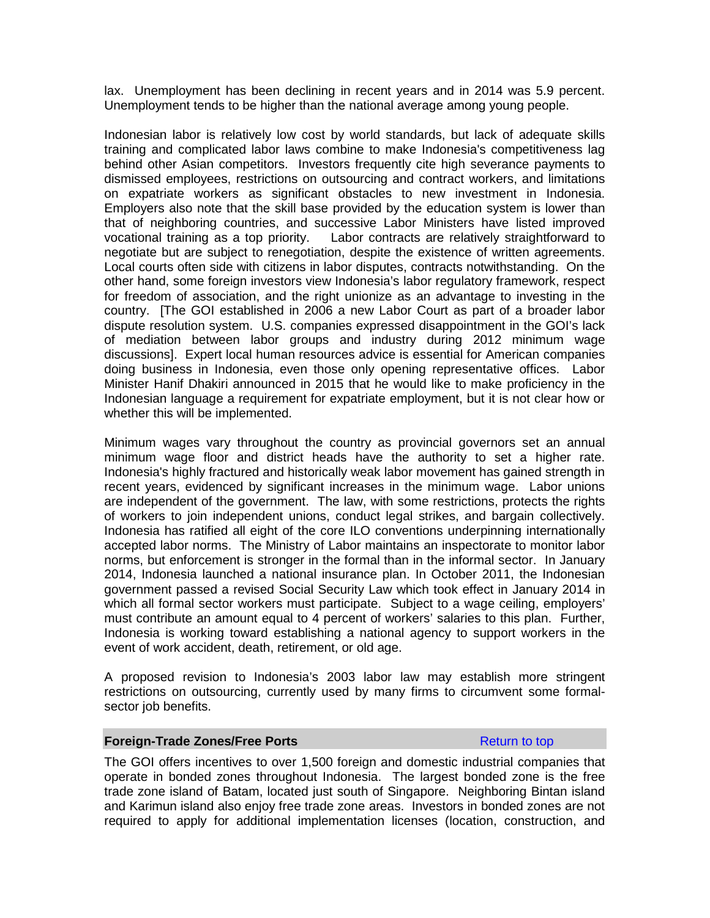lax. Unemployment has been declining in recent years and in 2014 was 5.9 percent. Unemployment tends to be higher than the national average among young people.

Indonesian labor is relatively low cost by world standards, but lack of adequate skills training and complicated labor laws combine to make Indonesia's competitiveness lag behind other Asian competitors. Investors frequently cite high severance payments to dismissed employees, restrictions on outsourcing and contract workers, and limitations on expatriate workers as significant obstacles to new investment in Indonesia. Employers also note that the skill base provided by the education system is lower than that of neighboring countries, and successive Labor Ministers have listed improved<br>vocational training as a top priority. Labor contracts are relatively straightforward to Labor contracts are relatively straightforward to negotiate but are subject to renegotiation, despite the existence of written agreements. Local courts often side with citizens in labor disputes, contracts notwithstanding. On the other hand, some foreign investors view Indonesia's labor regulatory framework, respect for freedom of association, and the right unionize as an advantage to investing in the country. [The GOI established in 2006 a new Labor Court as part of a broader labor dispute resolution system. U.S. companies expressed disappointment in the GOI's lack of mediation between labor groups and industry during 2012 minimum wage discussions]. Expert local human resources advice is essential for American companies doing business in Indonesia, even those only opening representative offices. Labor Minister Hanif Dhakiri announced in 2015 that he would like to make proficiency in the Indonesian language a requirement for expatriate employment, but it is not clear how or whether this will be implemented.

Minimum wages vary throughout the country as provincial governors set an annual minimum wage floor and district heads have the authority to set a higher rate. Indonesia's highly fractured and historically weak labor movement has gained strength in recent years, evidenced by significant increases in the minimum wage. Labor unions are independent of the government. The law, with some restrictions, protects the rights of workers to join independent unions, conduct legal strikes, and bargain collectively. Indonesia has ratified all eight of the core ILO conventions underpinning internationally accepted labor norms. The Ministry of Labor maintains an inspectorate to monitor labor norms, but enforcement is stronger in the formal than in the informal sector. In January 2014, Indonesia launched a national insurance plan. In October 2011, the Indonesian government passed a revised Social Security Law which took effect in January 2014 in which all formal sector workers must participate. Subject to a wage ceiling, employers' must contribute an amount equal to 4 percent of workers' salaries to this plan. Further, Indonesia is working toward establishing a national agency to support workers in the event of work accident, death, retirement, or old age.

A proposed revision to Indonesia's 2003 labor law may establish more stringent restrictions on outsourcing, currently used by many firms to circumvent some formalsector job benefits.

#### **Foreign-Trade Zones/Free Ports Return to top Return to top**

The GOI offers incentives to over 1,500 foreign and domestic industrial companies that operate in bonded zones throughout Indonesia. The largest bonded zone is the free trade zone island of Batam, located just south of Singapore. Neighboring Bintan island and Karimun island also enjoy free trade zone areas. Investors in bonded zones are not required to apply for additional implementation licenses (location, construction, and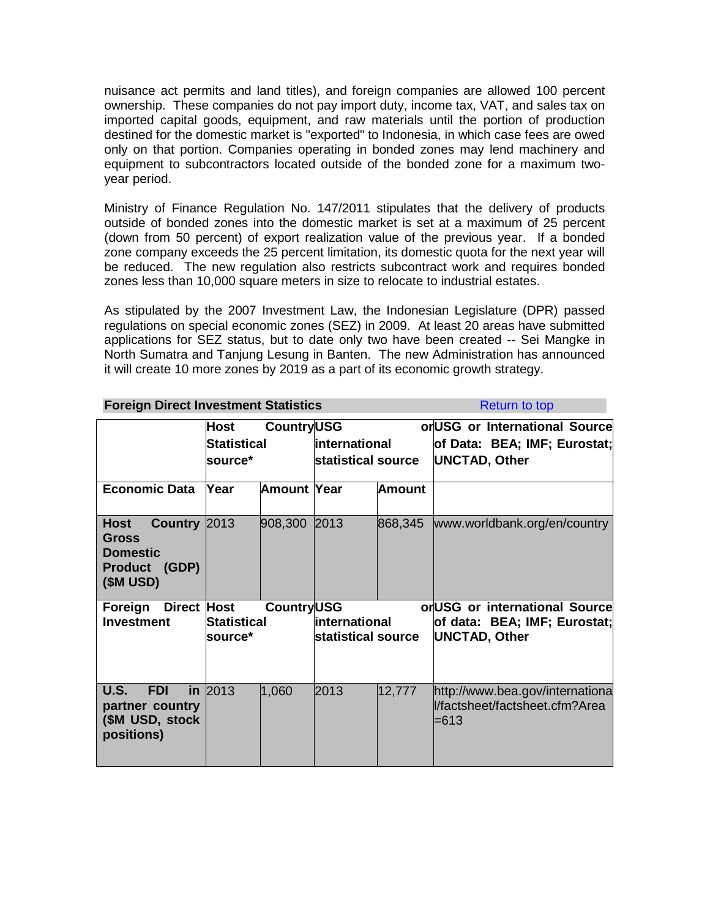nuisance act permits and land titles), and foreign companies are allowed 100 percent ownership. These companies do not pay import duty, income tax, VAT, and sales tax on imported capital goods, equipment, and raw materials until the portion of production destined for the domestic market is "exported" to Indonesia, in which case fees are owed only on that portion. Companies operating in bonded zones may lend machinery and equipment to subcontractors located outside of the bonded zone for a maximum twoyear period.

Ministry of Finance Regulation No. 147/2011 stipulates that the delivery of products outside of bonded zones into the domestic market is set at a maximum of 25 percent (down from 50 percent) of export realization value of the previous year. If a bonded zone company exceeds the 25 percent limitation, its domestic quota for the next year will be reduced. The new regulation also restricts subcontract work and requires bonded zones less than 10,000 square meters in size to relocate to industrial estates.

As stipulated by the 2007 Investment Law, the Indonesian Legislature (DPR) passed regulations on special economic zones (SEZ) in 2009. At least 20 areas have submitted applications for SEZ status, but to date only two have been created -- Sei Mangke in North Sumatra and Tanjung Lesung in Banten. The new Administration has announced it will create 10 more zones by 2019 as a part of its economic growth strategy.

| <b>Foreign Direct Investment Statistics</b>                                            |                                                            | <b>Return to top</b> |                                     |               |                                                                                        |
|----------------------------------------------------------------------------------------|------------------------------------------------------------|----------------------|-------------------------------------|---------------|----------------------------------------------------------------------------------------|
|                                                                                        | <b>CountryUSG</b><br>Host<br><b>Statistical</b><br>source* |                      | international<br>statistical source |               | or USG or International Source<br>of Data: BEA; IMF; Eurostat;<br><b>UNCTAD, Other</b> |
| <b>Economic Data</b>                                                                   | Year                                                       | Amount Year          |                                     | <b>Amount</b> |                                                                                        |
| Country 2013<br><b>Host</b><br>Gross<br><b>Domestic</b><br>Product (GDP)<br>$(SM$ USD) |                                                            | 908,300              | 2013                                | 868,345       | www.worldbank.org/en/country                                                           |
| <b>Direct Host</b><br>Foreign<br><b>Investment</b>                                     | <b>CountryUSG</b><br>Statistical<br>source*                |                      | international<br>statistical source |               | or USG or international Source<br>of data: BEA; IMF; Eurostat;<br><b>UNCTAD, Other</b> |
| <b>U.S.</b><br><b>FDI</b><br>partner country<br>(\$M USD, stock<br>positions)          | in $2013$                                                  | 1,060                | 2013                                | 12,777        | http://www.bea.gov/internationa<br>l/factsheet/factsheet.cfm?Area<br>=613              |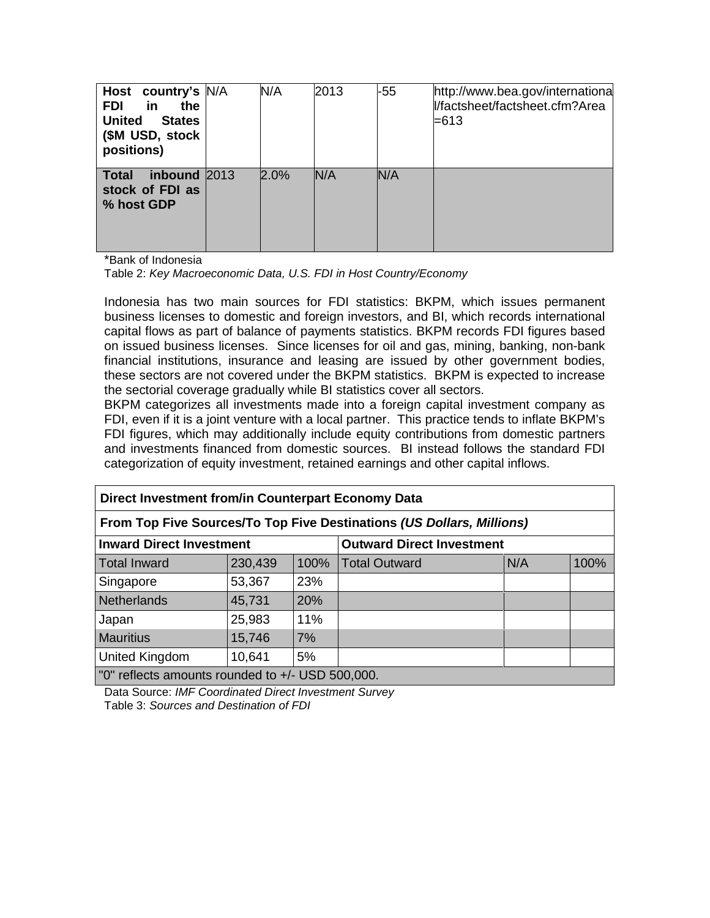| Host country's N/A<br><b>FDI</b><br>in<br>the<br><b>United</b><br><b>States</b><br>(\$M USD, stock<br>positions) | N/A  | 2013 | $-55$ | http://www.bea.gov/international<br>l/factsheet/factsheet.cfm?Area<br>=613 |
|------------------------------------------------------------------------------------------------------------------|------|------|-------|----------------------------------------------------------------------------|
| inbound 2013<br>Total<br>stock of FDI as<br>% host GDP                                                           | 2.0% | N/A  | N/A   |                                                                            |

\*Bank of Indonesia

Table 2: *Key Macroeconomic Data, U.S. FDI in Host Country/Economy*

Indonesia has two main sources for FDI statistics: BKPM, which issues permanent business licenses to domestic and foreign investors, and BI, which records international capital flows as part of balance of payments statistics. BKPM records FDI figures based on issued business licenses. Since licenses for oil and gas, mining, banking, non-bank financial institutions, insurance and leasing are issued by other government bodies, these sectors are not covered under the BKPM statistics. BKPM is expected to increase the sectorial coverage gradually while BI statistics cover all sectors.

BKPM categorizes all investments made into a foreign capital investment company as FDI, even if it is a joint venture with a local partner. This practice tends to inflate BKPM's FDI figures, which may additionally include equity contributions from domestic partners and investments financed from domestic sources. BI instead follows the standard FDI categorization of equity investment, retained earnings and other capital inflows.

| Direct Investment from/in Counterpart Economy Data                    |         |      |                                  |     |      |  |  |  |
|-----------------------------------------------------------------------|---------|------|----------------------------------|-----|------|--|--|--|
| From Top Five Sources/To Top Five Destinations (US Dollars, Millions) |         |      |                                  |     |      |  |  |  |
| <b>Inward Direct Investment</b>                                       |         |      | <b>Outward Direct Investment</b> |     |      |  |  |  |
| <b>Total Inward</b>                                                   | 230,439 | 100% | <b>Total Outward</b>             | N/A | 100% |  |  |  |
| Singapore                                                             | 53,367  | 23%  |                                  |     |      |  |  |  |
| <b>Netherlands</b>                                                    | 45,731  | 20%  |                                  |     |      |  |  |  |
| Japan                                                                 | 25,983  | 11%  |                                  |     |      |  |  |  |
| <b>Mauritius</b>                                                      | 15,746  | 7%   |                                  |     |      |  |  |  |
| United Kingdom                                                        | 10,641  | 5%   |                                  |     |      |  |  |  |
| "0" reflects amounts rounded to +/- USD 500,000.                      |         |      |                                  |     |      |  |  |  |

Data Source: *IMF Coordinated Direct Investment Survey* Table 3: *Sources and Destination of FDI*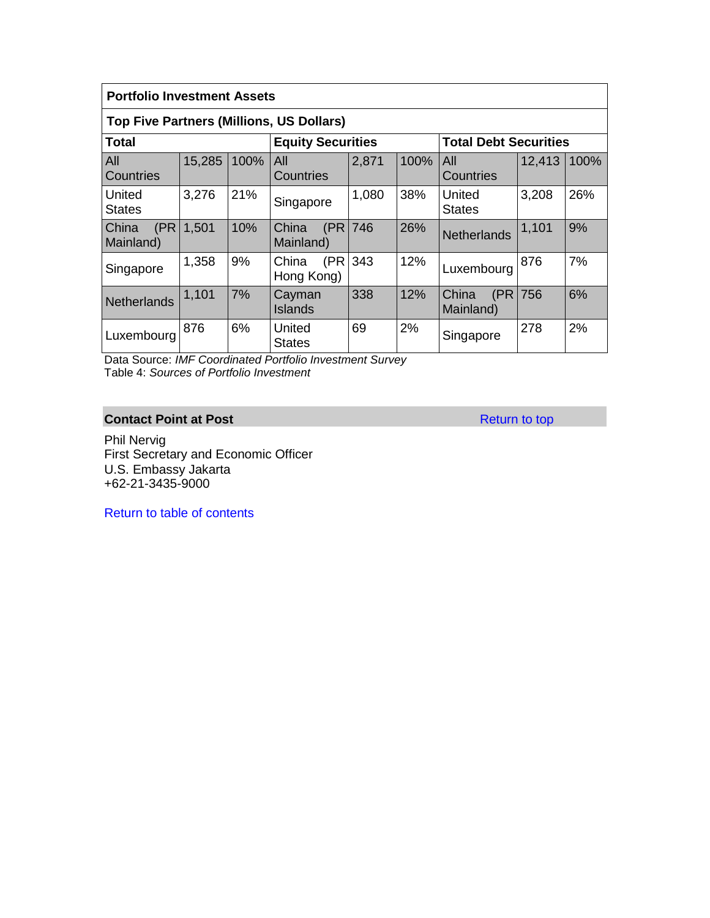| <b>Portfolio Investment Assets</b>              |        |      |                             |          |      |                              |        |      |  |  |  |
|-------------------------------------------------|--------|------|-----------------------------|----------|------|------------------------------|--------|------|--|--|--|
| <b>Top Five Partners (Millions, US Dollars)</b> |        |      |                             |          |      |                              |        |      |  |  |  |
| Total                                           |        |      | <b>Equity Securities</b>    |          |      | <b>Total Debt Securities</b> |        |      |  |  |  |
| AII<br>l Countries                              | 15,285 | 100% | All<br>Countries            | 2,871    | 100% | All<br>Countries             | 12,413 | 100% |  |  |  |
| United<br><b>States</b>                         | 3,276  | 21%  | Singapore                   | 1,080    | 38%  | United<br><b>States</b>      | 3,208  | 26%  |  |  |  |
| <b>China</b><br>(PR)<br>Mainland)               | 1,501  | 10%  | China<br>Mainland)          | (PR 746) | 26%  | <b>Netherlands</b>           | 1,101  | 9%   |  |  |  |
| Singapore                                       | 1,358  | 9%   | (PR)<br>China<br>Hong Kong) | 343      | 12%  | Luxembourg                   | 876    | 7%   |  |  |  |
| Netherlands                                     | 1,101  | 7%   | Cayman<br><b>Islands</b>    | 338      | 12%  | China<br>(PR)<br>Mainland)   | 756    | 6%   |  |  |  |
| Luxembourg                                      | 876    | 6%   | United<br>States            | 69       | 2%   | Singapore                    | 278    | 2%   |  |  |  |

Data Source: *IMF Coordinated Portfolio Investment Survey* Table 4: *Sources of Portfolio Investment*

# **Contact Point at Post** Return to top

Phil Nervig First Secretary and Economic Officer U.S. Embassy Jakarta +62-21-3435-9000

Return to table of contents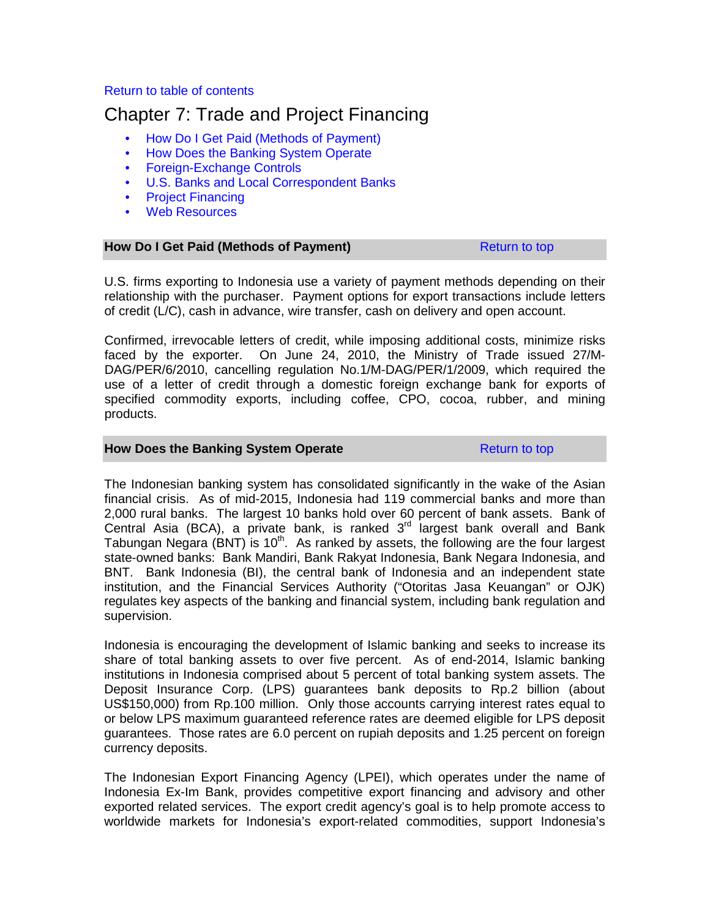# Return to table of contents

# Chapter 7: Trade and Project Financing

- How Do I Get Paid (Methods of Payment)
- How Does the Banking System Operate
- Foreign-Exchange Controls
- U.S. Banks and Local Correspondent Banks
- Project Financing
- Web Resources

# **How Do I Get Paid (Methods of Payment) Return to top** Return to top

U.S. firms exporting to Indonesia use a variety of payment methods depending on their relationship with the purchaser. Payment options for export transactions include letters of credit (L/C), cash in advance, wire transfer, cash on delivery and open account.

Confirmed, irrevocable letters of credit, while imposing additional costs, minimize risks faced by the exporter. On June 24, 2010, the Ministry of Trade issued 27/M-DAG/PER/6/2010, cancelling regulation No.1/M-DAG/PER/1/2009, which required the use of a letter of credit through a domestic foreign exchange bank for exports of specified commodity exports, including coffee, CPO, cocoa, rubber, and mining products.

#### **How Does the Banking System Operate Return to top** Return to top

The Indonesian banking system has consolidated significantly in the wake of the Asian financial crisis. As of mid-2015, Indonesia had 119 commercial banks and more than 2,000 rural banks. The largest 10 banks hold over 60 percent of bank assets. Bank of Central Asia (BCA), a private bank, is ranked  $3<sup>rd</sup>$  largest bank overall and Bank Tabungan Negara (BNT) is 10<sup>th</sup>. As ranked by assets, the following are the four largest state-owned banks: Bank Mandiri, Bank Rakyat Indonesia, Bank Negara Indonesia, and BNT. Bank Indonesia (BI), the central bank of Indonesia and an independent state institution, and the Financial Services Authority ("Otoritas Jasa Keuangan" or OJK) regulates key aspects of the banking and financial system, including bank regulation and supervision.

Indonesia is encouraging the development of Islamic banking and seeks to increase its share of total banking assets to over five percent. As of end-2014, Islamic banking institutions in Indonesia comprised about 5 percent of total banking system assets. The Deposit Insurance Corp. (LPS) guarantees bank deposits to Rp.2 billion (about US\$150,000) from Rp.100 million. Only those accounts carrying interest rates equal to or below LPS maximum guaranteed reference rates are deemed eligible for LPS deposit guarantees. Those rates are 6.0 percent on rupiah deposits and 1.25 percent on foreign currency deposits.

The Indonesian Export Financing Agency (LPEI), which operates under the name of Indonesia Ex-Im Bank, provides competitive export financing and advisory and other exported related services. The export credit agency's goal is to help promote access to worldwide markets for Indonesia's export-related commodities, support Indonesia's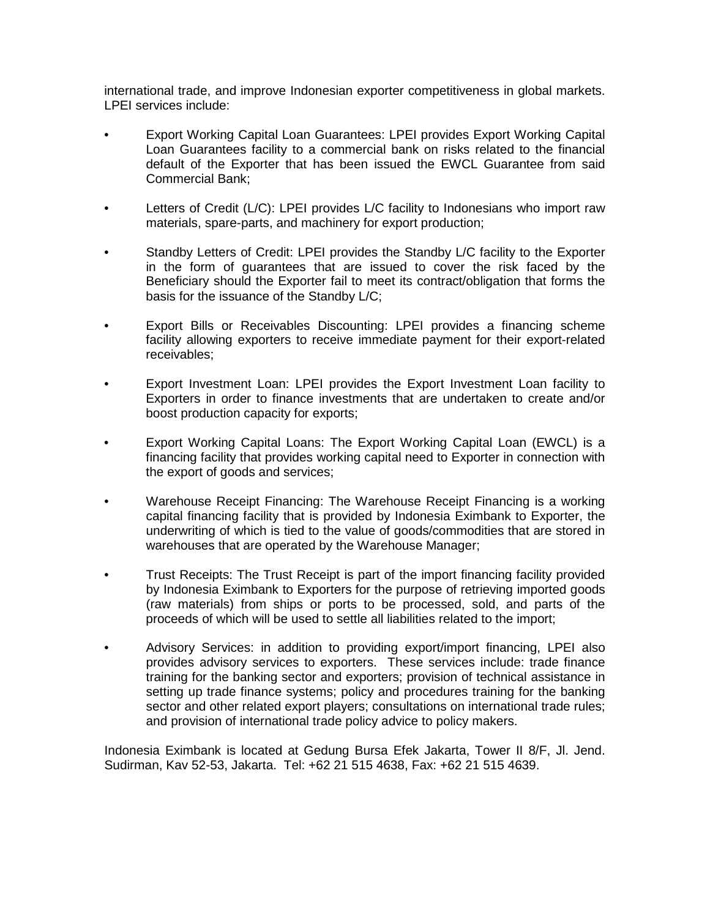international trade, and improve Indonesian exporter competitiveness in global markets. LPEI services include:

- Export Working Capital Loan Guarantees: LPEI provides Export Working Capital Loan Guarantees facility to a commercial bank on risks related to the financial default of the Exporter that has been issued the EWCL Guarantee from said Commercial Bank;
- Letters of Credit (L/C): LPEI provides L/C facility to Indonesians who import raw materials, spare-parts, and machinery for export production;
- Standby Letters of Credit: LPEI provides the Standby L/C facility to the Exporter in the form of guarantees that are issued to cover the risk faced by the Beneficiary should the Exporter fail to meet its contract/obligation that forms the basis for the issuance of the Standby L/C;
- Export Bills or Receivables Discounting: LPEI provides a financing scheme facility allowing exporters to receive immediate payment for their export-related receivables;
- Export Investment Loan: LPEI provides the Export Investment Loan facility to Exporters in order to finance investments that are undertaken to create and/or boost production capacity for exports;
- Export Working Capital Loans: The Export Working Capital Loan (EWCL) is a financing facility that provides working capital need to Exporter in connection with the export of goods and services;
- Warehouse Receipt Financing: The Warehouse Receipt Financing is a working capital financing facility that is provided by Indonesia Eximbank to Exporter, the underwriting of which is tied to the value of goods/commodities that are stored in warehouses that are operated by the Warehouse Manager;
- Trust Receipts: The Trust Receipt is part of the import financing facility provided by Indonesia Eximbank to Exporters for the purpose of retrieving imported goods (raw materials) from ships or ports to be processed, sold, and parts of the proceeds of which will be used to settle all liabilities related to the import;
- Advisory Services: in addition to providing export/import financing, LPEI also provides advisory services to exporters. These services include: trade finance training for the banking sector and exporters; provision of technical assistance in setting up trade finance systems; policy and procedures training for the banking sector and other related export players; consultations on international trade rules; and provision of international trade policy advice to policy makers.

Indonesia Eximbank is located at Gedung Bursa Efek Jakarta, Tower II 8/F, Jl. Jend. Sudirman, Kav 52-53, Jakarta. Tel: +62 21 515 4638, Fax: +62 21 515 4639.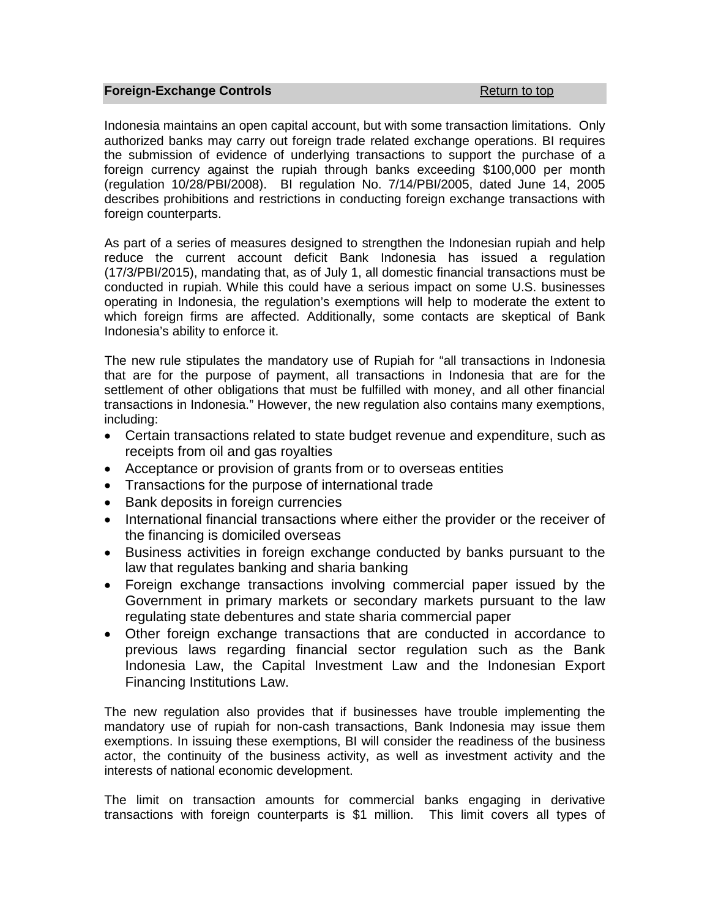#### **Foreign-Exchange Controls Return to top Return to top**

Indonesia maintains an open capital account, but with some transaction limitations. Only authorized banks may carry out foreign trade related exchange operations. BI requires the submission of evidence of underlying transactions to support the purchase of a foreign currency against the rupiah through banks exceeding \$100,000 per month (regulation 10/28/PBI/2008). BI regulation No. 7/14/PBI/2005, dated June 14, 2005 describes prohibitions and restrictions in conducting foreign exchange transactions with foreign counterparts.

As part of a series of measures designed to strengthen the Indonesian rupiah and help reduce the current account deficit Bank Indonesia has issued a regulation (17/3/PBI/2015), mandating that, as of July 1, all domestic financial transactions must be conducted in rupiah. While this could have a serious impact on some U.S. businesses operating in Indonesia, the regulation's exemptions will help to moderate the extent to which foreign firms are affected. Additionally, some contacts are skeptical of Bank Indonesia's ability to enforce it.

The new rule stipulates the mandatory use of Rupiah for "all transactions in Indonesia that are for the purpose of payment, all transactions in Indonesia that are for the settlement of other obligations that must be fulfilled with money, and all other financial transactions in Indonesia." However, the new regulation also contains many exemptions, including:

- Certain transactions related to state budget revenue and expenditure, such as receipts from oil and gas royalties
- Acceptance or provision of grants from or to overseas entities
- Transactions for the purpose of international trade
- Bank deposits in foreign currencies
- International financial transactions where either the provider or the receiver of the financing is domiciled overseas
- Business activities in foreign exchange conducted by banks pursuant to the law that regulates banking and sharia banking
- Foreign exchange transactions involving commercial paper issued by the Government in primary markets or secondary markets pursuant to the law regulating state debentures and state sharia commercial paper
- Other foreign exchange transactions that are conducted in accordance to previous laws regarding financial sector regulation such as the Bank Indonesia Law, the Capital Investment Law and the Indonesian Export Financing Institutions Law.

The new regulation also provides that if businesses have trouble implementing the mandatory use of rupiah for non-cash transactions, Bank Indonesia may issue them exemptions. In issuing these exemptions, BI will consider the readiness of the business actor, the continuity of the business activity, as well as investment activity and the interests of national economic development.

The limit on transaction amounts for commercial banks engaging in derivative transactions with foreign counterparts is \$1 million. This limit covers all types of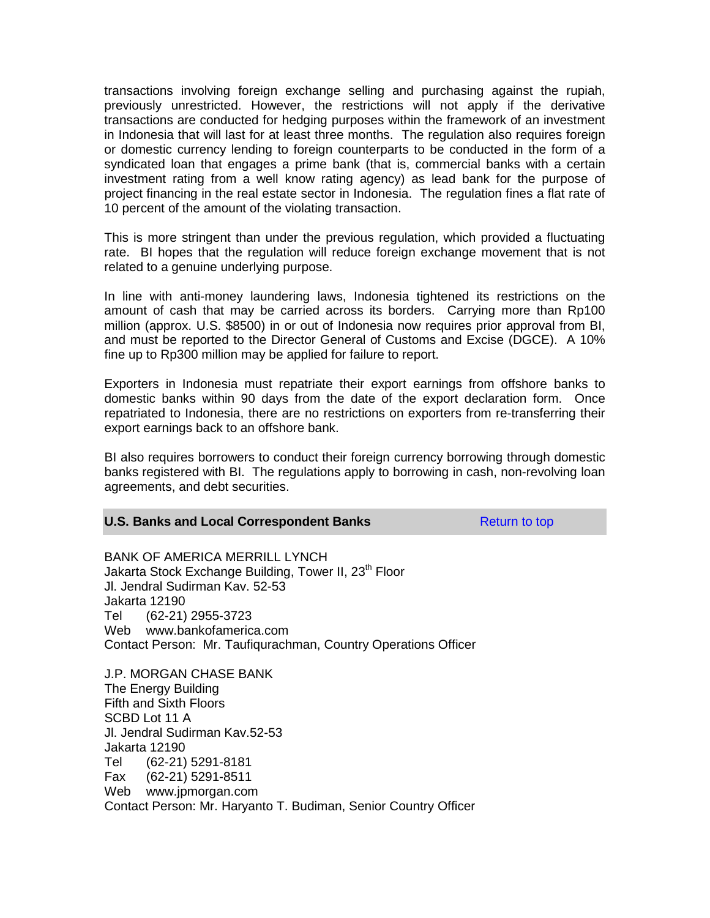transactions involving foreign exchange selling and purchasing against the rupiah, previously unrestricted. However, the restrictions will not apply if the derivative transactions are conducted for hedging purposes within the framework of an investment in Indonesia that will last for at least three months. The regulation also requires foreign or domestic currency lending to foreign counterparts to be conducted in the form of a syndicated loan that engages a prime bank (that is, commercial banks with a certain investment rating from a well know rating agency) as lead bank for the purpose of project financing in the real estate sector in Indonesia. The regulation fines a flat rate of 10 percent of the amount of the violating transaction.

This is more stringent than under the previous regulation, which provided a fluctuating rate. BI hopes that the regulation will reduce foreign exchange movement that is not related to a genuine underlying purpose.

In line with anti-money laundering laws, Indonesia tightened its restrictions on the amount of cash that may be carried across its borders. Carrying more than Rp100 million (approx. U.S. \$8500) in or out of Indonesia now requires prior approval from BI, and must be reported to the Director General of Customs and Excise (DGCE). A 10% fine up to Rp300 million may be applied for failure to report.

Exporters in Indonesia must repatriate their export earnings from offshore banks to domestic banks within 90 days from the date of the export declaration form. Once repatriated to Indonesia, there are no restrictions on exporters from re-transferring their export earnings back to an offshore bank.

BI also requires borrowers to conduct their foreign currency borrowing through domestic banks registered with BI. The regulations apply to borrowing in cash, non-revolving loan agreements, and debt securities.

#### **U.S. Banks and Local Correspondent Banks** Return to top

BANK OF AMERICA MERRILL LYNCH Jakarta Stock Exchange Building, Tower II, 23<sup>th</sup> Floor Jl. Jendral Sudirman Kav. 52-53 Jakarta 12190 Tel (62-21) 2955-3723 Web www.bankofamerica.com Contact Person: Mr. Taufiqurachman, Country Operations Officer

J.P. MORGAN CHASE BANK The Energy Building Fifth and Sixth Floors SCBD Lot 11 A Jl. Jendral Sudirman Kav.52-53 Jakarta 12190 Tel (62-21) 5291-8181 Fax (62-21) 5291-8511 Web www.jpmorgan.com Contact Person: Mr. Haryanto T. Budiman, Senior Country Officer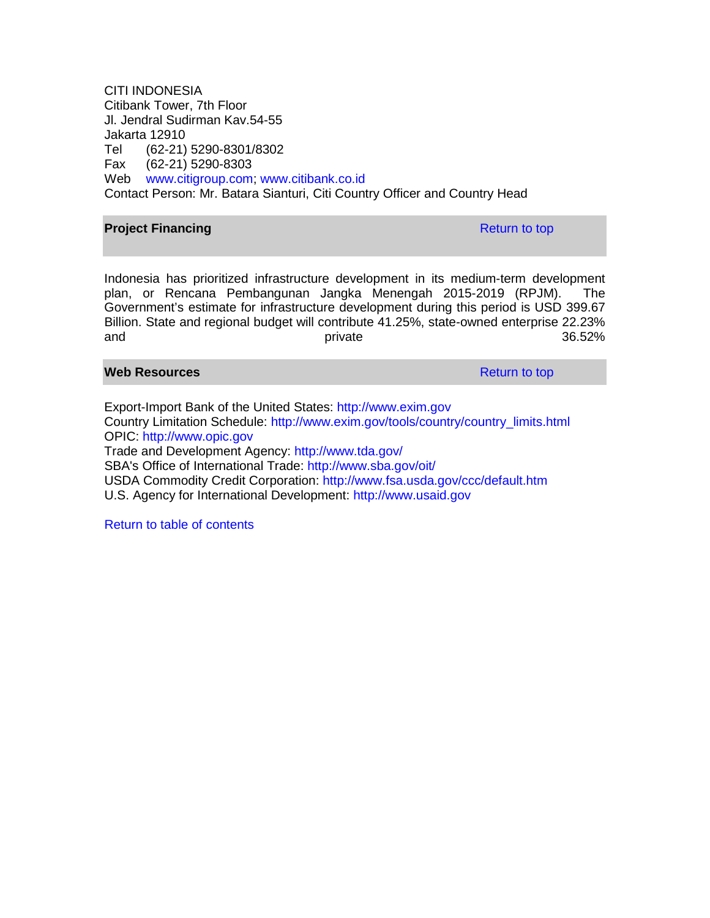CITI INDONESIA Citibank Tower, 7th Floor Jl. Jendral Sudirman Kav.54-55 Jakarta 12910 Tel (62-21) 5290-8301/8302 Fax (62-21) 5290-8303 Web [www.citigroup.com;](http://www.citigroup.com/) [www.citibank.co.id](http://www.citibank.co.id/) Contact Person: Mr. Batara Sianturi, Citi Country Officer and Country Head

#### **Project Financing Return to top Return to top**

Indonesia has prioritized infrastructure development in its medium-term development plan, or Rencana Pembangunan Jangka Menengah 2015-2019 (RPJM). The Government's estimate for infrastructure development during this period is USD 399.67 Billion. State and regional budget will contribute 41.25%, state-owned enterprise 22.23% and and and  $\qquad p$  private  $\qquad p$  and  $\qquad 36.52\%$ 

#### **Web Resources Resources Resources Return to top**

Export-Import Bank of the United States: [http://www.exim.gov](http://www.exim.gov/) Country Limitation Schedule: [http://www.exim.gov/tools/country/country\\_limits.html](http://www.exim.gov/tools/country/country_limits.html) OPIC: [http://www.opic.gov](http://www.opic.gov/) Trade and Development Agency: <http://www.tda.gov/> SBA's Office of International Trade: <http://www.sba.gov/oit/> USDA Commodity Credit Corporation: <http://www.fsa.usda.gov/ccc/default.htm> U.S. Agency for International Development: [http://www.usaid.gov](http://www.usaid.gov/)

Return to table of contents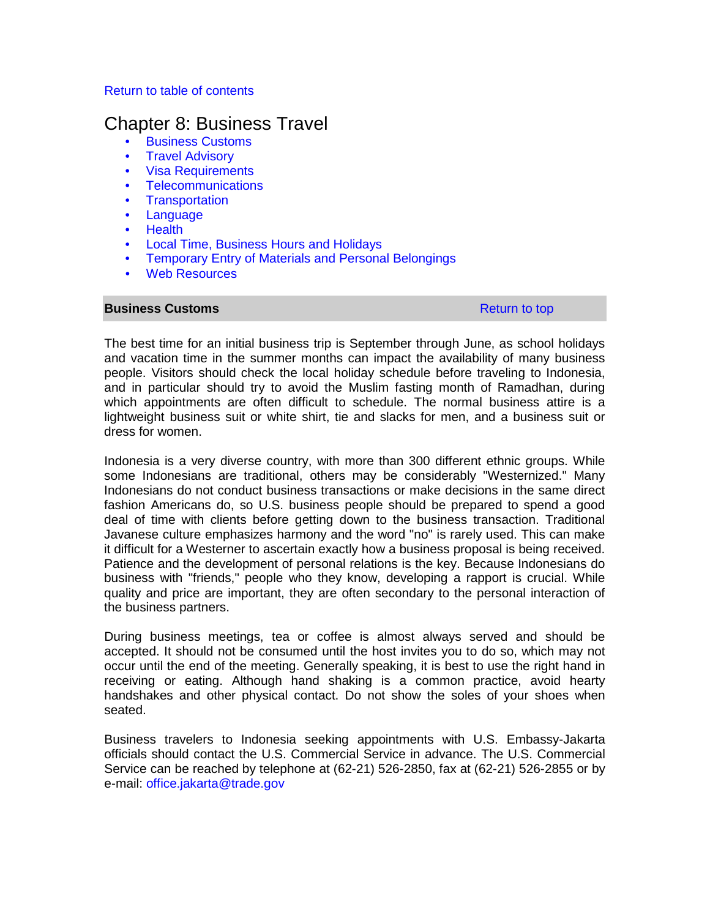#### Return to table of contents

# Chapter 8: Business Travel

- Business Customs
- Travel Advisory
- Visa Requirements
- Telecommunications
- Transportation
- Language
- Health
- Local Time, Business Hours and Holidays
- Temporary Entry of Materials and Personal Belongings
- Web Resources

#### **Business Customs Return to top Return to top Return to top**

The best time for an initial business trip is September through June, as school holidays and vacation time in the summer months can impact the availability of many business people. Visitors should check the local holiday schedule before traveling to Indonesia, and in particular should try to avoid the Muslim fasting month of Ramadhan, during which appointments are often difficult to schedule. The normal business attire is a lightweight business suit or white shirt, tie and slacks for men, and a business suit or dress for women.

Indonesia is a very diverse country, with more than 300 different ethnic groups. While some Indonesians are traditional, others may be considerably "Westernized." Many Indonesians do not conduct business transactions or make decisions in the same direct fashion Americans do, so U.S. business people should be prepared to spend a good deal of time with clients before getting down to the business transaction. Traditional Javanese culture emphasizes harmony and the word "no" is rarely used. This can make it difficult for a Westerner to ascertain exactly how a business proposal is being received. Patience and the development of personal relations is the key. Because Indonesians do business with "friends," people who they know, developing a rapport is crucial. While quality and price are important, they are often secondary to the personal interaction of the business partners.

During business meetings, tea or coffee is almost always served and should be accepted. It should not be consumed until the host invites you to do so, which may not occur until the end of the meeting. Generally speaking, it is best to use the right hand in receiving or eating. Although hand shaking is a common practice, avoid hearty handshakes and other physical contact. Do not show the soles of your shoes when seated.

Business travelers to Indonesia seeking appointments with U.S. Embassy-Jakarta officials should contact the U.S. Commercial Service in advance. The U.S. Commercial Service can be reached by telephone at (62-21) 526-2850, fax at (62-21) 526-2855 or by e-mail: [office.jakarta@trade.gov](mailto:office.jakarta@trade.gov)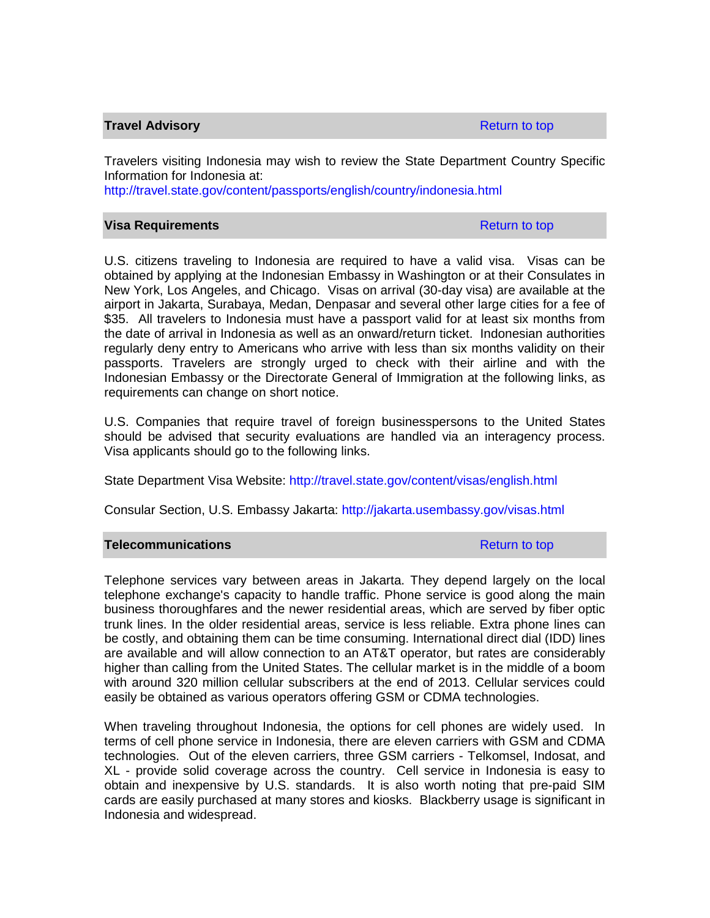#### **Travel Advisory Return to top Advisory Return to top Advisory Return to top**

Travelers visiting Indonesia may wish to review the State Department Country Specific Information for Indonesia at:

<http://travel.state.gov/content/passports/english/country/indonesia.html>

#### **Visa Requirements Research Control of the Return to top Return to top**

U.S. citizens traveling to Indonesia are required to have a valid visa. Visas can be obtained by applying at the Indonesian Embassy in Washington or at their Consulates in New York, Los Angeles, and Chicago. Visas on arrival (30-day visa) are available at the airport in Jakarta, Surabaya, Medan, Denpasar and several other large cities for a fee of \$35. All travelers to Indonesia must have a passport valid for at least six months from the date of arrival in Indonesia as well as an onward/return ticket. Indonesian authorities regularly deny entry to Americans who arrive with less than six months validity on their passports. Travelers are strongly urged to check with their airline and with the Indonesian Embassy or the Directorate General of Immigration at the following links, as requirements can change on short notice.

U.S. Companies that require travel of foreign businesspersons to the United States should be advised that security evaluations are handled via an interagency process. Visa applicants should go to the following links.

State Department Visa Website: http://travel.state.gov/content/visas/english.html

Consular Section, U.S. Embassy Jakarta: <http://jakarta.usembassy.gov/visas.html>

#### **Telecommunications Return to top Return to top**

Telephone services vary between areas in Jakarta. They depend largely on the local telephone exchange's capacity to handle traffic. Phone service is good along the main business thoroughfares and the newer residential areas, which are served by fiber optic trunk lines. In the older residential areas, service is less reliable. Extra phone lines can be costly, and obtaining them can be time consuming. International direct dial (IDD) lines are available and will allow connection to an AT&T operator, but rates are considerably higher than calling from the United States. The cellular market is in the middle of a boom with around 320 million cellular subscribers at the end of 2013. Cellular services could easily be obtained as various operators offering GSM or CDMA technologies.

When traveling throughout Indonesia, the options for cell phones are widely used. In terms of cell phone service in Indonesia, there are eleven carriers with GSM and CDMA technologies. Out of the eleven carriers, three GSM carriers - Telkomsel, Indosat, and XL - provide solid coverage across the country. Cell service in Indonesia is easy to obtain and inexpensive by U.S. standards. It is also worth noting that pre-paid SIM cards are easily purchased at many stores and kiosks. Blackberry usage is significant in Indonesia and widespread.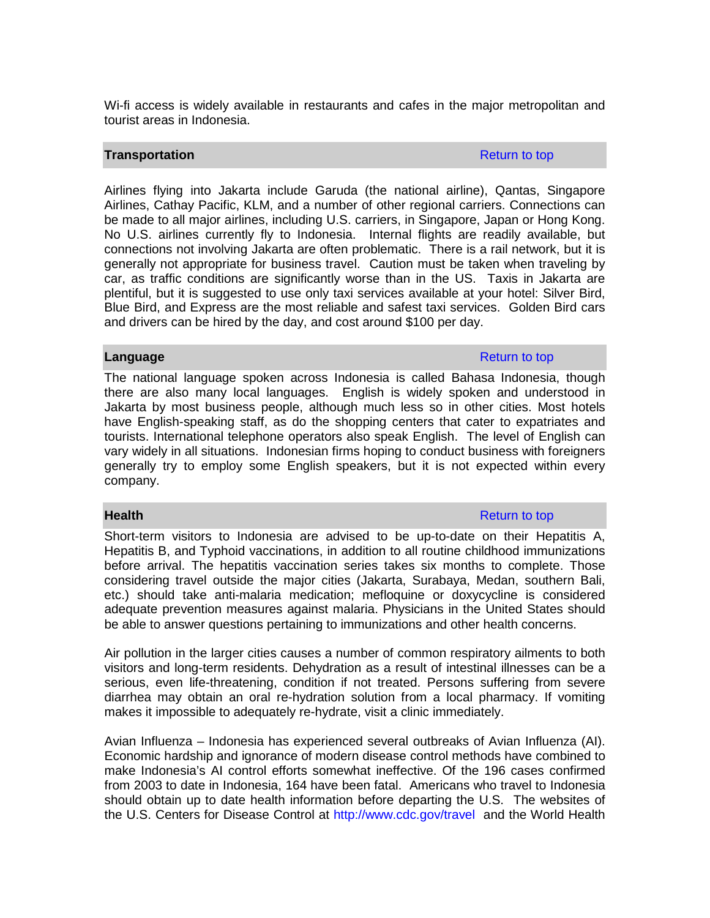Wi-fi access is widely available in restaurants and cafes in the major metropolitan and tourist areas in Indonesia.

### **Transportation Return to top and the set of the set of the Return to top Return to top**

Airlines flying into Jakarta include Garuda (the national airline), Qantas, Singapore Airlines, Cathay Pacific, KLM, and a number of other regional carriers. Connections can be made to all major airlines, including U.S. carriers, in Singapore, Japan or Hong Kong. No U.S. airlines currently fly to Indonesia. Internal flights are readily available, but connections not involving Jakarta are often problematic. There is a rail network, but it is generally not appropriate for business travel. Caution must be taken when traveling by car, as traffic conditions are significantly worse than in the US. Taxis in Jakarta are plentiful, but it is suggested to use only taxi services available at your hotel: Silver Bird, Blue Bird, and Express are the most reliable and safest taxi services. Golden Bird cars and drivers can be hired by the day, and cost around \$100 per day.

# **Language** Return to top **Return to top and the set of the set of the Return to top <b>Return to top**

The national language spoken across Indonesia is called Bahasa Indonesia, though there are also many local languages. English is widely spoken and understood in Jakarta by most business people, although much less so in other cities. Most hotels have English-speaking staff, as do the shopping centers that cater to expatriates and tourists. International telephone operators also speak English. The level of English can vary widely in all situations. Indonesian firms hoping to conduct business with foreigners generally try to employ some English speakers, but it is not expected within every company.

### Short-term visitors to Indonesia are advised to be up-to-date on their Hepatitis A, Hepatitis B, and Typhoid vaccinations, in addition to all routine childhood immunizations before arrival. The hepatitis vaccination series takes six months to complete. Those considering travel outside the major cities (Jakarta, Surabaya, Medan, southern Bali, etc.) should take anti-malaria medication; mefloquine or doxycycline is considered adequate prevention measures against malaria. Physicians in the United States should be able to answer questions pertaining to immunizations and other health concerns.

Air pollution in the larger cities causes a number of common respiratory ailments to both visitors and long-term residents. Dehydration as a result of intestinal illnesses can be a serious, even life-threatening, condition if not treated. Persons suffering from severe diarrhea may obtain an oral re-hydration solution from a local pharmacy. If vomiting makes it impossible to adequately re-hydrate, visit a clinic immediately.

Avian Influenza – Indonesia has experienced several outbreaks of Avian Influenza (AI). Economic hardship and ignorance of modern disease control methods have combined to make Indonesia's AI control efforts somewhat ineffective. Of the 196 cases confirmed from 2003 to date in Indonesia, 164 have been fatal. Americans who travel to Indonesia should obtain up to date health information before departing the U.S. The websites of the U.S. Centers for Disease Control at <http://www.cdc.gov/travel>and the World Health

**Health** Return to top and the contract of the contract of the Return to top Return to top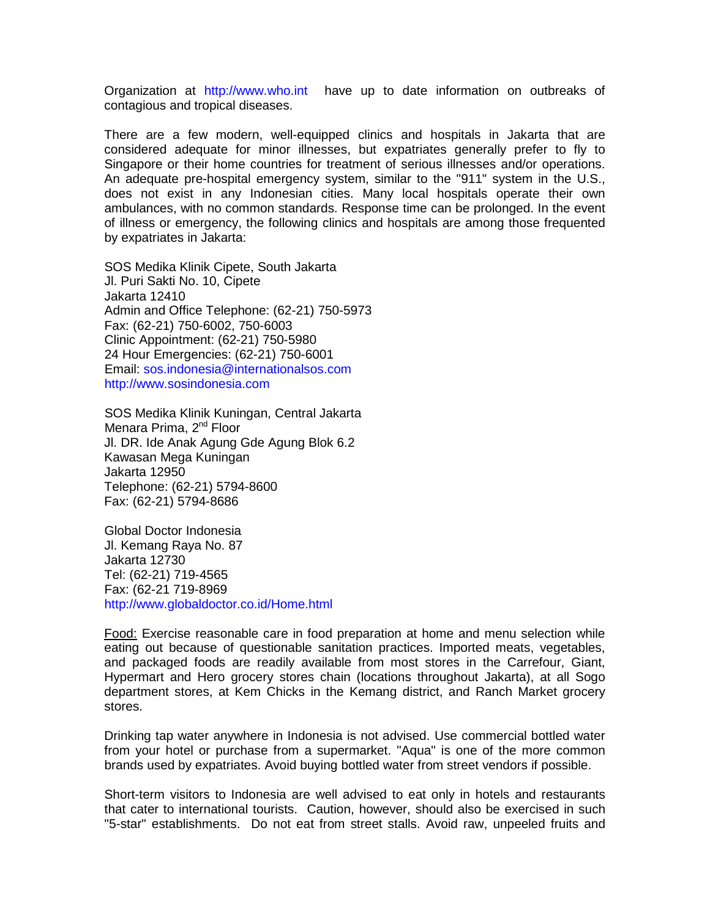Organization at [http://www.who.int](http://www.who.int/) have up to date information on outbreaks of contagious and tropical diseases.

There are a few modern, well-equipped clinics and hospitals in Jakarta that are considered adequate for minor illnesses, but expatriates generally prefer to fly to Singapore or their home countries for treatment of serious illnesses and/or operations. An adequate pre-hospital emergency system, similar to the "911" system in the U.S., does not exist in any Indonesian cities. Many local hospitals operate their own ambulances, with no common standards. Response time can be prolonged. In the event of illness or emergency, the following clinics and hospitals are among those frequented by expatriates in Jakarta:

SOS Medika Klinik Cipete, South Jakarta Jl. Puri Sakti No. 10, Cipete Jakarta 12410 Admin and Office Telephone: (62-21) 750-5973 Fax: (62-21) 750-6002, 750-6003 Clinic Appointment: (62-21) 750-5980 24 Hour Emergencies: (62-21) 750-6001 Email: [sos.indonesia@internationalsos.com](mailto:sos.indonesia@internationalsos.com) [http://www.sosindonesia.com](http://www.sosindonesia.com/)

SOS Medika Klinik Kuningan, Central Jakarta Menara Prima, 2<sup>nd</sup> Floor Jl. DR. Ide Anak Agung Gde Agung Blok 6.2 Kawasan Mega Kuningan Jakarta 12950 Telephone: (62-21) 5794-8600 Fax: (62-21) 5794-8686

Global Doctor Indonesia Jl. Kemang Raya No. 87 Jakarta 12730 Tel: (62-21) 719-4565 Fax: (62-21 719-8969 [http://www.globaldoctor.co.id/Home.html](http://www.globaldoctor.co.id/home.html)

Food: Exercise reasonable care in food preparation at home and menu selection while eating out because of questionable sanitation practices. Imported meats, vegetables, and packaged foods are readily available from most stores in the Carrefour, Giant, Hypermart and Hero grocery stores chain (locations throughout Jakarta), at all Sogo department stores, at Kem Chicks in the Kemang district, and Ranch Market grocery stores.

Drinking tap water anywhere in Indonesia is not advised. Use commercial bottled water from your hotel or purchase from a supermarket. "Aqua" is one of the more common brands used by expatriates. Avoid buying bottled water from street vendors if possible.

Short-term visitors to Indonesia are well advised to eat only in hotels and restaurants that cater to international tourists. Caution, however, should also be exercised in such "5-star" establishments. Do not eat from street stalls. Avoid raw, unpeeled fruits and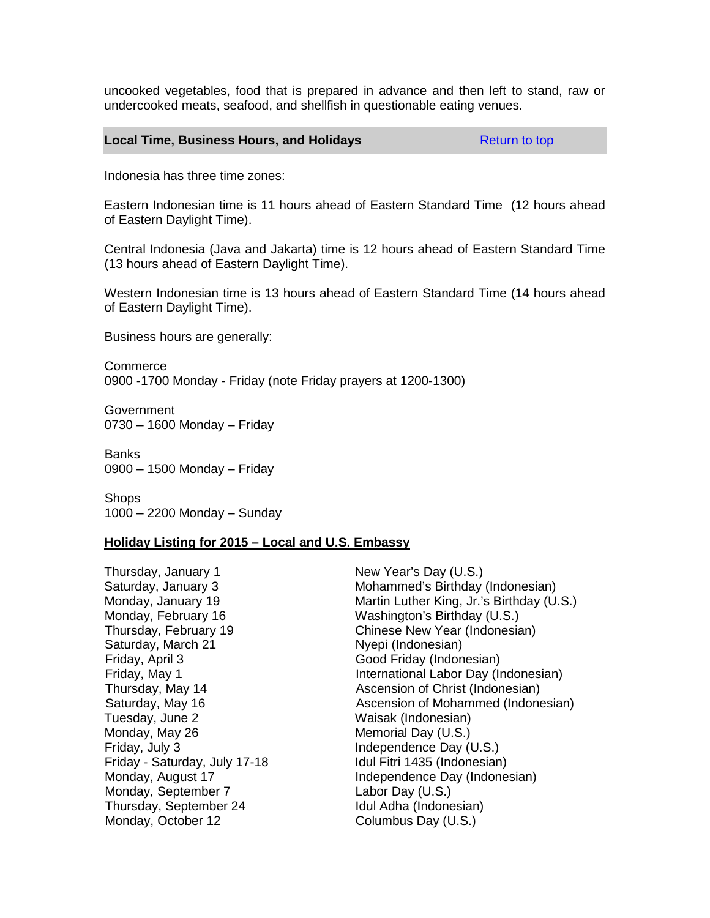uncooked vegetables, food that is prepared in advance and then left to stand, raw or undercooked meats, seafood, and shellfish in questionable eating venues.

#### **Local Time, Business Hours, and Holidays Return to top Return to top**

Indonesia has three time zones:

Eastern Indonesian time is 11 hours ahead of Eastern Standard Time (12 hours ahead of Eastern Daylight Time).

Central Indonesia (Java and Jakarta) time is 12 hours ahead of Eastern Standard Time (13 hours ahead of Eastern Daylight Time).

Western Indonesian time is 13 hours ahead of Eastern Standard Time (14 hours ahead of Eastern Daylight Time).

Business hours are generally:

Commerce 0900 -1700 Monday - Friday (note Friday prayers at 1200-1300)

**Government** 0730 – 1600 Monday – Friday

Banks 0900 – 1500 Monday – Friday

Shops 1000 – 2200 Monday – Sunday

#### **Holiday Listing for 2015 – Local and U.S. Embassy**

Thursday, January 1 New Year's Day (U.S.) Saturday, March 21 Nyepi (Indonesian) Friday, April 3 Good Friday (Indonesian) Tuesday, June 2 Waisak (Indonesian) Monday, May 26 Memorial Day (U.S.) Friday, July 3 **Independence Day (U.S.)** Friday - Saturday, July 17-18 Idul Fitri 1435 (Indonesian) Monday, September 7 Labor Day (U.S.)<br>
Thursday, September 24 Labor Day (U.S.) Thursday, September 24 Monday, October 12 Columbus Day (U.S.)

Saturday, January 3 (Saturday, January 3 (Saturday (Indonesian)<br>Monday, January 19 (Martin Luther King, Jr.'s Birthday (U. Martin Luther King, Jr.'s Birthday (U.S.) Monday, February 16 Washington's Birthday (U.S.) Thursday, February 19 Chinese New Year (Indonesian) Friday, May 1 **International Labor Day (Indonesian)** Thursday, May 14 **Ascension of Christ (Indonesian)**<br>
Saturday, May 16 **Ascension of Mohammed (Indone** Ascension of Mohammed (Indonesian) Monday, August 17 **Independence Day (Indonesian)**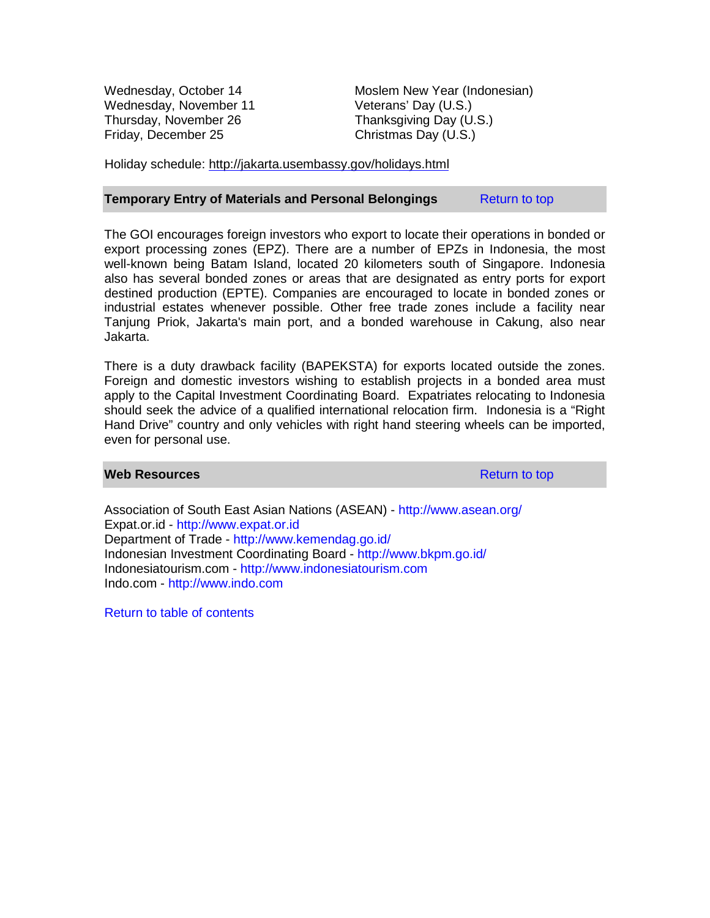Wednesday, November 11 Thursday, November 26 Thanksgiving Day (U.S.) Friday, December 25 Christmas Day (U.S.)

Wednesday, October 14 Moslem New Year (Indonesian)<br>Wednesday, November 11 Veterans' Day (U.S.)

Holiday schedule: <http://jakarta.usembassy.gov/holidays.html>

#### **Temporary Entry of Materials and Personal Belongings Return to top**

The GOI encourages foreign investors who export to locate their operations in bonded or export processing zones (EPZ). There are a number of EPZs in Indonesia, the most well-known being Batam Island, located 20 kilometers south of Singapore. Indonesia also has several bonded zones or areas that are designated as entry ports for export destined production (EPTE). Companies are encouraged to locate in bonded zones or industrial estates whenever possible. Other free trade zones include a facility near Tanjung Priok, Jakarta's main port, and a bonded warehouse in Cakung, also near Jakarta.

There is a duty drawback facility (BAPEKSTA) for exports located outside the zones. Foreign and domestic investors wishing to establish projects in a bonded area must apply to the Capital Investment Coordinating Board. Expatriates relocating to Indonesia should seek the advice of a qualified international relocation firm. Indonesia is a "Right Hand Drive" country and only vehicles with right hand steering wheels can be imported, even for personal use.

#### **Web Resources Resources Resources Return to top**

Association of South East Asian Nations (ASEAN) - <http://www.asean.org/> Expat.or.id - [http://www.expat.or.id](http://www.expat.or.id/) Department of Trade - <http://www.kemendag.go.id/> Indonesian Investment Coordinating Board - <http://www.bkpm.go.id/> Indonesiatourism.com - [http://www.indonesiatourism.com](http://www.indonesiatourism.com/) Indo.com - [http://www.indo.com](http://www.indo.com/)

Return to table of contents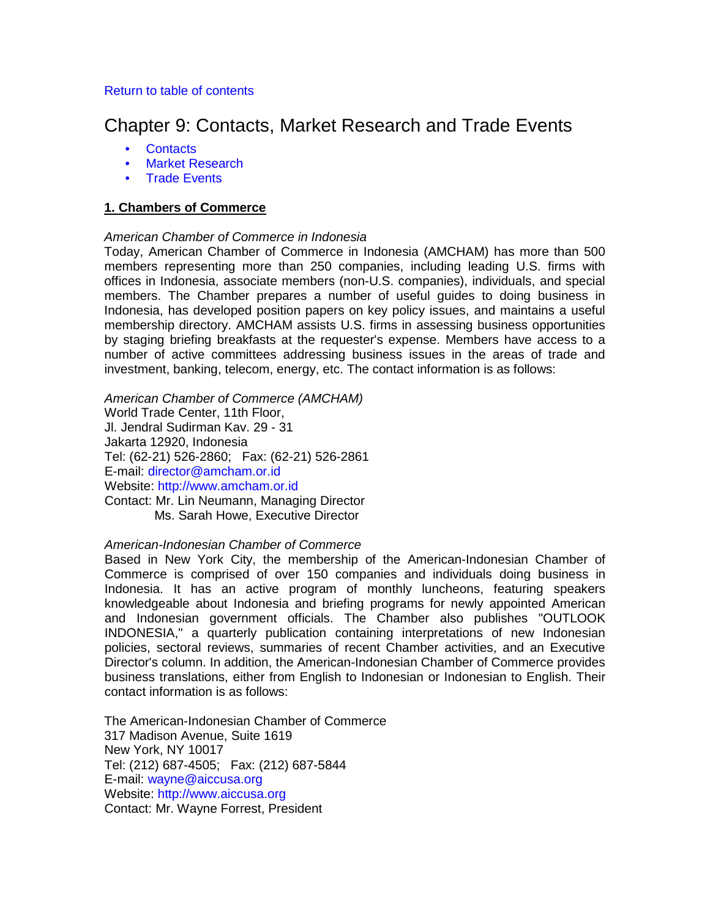### Return to table of contents

# Chapter 9: Contacts, Market Research and Trade Events

- **Contacts**
- Market Research
- Trade Events

# **1. Chambers of Commerce**

# *American Chamber of Commerce in Indonesia*

Today, American Chamber of Commerce in Indonesia (AMCHAM) has more than 500 members representing more than 250 companies, including leading U.S. firms with offices in Indonesia, associate members (non-U.S. companies), individuals, and special members. The Chamber prepares a number of useful guides to doing business in Indonesia, has developed position papers on key policy issues, and maintains a useful membership directory. AMCHAM assists U.S. firms in assessing business opportunities by staging briefing breakfasts at the requester's expense. Members have access to a number of active committees addressing business issues in the areas of trade and investment, banking, telecom, energy, etc. The contact information is as follows:

*American Chamber of Commerce (AMCHAM)* World Trade Center, 11th Floor, Jl. Jendral Sudirman Kav. 29 - 31 Jakarta 12920, Indonesia Tel: (62-21) 526-2860; Fax: (62-21) 526-2861 E-mail: [director@amcham.or.id](mailto:director@amcham.or.id) Website: [http://www.amcham.or.id](http://www.amcham.or.id/) Contact: Mr. Lin Neumann, Managing Director

Ms. Sarah Howe, Executive Director

### *American-Indonesian Chamber of Commerce*

Based in New York City, the membership of the American-Indonesian Chamber of Commerce is comprised of over 150 companies and individuals doing business in Indonesia. It has an active program of monthly luncheons, featuring speakers knowledgeable about Indonesia and briefing programs for newly appointed American and Indonesian government officials. The Chamber also publishes "OUTLOOK INDONESIA," a quarterly publication containing interpretations of new Indonesian policies, sectoral reviews, summaries of recent Chamber activities, and an Executive Director's column. In addition, the American-Indonesian Chamber of Commerce provides business translations, either from English to Indonesian or Indonesian to English. Their contact information is as follows:

The American-Indonesian Chamber of Commerce 317 Madison Avenue, Suite 1619 New York, NY 10017 Tel: (212) 687-4505; Fax: (212) 687-5844 E-mail: [wayne@aiccusa.org](mailto:wayne@aiccusa.org) Website: [http://www.aiccusa.org](http://www.aiccusa.org/) Contact: Mr. Wayne Forrest, President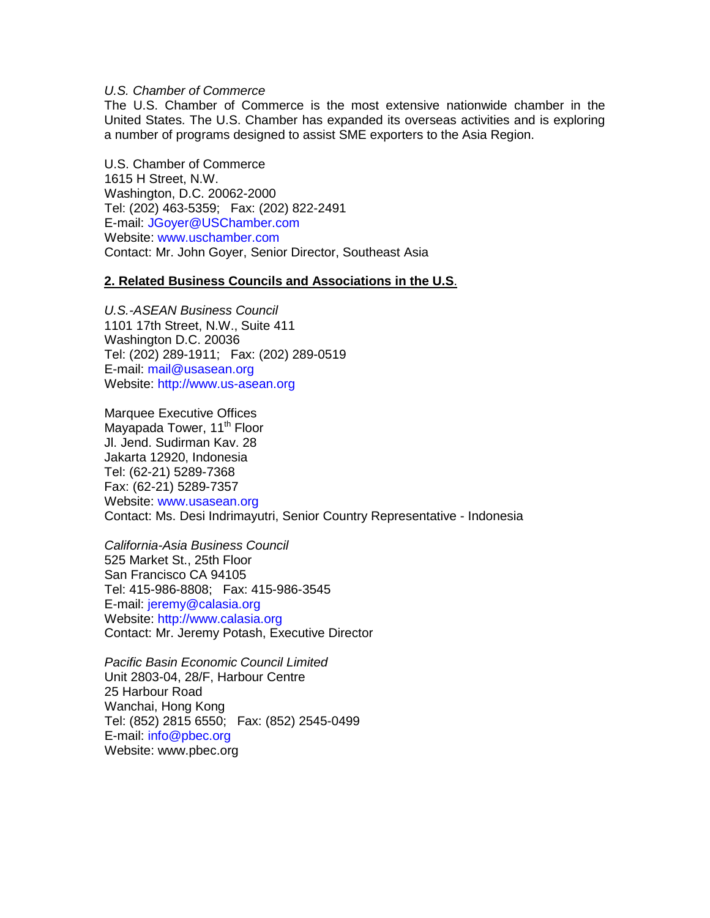# *U.S. Chamber of Commerce*

The U.S. Chamber of Commerce is the most extensive nationwide chamber in the United States. The U.S. Chamber has expanded its overseas activities and is exploring a number of programs designed to assist SME exporters to the Asia Region.

U.S. Chamber of Commerce 1615 H Street, N.W. Washington, D.C. 20062-2000 Tel: (202) 463-5359; Fax: (202) 822-2491 E-mail: [JGoyer@USChamber.com](mailto:jgoyer@uschamber.com)  Website: [www.uschamber.com](http://www.uschamber.com/) Contact: Mr. John Goyer, Senior Director, Southeast Asia

#### **2. Related Business Councils and Associations in the U.S**.

*U.S.-ASEAN Business Council* 1101 17th Street, N.W., Suite 411 Washington D.C. 20036 Tel: (202) 289-1911; Fax: (202) 289-0519 E-mail: [mail@usasean.org](mailto:mail@usasean.org)  Website: [http://www.us-asean.org](http://www.us-asean.org/)

Marquee Executive Offices Mayapada Tower, 11<sup>th</sup> Floor Jl. Jend. Sudirman Kav. 28 Jakarta 12920, Indonesia Tel: (62-21) 5289-7368 Fax: (62-21) 5289-7357 Website: [www.usasean.org](http://www.usasean.org/) Contact: Ms. Desi Indrimayutri, Senior Country Representative - Indonesia

*California-Asia Business Council* 525 Market St., 25th Floor San Francisco CA 94105 Tel: 415-986-8808; Fax: 415-986-3545 E-mail: [jeremy@calasia.org](mailto:jeremy@calasia.org) Website: [http://www.calasia.org](http://www.calasia.org/) Contact: Mr. Jeremy Potash, Executive Director

*Pacific Basin Economic Council Limited* Unit 2803-04, 28/F, Harbour Centre 25 Harbour Road Wanchai, Hong Kong Tel: (852) 2815 6550; Fax: (852) 2545-0499 E-mail: [info@pbec.org](mailto:info@pbec.org) Website: www.pbec.org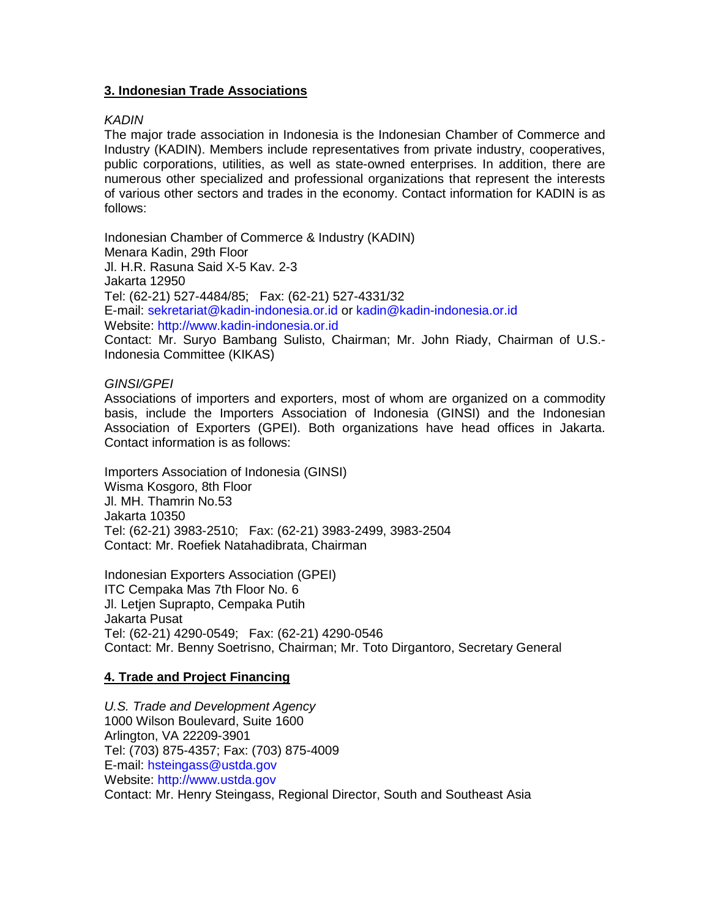# **3. Indonesian Trade Associations**

# *KADIN*

The major trade association in Indonesia is the Indonesian Chamber of Commerce and Industry (KADIN). Members include representatives from private industry, cooperatives, public corporations, utilities, as well as state-owned enterprises. In addition, there are numerous other specialized and professional organizations that represent the interests of various other sectors and trades in the economy. Contact information for KADIN is as follows:

Indonesian Chamber of Commerce & Industry (KADIN) Menara Kadin, 29th Floor Jl. H.R. Rasuna Said X-5 Kav. 2-3 Jakarta 12950 Tel: (62-21) 527-4484/85; Fax: (62-21) 527-4331/32 E-mail: [sekretariat@kadin-indonesia.or.id](mailto:sekretariat@kadin-indonesia.or.id) or [kadin@kadin-indonesia.or.id](mailto:kadin@kadin-indonesia.or.id) Website: [http://www.kadin-indonesia.or.id](http://www.kadin-indonesia.or.id/) Contact: Mr. Suryo Bambang Sulisto, Chairman; Mr. John Riady, Chairman of U.S.- Indonesia Committee (KIKAS)

# *GINSI/GPEI*

Associations of importers and exporters, most of whom are organized on a commodity basis, include the Importers Association of Indonesia (GINSI) and the Indonesian Association of Exporters (GPEI). Both organizations have head offices in Jakarta. Contact information is as follows:

Importers Association of Indonesia (GINSI) Wisma Kosgoro, 8th Floor Jl. MH. Thamrin No.53 Jakarta 10350 Tel: (62-21) 3983-2510; Fax: (62-21) 3983-2499, 3983-2504 Contact: Mr. Roefiek Natahadibrata, Chairman

Indonesian Exporters Association (GPEI) ITC Cempaka Mas 7th Floor No. 6 Jl. Letjen Suprapto, Cempaka Putih Jakarta Pusat Tel: (62-21) 4290-0549; Fax: (62-21) 4290-0546 Contact: Mr. Benny Soetrisno, Chairman; Mr. Toto Dirgantoro, Secretary General

# **4. Trade and Project Financing**

*U.S. Trade and Development Agency* 1000 Wilson Boulevard, Suite 1600 Arlington, VA 22209-3901 Tel: (703) 875-4357; Fax: (703) 875-4009 E-mail: [hsteingass@ustda.gov](mailto:hsteingass@ustda.gov) Website: [http://www.ustda.gov](http://www.ustda.gov/) Contact: Mr. Henry Steingass, Regional Director, South and Southeast Asia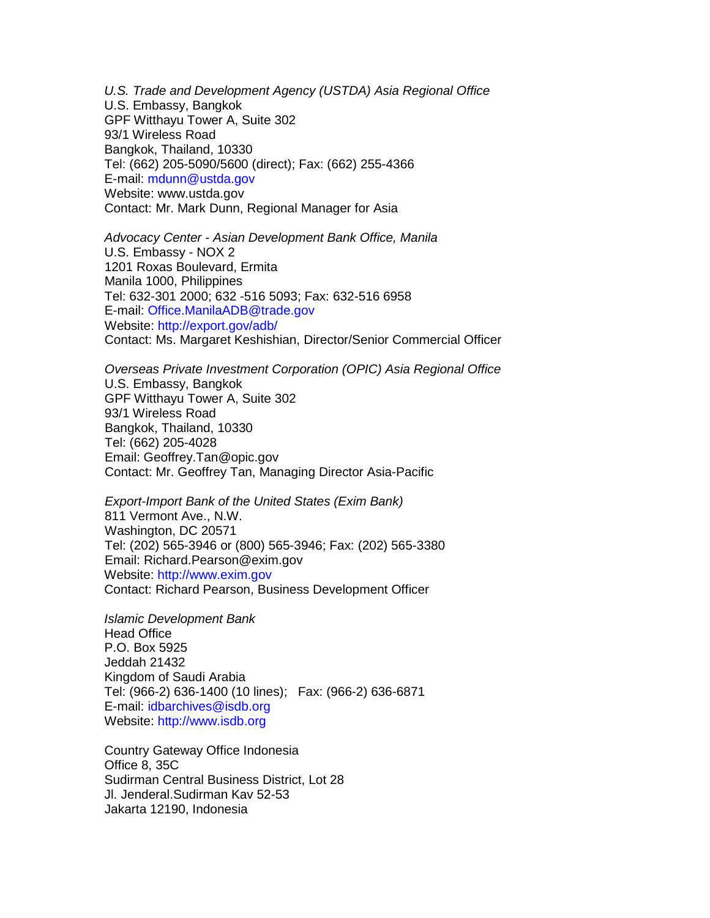*U.S. Trade and Development Agency (USTDA) Asia Regional Office* U.S. Embassy, Bangkok GPF Witthayu Tower A, Suite 302 93/1 Wireless Road Bangkok, Thailand, 10330 Tel: (662) 205-5090/5600 (direct); Fax: (662) 255-4366 E-mail: [mdunn@ustda.gov](mailto:mdunn@ustda.gov) Website: www.ustda.gov Contact: Mr. Mark Dunn, Regional Manager for Asia

*Advocacy Center - Asian Development Bank Office, Manila* U.S. Embassy - NOX 2 1201 Roxas Boulevard, Ermita Manila 1000, Philippines Tel: 632-301 2000; 632 -516 5093; Fax: 632-516 6958 E-mail: [Office.ManilaADB@trade.gov](mailto:office.manilaadb@trade.gov) Website: <http://export.gov/adb/> Contact: Ms. Margaret Keshishian, Director/Senior Commercial Officer

*Overseas Private Investment Corporation (OPIC) Asia Regional Office* U.S. Embassy, Bangkok GPF Witthayu Tower A, Suite 302 93/1 Wireless Road Bangkok, Thailand, 10330 Tel: (662) 205-4028 Email: Geoffrey.Tan@opic.gov Contact: Mr. Geoffrey Tan, Managing Director Asia-Pacific

*Export-Import Bank of the United States (Exim Bank)* 811 Vermont Ave., N.W. Washington, DC 20571 Tel: (202) 565-3946 or (800) 565-3946; Fax: (202) 565-3380 Email: Richard.Pearson@exim.gov Website: [http://www.exim.gov](http://www.exim.gov/) Contact: Richard Pearson, Business Development Officer

*Islamic Development Bank* Head Office P.O. Box 5925 Jeddah 21432 Kingdom of Saudi Arabia Tel: (966-2) 636-1400 (10 lines); Fax: (966-2) 636-6871 E-mail: [idbarchives@isdb.org](mailto:idbarchives@isdb.org) Website: [http://www.isdb.org](http://www.isdb.org/)

Country Gateway Office Indonesia Office 8, 35C Sudirman Central Business District, Lot 28 Jl. Jenderal.Sudirman Kav 52-53 Jakarta 12190, Indonesia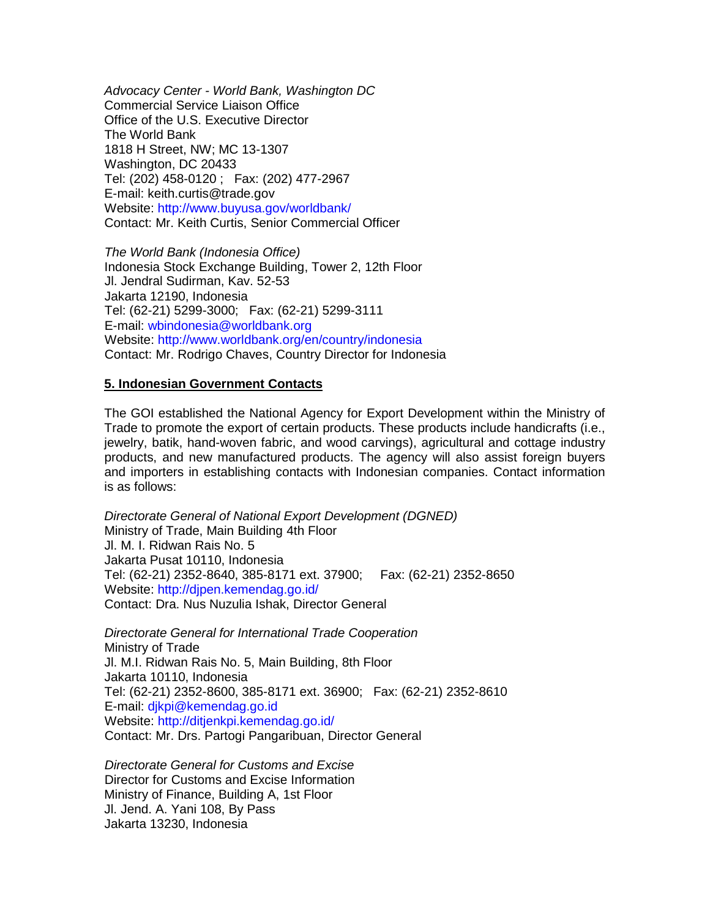*Advocacy Center - World Bank, Washington DC* Commercial Service Liaison Office Office of the U.S. Executive Director The World Bank 1818 H Street, NW; MC 13-1307 Washington, DC 20433 Tel: (202) 458-0120 ; Fax: (202) 477-2967 E-mail: keith.curtis@trade.gov Website: <http://www.buyusa.gov/worldbank/> Contact: Mr. Keith Curtis, Senior Commercial Officer

*The World Bank (Indonesia Office)* Indonesia Stock Exchange Building, Tower 2, 12th Floor Jl. Jendral Sudirman, Kav. 52-53 Jakarta 12190, Indonesia Tel: (62-21) 5299-3000; Fax: (62-21) 5299-3111 E-mail: [wbindonesia@worldbank.org](mailto:wbindonesia@worldbank.org) Website: <http://www.worldbank.org/en/country/indonesia> Contact: Mr. Rodrigo Chaves, Country Director for Indonesia

#### **5. Indonesian Government Contacts**

The GOI established the National Agency for Export Development within the Ministry of Trade to promote the export of certain products. These products include handicrafts (i.e., jewelry, batik, hand-woven fabric, and wood carvings), agricultural and cottage industry products, and new manufactured products. The agency will also assist foreign buyers and importers in establishing contacts with Indonesian companies. Contact information is as follows:

*Directorate General of National Export Development (DGNED)* Ministry of Trade, Main Building 4th Floor Jl. M. I. Ridwan Rais No. 5 Jakarta Pusat 10110, Indonesia Tel: (62-21) 2352-8640, 385-8171 ext. 37900; Fax: (62-21) 2352-8650 Website: <http://djpen.kemendag.go.id/> Contact: Dra. Nus Nuzulia Ishak, Director General

*Directorate General for International Trade Cooperation* Ministry of Trade Jl. M.I. Ridwan Rais No. 5, Main Building, 8th Floor Jakarta 10110, Indonesia Tel: (62-21) 2352-8600, 385-8171 ext. 36900; Fax: (62-21) 2352-8610 E-mail: [djkpi@kemendag.go.id](mailto:djkpi@kemendag.go.id) Website: <http://ditjenkpi.kemendag.go.id/> Contact: Mr. Drs. Partogi Pangaribuan, Director General

*Directorate General for Customs and Excise* Director for Customs and Excise Information Ministry of Finance, Building A, 1st Floor Jl. Jend. A. Yani 108, By Pass Jakarta 13230, Indonesia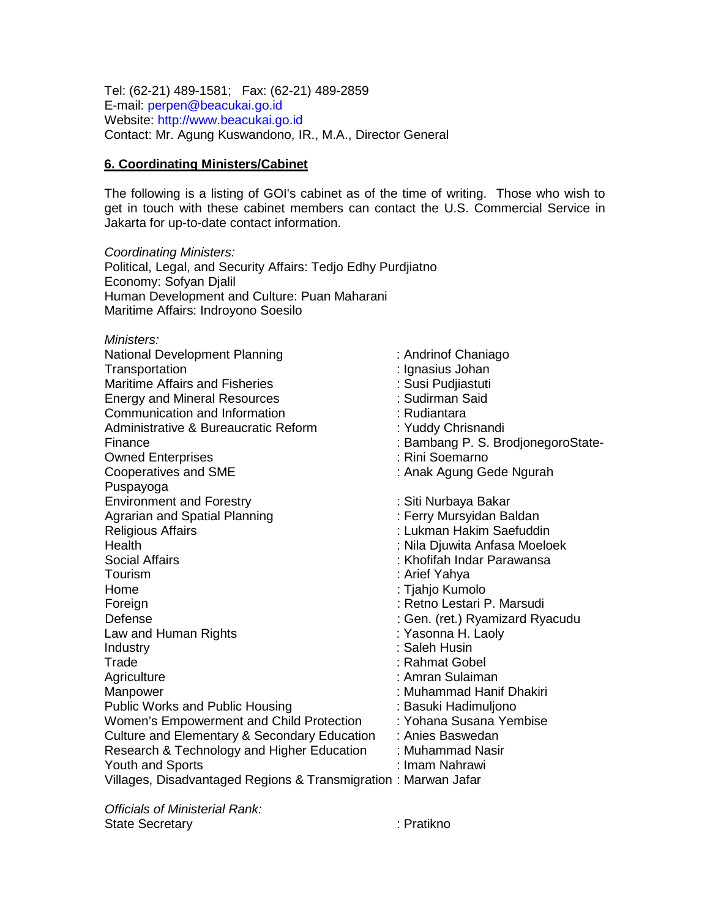Tel: (62-21) 489-1581; Fax: (62-21) 489-2859 E-mail: [perpen@beacukai.go.id](mailto:perpen@beacukai.go.id) Website: [http://www.beacukai.go.id](http://www.beacukai.go.id/) Contact: Mr. Agung Kuswandono, IR., M.A., Director General

#### **6. Coordinating Ministers/Cabinet**

The following is a listing of GOI's cabinet as of the time of writing. Those who wish to get in touch with these cabinet members can contact the U.S. Commercial Service in Jakarta for up-to-date contact information.

*Coordinating Ministers:* Political, Legal, and Security Affairs: Tedjo Edhy Purdjiatno Economy: Sofyan Djalil Human Development and Culture: Puan Maharani Maritime Affairs: Indroyono Soesilo

*Ministers:* National Development Planning **in the Channing State of Channing** in Andrinof Chaniago Transportation : Ignasius Johan Maritime Affairs and Fisheries **in American Control**: Susi Pudiiastuti Energy and Mineral Resources : Sudirman Said Communication and Information<br>
Administrative & Bureaucratic Reform
index Christration and intervalse and the Sureaucratic Reform Administrative & Bureaucratic Reform Finance : Bambang P. S. BrodjonegoroState-Owned Enterprises : Rini Soemarno Cooperatives and SME **interest and SME** : Anak Agung Gede Ngurah Puspayoga Environment and Forestry in the South Community Siti Nurbaya Bakar<br>
Agrarian and Spatial Planning in the South Serry Mursyidan Baldan Agrarian and Spatial Planning<br>Religious Affairs : Lukman Hakim Saefuddin Health : Nila Djuwita Anfasa Moeloek Social Affairs : Khofifah Indar Parawansa Tourism : Arief Yahya Home : Tjahjo Kumolo Foreign : Retno Lestari P. Marsudi Defense : Gen. (ret.) Ryamizard Ryacudu Law and Human Rights **in the Contract Contract Contract Contract Contract Contract Contract Contract Contract Contract Contract Contract Contract Contract Contract Contract Contract Contract Contract Contract Contract Cont** Industry : Saleh Husin Trade : Rahmat Gobel Agriculture : Amran Sulaiman Manpower : Muhammad Hanif Dhakiri Public Works and Public Housing : Basuki Hadimuljono Women's Empowerment and Child Protection : Yohana Susana Yembise Culture and Elementary & Secondary Education : Anies Baswedan Research & Technology and Higher Education : Muhammad Nasir<br>Youth and Sports : : Imam Nahrawi Youth and Sports Villages, Disadvantaged Regions & Transmigration : Marwan Jafar

*Officials of Ministerial Rank:* State Secretary **in the Secretary in the Secretary**  $\cdot$  Pratikno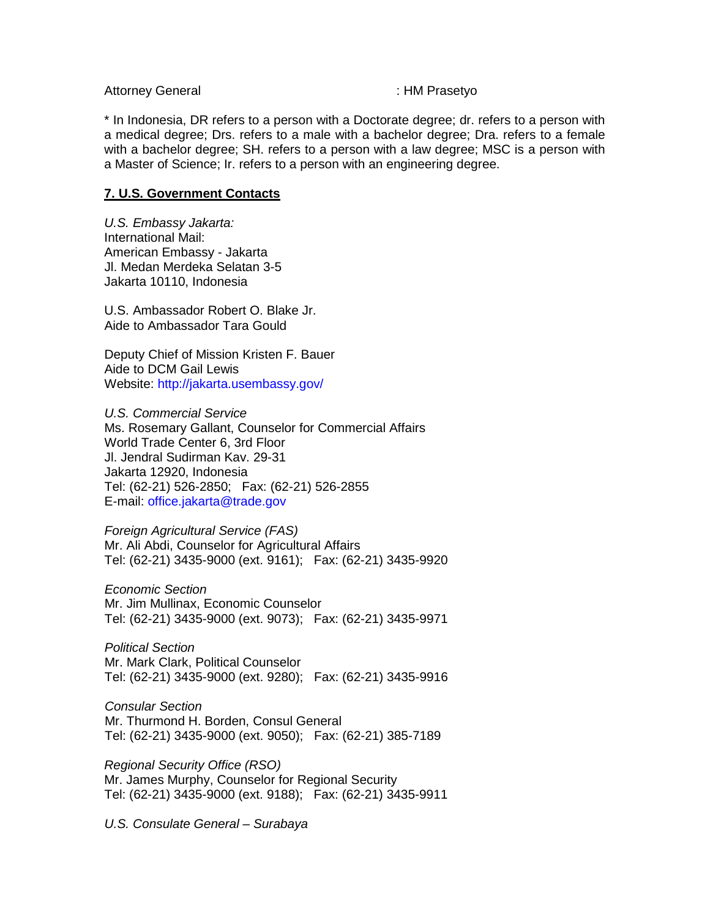Attorney General interval in the set of the set of the set of the set of the set of the set of the set of the s

\* In Indonesia, DR refers to a person with a Doctorate degree; dr. refers to a person with a medical degree; Drs. refers to a male with a bachelor degree; Dra. refers to a female with a bachelor degree; SH. refers to a person with a law degree; MSC is a person with a Master of Science; Ir. refers to a person with an engineering degree.

# **7. U.S. Government Contacts**

*U.S. Embassy Jakarta:* International Mail: American Embassy - Jakarta Jl. Medan Merdeka Selatan 3-5 Jakarta 10110, Indonesia

U.S. Ambassador Robert O. Blake Jr. Aide to Ambassador Tara Gould

Deputy Chief of Mission Kristen F. Bauer Aide to DCM Gail Lewis Website: <http://jakarta.usembassy.gov/>

*U.S. Commercial Service* Ms. Rosemary Gallant, Counselor for Commercial Affairs World Trade Center 6, 3rd Floor Jl. Jendral Sudirman Kav. 29-31 Jakarta 12920, Indonesia Tel: (62-21) 526-2850; Fax: (62-21) 526-2855 E-mail: [office.jakarta@trade.gov](mailto:office.jakarta@trade.gov)

*Foreign Agricultural Service (FAS)* Mr. Ali Abdi, Counselor for Agricultural Affairs Tel: (62-21) 3435-9000 (ext. 9161); Fax: (62-21) 3435-9920

*Economic Section* Mr. Jim Mullinax, Economic Counselor Tel: (62-21) 3435-9000 (ext. 9073); Fax: (62-21) 3435-9971

*Political Section* Mr. Mark Clark, Political Counselor Tel: (62-21) 3435-9000 (ext. 9280); Fax: (62-21) 3435-9916

*Consular Section* Mr. Thurmond H. Borden, Consul General Tel: (62-21) 3435-9000 (ext. 9050); Fax: (62-21) 385-7189

*Regional Security Office (RSO)* Mr. James Murphy, Counselor for Regional Security Tel: (62-21) 3435-9000 (ext. 9188); Fax: (62-21) 3435-9911

*U.S. Consulate General – Surabaya*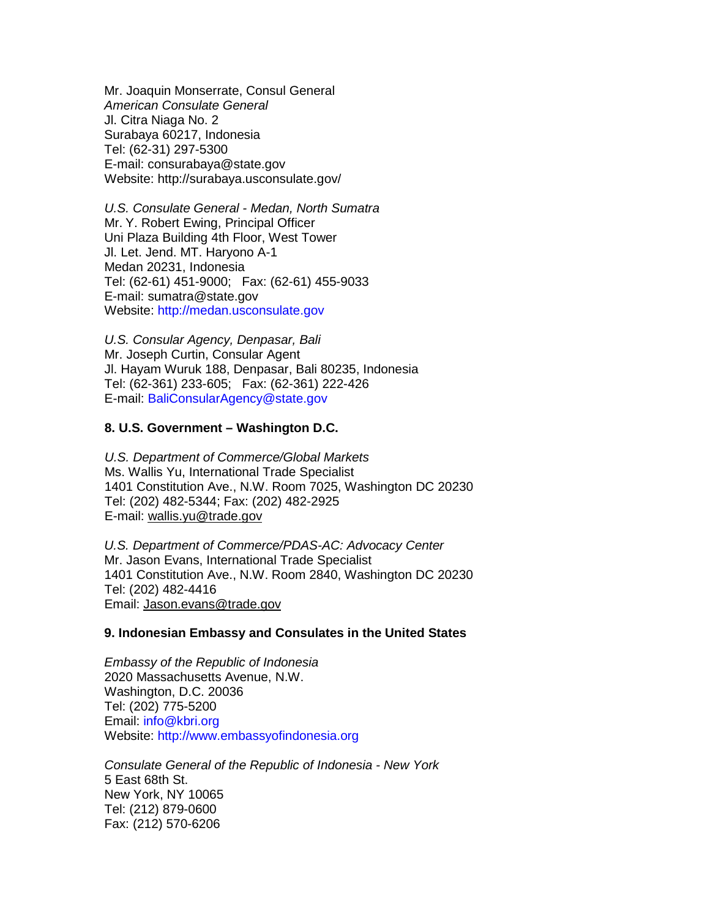Mr. Joaquin Monserrate, Consul General *American Consulate General* Jl. Citra Niaga No. 2 Surabaya 60217, Indonesia Tel: (62-31) 297-5300 E-mail: consurabaya@state.gov Website: http://surabaya.usconsulate.gov/

*U.S. Consulate General - Medan, North Sumatra* Mr. Y. Robert Ewing, Principal Officer Uni Plaza Building 4th Floor, West Tower Jl. Let. Jend. MT. Haryono A-1 Medan 20231, Indonesia Tel: (62-61) 451-9000; Fax: (62-61) 455-9033 E-mail: sumatra@state.gov Website: [http://medan.usconsulate.gov](http://medan.usconsulate.gov/)

*U.S. Consular Agency, Denpasar, Bali* Mr. Joseph Curtin, Consular Agent Jl. Hayam Wuruk 188, Denpasar, Bali 80235, Indonesia Tel: (62-361) 233-605; Fax: (62-361) 222-426 E-mail: [BaliConsularAgency@state.gov](mailto:baliconsularagency@state.gov)

#### **8. U.S. Government – Washington D.C.**

*U.S. Department of Commerce/Global Markets* Ms. Wallis Yu, International Trade Specialist 1401 Constitution Ave., N.W. Room 7025, Washington DC 20230 Tel: (202) 482-5344; Fax: (202) 482-2925 E-mail: [wallis.yu@trade.gov](mailto:wallis.yu@trade.gov)

*U.S. Department of Commerce/PDAS-AC: Advocacy Center* Mr. Jason Evans, International Trade Specialist 1401 Constitution Ave., N.W. Room 2840, Washington DC 20230 Tel: (202) 482-4416 Email: [Jason.evans@trade.gov](mailto:Jason.evans@trade.gov)

#### **9. Indonesian Embassy and Consulates in the United States**

*Embassy of the Republic of Indonesia* 2020 Massachusetts Avenue, N.W. Washington, D.C. 20036 Tel: (202) 775-5200 Email: [info@kbri.org](mailto:info@kbri.org) Website: [http://www.embassyofindonesia.org](http://www.embassyofindonesia.org/)

*Consulate General of the Republic of Indonesia - New York* 5 East 68th St. New York, NY 10065 Tel: (212) 879-0600 Fax: (212) 570-6206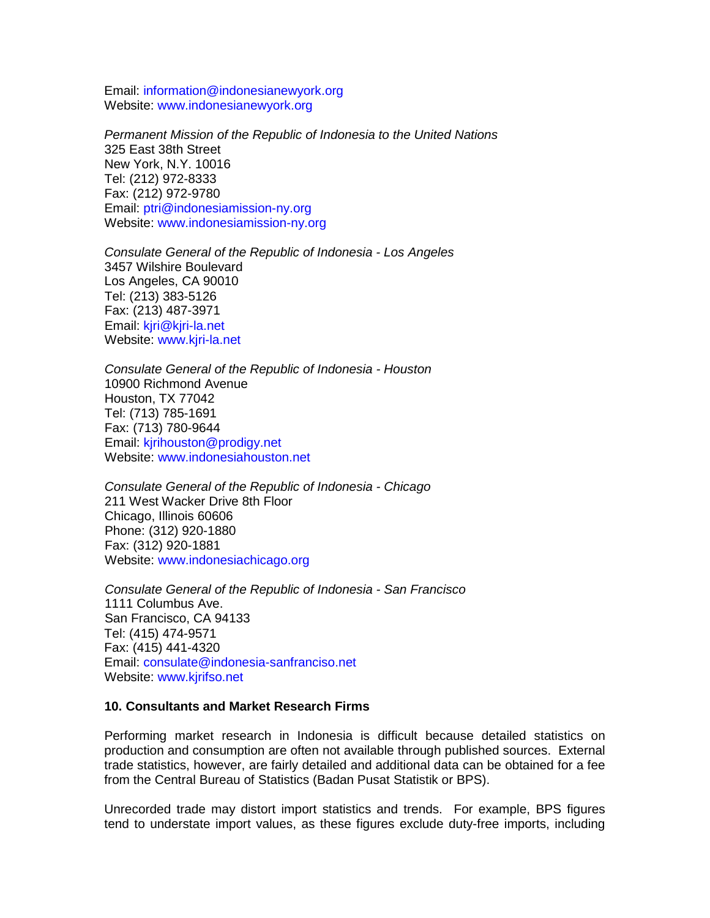Email: [information@indonesianewyork.org](mailto:information@indonesianewyork.org) Website: [www.indonesianewyork.org](http://www.indonesianewyork.org/)

*Permanent Mission of the Republic of Indonesia to the United Nations* 325 East 38th Street New York, N.Y. 10016 Tel: (212) 972-8333 Fax: (212) 972-9780 Email: [ptri@indonesiamission-ny.org](mailto:ptri@indonesiamission-ny.org) Website: [www.indonesiamission-ny.org](http://www.indonesiamission-ny.org/)

*Consulate General of the Republic of Indonesia - Los Angeles* 3457 Wilshire Boulevard Los Angeles, CA 90010 Tel: (213) 383-5126 Fax: (213) 487-3971 Email: [kjri@kjri-la.net](mailto:kjri@kjri-la.net) Website: [www.kjri-la.net](http://www.kjri-la.net/)

*Consulate General of the Republic of Indonesia - Houston* 10900 Richmond Avenue Houston, TX 77042 Tel: (713) 785-1691 Fax: (713) 780-9644 Email: [kjrihouston@prodigy.net](mailto:kjrihouston@prodigy.net) Website: [www.indonesiahouston.net](http://www.indonesiahouston.net/)

*Consulate General of the Republic of Indonesia - Chicago* 211 West Wacker Drive 8th Floor Chicago, Illinois 60606 Phone: (312) 920-1880 Fax: (312) 920-1881 Website: [www.indonesiachicago.org](http://www.indonesiachicago.org/)

*Consulate General of the Republic of Indonesia - San Francisco* 1111 Columbus Ave. San Francisco, CA 94133 Tel: (415) 474-9571 Fax: (415) 441-4320 Email: [consulate@indonesia-sanfranciso.net](mailto:consulate@indonesia-sanfranciso.net) Website: [www.kjrifso.net](http://www.kjrifso.net/)

#### **10. Consultants and Market Research Firms**

Performing market research in Indonesia is difficult because detailed statistics on production and consumption are often not available through published sources. External trade statistics, however, are fairly detailed and additional data can be obtained for a fee from the Central Bureau of Statistics (Badan Pusat Statistik or BPS).

Unrecorded trade may distort import statistics and trends. For example, BPS figures tend to understate import values, as these figures exclude duty-free imports, including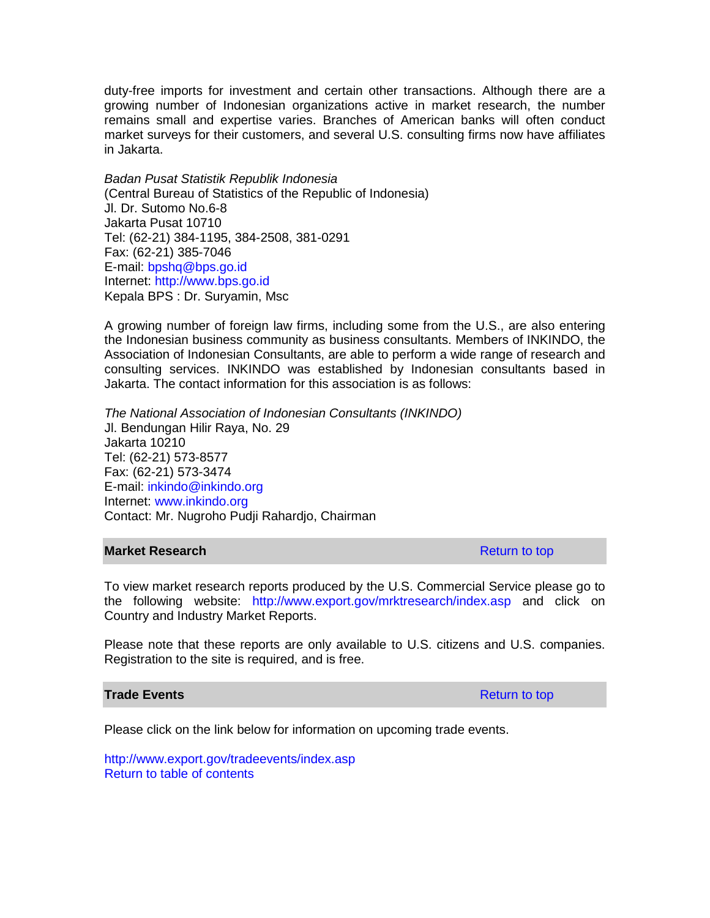duty-free imports for investment and certain other transactions. Although there are a growing number of Indonesian organizations active in market research, the number remains small and expertise varies. Branches of American banks will often conduct market surveys for their customers, and several U.S. consulting firms now have affiliates in Jakarta.

*Badan Pusat Statistik Republik Indonesia* (Central Bureau of Statistics of the Republic of Indonesia) Jl. Dr. Sutomo No.6-8 Jakarta Pusat 10710 Tel: (62-21) 384-1195, 384-2508, 381-0291 Fax: (62-21) 385-7046 E-mail: [bpshq@bps.go.id](mailto:bpshq@bps.go.id) Internet: [http://www.bps.go.id](http://www.bps.go.id/) Kepala BPS : Dr. Suryamin, Msc

A growing number of foreign law firms, including some from the U.S., are also entering the Indonesian business community as business consultants. Members of INKINDO, the Association of Indonesian Consultants, are able to perform a wide range of research and consulting services. INKINDO was established by Indonesian consultants based in Jakarta. The contact information for this association is as follows:

*The National Association of Indonesian Consultants (INKINDO)* Jl. Bendungan Hilir Raya, No. 29 Jakarta 10210 Tel: (62-21) 573-8577 Fax: (62-21) 573-3474 E-mail: [inkindo@inkindo.org](mailto:inkindo@inkindo.org) Internet: [www.inkindo.org](http://www.inkindo.org/) Contact: Mr. Nugroho Pudji Rahardjo, Chairman

#### **Market Research Research Research Return to top Return to top Return to top Return to top Return to top Return to top Return to top Return to top Return to top Return to top Return to top Return to top Return to top**

To view market research reports produced by the U.S. Commercial Service please go to the following website: <http://www.export.gov/mrktresearch/index.asp> and click on Country and Industry Market Reports.

Please note that these reports are only available to U.S. citizens and U.S. companies. Registration to the site is required, and is free.

#### **Trade Events Return to top Accounts** Return to top **Return to top**

Please click on the link below for information on upcoming trade events.

<http://www.export.gov/tradeevents/index.asp> Return to table of contents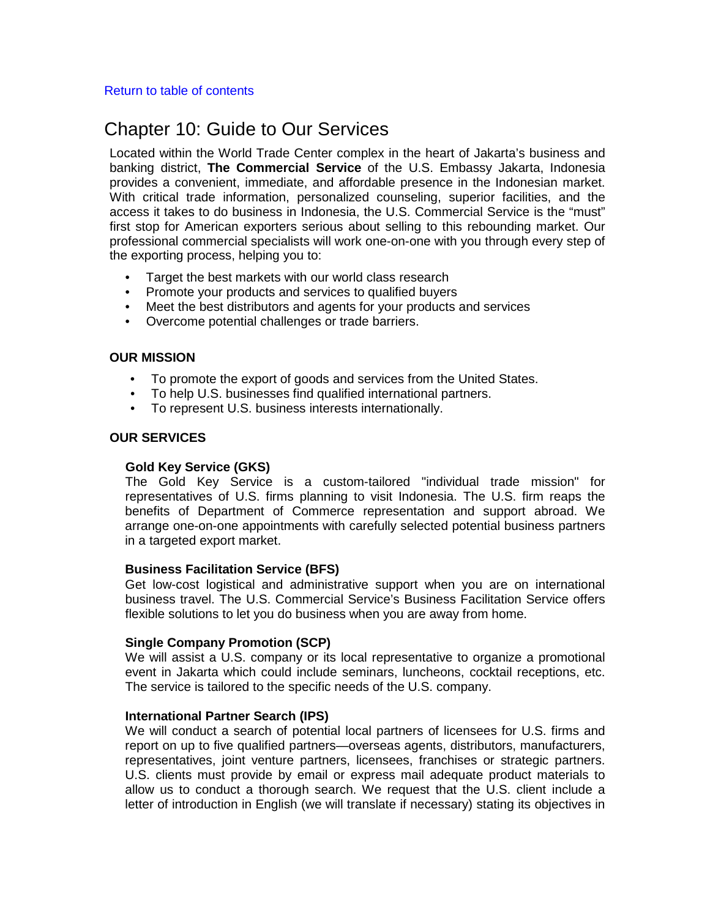#### Return to table of contents

# Chapter 10: Guide to Our Services

Located within the World Trade Center complex in the heart of Jakarta's business and banking district, **The Commercial Service** of the U.S. Embassy Jakarta, Indonesia provides a convenient, immediate, and affordable presence in the Indonesian market. With critical trade information, personalized counseling, superior facilities, and the access it takes to do business in Indonesia, the U.S. Commercial Service is the "must" first stop for American exporters serious about selling to this rebounding market. Our professional commercial specialists will work one-on-one with you through every step of the exporting process, helping you to:

- Target the best markets with our world class research
- Promote your products and services to qualified buyers
- Meet the best distributors and agents for your products and services
- Overcome potential challenges or trade barriers.

# **OUR MISSION**

- To promote the export of goods and services from the United States.
- To help U.S. businesses find qualified international partners.
- To represent U.S. business interests internationally.

# **OUR SERVICES**

#### **Gold Key Service (GKS)**

The Gold Key Service is a custom-tailored "individual trade mission" for representatives of U.S. firms planning to visit Indonesia. The U.S. firm reaps the benefits of Department of Commerce representation and support abroad. We arrange one-on-one appointments with carefully selected potential business partners in a targeted export market.

#### **Business Facilitation Service (BFS)**

Get low-cost logistical and administrative support when you are on international business travel. The U.S. Commercial Service's Business Facilitation Service offers flexible solutions to let you do business when you are away from home.

#### **Single Company Promotion (SCP)**

We will assist a U.S. company or its local representative to organize a promotional event in Jakarta which could include seminars, luncheons, cocktail receptions, etc. The service is tailored to the specific needs of the U.S. company.

#### **International Partner Search (IPS)**

We will conduct a search of potential local partners of licensees for U.S. firms and report on up to five qualified partners—overseas agents, distributors, manufacturers, representatives, joint venture partners, licensees, franchises or strategic partners. U.S. clients must provide by email or express mail adequate product materials to allow us to conduct a thorough search. We request that the U.S. client include a letter of introduction in English (we will translate if necessary) stating its objectives in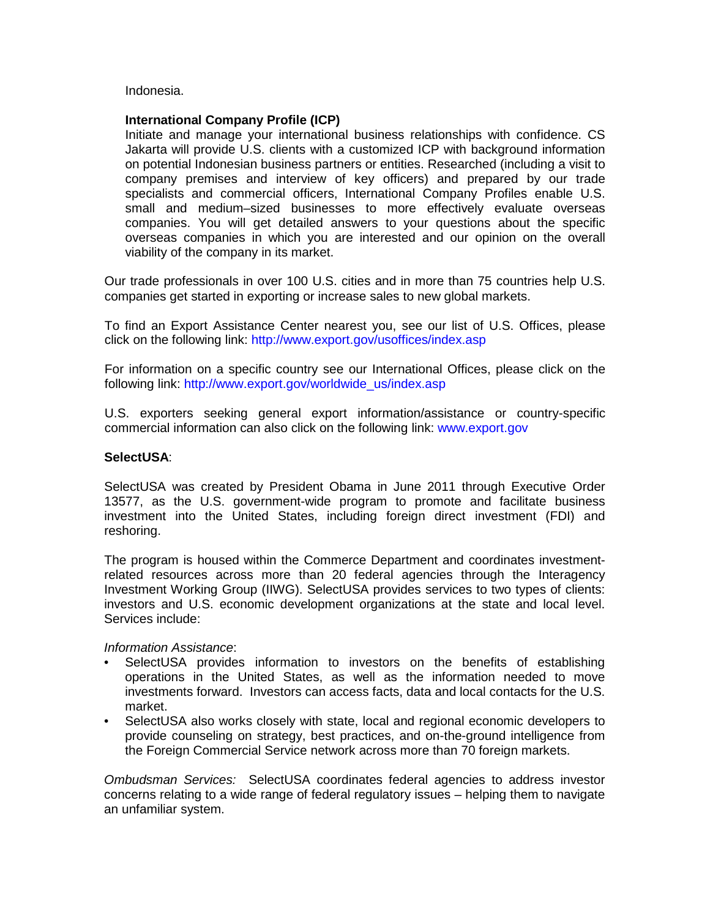Indonesia.

# **International Company Profile (ICP)**

Initiate and manage your international business relationships with confidence. CS Jakarta will provide U.S. clients with a customized ICP with background information on potential Indonesian business partners or entities. Researched (including a visit to company premises and interview of key officers) and prepared by our trade specialists and commercial officers, International Company Profiles enable U.S. small and medium–sized businesses to more effectively evaluate overseas companies. You will get detailed answers to your questions about the specific overseas companies in which you are interested and our opinion on the overall viability of the company in its market.

Our trade professionals in over 100 U.S. cities and in more than 75 countries help U.S. companies get started in exporting or increase sales to new global markets.

To find an Export Assistance Center nearest you, see our list of U.S. Offices, please click on the following link: <http://www.export.gov/usoffices/index.asp>

For information on a specific country see our International Offices, please click on the following link: http://www.export.gov/worldwide\_us/index.asp

U.S. exporters seeking general export information/assistance or country-specific commercial information can also click on the following link: [www.export.gov](http://www.export.gov/)

#### **SelectUSA**:

SelectUSA was created by President Obama in June 2011 through Executive Order 13577, as the U.S. government-wide program to promote and facilitate business investment into the United States, including foreign direct investment (FDI) and reshoring.

The program is housed within the Commerce Department and coordinates investmentrelated resources across more than 20 federal agencies through the Interagency Investment Working Group (IIWG). SelectUSA provides services to two types of clients: investors and U.S. economic development organizations at the state and local level. Services include:

#### *Information Assistance*:

- SelectUSA provides information to investors on the benefits of establishing operations in the United States, as well as the information needed to move investments forward. Investors can access facts, data and local contacts for the U.S. market.
- SelectUSA also works closely with state, local and regional economic developers to provide counseling on strategy, best practices, and on-the-ground intelligence from the Foreign Commercial Service network across more than 70 foreign markets.

*Ombudsman Services:* SelectUSA coordinates federal agencies to address investor concerns relating to a wide range of federal regulatory issues – helping them to navigate an unfamiliar system.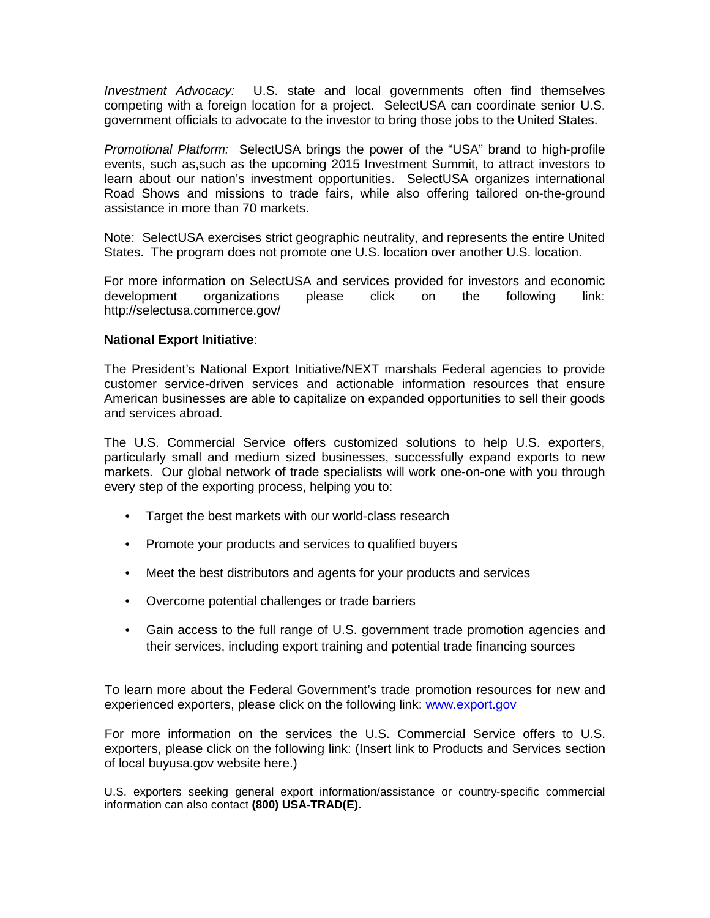*Investment Advocacy:* U.S. state and local governments often find themselves competing with a foreign location for a project. SelectUSA can coordinate senior U.S. government officials to advocate to the investor to bring those jobs to the United States.

*Promotional Platform:* SelectUSA brings the power of the "USA" brand to high-profile events, such as,such as the upcoming 2015 Investment Summit, to attract investors to learn about our nation's investment opportunities. SelectUSA organizes international Road Shows and missions to trade fairs, while also offering tailored on-the-ground assistance in more than 70 markets.

Note: SelectUSA exercises strict geographic neutrality, and represents the entire United States. The program does not promote one U.S. location over another U.S. location.

For more information on SelectUSA and services provided for investors and economic development organizations please click on the following link: http://selectusa.commerce.gov/

# **National Export Initiative**:

The President's National Export Initiative/NEXT marshals Federal agencies to provide customer service-driven services and actionable information resources that ensure American businesses are able to capitalize on expanded opportunities to sell their goods and services abroad.

The U.S. Commercial Service offers customized solutions to help U.S. exporters, particularly small and medium sized businesses, successfully expand exports to new markets. Our global network of trade specialists will work one-on-one with you through every step of the exporting process, helping you to:

- Target the best markets with our world-class research
- Promote your products and services to qualified buyers
- Meet the best distributors and agents for your products and services
- Overcome potential challenges or trade barriers
- Gain access to the full range of U.S. government trade promotion agencies and their services, including export training and potential trade financing sources

To learn more about the Federal Government's trade promotion resources for new and experienced exporters, please click on the following link: [www.export.gov](http://www.export.gov/)

For more information on the services the U.S. Commercial Service offers to U.S. exporters, please click on the following link: (Insert link to Products and Services section of local buyusa.gov website here.)

U.S. exporters seeking general export information/assistance or country-specific commercial information can also contact **(800) USA-TRAD(E).**